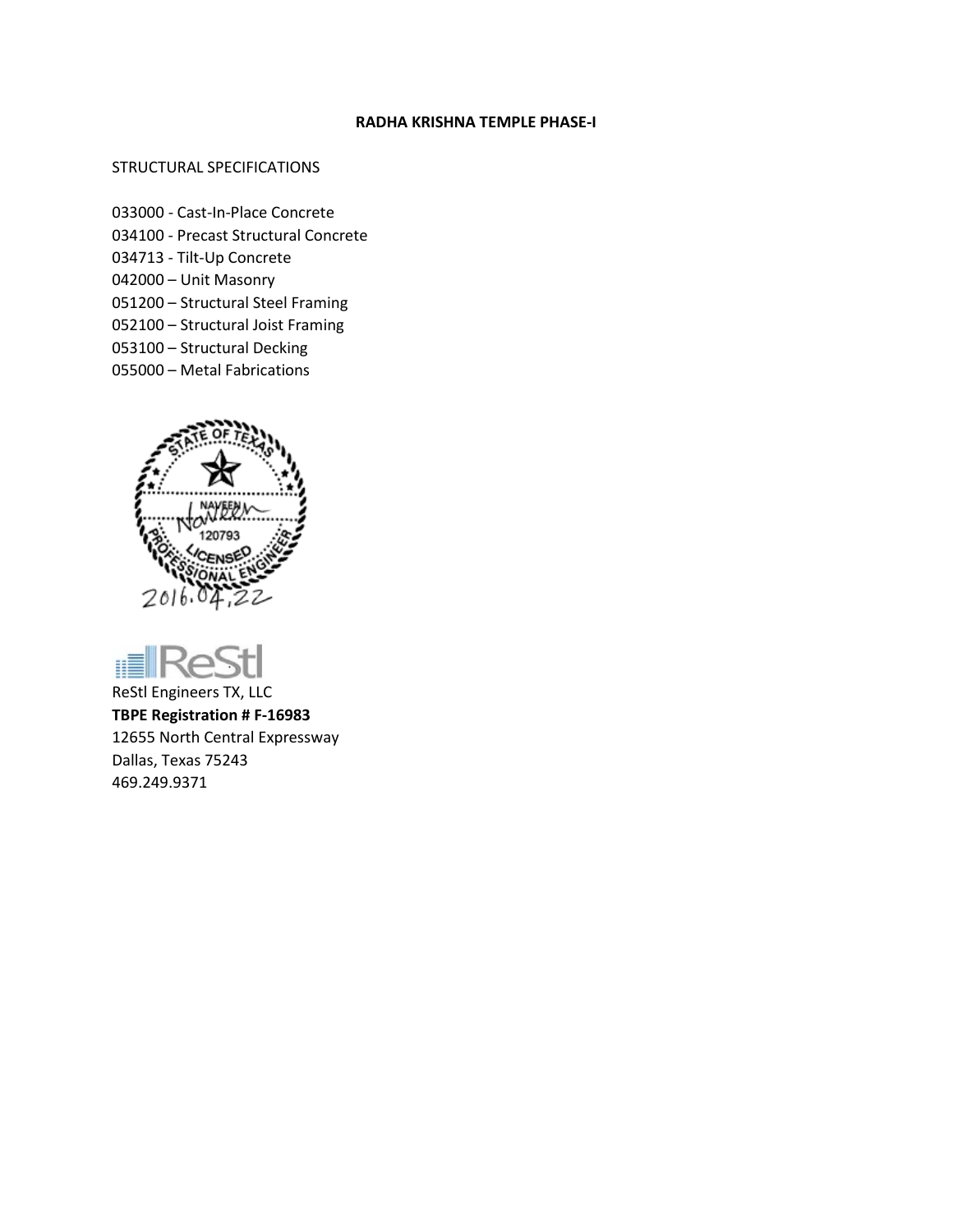#### **RADHA KRISHNA TEMPLE PHASE-I**

### STRUCTURAL SPECIFICATIONS

- 033000 Cast-In-Place Concrete
- 034100 Precast Structural Concrete
- 034713 Tilt-Up Concrete
- 042000 Unit Masonry
- 051200 Structural Steel Framing
- 052100 Structural Joist Framing
- 053100 Structural Decking
- 055000 Metal Fabrications





ReStl Engineers TX, LLC **TBPE Registration # F-16983** 12655 North Central Expressway Dallas, Texas 75243 469.249.9371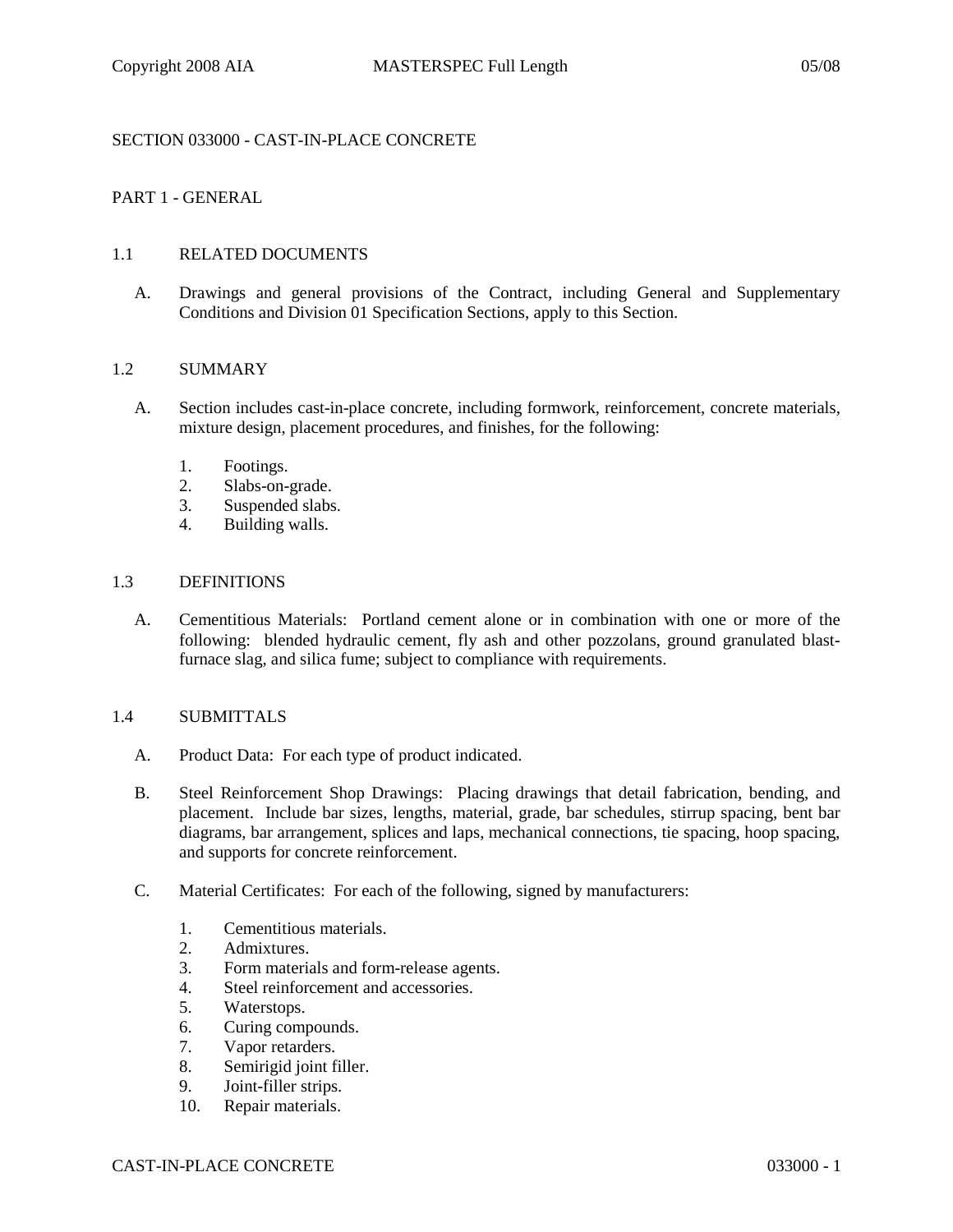# SECTION 033000 - CAST-IN-PLACE CONCRETE

# PART 1 - GENERAL

#### 1.1 RELATED DOCUMENTS

A. Drawings and general provisions of the Contract, including General and Supplementary Conditions and Division 01 Specification Sections, apply to this Section.

#### 1.2 SUMMARY

- A. Section includes cast-in-place concrete, including formwork, reinforcement, concrete materials, mixture design, placement procedures, and finishes, for the following:
	- 1. Footings.
	- 2. Slabs-on-grade.
	- 3. Suspended slabs.
	- 4. Building walls.

# 1.3 DEFINITIONS

A. Cementitious Materials: Portland cement alone or in combination with one or more of the following: blended hydraulic cement, fly ash and other pozzolans, ground granulated blastfurnace slag, and silica fume; subject to compliance with requirements.

#### 1.4 SUBMITTALS

- A. Product Data: For each type of product indicated.
- B. Steel Reinforcement Shop Drawings: Placing drawings that detail fabrication, bending, and placement. Include bar sizes, lengths, material, grade, bar schedules, stirrup spacing, bent bar diagrams, bar arrangement, splices and laps, mechanical connections, tie spacing, hoop spacing, and supports for concrete reinforcement.
- C. Material Certificates: For each of the following, signed by manufacturers:
	- 1. Cementitious materials.
	- 2. Admixtures.
	- 3. Form materials and form-release agents.
	- 4. Steel reinforcement and accessories.
	- 5. Waterstops.
	- 6. Curing compounds.
	- 7. Vapor retarders.
	- 8. Semirigid joint filler.
	- 9. Joint-filler strips.
	- 10. Repair materials.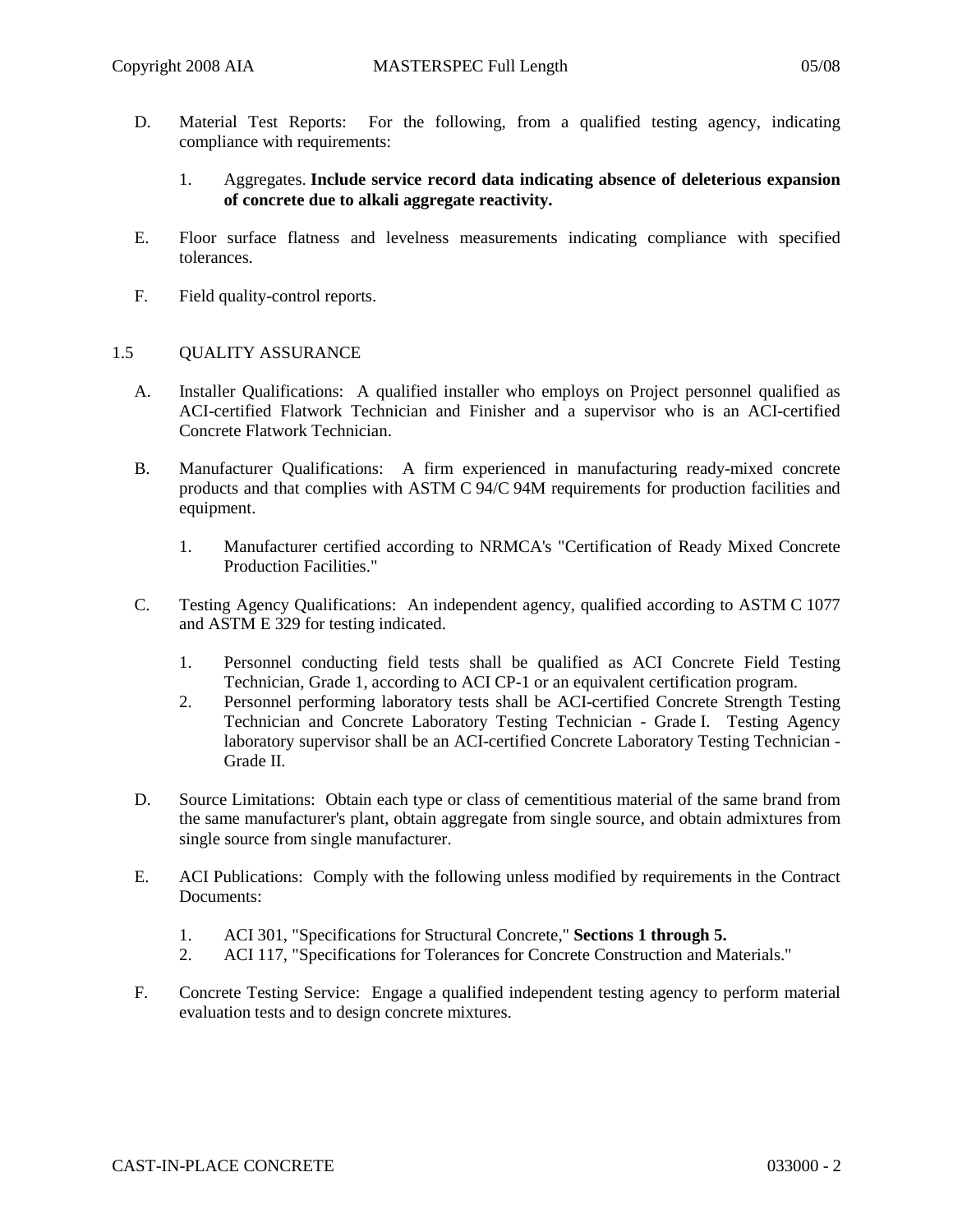D. Material Test Reports: For the following, from a qualified testing agency, indicating compliance with requirements:

## 1. Aggregates. **Include service record data indicating absence of deleterious expansion of concrete due to alkali aggregate reactivity.**

- E. Floor surface flatness and levelness measurements indicating compliance with specified tolerances.
- F. Field quality-control reports.

### 1.5 QUALITY ASSURANCE

- A. Installer Qualifications: A qualified installer who employs on Project personnel qualified as ACI-certified Flatwork Technician and Finisher and a supervisor who is an ACI-certified Concrete Flatwork Technician.
- B. Manufacturer Qualifications: A firm experienced in manufacturing ready-mixed concrete products and that complies with ASTM C 94/C 94M requirements for production facilities and equipment.
	- 1. Manufacturer certified according to NRMCA's "Certification of Ready Mixed Concrete Production Facilities."
- C. Testing Agency Qualifications: An independent agency, qualified according to ASTM C 1077 and ASTM E 329 for testing indicated.
	- 1. Personnel conducting field tests shall be qualified as ACI Concrete Field Testing Technician, Grade 1, according to ACI CP-1 or an equivalent certification program.
	- 2. Personnel performing laboratory tests shall be ACI-certified Concrete Strength Testing Technician and Concrete Laboratory Testing Technician - Grade I. Testing Agency laboratory supervisor shall be an ACI-certified Concrete Laboratory Testing Technician - Grade II.
- D. Source Limitations: Obtain each type or class of cementitious material of the same brand from the same manufacturer's plant, obtain aggregate from single source, and obtain admixtures from single source from single manufacturer.
- E. ACI Publications: Comply with the following unless modified by requirements in the Contract Documents:
	- 1. ACI 301, "Specifications for Structural Concrete," **Sections 1 through 5.**
	- 2. ACI 117, "Specifications for Tolerances for Concrete Construction and Materials."
- F. Concrete Testing Service: Engage a qualified independent testing agency to perform material evaluation tests and to design concrete mixtures.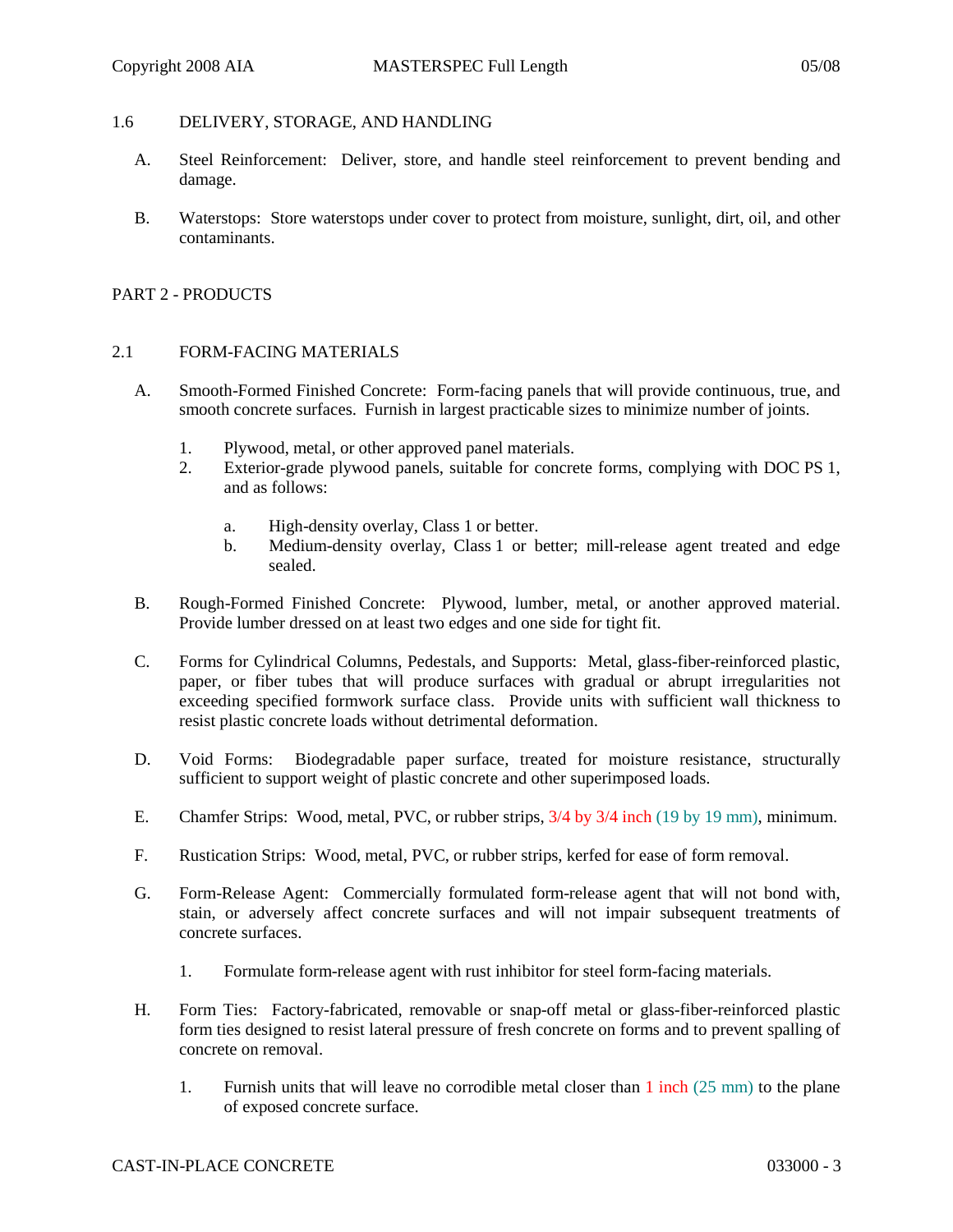### 1.6 DELIVERY, STORAGE, AND HANDLING

- A. Steel Reinforcement: Deliver, store, and handle steel reinforcement to prevent bending and damage.
- B. Waterstops: Store waterstops under cover to protect from moisture, sunlight, dirt, oil, and other contaminants.

## PART 2 - PRODUCTS

### 2.1 FORM-FACING MATERIALS

- A. Smooth-Formed Finished Concrete: Form-facing panels that will provide continuous, true, and smooth concrete surfaces. Furnish in largest practicable sizes to minimize number of joints.
	- 1. Plywood, metal, or other approved panel materials.
	- 2. Exterior-grade plywood panels, suitable for concrete forms, complying with DOC PS 1, and as follows:
		- a. High-density overlay, Class 1 or better.
		- b. Medium-density overlay, Class 1 or better; mill-release agent treated and edge sealed.
- B. Rough-Formed Finished Concrete: Plywood, lumber, metal, or another approved material. Provide lumber dressed on at least two edges and one side for tight fit.
- C. Forms for Cylindrical Columns, Pedestals, and Supports: Metal, glass-fiber-reinforced plastic, paper, or fiber tubes that will produce surfaces with gradual or abrupt irregularities not exceeding specified formwork surface class. Provide units with sufficient wall thickness to resist plastic concrete loads without detrimental deformation.
- D. Void Forms: Biodegradable paper surface, treated for moisture resistance, structurally sufficient to support weight of plastic concrete and other superimposed loads.
- E. Chamfer Strips: Wood, metal, PVC, or rubber strips, 3/4 by 3/4 inch (19 by 19 mm), minimum.
- F. Rustication Strips: Wood, metal, PVC, or rubber strips, kerfed for ease of form removal.
- G. Form-Release Agent: Commercially formulated form-release agent that will not bond with, stain, or adversely affect concrete surfaces and will not impair subsequent treatments of concrete surfaces.
	- 1. Formulate form-release agent with rust inhibitor for steel form-facing materials.
- H. Form Ties: Factory-fabricated, removable or snap-off metal or glass-fiber-reinforced plastic form ties designed to resist lateral pressure of fresh concrete on forms and to prevent spalling of concrete on removal.
	- 1. Furnish units that will leave no corrodible metal closer than 1 inch (25 mm) to the plane of exposed concrete surface.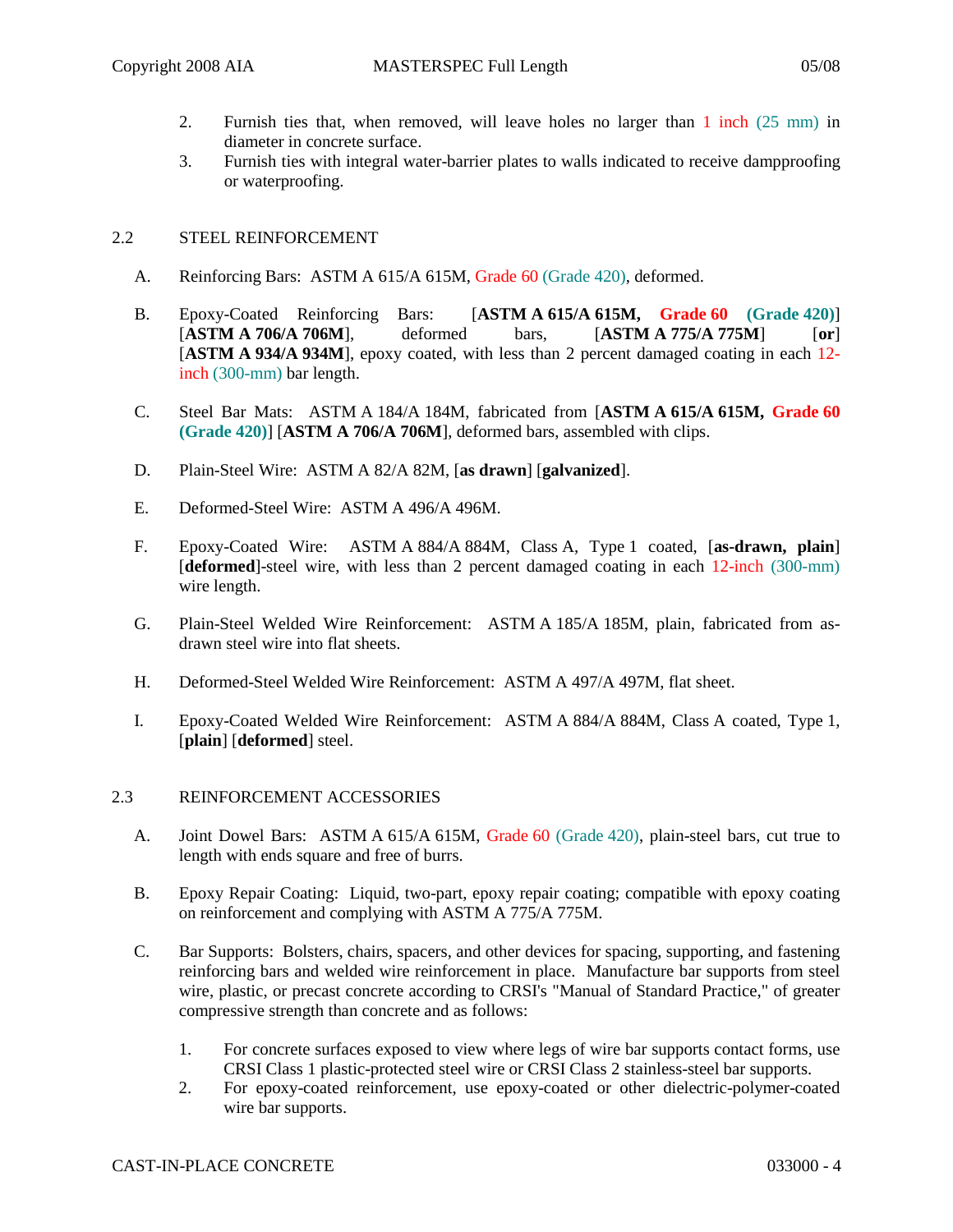- 2. Furnish ties that, when removed, will leave holes no larger than 1 inch (25 mm) in diameter in concrete surface.
- 3. Furnish ties with integral water-barrier plates to walls indicated to receive dampproofing or waterproofing.

# 2.2 STEEL REINFORCEMENT

- A. Reinforcing Bars: ASTM A 615/A 615M, Grade 60 (Grade 420), deformed.
- B. Epoxy-Coated Reinforcing Bars: [**ASTM A 615/A 615M, Grade 60 (Grade 420)**] [**ASTM A 706/A 706M**], deformed bars, [**ASTM A 775/A 775M**] [**or**] [**ASTM A 934/A 934M**], epoxy coated, with less than 2 percent damaged coating in each 12 inch (300-mm) bar length.
- C. Steel Bar Mats: ASTM A 184/A 184M, fabricated from [**ASTM A 615/A 615M, Grade 60 (Grade 420)**] [**ASTM A 706/A 706M**], deformed bars, assembled with clips.
- D. Plain-Steel Wire: ASTM A 82/A 82M, [**as drawn**] [**galvanized**].
- E. Deformed-Steel Wire: ASTM A 496/A 496M.
- F. Epoxy-Coated Wire: ASTM A 884/A 884M, Class A, Type 1 coated, [**as-drawn, plain**] [**deformed**]-steel wire, with less than 2 percent damaged coating in each 12-inch (300-mm) wire length.
- G. Plain-Steel Welded Wire Reinforcement: ASTM A 185/A 185M, plain, fabricated from asdrawn steel wire into flat sheets.
- H. Deformed-Steel Welded Wire Reinforcement: ASTM A 497/A 497M, flat sheet.
- I. Epoxy-Coated Welded Wire Reinforcement: ASTM A 884/A 884M, Class A coated, Type 1, [**plain**] [**deformed**] steel.

### 2.3 REINFORCEMENT ACCESSORIES

- A. Joint Dowel Bars: ASTM A 615/A 615M, Grade 60 (Grade 420), plain-steel bars, cut true to length with ends square and free of burrs.
- B. Epoxy Repair Coating: Liquid, two-part, epoxy repair coating; compatible with epoxy coating on reinforcement and complying with ASTM A 775/A 775M.
- C. Bar Supports: Bolsters, chairs, spacers, and other devices for spacing, supporting, and fastening reinforcing bars and welded wire reinforcement in place. Manufacture bar supports from steel wire, plastic, or precast concrete according to CRSI's "Manual of Standard Practice," of greater compressive strength than concrete and as follows:
	- 1. For concrete surfaces exposed to view where legs of wire bar supports contact forms, use CRSI Class 1 plastic-protected steel wire or CRSI Class 2 stainless-steel bar supports.
	- 2. For epoxy-coated reinforcement, use epoxy-coated or other dielectric-polymer-coated wire bar supports.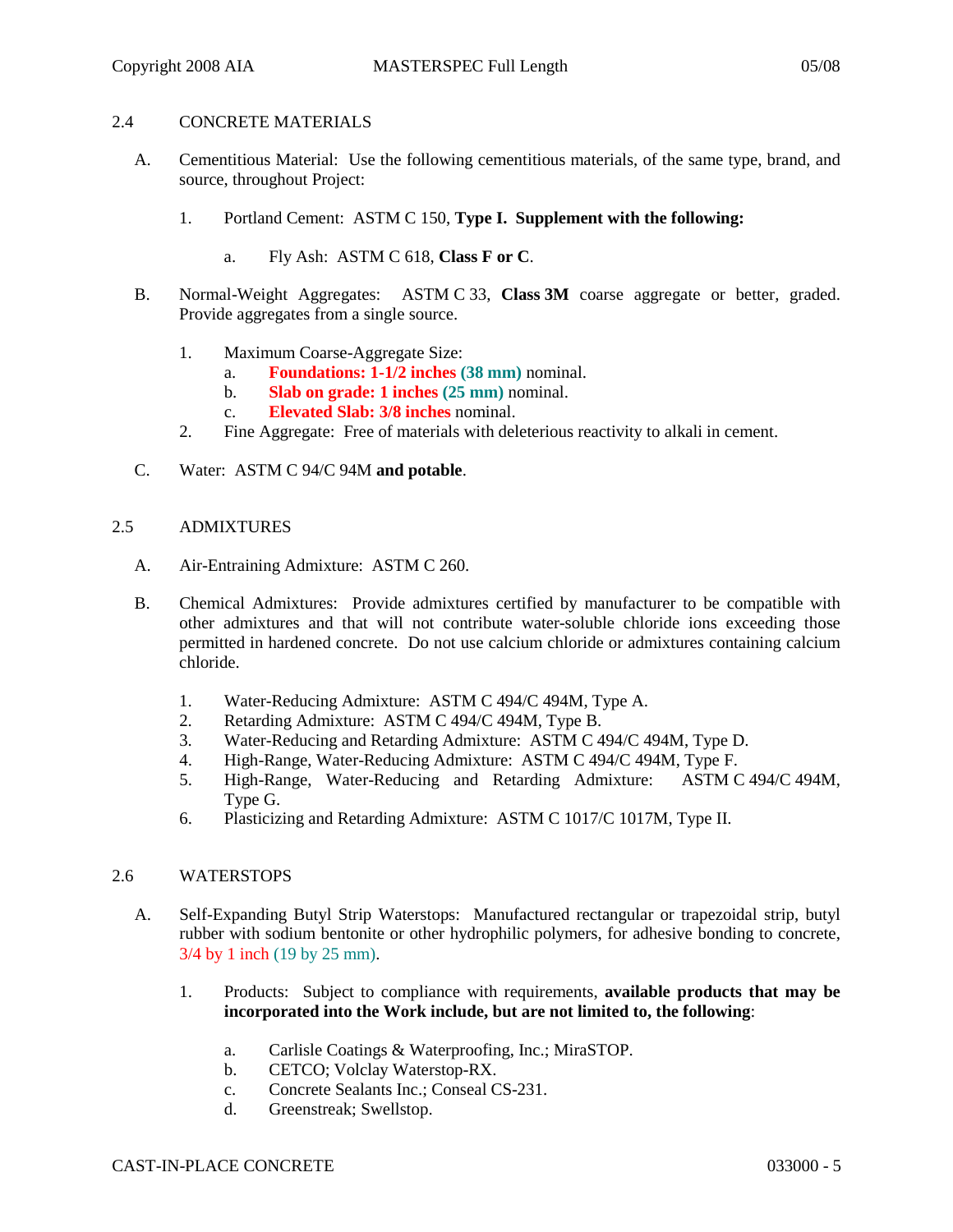## 2.4 CONCRETE MATERIALS

- A. Cementitious Material: Use the following cementitious materials, of the same type, brand, and source, throughout Project:
	- 1. Portland Cement: ASTM C 150, **Type I. Supplement with the following:**
		- a. Fly Ash: ASTM C 618, **Class F or C**.
- B. Normal-Weight Aggregates: ASTM C 33, **Class 3M** coarse aggregate or better, graded. Provide aggregates from a single source.
	- 1. Maximum Coarse-Aggregate Size:
		- a. **Foundations: 1-1/2 inches (38 mm)** nominal.
		- b. **Slab on grade: 1 inches (25 mm)** nominal.
		- c. **Elevated Slab: 3/8 inches** nominal.
	- 2. Fine Aggregate: Free of materials with deleterious reactivity to alkali in cement.
- C. Water: ASTM C 94/C 94M **and potable**.

### 2.5 ADMIXTURES

- A. Air-Entraining Admixture: ASTM C 260.
- B. Chemical Admixtures: Provide admixtures certified by manufacturer to be compatible with other admixtures and that will not contribute water-soluble chloride ions exceeding those permitted in hardened concrete. Do not use calcium chloride or admixtures containing calcium chloride.
	- 1. Water-Reducing Admixture: ASTM C 494/C 494M, Type A.
	- 2. Retarding Admixture: ASTM C 494/C 494M, Type B.
	- 3. Water-Reducing and Retarding Admixture: ASTM C 494/C 494M, Type D.
	- 4. High-Range, Water-Reducing Admixture: ASTM C 494/C 494M, Type F.
	- 5. High-Range, Water-Reducing and Retarding Admixture: ASTM C 494/C 494M, Type G.
	- 6. Plasticizing and Retarding Admixture: ASTM C 1017/C 1017M, Type II.

### 2.6 WATERSTOPS

- A. Self-Expanding Butyl Strip Waterstops: Manufactured rectangular or trapezoidal strip, butyl rubber with sodium bentonite or other hydrophilic polymers, for adhesive bonding to concrete, 3/4 by 1 inch (19 by 25 mm).
	- 1. Products: Subject to compliance with requirements, **available products that may be incorporated into the Work include, but are not limited to, the following**:
		- a. Carlisle Coatings & Waterproofing, Inc.; MiraSTOP.
		- b. CETCO; Volclay Waterstop-RX.
		- c. Concrete Sealants Inc.; Conseal CS-231.
		- d. Greenstreak; Swellstop.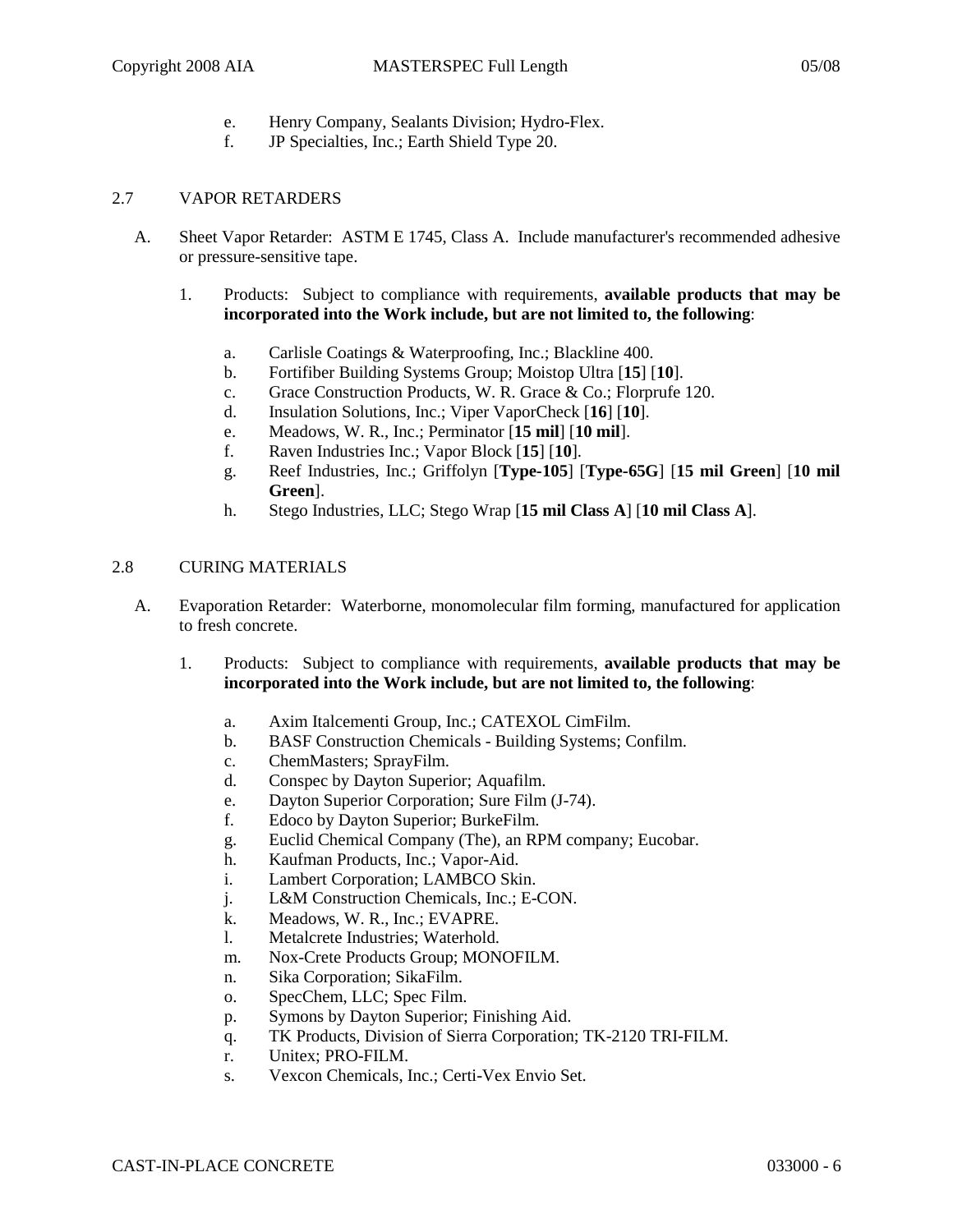- e. Henry Company, Sealants Division; Hydro-Flex.
- f. JP Specialties, Inc.; Earth Shield Type 20.

## 2.7 VAPOR RETARDERS

- A. Sheet Vapor Retarder: ASTM E 1745, Class A. Include manufacturer's recommended adhesive or pressure-sensitive tape.
	- 1. Products: Subject to compliance with requirements, **available products that may be incorporated into the Work include, but are not limited to, the following**:
		- a. Carlisle Coatings & Waterproofing, Inc.; Blackline 400.
		- b. Fortifiber Building Systems Group; Moistop Ultra [**15**] [**10**].
		- c. Grace Construction Products, W. R. Grace & Co.; Florprufe 120.
		- d. Insulation Solutions, Inc.; Viper VaporCheck [**16**] [**10**].
		- e. Meadows, W. R., Inc.; Perminator [**15 mil**] [**10 mil**].
		- f. Raven Industries Inc.; Vapor Block [**15**] [**10**].
		- g. Reef Industries, Inc.; Griffolyn [**Type-105**] [**Type-65G**] [**15 mil Green**] [**10 mil Green**].
		- h. Stego Industries, LLC; Stego Wrap [**15 mil Class A**] [**10 mil Class A**].

### 2.8 CURING MATERIALS

- A. Evaporation Retarder: Waterborne, monomolecular film forming, manufactured for application to fresh concrete.
	- 1. Products: Subject to compliance with requirements, **available products that may be incorporated into the Work include, but are not limited to, the following**:
		- a. Axim Italcementi Group, Inc.; CATEXOL CimFilm.
		- b. BASF Construction Chemicals Building Systems; Confilm.
		- c. ChemMasters; SprayFilm.
		- d. Conspec by Dayton Superior; Aquafilm.
		- e. Dayton Superior Corporation; Sure Film (J-74).
		- f. Edoco by Dayton Superior; BurkeFilm.
		- g. Euclid Chemical Company (The), an RPM company; Eucobar.
		- h. Kaufman Products, Inc.; Vapor-Aid.
		- i. Lambert Corporation; LAMBCO Skin.
		- j. L&M Construction Chemicals, Inc.; E-CON.
		- k. Meadows, W. R., Inc.; EVAPRE.
		- l. Metalcrete Industries; Waterhold.
		- m. Nox-Crete Products Group; MONOFILM.
		- n. Sika Corporation; SikaFilm.
		- o. SpecChem, LLC; Spec Film.
		- p. Symons by Dayton Superior; Finishing Aid.
		- q. TK Products, Division of Sierra Corporation; TK-2120 TRI-FILM.
		- r. Unitex; PRO-FILM.
		- s. Vexcon Chemicals, Inc.; Certi-Vex Envio Set.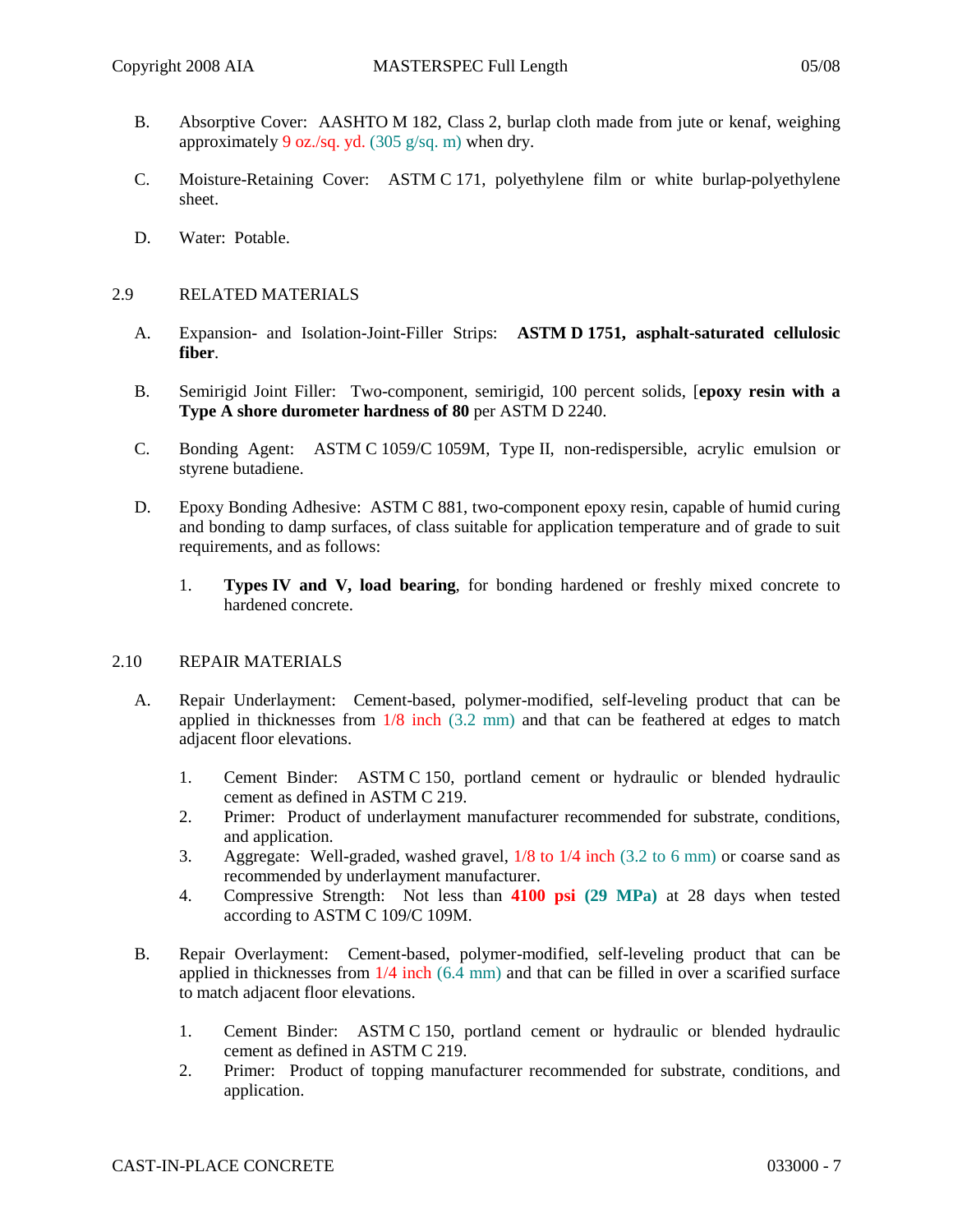- B. Absorptive Cover: AASHTO M 182, Class 2, burlap cloth made from jute or kenaf, weighing approximately 9 oz./sq. yd. (305 g/sq. m) when dry.
- C. Moisture-Retaining Cover: ASTM C 171, polyethylene film or white burlap-polyethylene sheet.
- D. Water: Potable.

# 2.9 RELATED MATERIALS

- A. Expansion- and Isolation-Joint-Filler Strips: **ASTM D 1751, asphalt-saturated cellulosic fiber**.
- B. Semirigid Joint Filler: Two-component, semirigid, 100 percent solids, [**epoxy resin with a Type A shore durometer hardness of 80** per ASTM D 2240.
- C. Bonding Agent: ASTM C 1059/C 1059M, Type II, non-redispersible, acrylic emulsion or styrene butadiene.
- D. Epoxy Bonding Adhesive: ASTM C 881, two-component epoxy resin, capable of humid curing and bonding to damp surfaces, of class suitable for application temperature and of grade to suit requirements, and as follows:
	- 1. **Types IV and V, load bearing**, for bonding hardened or freshly mixed concrete to hardened concrete.

### 2.10 REPAIR MATERIALS

- A. Repair Underlayment: Cement-based, polymer-modified, self-leveling product that can be applied in thicknesses from 1/8 inch (3.2 mm) and that can be feathered at edges to match adjacent floor elevations.
	- 1. Cement Binder: ASTM C 150, portland cement or hydraulic or blended hydraulic cement as defined in ASTM C 219.
	- 2. Primer: Product of underlayment manufacturer recommended for substrate, conditions, and application.
	- 3. Aggregate: Well-graded, washed gravel, 1/8 to 1/4 inch (3.2 to 6 mm) or coarse sand as recommended by underlayment manufacturer.
	- 4. Compressive Strength: Not less than **4100 psi (29 MPa)** at 28 days when tested according to ASTM C 109/C 109M.
- B. Repair Overlayment: Cement-based, polymer-modified, self-leveling product that can be applied in thicknesses from 1/4 inch (6.4 mm) and that can be filled in over a scarified surface to match adjacent floor elevations.
	- 1. Cement Binder: ASTM C 150, portland cement or hydraulic or blended hydraulic cement as defined in ASTM C 219.
	- 2. Primer: Product of topping manufacturer recommended for substrate, conditions, and application.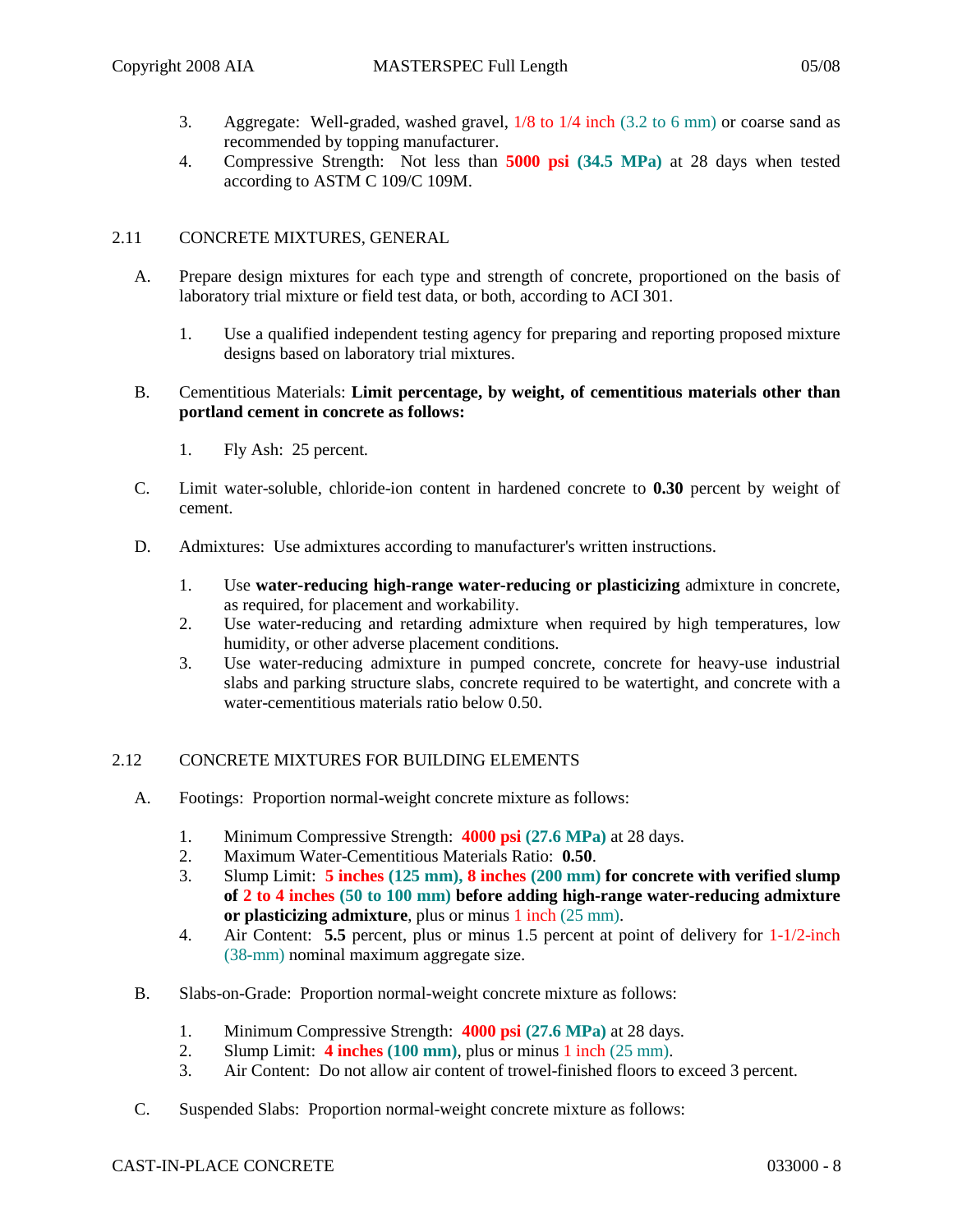- 3. Aggregate: Well-graded, washed gravel, 1/8 to 1/4 inch (3.2 to 6 mm) or coarse sand as recommended by topping manufacturer.
- 4. Compressive Strength: Not less than **5000 psi (34.5 MPa)** at 28 days when tested according to ASTM C 109/C 109M.

# 2.11 CONCRETE MIXTURES, GENERAL

- A. Prepare design mixtures for each type and strength of concrete, proportioned on the basis of laboratory trial mixture or field test data, or both, according to ACI 301.
	- 1. Use a qualified independent testing agency for preparing and reporting proposed mixture designs based on laboratory trial mixtures.
- B. Cementitious Materials: **Limit percentage, by weight, of cementitious materials other than portland cement in concrete as follows:**
	- 1. Fly Ash: 25 percent.
- C. Limit water-soluble, chloride-ion content in hardened concrete to **0.30** percent by weight of cement.
- D. Admixtures: Use admixtures according to manufacturer's written instructions.
	- 1. Use **water-reducing high-range water-reducing or plasticizing** admixture in concrete, as required, for placement and workability.
	- 2. Use water-reducing and retarding admixture when required by high temperatures, low humidity, or other adverse placement conditions.
	- 3. Use water-reducing admixture in pumped concrete, concrete for heavy-use industrial slabs and parking structure slabs, concrete required to be watertight, and concrete with a water-cementitious materials ratio below 0.50.

### 2.12 CONCRETE MIXTURES FOR BUILDING ELEMENTS

- A. Footings: Proportion normal-weight concrete mixture as follows:
	- 1. Minimum Compressive Strength: **4000 psi (27.6 MPa)** at 28 days.
	- 2. Maximum Water-Cementitious Materials Ratio: **0.50**.
	- 3. Slump Limit: **5 inches (125 mm), 8 inches (200 mm) for concrete with verified slump of 2 to 4 inches (50 to 100 mm) before adding high-range water-reducing admixture or plasticizing admixture**, plus or minus 1 inch (25 mm).
	- 4. Air Content: **5.5** percent, plus or minus 1.5 percent at point of delivery for 1-1/2-inch (38-mm) nominal maximum aggregate size.
- B. Slabs-on-Grade: Proportion normal-weight concrete mixture as follows:
	- 1. Minimum Compressive Strength: **4000 psi (27.6 MPa)** at 28 days.
	- 2. Slump Limit: **4 inches (100 mm)**, plus or minus 1 inch (25 mm).
	- 3. Air Content: Do not allow air content of trowel-finished floors to exceed 3 percent.
- C. Suspended Slabs: Proportion normal-weight concrete mixture as follows: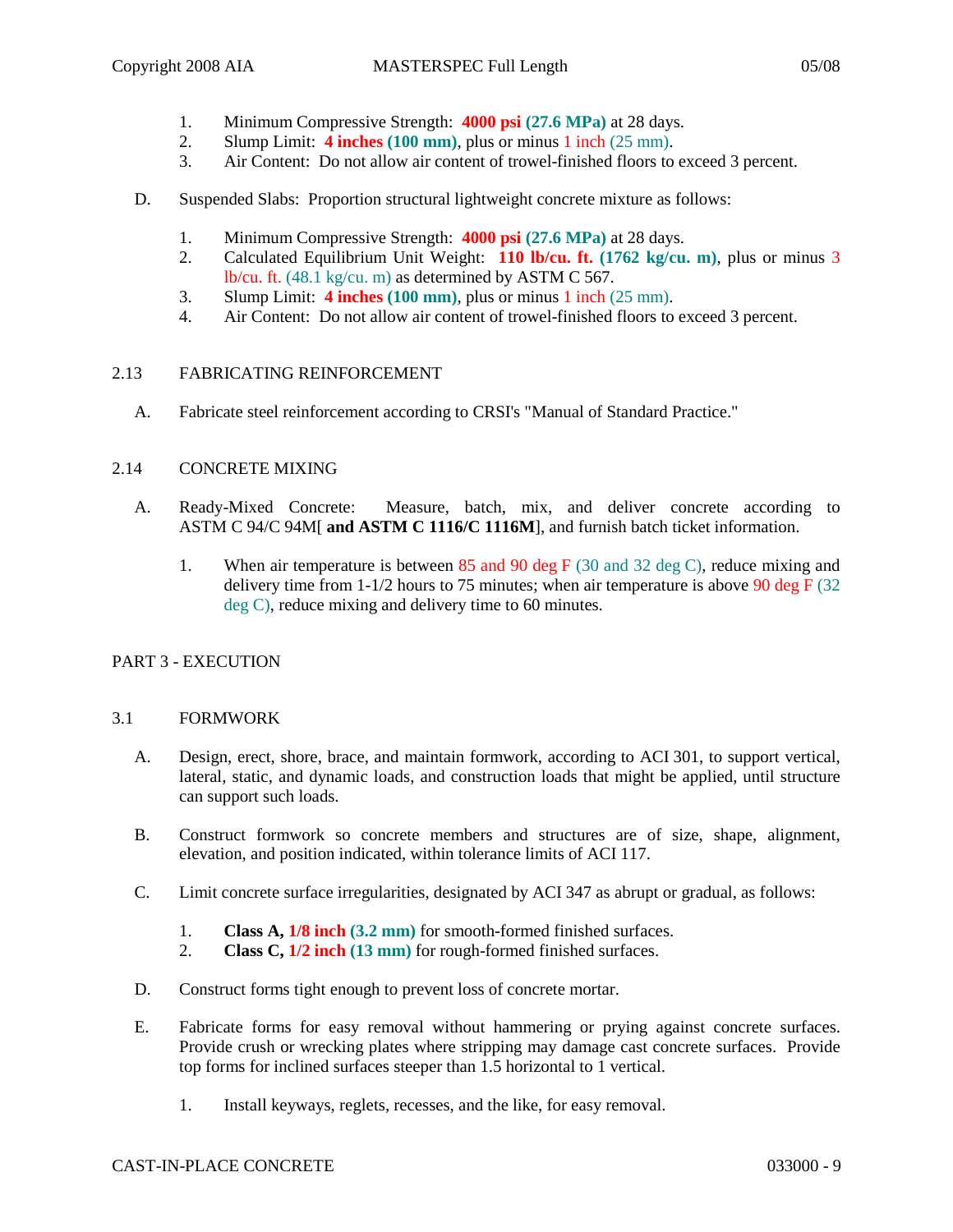- 1. Minimum Compressive Strength: **4000 psi (27.6 MPa)** at 28 days.
- 2. Slump Limit: **4 inches (100 mm)**, plus or minus 1 inch (25 mm).
- 3. Air Content: Do not allow air content of trowel-finished floors to exceed 3 percent.
- D. Suspended Slabs: Proportion structural lightweight concrete mixture as follows:
	- 1. Minimum Compressive Strength: **4000 psi (27.6 MPa)** at 28 days.
	- 2. Calculated Equilibrium Unit Weight: **110 lb/cu. ft. (1762 kg/cu. m)**, plus or minus 3 lb/cu. ft. (48.1 kg/cu. m) as determined by ASTM C 567.
	- 3. Slump Limit: **4 inches (100 mm)**, plus or minus 1 inch (25 mm).
	- 4. Air Content: Do not allow air content of trowel-finished floors to exceed 3 percent.

### 2.13 FABRICATING REINFORCEMENT

A. Fabricate steel reinforcement according to CRSI's "Manual of Standard Practice."

### 2.14 CONCRETE MIXING

- A. Ready-Mixed Concrete: Measure, batch, mix, and deliver concrete according to ASTM C 94/C 94M[ **and ASTM C 1116/C 1116M**], and furnish batch ticket information.
	- 1. When air temperature is between 85 and 90 deg F (30 and 32 deg C), reduce mixing and delivery time from  $1-1/2$  hours to 75 minutes; when air temperature is above 90 deg F (32) deg C), reduce mixing and delivery time to 60 minutes.

# PART 3 - EXECUTION

### 3.1 FORMWORK

- A. Design, erect, shore, brace, and maintain formwork, according to ACI 301, to support vertical, lateral, static, and dynamic loads, and construction loads that might be applied, until structure can support such loads.
- B. Construct formwork so concrete members and structures are of size, shape, alignment, elevation, and position indicated, within tolerance limits of ACI 117.
- C. Limit concrete surface irregularities, designated by ACI 347 as abrupt or gradual, as follows:
	- 1. **Class A, 1/8 inch (3.2 mm)** for smooth-formed finished surfaces.
	- 2. **Class C, 1/2 inch (13 mm)** for rough-formed finished surfaces.
- D. Construct forms tight enough to prevent loss of concrete mortar.
- E. Fabricate forms for easy removal without hammering or prying against concrete surfaces. Provide crush or wrecking plates where stripping may damage cast concrete surfaces. Provide top forms for inclined surfaces steeper than 1.5 horizontal to 1 vertical.
	- 1. Install keyways, reglets, recesses, and the like, for easy removal.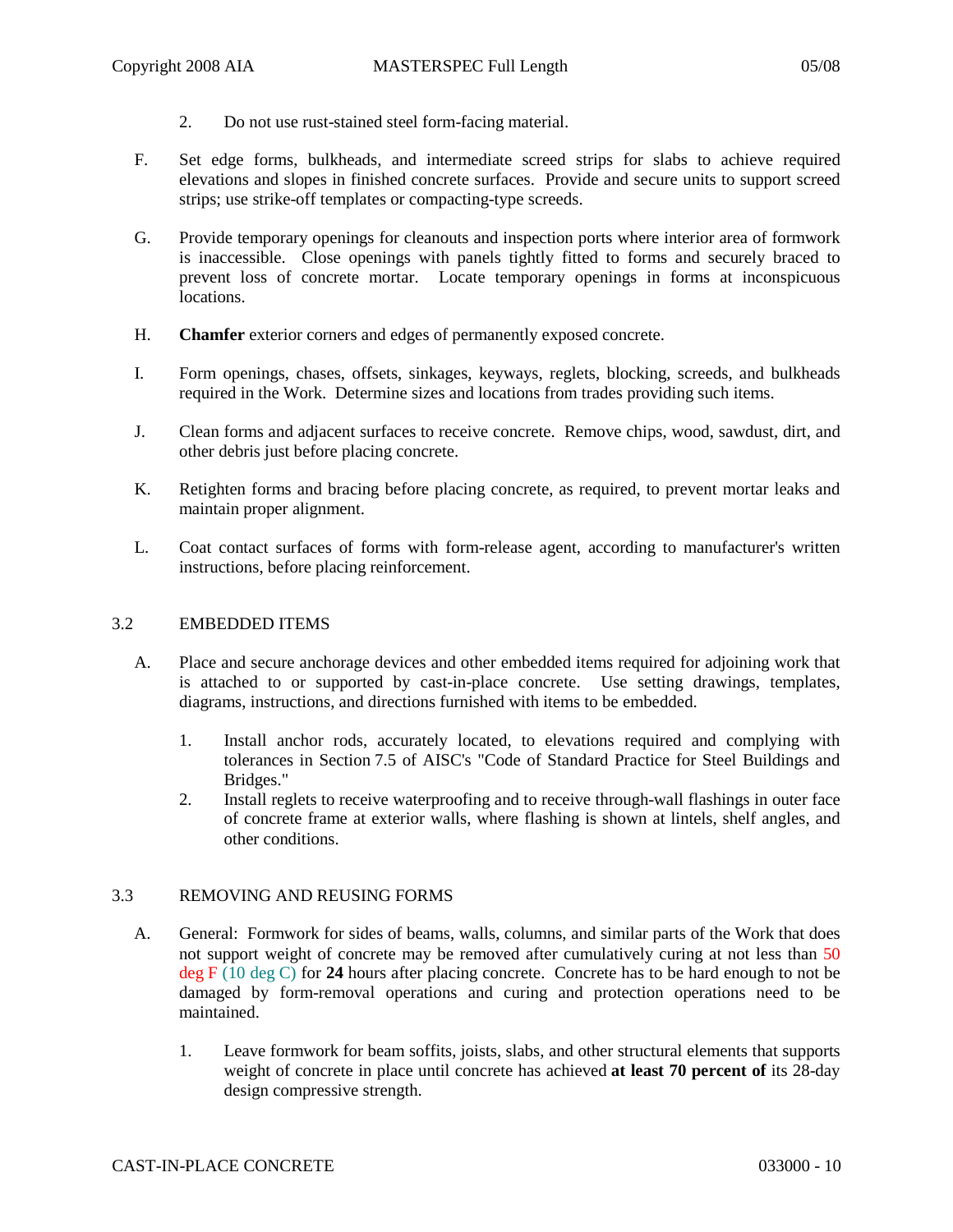- 2. Do not use rust-stained steel form-facing material.
- F. Set edge forms, bulkheads, and intermediate screed strips for slabs to achieve required elevations and slopes in finished concrete surfaces. Provide and secure units to support screed strips; use strike-off templates or compacting-type screeds.
- G. Provide temporary openings for cleanouts and inspection ports where interior area of formwork is inaccessible. Close openings with panels tightly fitted to forms and securely braced to prevent loss of concrete mortar. Locate temporary openings in forms at inconspicuous locations.
- H. **Chamfer** exterior corners and edges of permanently exposed concrete.
- I. Form openings, chases, offsets, sinkages, keyways, reglets, blocking, screeds, and bulkheads required in the Work. Determine sizes and locations from trades providing such items.
- J. Clean forms and adjacent surfaces to receive concrete. Remove chips, wood, sawdust, dirt, and other debris just before placing concrete.
- K. Retighten forms and bracing before placing concrete, as required, to prevent mortar leaks and maintain proper alignment.
- L. Coat contact surfaces of forms with form-release agent, according to manufacturer's written instructions, before placing reinforcement.

## 3.2 EMBEDDED ITEMS

- A. Place and secure anchorage devices and other embedded items required for adjoining work that is attached to or supported by cast-in-place concrete. Use setting drawings, templates, diagrams, instructions, and directions furnished with items to be embedded.
	- 1. Install anchor rods, accurately located, to elevations required and complying with tolerances in Section 7.5 of AISC's "Code of Standard Practice for Steel Buildings and Bridges."
	- 2. Install reglets to receive waterproofing and to receive through-wall flashings in outer face of concrete frame at exterior walls, where flashing is shown at lintels, shelf angles, and other conditions.

### 3.3 REMOVING AND REUSING FORMS

- A. General: Formwork for sides of beams, walls, columns, and similar parts of the Work that does not support weight of concrete may be removed after cumulatively curing at not less than 50 deg F (10 deg C) for **24** hours after placing concrete. Concrete has to be hard enough to not be damaged by form-removal operations and curing and protection operations need to be maintained.
	- 1. Leave formwork for beam soffits, joists, slabs, and other structural elements that supports weight of concrete in place until concrete has achieved **at least 70 percent of** its 28-day design compressive strength.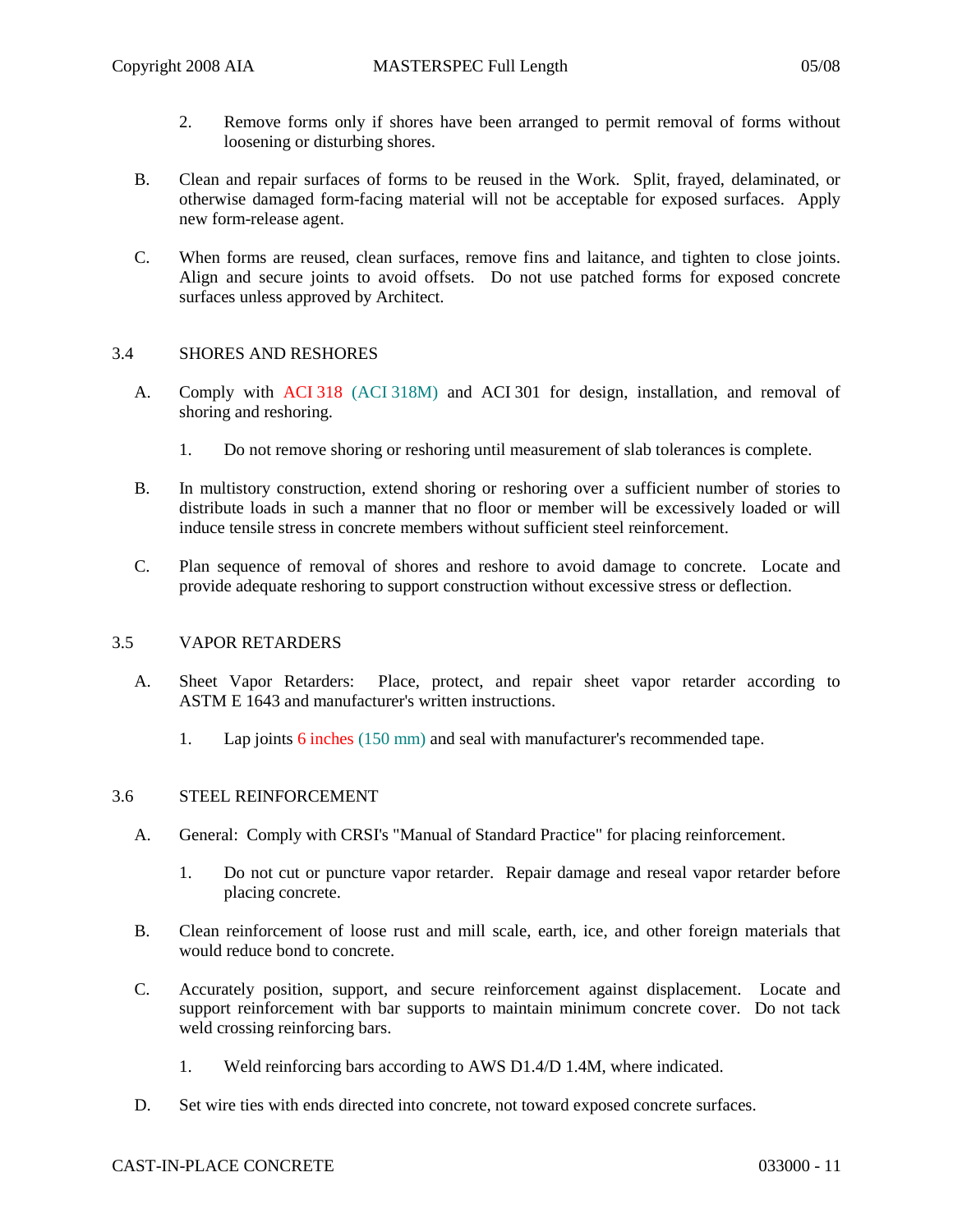- 2. Remove forms only if shores have been arranged to permit removal of forms without loosening or disturbing shores.
- B. Clean and repair surfaces of forms to be reused in the Work. Split, frayed, delaminated, or otherwise damaged form-facing material will not be acceptable for exposed surfaces. Apply new form-release agent.
- C. When forms are reused, clean surfaces, remove fins and laitance, and tighten to close joints. Align and secure joints to avoid offsets. Do not use patched forms for exposed concrete surfaces unless approved by Architect.

### 3.4 SHORES AND RESHORES

- A. Comply with ACI 318 (ACI 318M) and ACI 301 for design, installation, and removal of shoring and reshoring.
	- 1. Do not remove shoring or reshoring until measurement of slab tolerances is complete.
- B. In multistory construction, extend shoring or reshoring over a sufficient number of stories to distribute loads in such a manner that no floor or member will be excessively loaded or will induce tensile stress in concrete members without sufficient steel reinforcement.
- C. Plan sequence of removal of shores and reshore to avoid damage to concrete. Locate and provide adequate reshoring to support construction without excessive stress or deflection.

### 3.5 VAPOR RETARDERS

- A. Sheet Vapor Retarders: Place, protect, and repair sheet vapor retarder according to ASTM E 1643 and manufacturer's written instructions.
	- 1. Lap joints 6 inches (150 mm) and seal with manufacturer's recommended tape.

# 3.6 STEEL REINFORCEMENT

- A. General: Comply with CRSI's "Manual of Standard Practice" for placing reinforcement.
	- 1. Do not cut or puncture vapor retarder. Repair damage and reseal vapor retarder before placing concrete.
- B. Clean reinforcement of loose rust and mill scale, earth, ice, and other foreign materials that would reduce bond to concrete.
- C. Accurately position, support, and secure reinforcement against displacement. Locate and support reinforcement with bar supports to maintain minimum concrete cover. Do not tack weld crossing reinforcing bars.
	- 1. Weld reinforcing bars according to AWS D1.4/D 1.4M, where indicated.
- D. Set wire ties with ends directed into concrete, not toward exposed concrete surfaces.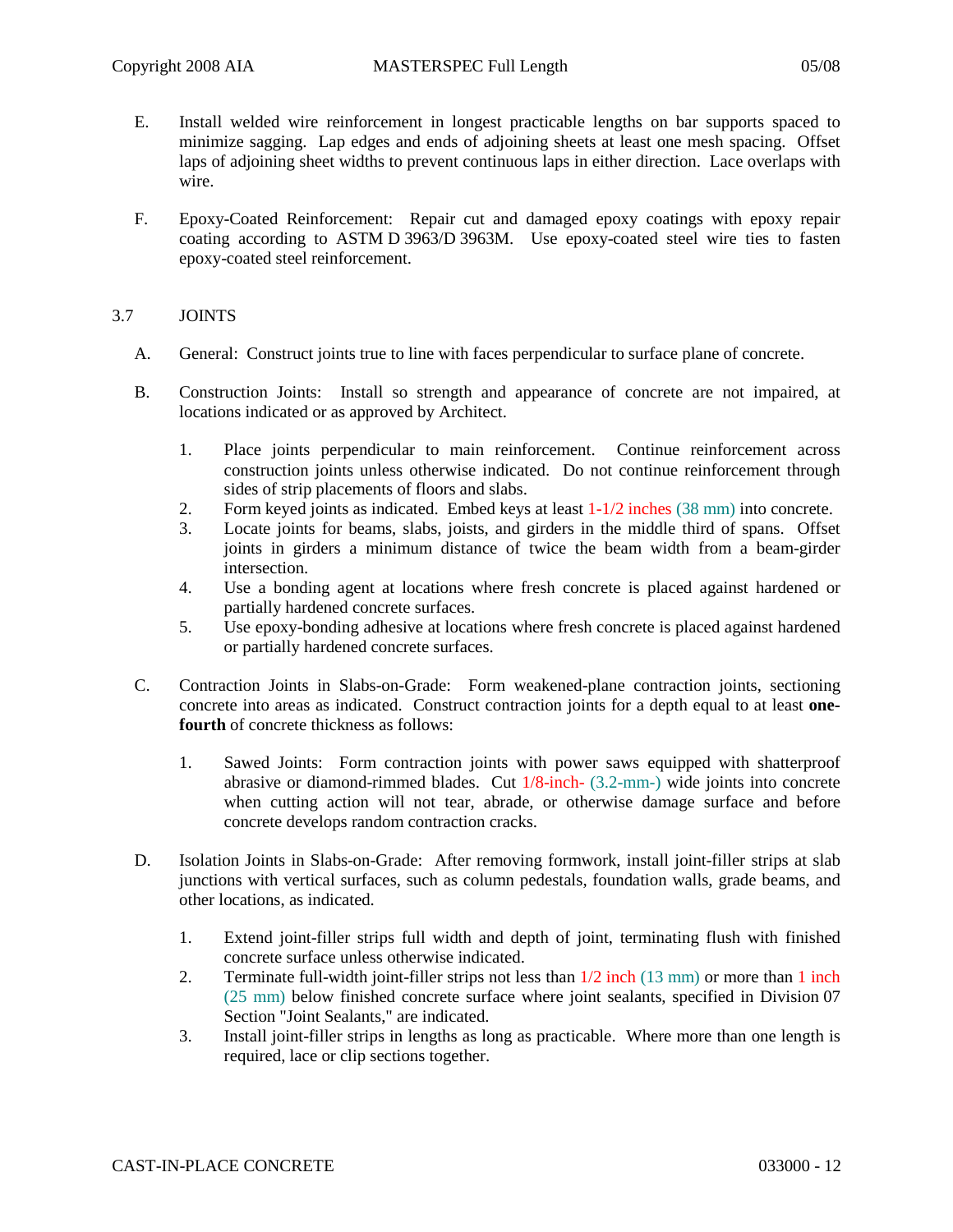- E. Install welded wire reinforcement in longest practicable lengths on bar supports spaced to minimize sagging. Lap edges and ends of adjoining sheets at least one mesh spacing. Offset laps of adjoining sheet widths to prevent continuous laps in either direction. Lace overlaps with wire.
- F. Epoxy-Coated Reinforcement: Repair cut and damaged epoxy coatings with epoxy repair coating according to ASTM D 3963/D 3963M. Use epoxy-coated steel wire ties to fasten epoxy-coated steel reinforcement.

## 3.7 JOINTS

- A. General: Construct joints true to line with faces perpendicular to surface plane of concrete.
- B. Construction Joints: Install so strength and appearance of concrete are not impaired, at locations indicated or as approved by Architect.
	- 1. Place joints perpendicular to main reinforcement. Continue reinforcement across construction joints unless otherwise indicated. Do not continue reinforcement through sides of strip placements of floors and slabs.
	- 2. Form keyed joints as indicated. Embed keys at least  $1-1/2$  inches (38 mm) into concrete.
	- 3. Locate joints for beams, slabs, joists, and girders in the middle third of spans. Offset joints in girders a minimum distance of twice the beam width from a beam-girder intersection.
	- 4. Use a bonding agent at locations where fresh concrete is placed against hardened or partially hardened concrete surfaces.
	- 5. Use epoxy-bonding adhesive at locations where fresh concrete is placed against hardened or partially hardened concrete surfaces.
- C. Contraction Joints in Slabs-on-Grade: Form weakened-plane contraction joints, sectioning concrete into areas as indicated. Construct contraction joints for a depth equal to at least **onefourth** of concrete thickness as follows:
	- 1. Sawed Joints: Form contraction joints with power saws equipped with shatterproof abrasive or diamond-rimmed blades. Cut 1/8-inch- (3.2-mm-) wide joints into concrete when cutting action will not tear, abrade, or otherwise damage surface and before concrete develops random contraction cracks.
- D. Isolation Joints in Slabs-on-Grade: After removing formwork, install joint-filler strips at slab junctions with vertical surfaces, such as column pedestals, foundation walls, grade beams, and other locations, as indicated.
	- 1. Extend joint-filler strips full width and depth of joint, terminating flush with finished concrete surface unless otherwise indicated.
	- 2. Terminate full-width joint-filler strips not less than  $1/2$  inch  $(13 \text{ mm})$  or more than 1 inch (25 mm) below finished concrete surface where joint sealants, specified in Division 07 Section "Joint Sealants," are indicated.
	- 3. Install joint-filler strips in lengths as long as practicable. Where more than one length is required, lace or clip sections together.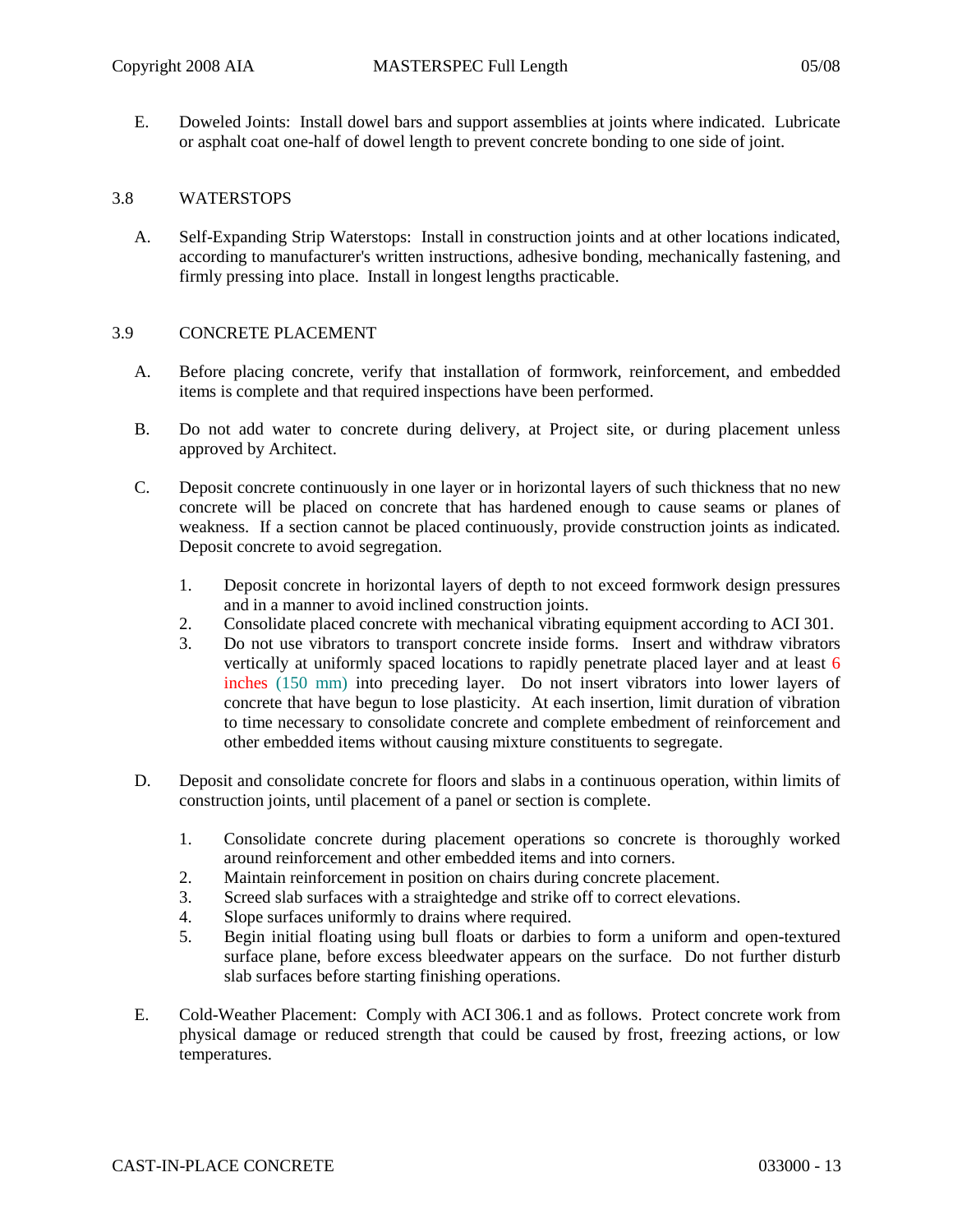E. Doweled Joints: Install dowel bars and support assemblies at joints where indicated. Lubricate or asphalt coat one-half of dowel length to prevent concrete bonding to one side of joint.

#### 3.8 WATERSTOPS

A. Self-Expanding Strip Waterstops: Install in construction joints and at other locations indicated, according to manufacturer's written instructions, adhesive bonding, mechanically fastening, and firmly pressing into place. Install in longest lengths practicable.

#### 3.9 CONCRETE PLACEMENT

- A. Before placing concrete, verify that installation of formwork, reinforcement, and embedded items is complete and that required inspections have been performed.
- B. Do not add water to concrete during delivery, at Project site, or during placement unless approved by Architect.
- C. Deposit concrete continuously in one layer or in horizontal layers of such thickness that no new concrete will be placed on concrete that has hardened enough to cause seams or planes of weakness. If a section cannot be placed continuously, provide construction joints as indicated. Deposit concrete to avoid segregation.
	- 1. Deposit concrete in horizontal layers of depth to not exceed formwork design pressures and in a manner to avoid inclined construction joints.
	- 2. Consolidate placed concrete with mechanical vibrating equipment according to ACI 301.
	- 3. Do not use vibrators to transport concrete inside forms. Insert and withdraw vibrators vertically at uniformly spaced locations to rapidly penetrate placed layer and at least 6 inches (150 mm) into preceding layer. Do not insert vibrators into lower layers of concrete that have begun to lose plasticity. At each insertion, limit duration of vibration to time necessary to consolidate concrete and complete embedment of reinforcement and other embedded items without causing mixture constituents to segregate.
- D. Deposit and consolidate concrete for floors and slabs in a continuous operation, within limits of construction joints, until placement of a panel or section is complete.
	- 1. Consolidate concrete during placement operations so concrete is thoroughly worked around reinforcement and other embedded items and into corners.
	- 2. Maintain reinforcement in position on chairs during concrete placement.
	- 3. Screed slab surfaces with a straightedge and strike off to correct elevations.
	- 4. Slope surfaces uniformly to drains where required.
	- 5. Begin initial floating using bull floats or darbies to form a uniform and open-textured surface plane, before excess bleedwater appears on the surface. Do not further disturb slab surfaces before starting finishing operations.
- E. Cold-Weather Placement: Comply with ACI 306.1 and as follows. Protect concrete work from physical damage or reduced strength that could be caused by frost, freezing actions, or low temperatures.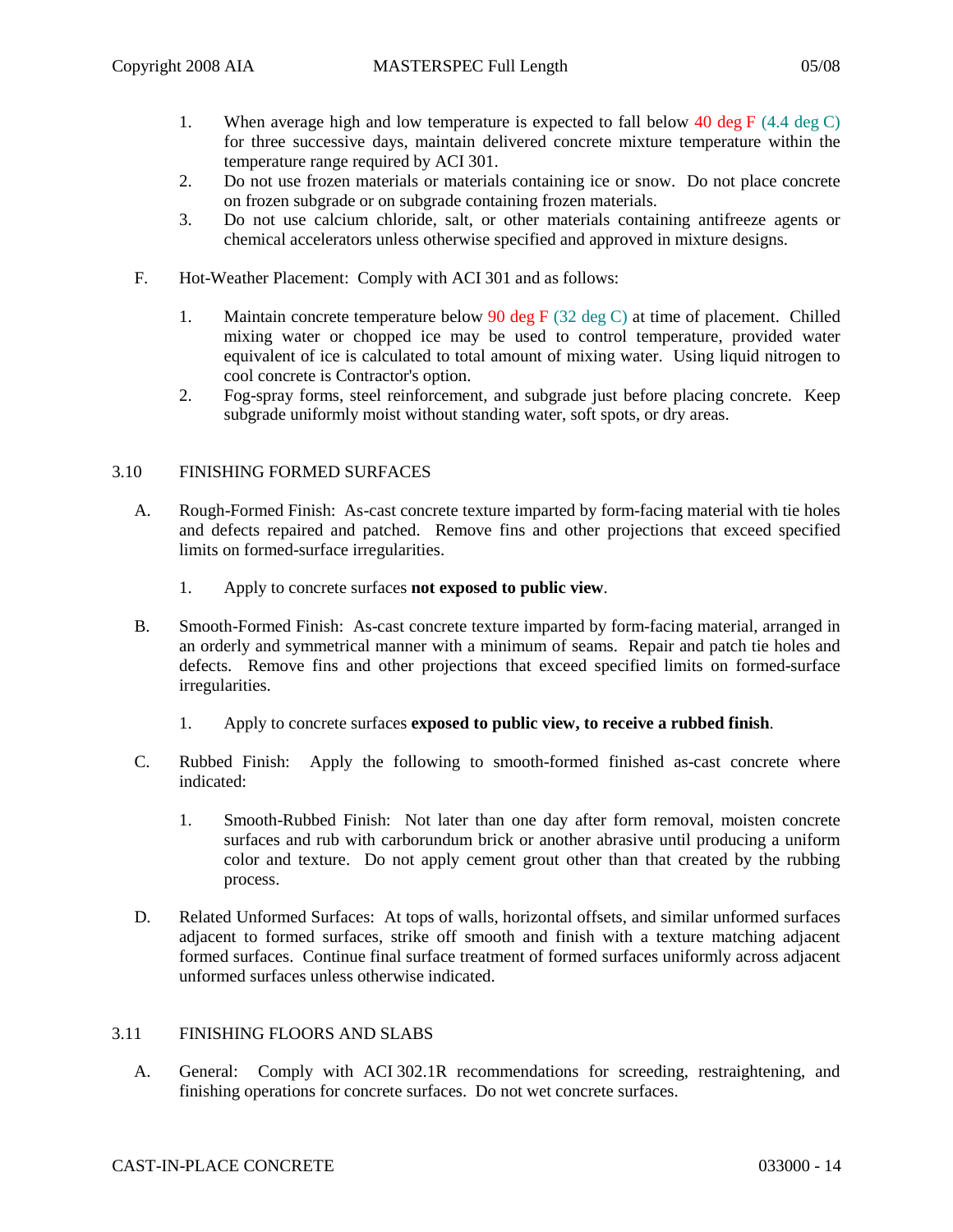- 1. When average high and low temperature is expected to fall below 40 deg F  $(4.4 \text{ deg } C)$ for three successive days, maintain delivered concrete mixture temperature within the temperature range required by ACI 301.
- 2. Do not use frozen materials or materials containing ice or snow. Do not place concrete on frozen subgrade or on subgrade containing frozen materials.
- 3. Do not use calcium chloride, salt, or other materials containing antifreeze agents or chemical accelerators unless otherwise specified and approved in mixture designs.
- F. Hot-Weather Placement: Comply with ACI 301 and as follows:
	- 1. Maintain concrete temperature below 90 deg F (32 deg C) at time of placement. Chilled mixing water or chopped ice may be used to control temperature, provided water equivalent of ice is calculated to total amount of mixing water. Using liquid nitrogen to cool concrete is Contractor's option.
	- 2. Fog-spray forms, steel reinforcement, and subgrade just before placing concrete. Keep subgrade uniformly moist without standing water, soft spots, or dry areas.

### 3.10 FINISHING FORMED SURFACES

- A. Rough-Formed Finish: As-cast concrete texture imparted by form-facing material with tie holes and defects repaired and patched. Remove fins and other projections that exceed specified limits on formed-surface irregularities.
	- 1. Apply to concrete surfaces **not exposed to public view**.
- B. Smooth-Formed Finish: As-cast concrete texture imparted by form-facing material, arranged in an orderly and symmetrical manner with a minimum of seams. Repair and patch tie holes and defects. Remove fins and other projections that exceed specified limits on formed-surface irregularities.
	- 1. Apply to concrete surfaces **exposed to public view, to receive a rubbed finish**.
- C. Rubbed Finish: Apply the following to smooth-formed finished as-cast concrete where indicated:
	- 1. Smooth-Rubbed Finish: Not later than one day after form removal, moisten concrete surfaces and rub with carborundum brick or another abrasive until producing a uniform color and texture. Do not apply cement grout other than that created by the rubbing process.
- D. Related Unformed Surfaces: At tops of walls, horizontal offsets, and similar unformed surfaces adjacent to formed surfaces, strike off smooth and finish with a texture matching adjacent formed surfaces. Continue final surface treatment of formed surfaces uniformly across adjacent unformed surfaces unless otherwise indicated.

### 3.11 FINISHING FLOORS AND SLABS

A. General: Comply with ACI 302.1R recommendations for screeding, restraightening, and finishing operations for concrete surfaces. Do not wet concrete surfaces.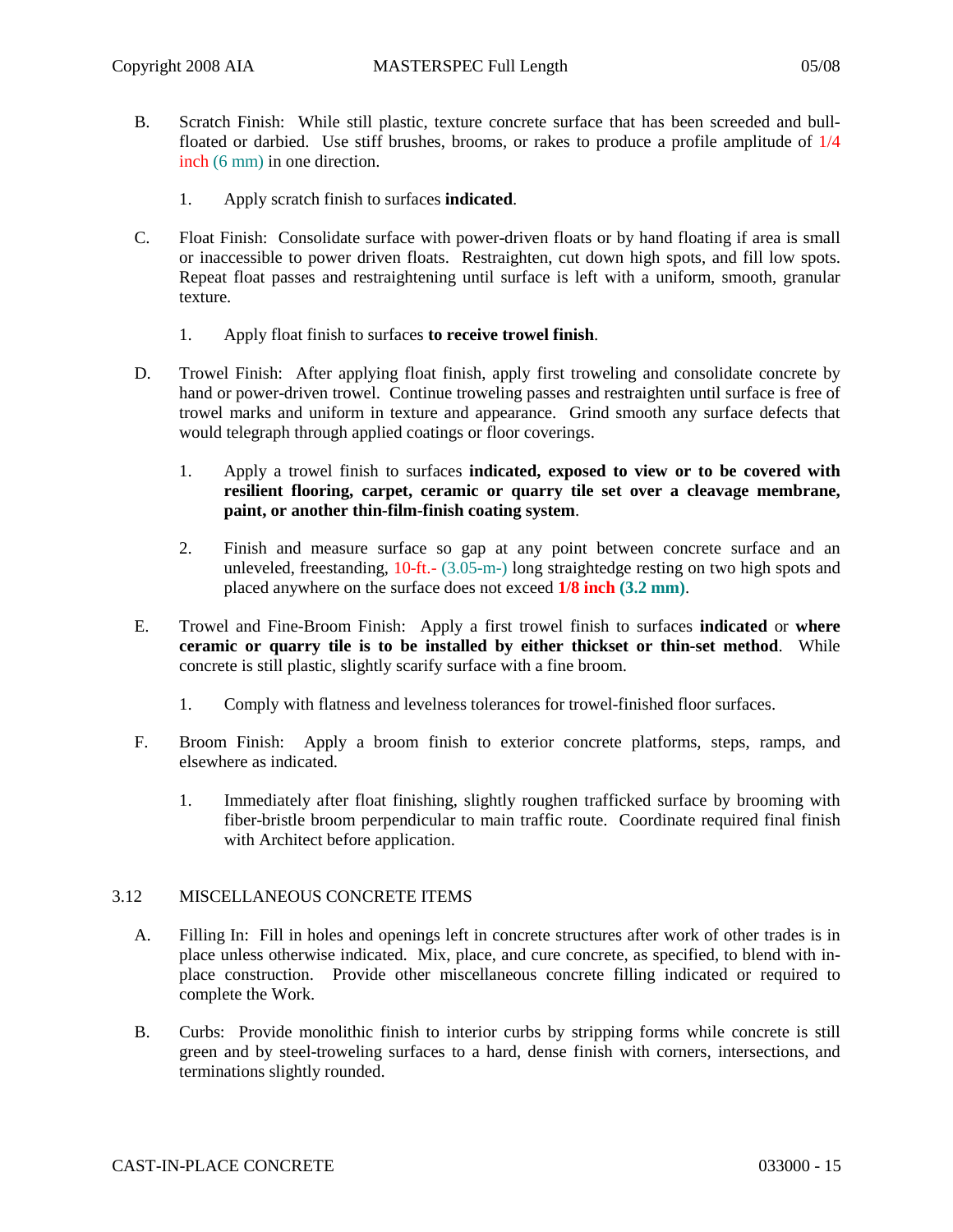- B. Scratch Finish: While still plastic, texture concrete surface that has been screeded and bullfloated or darbied. Use stiff brushes, brooms, or rakes to produce a profile amplitude of 1/4 inch (6 mm) in one direction.
	- 1. Apply scratch finish to surfaces **indicated**.
- C. Float Finish: Consolidate surface with power-driven floats or by hand floating if area is small or inaccessible to power driven floats. Restraighten, cut down high spots, and fill low spots. Repeat float passes and restraightening until surface is left with a uniform, smooth, granular texture.
	- 1. Apply float finish to surfaces **to receive trowel finish**.
- D. Trowel Finish: After applying float finish, apply first troweling and consolidate concrete by hand or power-driven trowel. Continue troweling passes and restraighten until surface is free of trowel marks and uniform in texture and appearance. Grind smooth any surface defects that would telegraph through applied coatings or floor coverings.
	- 1. Apply a trowel finish to surfaces **indicated, exposed to view or to be covered with resilient flooring, carpet, ceramic or quarry tile set over a cleavage membrane, paint, or another thin-film-finish coating system**.
	- 2. Finish and measure surface so gap at any point between concrete surface and an unleveled, freestanding, 10-ft.- (3.05-m-) long straightedge resting on two high spots and placed anywhere on the surface does not exceed **1/8 inch (3.2 mm)**.
- E. Trowel and Fine-Broom Finish: Apply a first trowel finish to surfaces **indicated** or **where ceramic or quarry tile is to be installed by either thickset or thin-set method**. While concrete is still plastic, slightly scarify surface with a fine broom.
	- 1. Comply with flatness and levelness tolerances for trowel-finished floor surfaces.
- F. Broom Finish: Apply a broom finish to exterior concrete platforms, steps, ramps, and elsewhere as indicated.
	- 1. Immediately after float finishing, slightly roughen trafficked surface by brooming with fiber-bristle broom perpendicular to main traffic route. Coordinate required final finish with Architect before application.

### 3.12 MISCELLANEOUS CONCRETE ITEMS

- A. Filling In: Fill in holes and openings left in concrete structures after work of other trades is in place unless otherwise indicated. Mix, place, and cure concrete, as specified, to blend with inplace construction. Provide other miscellaneous concrete filling indicated or required to complete the Work.
- B. Curbs: Provide monolithic finish to interior curbs by stripping forms while concrete is still green and by steel-troweling surfaces to a hard, dense finish with corners, intersections, and terminations slightly rounded.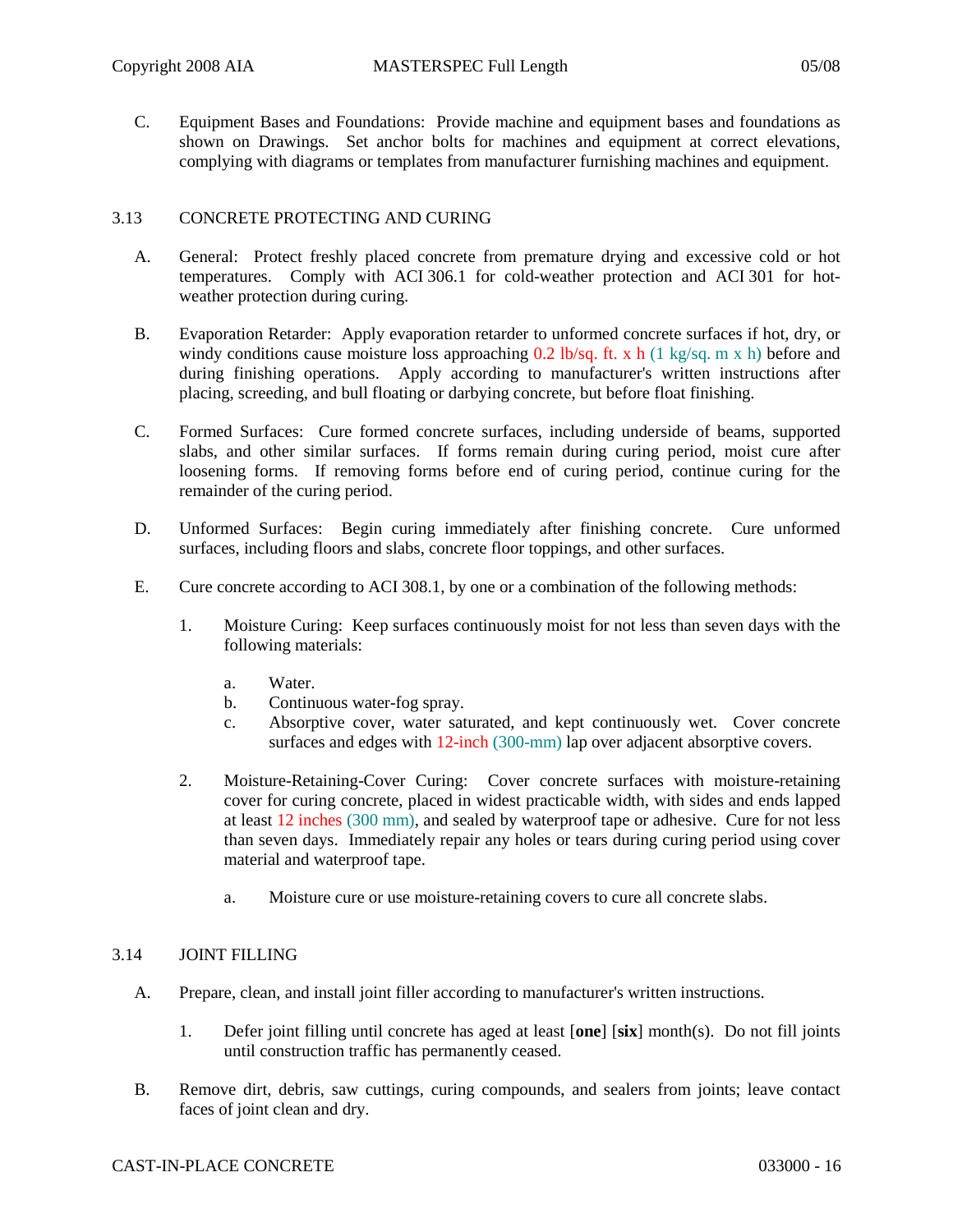C. Equipment Bases and Foundations: Provide machine and equipment bases and foundations as shown on Drawings. Set anchor bolts for machines and equipment at correct elevations, complying with diagrams or templates from manufacturer furnishing machines and equipment.

# 3.13 CONCRETE PROTECTING AND CURING

- A. General: Protect freshly placed concrete from premature drying and excessive cold or hot temperatures. Comply with ACI 306.1 for cold-weather protection and ACI 301 for hotweather protection during curing.
- B. Evaporation Retarder: Apply evaporation retarder to unformed concrete surfaces if hot, dry, or windy conditions cause moisture loss approaching 0.2 lb/sq. ft. x h (1 kg/sq. m x h) before and during finishing operations. Apply according to manufacturer's written instructions after placing, screeding, and bull floating or darbying concrete, but before float finishing.
- C. Formed Surfaces: Cure formed concrete surfaces, including underside of beams, supported slabs, and other similar surfaces. If forms remain during curing period, moist cure after loosening forms. If removing forms before end of curing period, continue curing for the remainder of the curing period.
- D. Unformed Surfaces: Begin curing immediately after finishing concrete. Cure unformed surfaces, including floors and slabs, concrete floor toppings, and other surfaces.
- E. Cure concrete according to ACI 308.1, by one or a combination of the following methods:
	- 1. Moisture Curing: Keep surfaces continuously moist for not less than seven days with the following materials:
		- a. Water.
		- b. Continuous water-fog spray.
		- c. Absorptive cover, water saturated, and kept continuously wet. Cover concrete surfaces and edges with 12-inch (300-mm) lap over adjacent absorptive covers.
	- 2. Moisture-Retaining-Cover Curing: Cover concrete surfaces with moisture-retaining cover for curing concrete, placed in widest practicable width, with sides and ends lapped at least 12 inches (300 mm), and sealed by waterproof tape or adhesive. Cure for not less than seven days. Immediately repair any holes or tears during curing period using cover material and waterproof tape.
		- a. Moisture cure or use moisture-retaining covers to cure all concrete slabs.

# 3.14 JOINT FILLING

- A. Prepare, clean, and install joint filler according to manufacturer's written instructions.
	- 1. Defer joint filling until concrete has aged at least [**one**] [**six**] month(s). Do not fill joints until construction traffic has permanently ceased.
- B. Remove dirt, debris, saw cuttings, curing compounds, and sealers from joints; leave contact faces of joint clean and dry.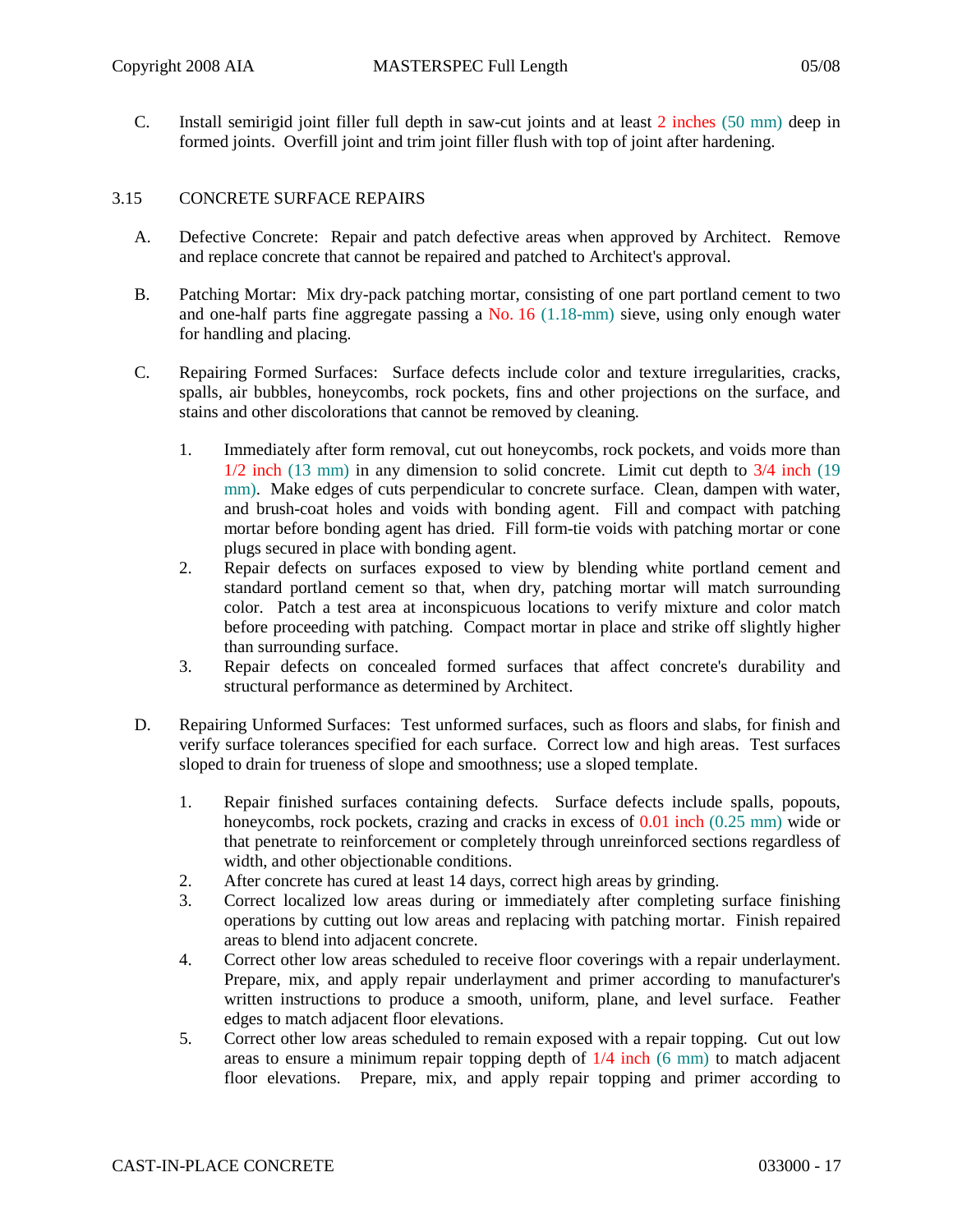C. Install semirigid joint filler full depth in saw-cut joints and at least 2 inches (50 mm) deep in formed joints. Overfill joint and trim joint filler flush with top of joint after hardening.

### 3.15 CONCRETE SURFACE REPAIRS

- A. Defective Concrete: Repair and patch defective areas when approved by Architect. Remove and replace concrete that cannot be repaired and patched to Architect's approval.
- B. Patching Mortar: Mix dry-pack patching mortar, consisting of one part portland cement to two and one-half parts fine aggregate passing a No. 16 (1.18-mm) sieve, using only enough water for handling and placing.
- C. Repairing Formed Surfaces: Surface defects include color and texture irregularities, cracks, spalls, air bubbles, honeycombs, rock pockets, fins and other projections on the surface, and stains and other discolorations that cannot be removed by cleaning.
	- 1. Immediately after form removal, cut out honeycombs, rock pockets, and voids more than 1/2 inch (13 mm) in any dimension to solid concrete. Limit cut depth to 3/4 inch (19 mm). Make edges of cuts perpendicular to concrete surface. Clean, dampen with water, and brush-coat holes and voids with bonding agent. Fill and compact with patching mortar before bonding agent has dried. Fill form-tie voids with patching mortar or cone plugs secured in place with bonding agent.
	- 2. Repair defects on surfaces exposed to view by blending white portland cement and standard portland cement so that, when dry, patching mortar will match surrounding color. Patch a test area at inconspicuous locations to verify mixture and color match before proceeding with patching. Compact mortar in place and strike off slightly higher than surrounding surface.
	- 3. Repair defects on concealed formed surfaces that affect concrete's durability and structural performance as determined by Architect.
- D. Repairing Unformed Surfaces: Test unformed surfaces, such as floors and slabs, for finish and verify surface tolerances specified for each surface. Correct low and high areas. Test surfaces sloped to drain for trueness of slope and smoothness; use a sloped template.
	- 1. Repair finished surfaces containing defects. Surface defects include spalls, popouts, honeycombs, rock pockets, crazing and cracks in excess of 0.01 inch (0.25 mm) wide or that penetrate to reinforcement or completely through unreinforced sections regardless of width, and other objectionable conditions.
	- 2. After concrete has cured at least 14 days, correct high areas by grinding.
	- 3. Correct localized low areas during or immediately after completing surface finishing operations by cutting out low areas and replacing with patching mortar. Finish repaired areas to blend into adjacent concrete.
	- 4. Correct other low areas scheduled to receive floor coverings with a repair underlayment. Prepare, mix, and apply repair underlayment and primer according to manufacturer's written instructions to produce a smooth, uniform, plane, and level surface. Feather edges to match adjacent floor elevations.
	- 5. Correct other low areas scheduled to remain exposed with a repair topping. Cut out low areas to ensure a minimum repair topping depth of  $1/4$  inch (6 mm) to match adjacent floor elevations. Prepare, mix, and apply repair topping and primer according to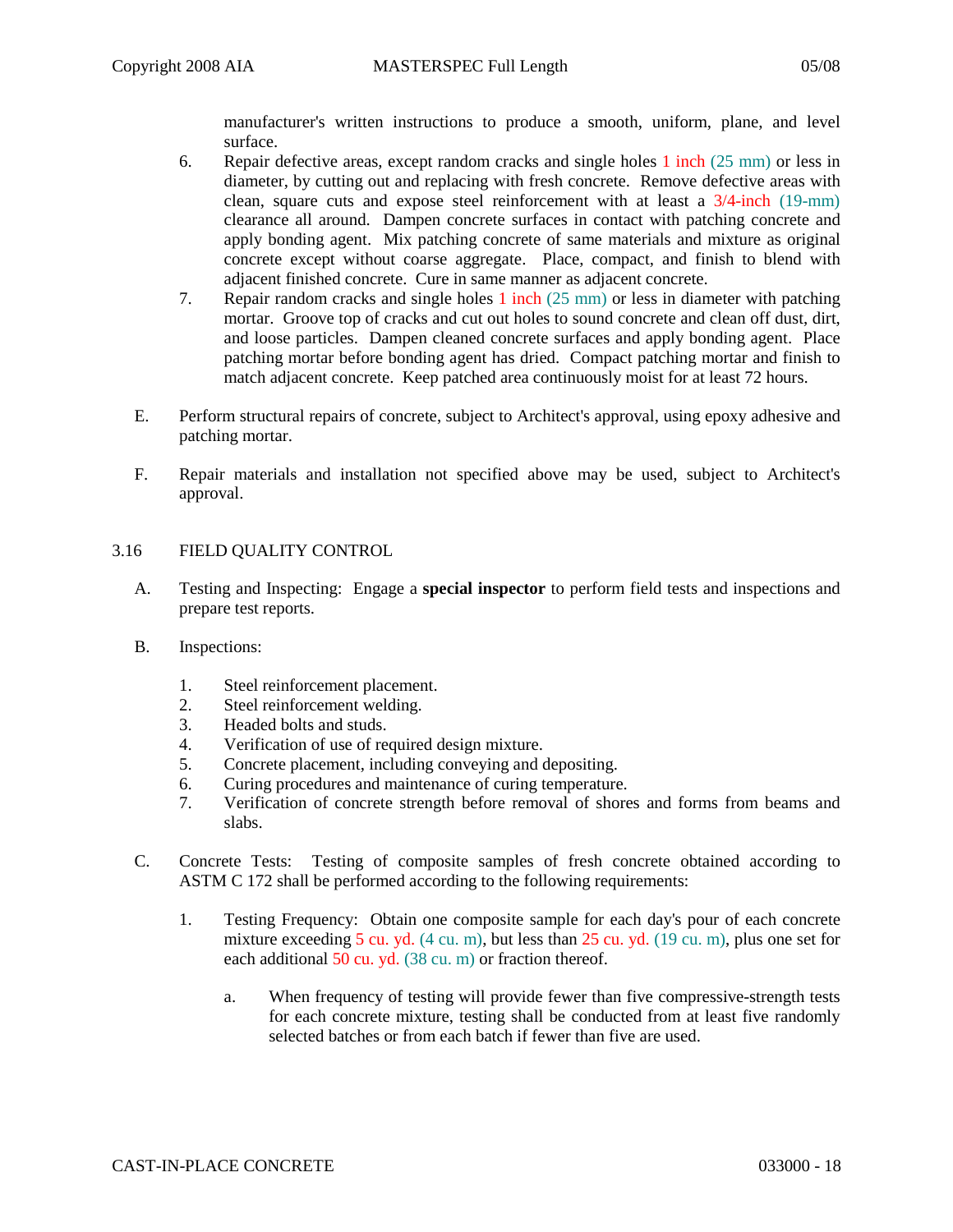manufacturer's written instructions to produce a smooth, uniform, plane, and level surface.

- 6. Repair defective areas, except random cracks and single holes 1 inch (25 mm) or less in diameter, by cutting out and replacing with fresh concrete. Remove defective areas with clean, square cuts and expose steel reinforcement with at least a 3/4-inch (19-mm) clearance all around. Dampen concrete surfaces in contact with patching concrete and apply bonding agent. Mix patching concrete of same materials and mixture as original concrete except without coarse aggregate. Place, compact, and finish to blend with adjacent finished concrete. Cure in same manner as adjacent concrete.
- 7. Repair random cracks and single holes 1 inch (25 mm) or less in diameter with patching mortar. Groove top of cracks and cut out holes to sound concrete and clean off dust, dirt, and loose particles. Dampen cleaned concrete surfaces and apply bonding agent. Place patching mortar before bonding agent has dried. Compact patching mortar and finish to match adjacent concrete. Keep patched area continuously moist for at least 72 hours.
- E. Perform structural repairs of concrete, subject to Architect's approval, using epoxy adhesive and patching mortar.
- F. Repair materials and installation not specified above may be used, subject to Architect's approval.

### 3.16 FIELD QUALITY CONTROL

- A. Testing and Inspecting: Engage a **special inspector** to perform field tests and inspections and prepare test reports.
- B. Inspections:
	- 1. Steel reinforcement placement.
	- 2. Steel reinforcement welding.
	- 3. Headed bolts and studs.
	- 4. Verification of use of required design mixture.
	- 5. Concrete placement, including conveying and depositing.
	- 6. Curing procedures and maintenance of curing temperature.
	- 7. Verification of concrete strength before removal of shores and forms from beams and slabs.
- C. Concrete Tests: Testing of composite samples of fresh concrete obtained according to ASTM C 172 shall be performed according to the following requirements:
	- 1. Testing Frequency: Obtain one composite sample for each day's pour of each concrete mixture exceeding 5 cu. yd.  $(4 \text{ cu. m})$ , but less than 25 cu. yd.  $(19 \text{ cu. m})$ , plus one set for each additional 50 cu. yd. (38 cu. m) or fraction thereof.
		- a. When frequency of testing will provide fewer than five compressive-strength tests for each concrete mixture, testing shall be conducted from at least five randomly selected batches or from each batch if fewer than five are used.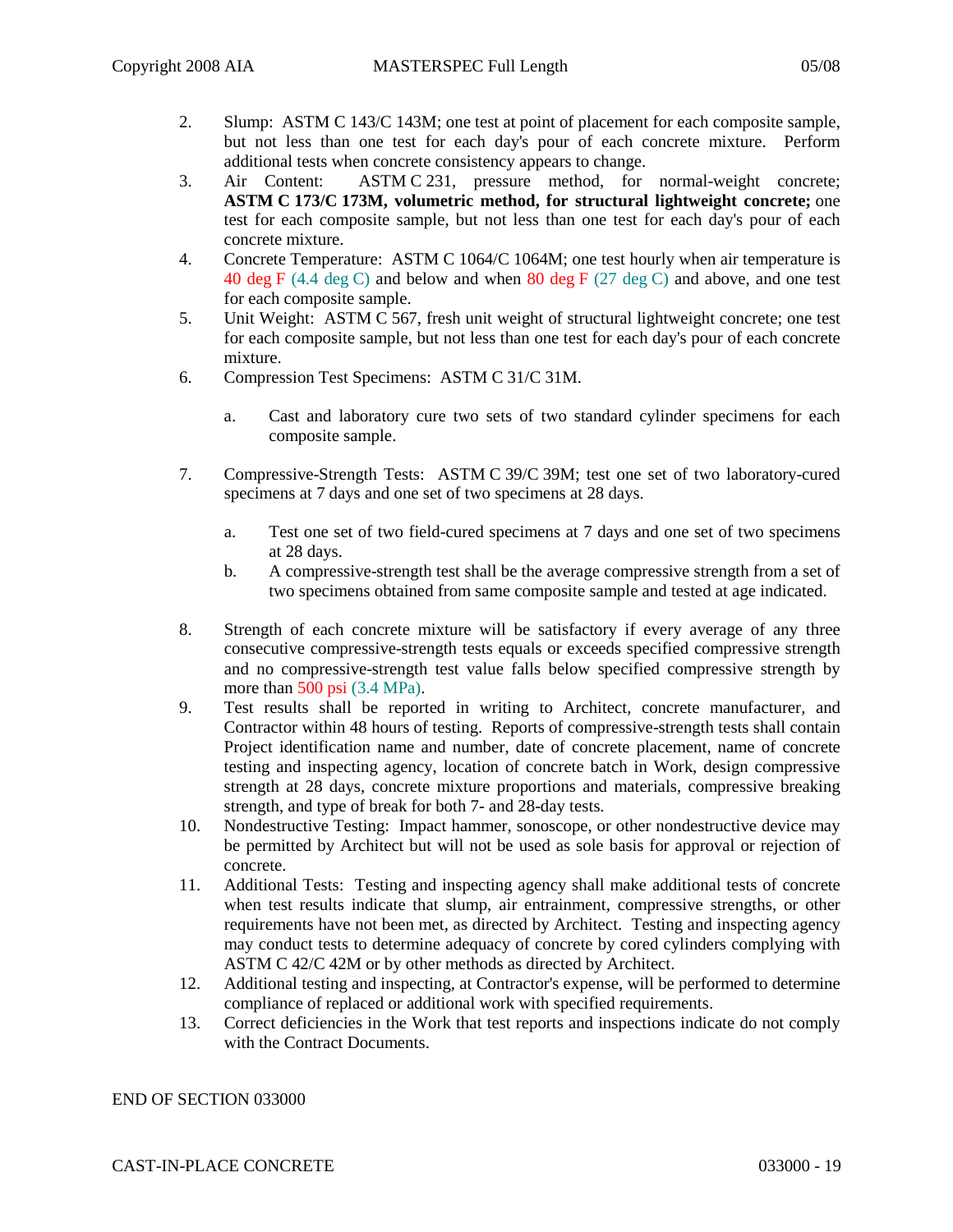- 2. Slump: ASTM C 143/C 143M; one test at point of placement for each composite sample, but not less than one test for each day's pour of each concrete mixture. Perform additional tests when concrete consistency appears to change.
- 3. Air Content: ASTM C 231, pressure method, for normal-weight concrete; **ASTM C 173/C 173M, volumetric method, for structural lightweight concrete;** one test for each composite sample, but not less than one test for each day's pour of each concrete mixture.
- 4. Concrete Temperature: ASTM C 1064/C 1064M; one test hourly when air temperature is 40 deg F  $(4.4 \deg C)$  and below and when 80 deg F  $(27 \deg C)$  and above, and one test for each composite sample.
- 5. Unit Weight: ASTM C 567, fresh unit weight of structural lightweight concrete; one test for each composite sample, but not less than one test for each day's pour of each concrete mixture.
- 6. Compression Test Specimens: ASTM C 31/C 31M.
	- a. Cast and laboratory cure two sets of two standard cylinder specimens for each composite sample.
- 7. Compressive-Strength Tests: ASTM C 39/C 39M; test one set of two laboratory-cured specimens at 7 days and one set of two specimens at 28 days.
	- a. Test one set of two field-cured specimens at 7 days and one set of two specimens at 28 days.
	- b. A compressive-strength test shall be the average compressive strength from a set of two specimens obtained from same composite sample and tested at age indicated.
- 8. Strength of each concrete mixture will be satisfactory if every average of any three consecutive compressive-strength tests equals or exceeds specified compressive strength and no compressive-strength test value falls below specified compressive strength by more than 500 psi (3.4 MPa).
- 9. Test results shall be reported in writing to Architect, concrete manufacturer, and Contractor within 48 hours of testing. Reports of compressive-strength tests shall contain Project identification name and number, date of concrete placement, name of concrete testing and inspecting agency, location of concrete batch in Work, design compressive strength at 28 days, concrete mixture proportions and materials, compressive breaking strength, and type of break for both 7- and 28-day tests.
- 10. Nondestructive Testing: Impact hammer, sonoscope, or other nondestructive device may be permitted by Architect but will not be used as sole basis for approval or rejection of concrete.
- 11. Additional Tests: Testing and inspecting agency shall make additional tests of concrete when test results indicate that slump, air entrainment, compressive strengths, or other requirements have not been met, as directed by Architect. Testing and inspecting agency may conduct tests to determine adequacy of concrete by cored cylinders complying with ASTM C 42/C 42M or by other methods as directed by Architect.
- 12. Additional testing and inspecting, at Contractor's expense, will be performed to determine compliance of replaced or additional work with specified requirements.
- 13. Correct deficiencies in the Work that test reports and inspections indicate do not comply with the Contract Documents.

### END OF SECTION 033000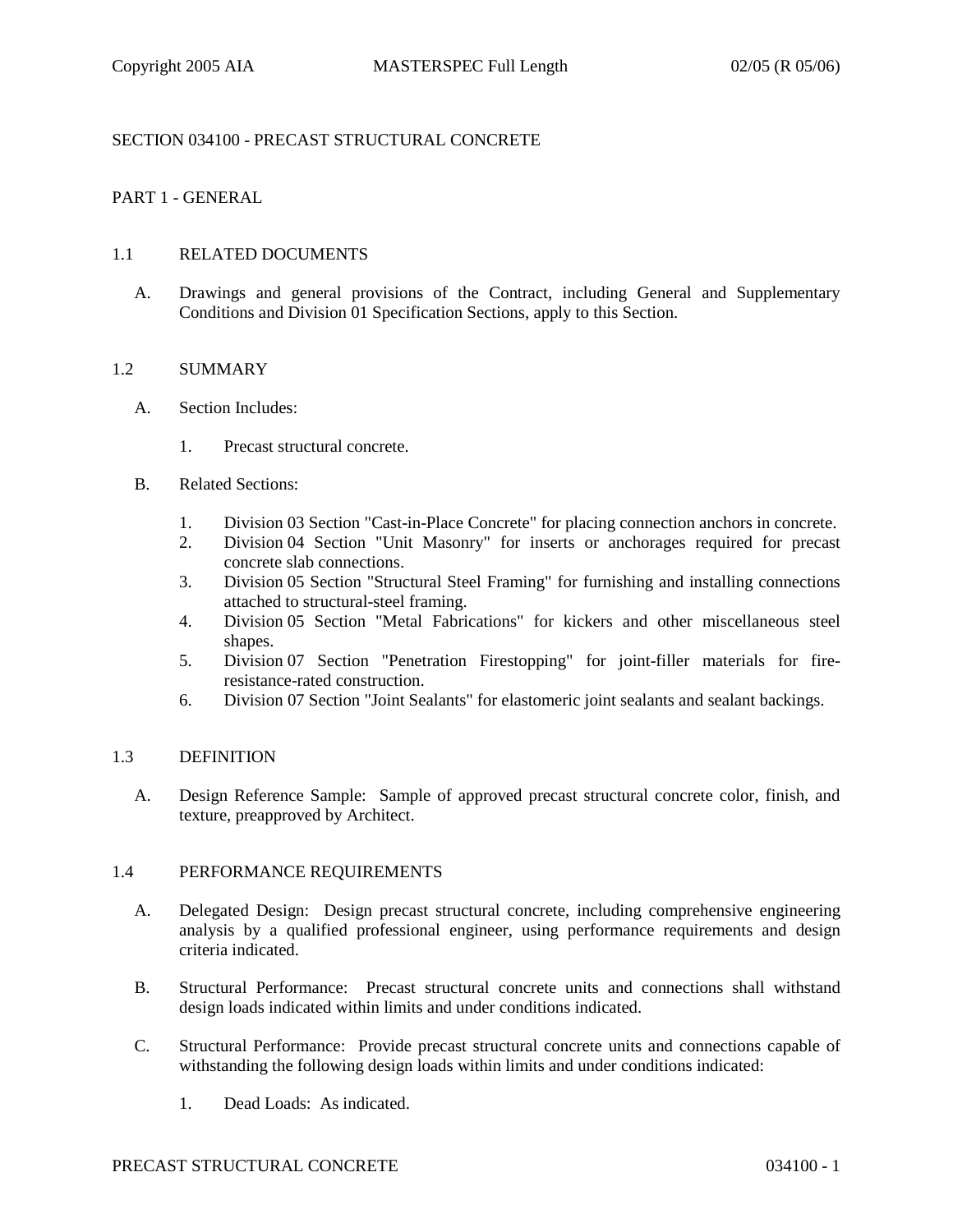# SECTION 034100 - PRECAST STRUCTURAL CONCRETE

## PART 1 - GENERAL

#### 1.1 RELATED DOCUMENTS

A. Drawings and general provisions of the Contract, including General and Supplementary Conditions and Division 01 Specification Sections, apply to this Section.

#### 1.2 SUMMARY

- A. Section Includes:
	- 1. Precast structural concrete.
- B. Related Sections:
	- 1. Division 03 Section "Cast-in-Place Concrete" for placing connection anchors in concrete.
	- 2. Division 04 Section "Unit Masonry" for inserts or anchorages required for precast concrete slab connections.
	- 3. Division 05 Section "Structural Steel Framing" for furnishing and installing connections attached to structural-steel framing.
	- 4. Division 05 Section "Metal Fabrications" for kickers and other miscellaneous steel shapes.
	- 5. Division 07 Section "Penetration Firestopping" for joint-filler materials for fireresistance-rated construction.
	- 6. Division 07 Section "Joint Sealants" for elastomeric joint sealants and sealant backings.

#### 1.3 DEFINITION

A. Design Reference Sample: Sample of approved precast structural concrete color, finish, and texture, preapproved by Architect.

### 1.4 PERFORMANCE REQUIREMENTS

- A. Delegated Design: Design precast structural concrete, including comprehensive engineering analysis by a qualified professional engineer, using performance requirements and design criteria indicated.
- B. Structural Performance: Precast structural concrete units and connections shall withstand design loads indicated within limits and under conditions indicated.
- C. Structural Performance: Provide precast structural concrete units and connections capable of withstanding the following design loads within limits and under conditions indicated:
	- 1. Dead Loads: As indicated.

#### PRECAST STRUCTURAL CONCRETE 034100 - 1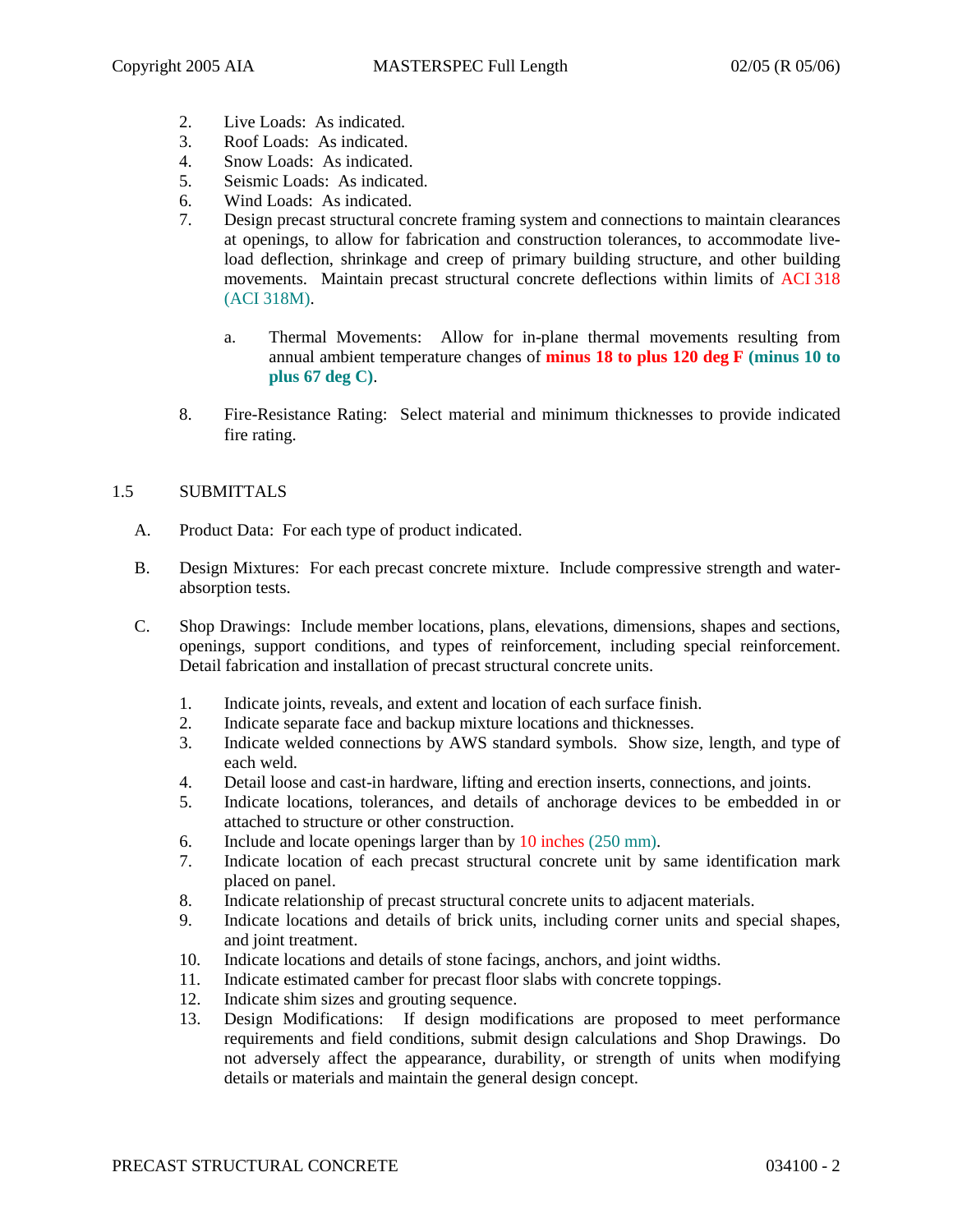- 2. Live Loads: As indicated.
- 3. Roof Loads: As indicated.
- 4. Snow Loads: As indicated.
- 5. Seismic Loads: As indicated.
- 6. Wind Loads: As indicated.
- 7. Design precast structural concrete framing system and connections to maintain clearances at openings, to allow for fabrication and construction tolerances, to accommodate liveload deflection, shrinkage and creep of primary building structure, and other building movements. Maintain precast structural concrete deflections within limits of ACI 318 (ACI 318M).
	- a. Thermal Movements: Allow for in-plane thermal movements resulting from annual ambient temperature changes of **minus 18 to plus 120 deg F (minus 10 to plus 67 deg C)**.
- 8. Fire-Resistance Rating: Select material and minimum thicknesses to provide indicated fire rating.

# 1.5 SUBMITTALS

- A. Product Data: For each type of product indicated.
- B. Design Mixtures: For each precast concrete mixture. Include compressive strength and waterabsorption tests.
- C. Shop Drawings: Include member locations, plans, elevations, dimensions, shapes and sections, openings, support conditions, and types of reinforcement, including special reinforcement. Detail fabrication and installation of precast structural concrete units.
	- 1. Indicate joints, reveals, and extent and location of each surface finish.
	- 2. Indicate separate face and backup mixture locations and thicknesses.
	- 3. Indicate welded connections by AWS standard symbols. Show size, length, and type of each weld.
	- 4. Detail loose and cast-in hardware, lifting and erection inserts, connections, and joints.
	- 5. Indicate locations, tolerances, and details of anchorage devices to be embedded in or attached to structure or other construction.
	- 6. Include and locate openings larger than by 10 inches (250 mm).
	- 7. Indicate location of each precast structural concrete unit by same identification mark placed on panel.
	- 8. Indicate relationship of precast structural concrete units to adjacent materials.
	- 9. Indicate locations and details of brick units, including corner units and special shapes, and joint treatment.
	- 10. Indicate locations and details of stone facings, anchors, and joint widths.
	- 11. Indicate estimated camber for precast floor slabs with concrete toppings.
	- 12. Indicate shim sizes and grouting sequence.
	- 13. Design Modifications: If design modifications are proposed to meet performance requirements and field conditions, submit design calculations and Shop Drawings. Do not adversely affect the appearance, durability, or strength of units when modifying details or materials and maintain the general design concept.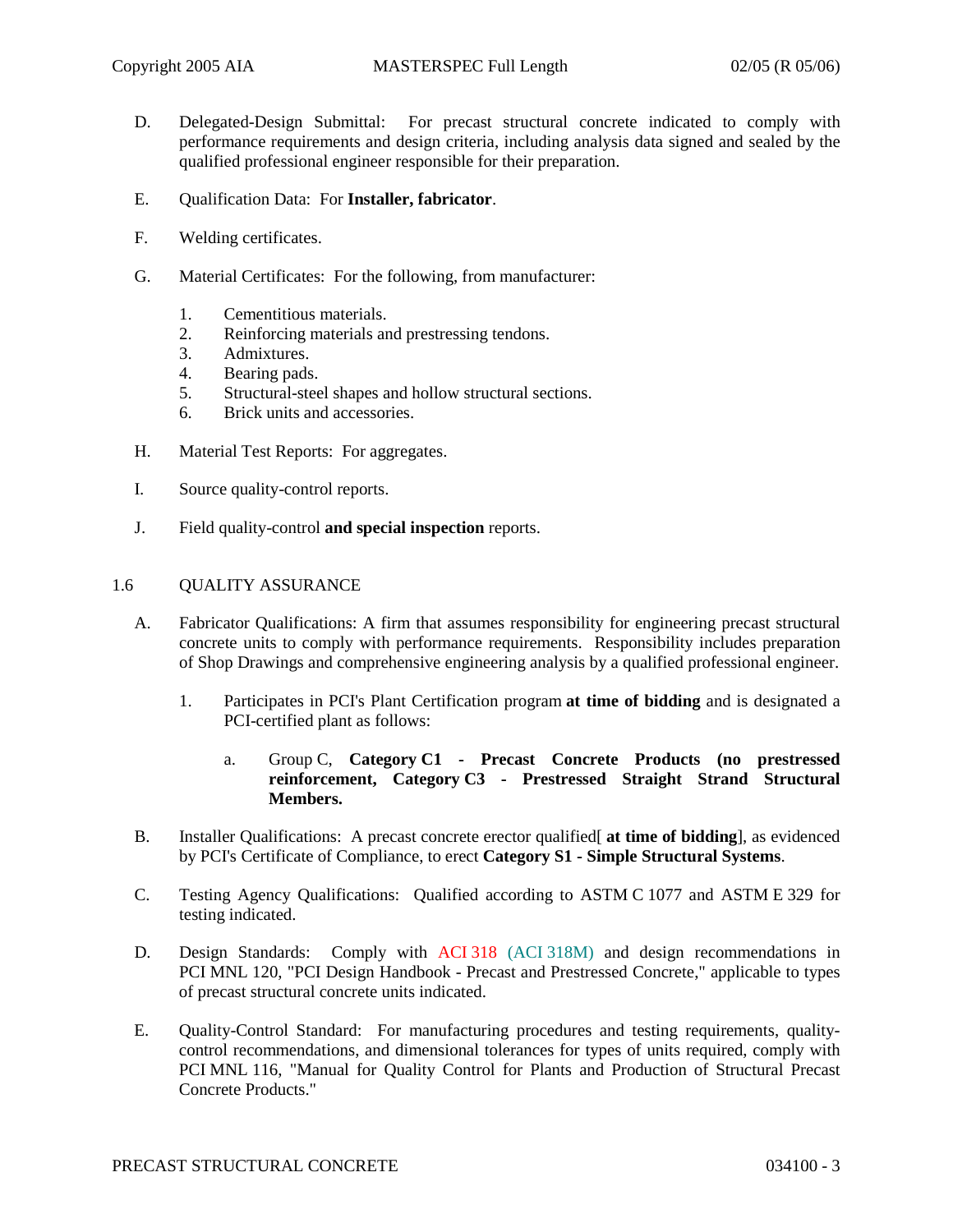- D. Delegated-Design Submittal: For precast structural concrete indicated to comply with performance requirements and design criteria, including analysis data signed and sealed by the qualified professional engineer responsible for their preparation.
- E. Qualification Data: For **Installer, fabricator**.
- F. Welding certificates.
- G. Material Certificates: For the following, from manufacturer:
	- 1. Cementitious materials.
	- 2. Reinforcing materials and prestressing tendons.
	- 3. Admixtures.
	- 4. Bearing pads.
	- 5. Structural-steel shapes and hollow structural sections.
	- 6. Brick units and accessories.
- H. Material Test Reports: For aggregates.
- I. Source quality-control reports.
- J. Field quality-control **and special inspection** reports.

#### 1.6 QUALITY ASSURANCE

- A. Fabricator Qualifications: A firm that assumes responsibility for engineering precast structural concrete units to comply with performance requirements. Responsibility includes preparation of Shop Drawings and comprehensive engineering analysis by a qualified professional engineer.
	- 1. Participates in PCI's Plant Certification program **at time of bidding** and is designated a PCI-certified plant as follows:
		- a. Group C, **Category C1 - Precast Concrete Products (no prestressed reinforcement, Category C3 - Prestressed Straight Strand Structural Members.**
- B. Installer Qualifications: A precast concrete erector qualified[ **at time of bidding**], as evidenced by PCI's Certificate of Compliance, to erect **Category S1 - Simple Structural Systems**.
- C. Testing Agency Qualifications: Qualified according to ASTM C 1077 and ASTM E 329 for testing indicated.
- D. Design Standards: Comply with ACI 318 (ACI 318M) and design recommendations in PCI MNL 120, "PCI Design Handbook - Precast and Prestressed Concrete," applicable to types of precast structural concrete units indicated.
- E. Quality-Control Standard: For manufacturing procedures and testing requirements, qualitycontrol recommendations, and dimensional tolerances for types of units required, comply with PCI MNL 116, "Manual for Quality Control for Plants and Production of Structural Precast Concrete Products."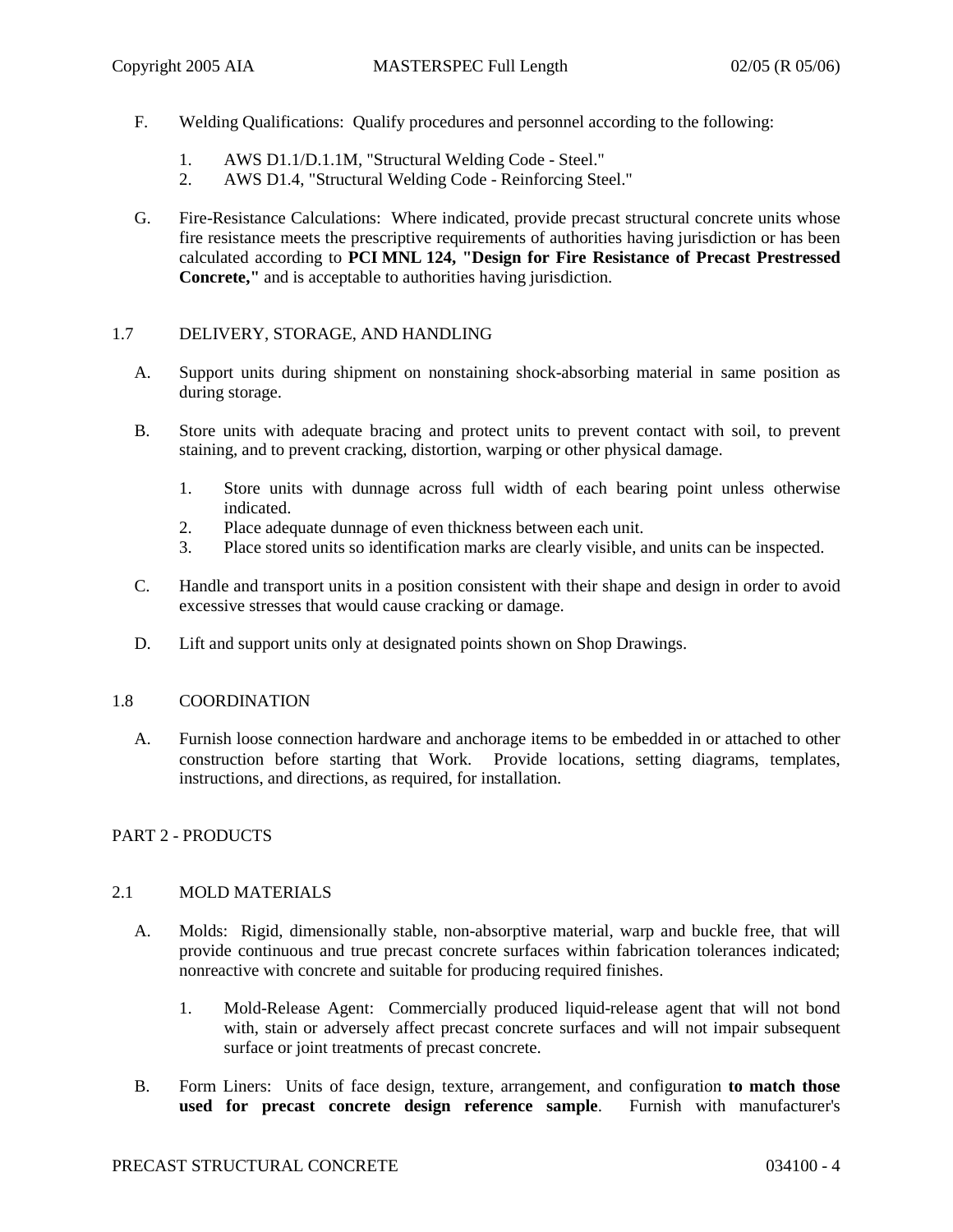- F. Welding Qualifications: Qualify procedures and personnel according to the following:
	- 1. AWS D1.1/D.1.1M, "Structural Welding Code Steel."
	- 2. AWS D1.4, "Structural Welding Code Reinforcing Steel."
- G. Fire-Resistance Calculations: Where indicated, provide precast structural concrete units whose fire resistance meets the prescriptive requirements of authorities having jurisdiction or has been calculated according to **PCI MNL 124, "Design for Fire Resistance of Precast Prestressed Concrete,"** and is acceptable to authorities having jurisdiction.

# 1.7 DELIVERY, STORAGE, AND HANDLING

- A. Support units during shipment on nonstaining shock-absorbing material in same position as during storage.
- B. Store units with adequate bracing and protect units to prevent contact with soil, to prevent staining, and to prevent cracking, distortion, warping or other physical damage.
	- 1. Store units with dunnage across full width of each bearing point unless otherwise indicated.
	- 2. Place adequate dunnage of even thickness between each unit.
	- 3. Place stored units so identification marks are clearly visible, and units can be inspected.
- C. Handle and transport units in a position consistent with their shape and design in order to avoid excessive stresses that would cause cracking or damage.
- D. Lift and support units only at designated points shown on Shop Drawings.

### 1.8 COORDINATION

A. Furnish loose connection hardware and anchorage items to be embedded in or attached to other construction before starting that Work. Provide locations, setting diagrams, templates, instructions, and directions, as required, for installation.

# PART 2 - PRODUCTS

### 2.1 MOLD MATERIALS

- A. Molds: Rigid, dimensionally stable, non-absorptive material, warp and buckle free, that will provide continuous and true precast concrete surfaces within fabrication tolerances indicated; nonreactive with concrete and suitable for producing required finishes.
	- 1. Mold-Release Agent: Commercially produced liquid-release agent that will not bond with, stain or adversely affect precast concrete surfaces and will not impair subsequent surface or joint treatments of precast concrete.
- B. Form Liners: Units of face design, texture, arrangement, and configuration **to match those used for precast concrete design reference sample**. Furnish with manufacturer's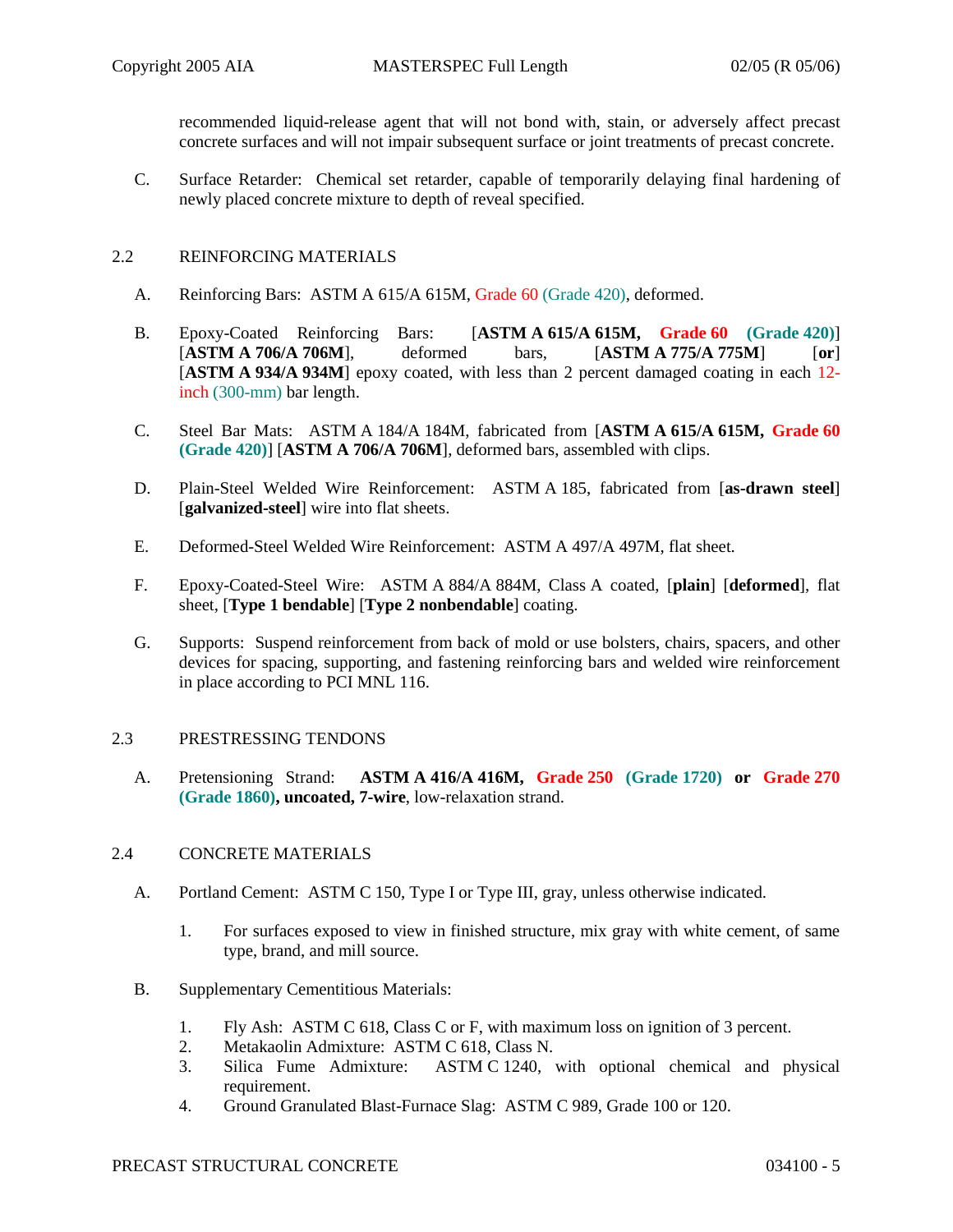recommended liquid-release agent that will not bond with, stain, or adversely affect precast concrete surfaces and will not impair subsequent surface or joint treatments of precast concrete.

C. Surface Retarder: Chemical set retarder, capable of temporarily delaying final hardening of newly placed concrete mixture to depth of reveal specified.

# 2.2 REINFORCING MATERIALS

- A. Reinforcing Bars: ASTM A 615/A 615M, Grade 60 (Grade 420), deformed.
- B. Epoxy-Coated Reinforcing Bars: [**ASTM A 615/A 615M, Grade 60 (Grade 420)**] [**ASTM A 706/A 706M**], deformed bars, [**ASTM A 775/A 775M**] [**or**] [**ASTM A 934/A 934M**] epoxy coated, with less than 2 percent damaged coating in each 12 inch (300-mm) bar length.
- C. Steel Bar Mats: ASTM A 184/A 184M, fabricated from [**ASTM A 615/A 615M, Grade 60 (Grade 420)**] [**ASTM A 706/A 706M**], deformed bars, assembled with clips.
- D. Plain-Steel Welded Wire Reinforcement: ASTM A 185, fabricated from [**as-drawn steel**] [**galvanized-steel**] wire into flat sheets.
- E. Deformed-Steel Welded Wire Reinforcement: ASTM A 497/A 497M, flat sheet.
- F. Epoxy-Coated-Steel Wire: ASTM A 884/A 884M, Class A coated, [**plain**] [**deformed**], flat sheet, [**Type 1 bendable**] [**Type 2 nonbendable**] coating.
- G. Supports: Suspend reinforcement from back of mold or use bolsters, chairs, spacers, and other devices for spacing, supporting, and fastening reinforcing bars and welded wire reinforcement in place according to PCI MNL 116.

# 2.3 PRESTRESSING TENDONS

A. Pretensioning Strand: **ASTM A 416/A 416M, Grade 250 (Grade 1720) or Grade 270 (Grade 1860), uncoated, 7-wire**, low-relaxation strand.

### 2.4 CONCRETE MATERIALS

- A. Portland Cement: ASTM C 150, Type I or Type III, gray, unless otherwise indicated.
	- 1. For surfaces exposed to view in finished structure, mix gray with white cement, of same type, brand, and mill source.
- B. Supplementary Cementitious Materials:
	- 1. Fly Ash: ASTM C 618, Class C or F, with maximum loss on ignition of 3 percent.
	- 2. Metakaolin Admixture: ASTM C 618, Class N.
	- 3. Silica Fume Admixture: ASTM C 1240, with optional chemical and physical requirement.
	- 4. Ground Granulated Blast-Furnace Slag: ASTM C 989, Grade 100 or 120.

# PRECAST STRUCTURAL CONCRETE 034100 - 5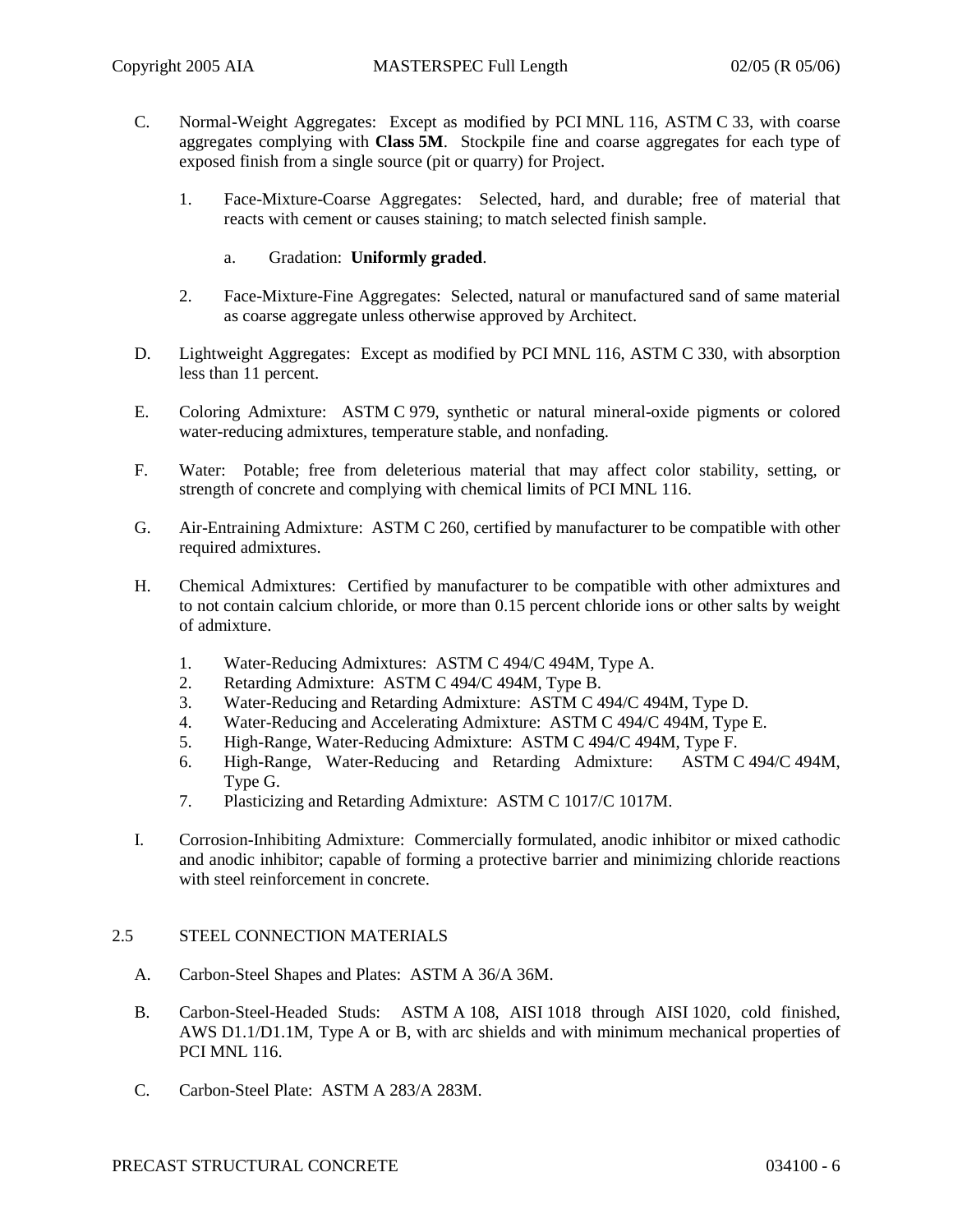- C. Normal-Weight Aggregates: Except as modified by PCI MNL 116, ASTM C 33, with coarse aggregates complying with **Class 5M**. Stockpile fine and coarse aggregates for each type of exposed finish from a single source (pit or quarry) for Project.
	- 1. Face-Mixture-Coarse Aggregates: Selected, hard, and durable; free of material that reacts with cement or causes staining; to match selected finish sample.
		- a. Gradation: **Uniformly graded**.
	- 2. Face-Mixture-Fine Aggregates: Selected, natural or manufactured sand of same material as coarse aggregate unless otherwise approved by Architect.
- D. Lightweight Aggregates: Except as modified by PCI MNL 116, ASTM C 330, with absorption less than 11 percent.
- E. Coloring Admixture: ASTM C 979, synthetic or natural mineral-oxide pigments or colored water-reducing admixtures, temperature stable, and nonfading.
- F. Water: Potable; free from deleterious material that may affect color stability, setting, or strength of concrete and complying with chemical limits of PCI MNL 116.
- G. Air-Entraining Admixture: ASTM C 260, certified by manufacturer to be compatible with other required admixtures.
- H. Chemical Admixtures: Certified by manufacturer to be compatible with other admixtures and to not contain calcium chloride, or more than 0.15 percent chloride ions or other salts by weight of admixture.
	- 1. Water-Reducing Admixtures: ASTM C 494/C 494M, Type A.
	- 2. Retarding Admixture: ASTM C 494/C 494M, Type B.
	- 3. Water-Reducing and Retarding Admixture: ASTM C 494/C 494M, Type D.
	- 4. Water-Reducing and Accelerating Admixture: ASTM C 494/C 494M, Type E.
	- 5. High-Range, Water-Reducing Admixture: ASTM C 494/C 494M, Type F.
	- 6. High-Range, Water-Reducing and Retarding Admixture: ASTM C 494/C 494M, Type G.
	- 7. Plasticizing and Retarding Admixture: ASTM C 1017/C 1017M.
- I. Corrosion-Inhibiting Admixture: Commercially formulated, anodic inhibitor or mixed cathodic and anodic inhibitor; capable of forming a protective barrier and minimizing chloride reactions with steel reinforcement in concrete.

# 2.5 STEEL CONNECTION MATERIALS

- A. Carbon-Steel Shapes and Plates: ASTM A 36/A 36M.
- B. Carbon-Steel-Headed Studs: ASTM A 108, AISI 1018 through AISI 1020, cold finished, AWS D1.1/D1.1M, Type A or B, with arc shields and with minimum mechanical properties of PCI MNL 116.
- C. Carbon-Steel Plate: ASTM A 283/A 283M.

### PRECAST STRUCTURAL CONCRETE 034100 - 6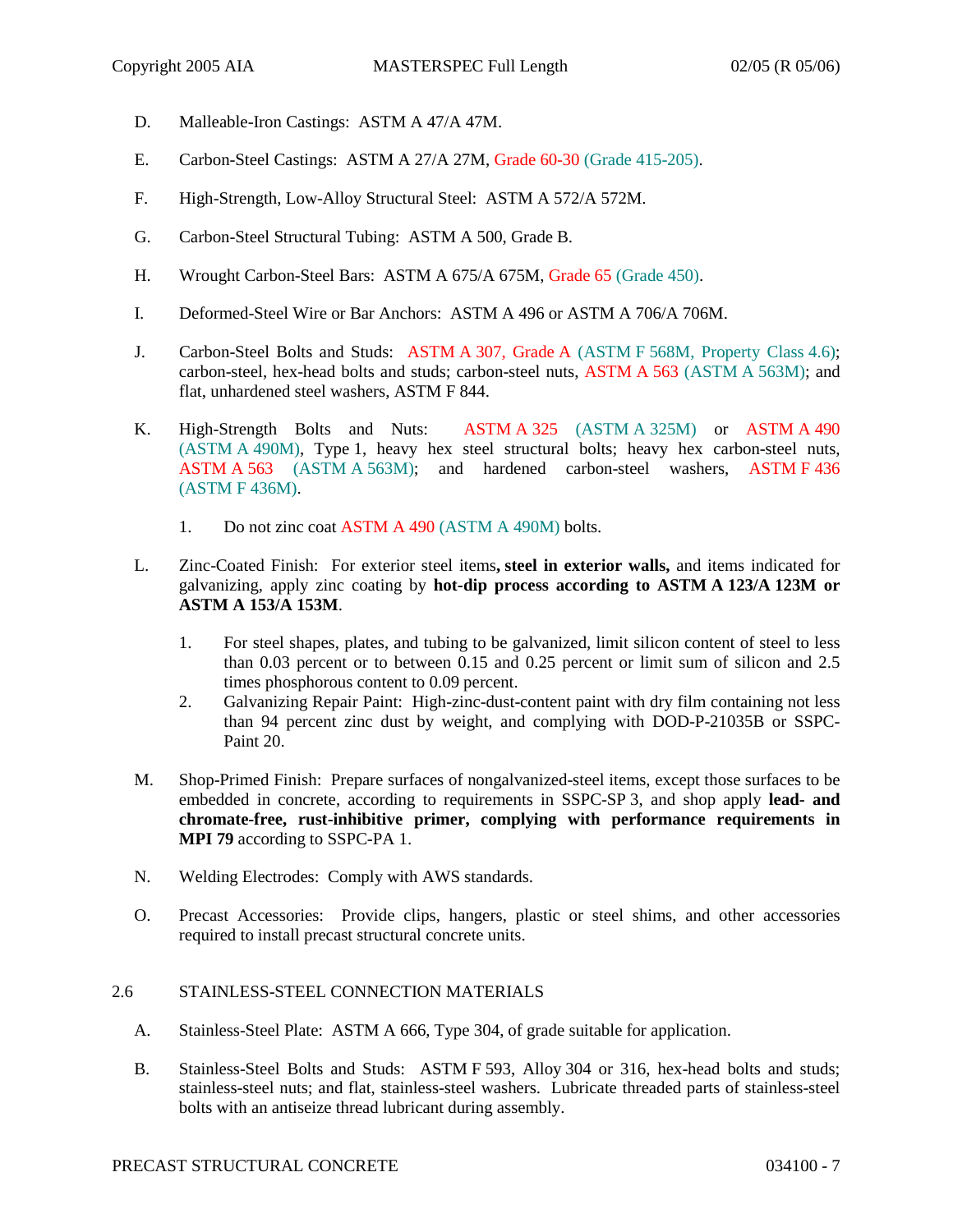- D. Malleable-Iron Castings: ASTM A 47/A 47M.
- E. Carbon-Steel Castings: ASTM A 27/A 27M, Grade 60-30 (Grade 415-205).
- F. High-Strength, Low-Alloy Structural Steel: ASTM A 572/A 572M.
- G. Carbon-Steel Structural Tubing: ASTM A 500, Grade B.
- H. Wrought Carbon-Steel Bars: ASTM A 675/A 675M, Grade 65 (Grade 450).
- I. Deformed-Steel Wire or Bar Anchors: ASTM A 496 or ASTM A 706/A 706M.
- J. Carbon-Steel Bolts and Studs: ASTM A 307, Grade A (ASTM F 568M, Property Class 4.6); carbon-steel, hex-head bolts and studs; carbon-steel nuts, ASTM A 563 (ASTM A 563M); and flat, unhardened steel washers, ASTM F 844.
- K. High-Strength Bolts and Nuts: ASTM A 325 (ASTM A 325M) or ASTM A 490 (ASTM A 490M), Type 1, heavy hex steel structural bolts; heavy hex carbon-steel nuts, ASTM A 563 (ASTM A 563M); and hardened carbon-steel washers, ASTM F 436 (ASTM F 436M).
	- 1. Do not zinc coat ASTM A 490 (ASTM A 490M) bolts.
- L. Zinc-Coated Finish: For exterior steel items**, steel in exterior walls,** and items indicated for galvanizing, apply zinc coating by **hot-dip process according to ASTM A 123/A 123M or ASTM A 153/A 153M**.
	- 1. For steel shapes, plates, and tubing to be galvanized, limit silicon content of steel to less than 0.03 percent or to between 0.15 and 0.25 percent or limit sum of silicon and 2.5 times phosphorous content to 0.09 percent.
	- 2. Galvanizing Repair Paint: High-zinc-dust-content paint with dry film containing not less than 94 percent zinc dust by weight, and complying with DOD-P-21035B or SSPC-Paint 20.
- M. Shop-Primed Finish: Prepare surfaces of nongalvanized-steel items, except those surfaces to be embedded in concrete, according to requirements in SSPC-SP 3, and shop apply **lead- and chromate-free, rust-inhibitive primer, complying with performance requirements in MPI 79** according to SSPC-PA 1.
- N. Welding Electrodes: Comply with AWS standards.
- O. Precast Accessories: Provide clips, hangers, plastic or steel shims, and other accessories required to install precast structural concrete units.

# 2.6 STAINLESS-STEEL CONNECTION MATERIALS

- A. Stainless-Steel Plate: ASTM A 666, Type 304, of grade suitable for application.
- B. Stainless-Steel Bolts and Studs: ASTM F 593, Alloy 304 or 316, hex-head bolts and studs; stainless-steel nuts; and flat, stainless-steel washers. Lubricate threaded parts of stainless-steel bolts with an antiseize thread lubricant during assembly.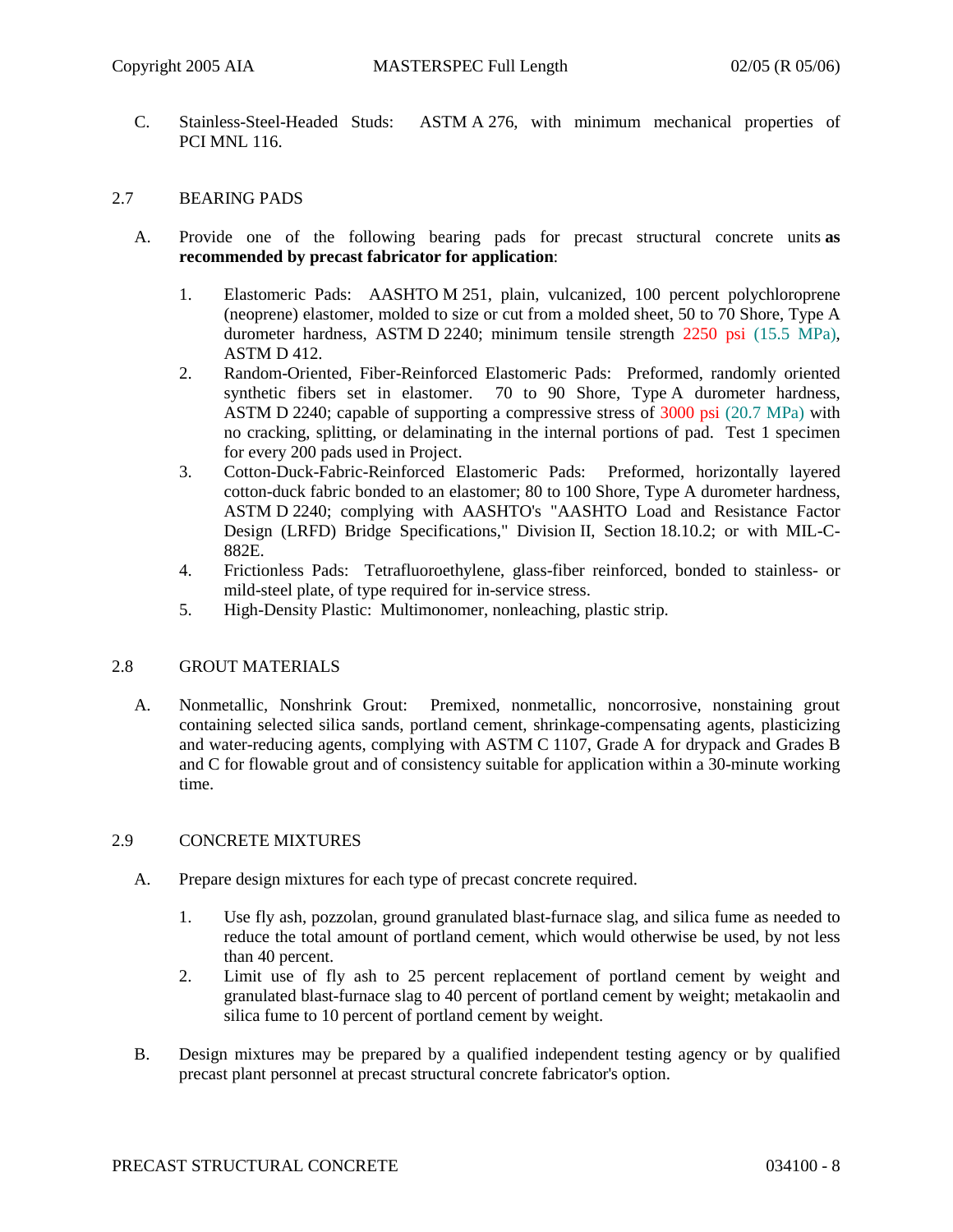C. Stainless-Steel-Headed Studs: ASTM A 276, with minimum mechanical properties of PCI MNL 116.

#### 2.7 BEARING PADS

- A. Provide one of the following bearing pads for precast structural concrete units **as recommended by precast fabricator for application**:
	- 1. Elastomeric Pads: AASHTO M 251, plain, vulcanized, 100 percent polychloroprene (neoprene) elastomer, molded to size or cut from a molded sheet, 50 to 70 Shore, Type A durometer hardness, ASTM D 2240; minimum tensile strength 2250 psi (15.5 MPa), ASTM D 412.
	- 2. Random-Oriented, Fiber-Reinforced Elastomeric Pads: Preformed, randomly oriented synthetic fibers set in elastomer. 70 to 90 Shore, Type A durometer hardness, ASTM D 2240; capable of supporting a compressive stress of 3000 psi (20.7 MPa) with no cracking, splitting, or delaminating in the internal portions of pad. Test 1 specimen for every 200 pads used in Project.
	- 3. Cotton-Duck-Fabric-Reinforced Elastomeric Pads: Preformed, horizontally layered cotton-duck fabric bonded to an elastomer; 80 to 100 Shore, Type A durometer hardness, ASTM D 2240; complying with AASHTO's "AASHTO Load and Resistance Factor Design (LRFD) Bridge Specifications," Division II, Section 18.10.2; or with MIL-C-882E.
	- 4. Frictionless Pads: Tetrafluoroethylene, glass-fiber reinforced, bonded to stainless- or mild-steel plate, of type required for in-service stress.
	- 5. High-Density Plastic: Multimonomer, nonleaching, plastic strip.

### 2.8 GROUT MATERIALS

A. Nonmetallic, Nonshrink Grout: Premixed, nonmetallic, noncorrosive, nonstaining grout containing selected silica sands, portland cement, shrinkage-compensating agents, plasticizing and water-reducing agents, complying with ASTM C 1107, Grade A for drypack and Grades B and C for flowable grout and of consistency suitable for application within a 30-minute working time.

### 2.9 CONCRETE MIXTURES

- A. Prepare design mixtures for each type of precast concrete required.
	- 1. Use fly ash, pozzolan, ground granulated blast-furnace slag, and silica fume as needed to reduce the total amount of portland cement, which would otherwise be used, by not less than 40 percent.
	- 2. Limit use of fly ash to 25 percent replacement of portland cement by weight and granulated blast-furnace slag to 40 percent of portland cement by weight; metakaolin and silica fume to 10 percent of portland cement by weight.
- B. Design mixtures may be prepared by a qualified independent testing agency or by qualified precast plant personnel at precast structural concrete fabricator's option.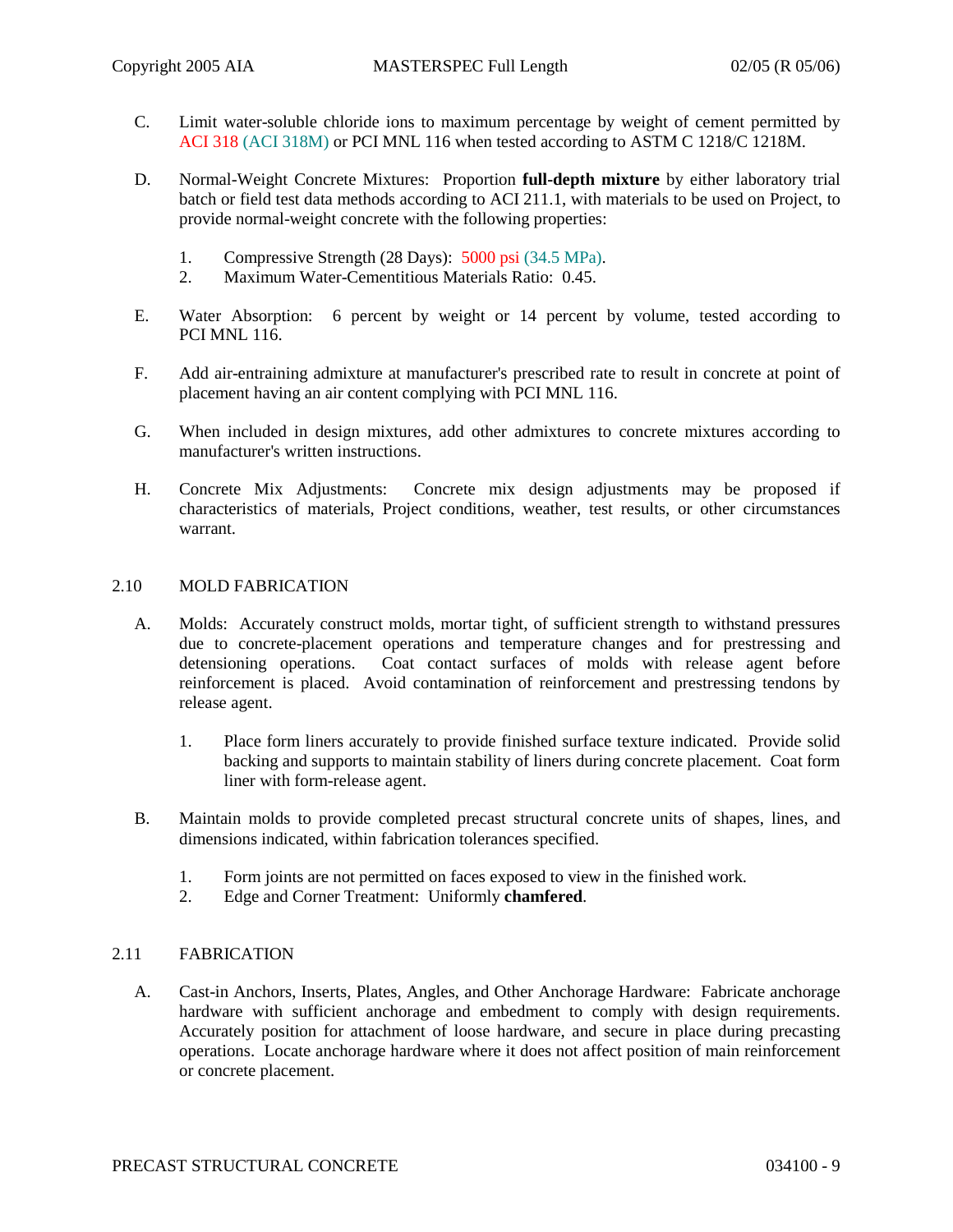- C. Limit water-soluble chloride ions to maximum percentage by weight of cement permitted by ACI 318 (ACI 318M) or PCI MNL 116 when tested according to ASTM C 1218/C 1218M.
- D. Normal-Weight Concrete Mixtures: Proportion **full-depth mixture** by either laboratory trial batch or field test data methods according to ACI 211.1, with materials to be used on Project, to provide normal-weight concrete with the following properties:
	- 1. Compressive Strength (28 Days): 5000 psi (34.5 MPa).
	- 2. Maximum Water-Cementitious Materials Ratio: 0.45.
- E. Water Absorption: 6 percent by weight or 14 percent by volume, tested according to PCI MNL 116.
- F. Add air-entraining admixture at manufacturer's prescribed rate to result in concrete at point of placement having an air content complying with PCI MNL 116.
- G. When included in design mixtures, add other admixtures to concrete mixtures according to manufacturer's written instructions.
- H. Concrete Mix Adjustments: Concrete mix design adjustments may be proposed if characteristics of materials, Project conditions, weather, test results, or other circumstances warrant.

#### 2.10 MOLD FABRICATION

- A. Molds: Accurately construct molds, mortar tight, of sufficient strength to withstand pressures due to concrete-placement operations and temperature changes and for prestressing and detensioning operations. Coat contact surfaces of molds with release agent before reinforcement is placed. Avoid contamination of reinforcement and prestressing tendons by release agent.
	- 1. Place form liners accurately to provide finished surface texture indicated. Provide solid backing and supports to maintain stability of liners during concrete placement. Coat form liner with form-release agent.
- B. Maintain molds to provide completed precast structural concrete units of shapes, lines, and dimensions indicated, within fabrication tolerances specified.
	- 1. Form joints are not permitted on faces exposed to view in the finished work.
	- 2. Edge and Corner Treatment: Uniformly **chamfered**.

### 2.11 FABRICATION

A. Cast-in Anchors, Inserts, Plates, Angles, and Other Anchorage Hardware: Fabricate anchorage hardware with sufficient anchorage and embedment to comply with design requirements. Accurately position for attachment of loose hardware, and secure in place during precasting operations. Locate anchorage hardware where it does not affect position of main reinforcement or concrete placement.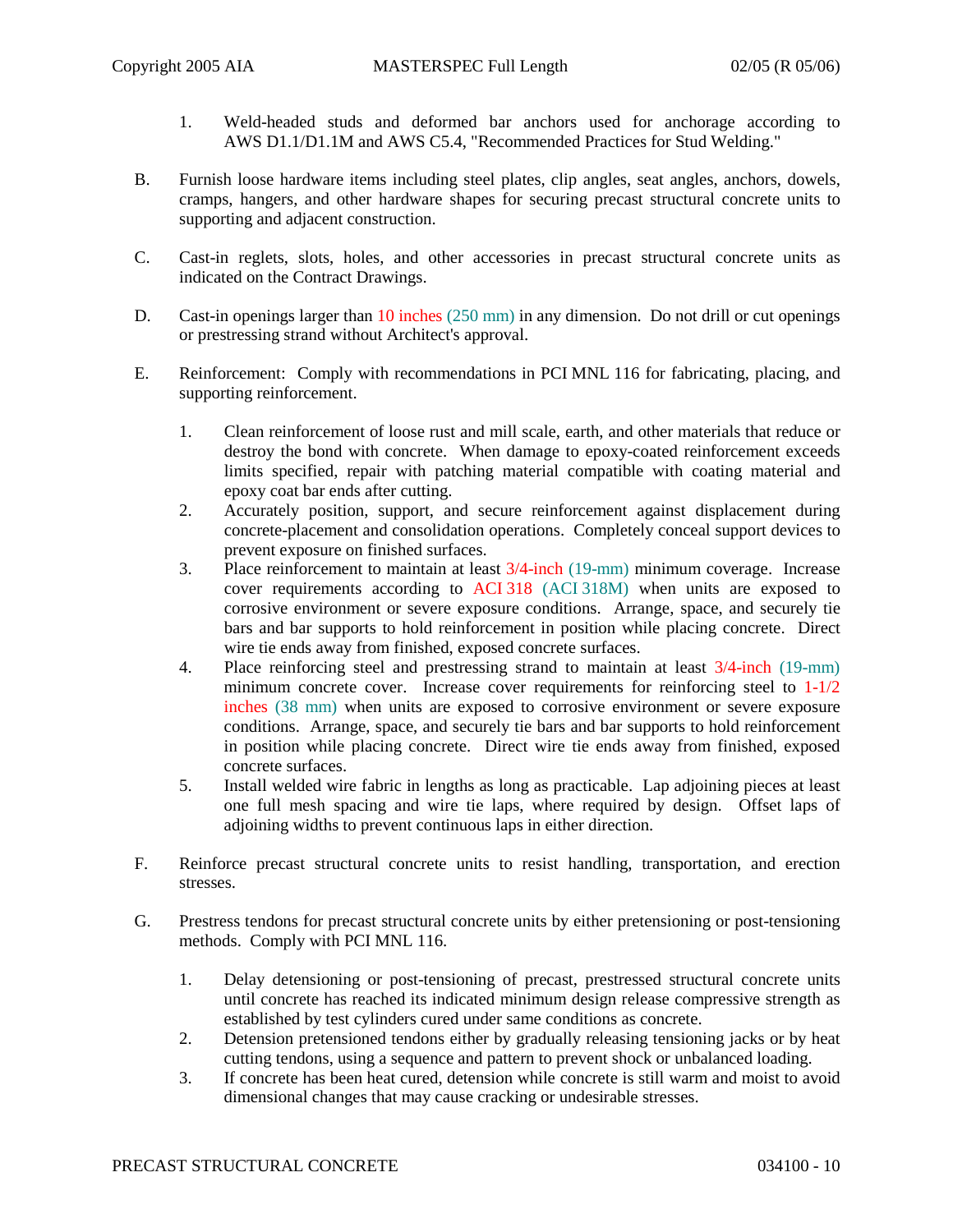- 1. Weld-headed studs and deformed bar anchors used for anchorage according to AWS D1.1/D1.1M and AWS C5.4, "Recommended Practices for Stud Welding."
- B. Furnish loose hardware items including steel plates, clip angles, seat angles, anchors, dowels, cramps, hangers, and other hardware shapes for securing precast structural concrete units to supporting and adjacent construction.
- C. Cast-in reglets, slots, holes, and other accessories in precast structural concrete units as indicated on the Contract Drawings.
- D. Cast-in openings larger than 10 inches (250 mm) in any dimension. Do not drill or cut openings or prestressing strand without Architect's approval.
- E. Reinforcement: Comply with recommendations in PCI MNL 116 for fabricating, placing, and supporting reinforcement.
	- 1. Clean reinforcement of loose rust and mill scale, earth, and other materials that reduce or destroy the bond with concrete. When damage to epoxy-coated reinforcement exceeds limits specified, repair with patching material compatible with coating material and epoxy coat bar ends after cutting.
	- 2. Accurately position, support, and secure reinforcement against displacement during concrete-placement and consolidation operations. Completely conceal support devices to prevent exposure on finished surfaces.
	- 3. Place reinforcement to maintain at least 3/4-inch (19-mm) minimum coverage. Increase cover requirements according to ACI 318 (ACI 318M) when units are exposed to corrosive environment or severe exposure conditions. Arrange, space, and securely tie bars and bar supports to hold reinforcement in position while placing concrete. Direct wire tie ends away from finished, exposed concrete surfaces.
	- 4. Place reinforcing steel and prestressing strand to maintain at least 3/4-inch (19-mm) minimum concrete cover. Increase cover requirements for reinforcing steel to  $1-1/2$ inches (38 mm) when units are exposed to corrosive environment or severe exposure conditions. Arrange, space, and securely tie bars and bar supports to hold reinforcement in position while placing concrete. Direct wire tie ends away from finished, exposed concrete surfaces.
	- 5. Install welded wire fabric in lengths as long as practicable. Lap adjoining pieces at least one full mesh spacing and wire tie laps, where required by design. Offset laps of adjoining widths to prevent continuous laps in either direction.
- F. Reinforce precast structural concrete units to resist handling, transportation, and erection stresses.
- G. Prestress tendons for precast structural concrete units by either pretensioning or post-tensioning methods. Comply with PCI MNL 116.
	- 1. Delay detensioning or post-tensioning of precast, prestressed structural concrete units until concrete has reached its indicated minimum design release compressive strength as established by test cylinders cured under same conditions as concrete.
	- 2. Detension pretensioned tendons either by gradually releasing tensioning jacks or by heat cutting tendons, using a sequence and pattern to prevent shock or unbalanced loading.
	- 3. If concrete has been heat cured, detension while concrete is still warm and moist to avoid dimensional changes that may cause cracking or undesirable stresses.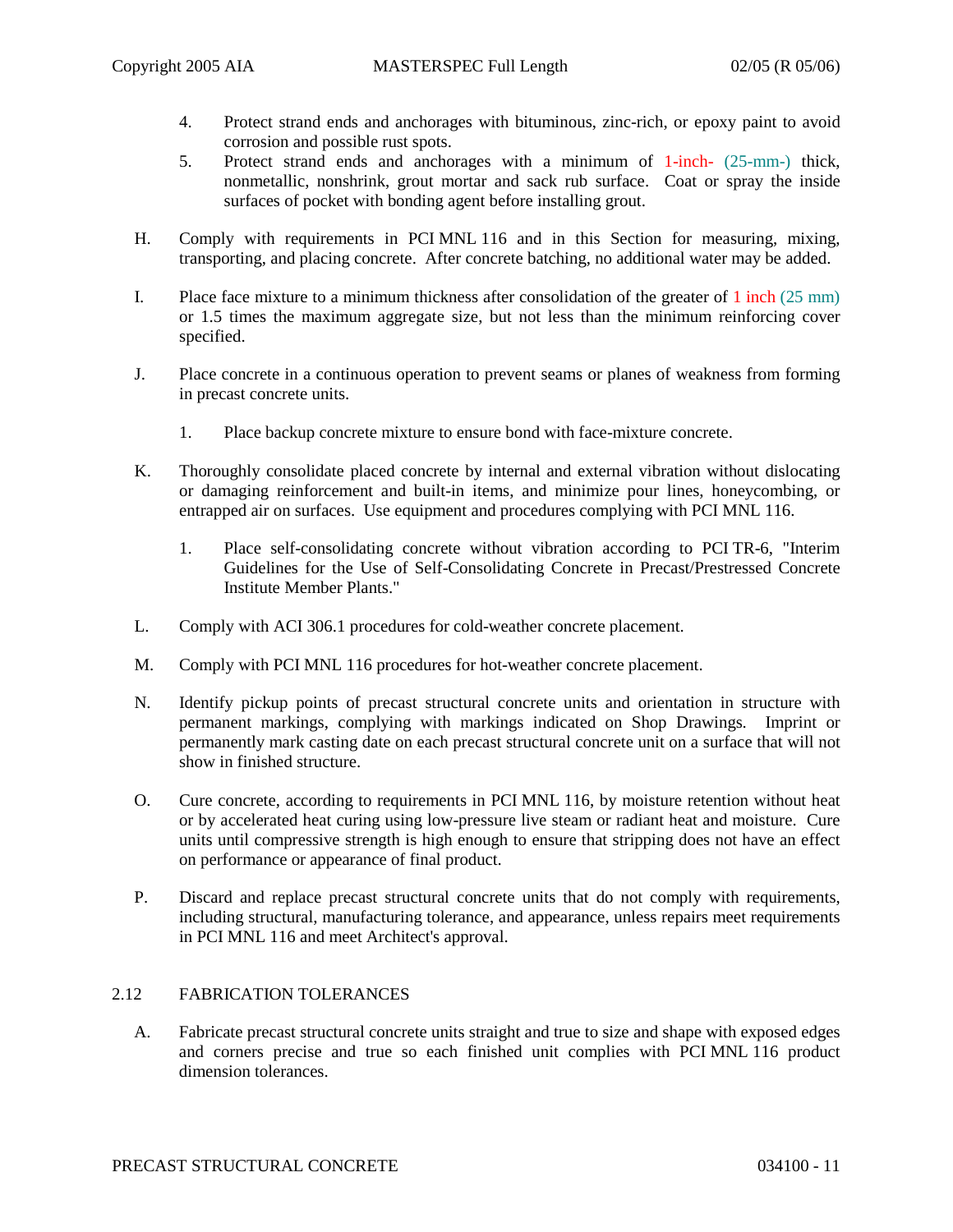- 4. Protect strand ends and anchorages with bituminous, zinc-rich, or epoxy paint to avoid corrosion and possible rust spots.
- 5. Protect strand ends and anchorages with a minimum of 1-inch- (25-mm-) thick, nonmetallic, nonshrink, grout mortar and sack rub surface. Coat or spray the inside surfaces of pocket with bonding agent before installing grout.
- H. Comply with requirements in PCI MNL 116 and in this Section for measuring, mixing, transporting, and placing concrete. After concrete batching, no additional water may be added.
- I. Place face mixture to a minimum thickness after consolidation of the greater of 1 inch (25 mm) or 1.5 times the maximum aggregate size, but not less than the minimum reinforcing cover specified.
- J. Place concrete in a continuous operation to prevent seams or planes of weakness from forming in precast concrete units.
	- 1. Place backup concrete mixture to ensure bond with face-mixture concrete.
- K. Thoroughly consolidate placed concrete by internal and external vibration without dislocating or damaging reinforcement and built-in items, and minimize pour lines, honeycombing, or entrapped air on surfaces. Use equipment and procedures complying with PCI MNL 116.
	- 1. Place self-consolidating concrete without vibration according to PCI TR-6, "Interim Guidelines for the Use of Self-Consolidating Concrete in Precast/Prestressed Concrete Institute Member Plants."
- L. Comply with ACI 306.1 procedures for cold-weather concrete placement.
- M. Comply with PCI MNL 116 procedures for hot-weather concrete placement.
- N. Identify pickup points of precast structural concrete units and orientation in structure with permanent markings, complying with markings indicated on Shop Drawings. Imprint or permanently mark casting date on each precast structural concrete unit on a surface that will not show in finished structure.
- O. Cure concrete, according to requirements in PCI MNL 116, by moisture retention without heat or by accelerated heat curing using low-pressure live steam or radiant heat and moisture. Cure units until compressive strength is high enough to ensure that stripping does not have an effect on performance or appearance of final product.
- P. Discard and replace precast structural concrete units that do not comply with requirements, including structural, manufacturing tolerance, and appearance, unless repairs meet requirements in PCI MNL 116 and meet Architect's approval.

# 2.12 FABRICATION TOLERANCES

A. Fabricate precast structural concrete units straight and true to size and shape with exposed edges and corners precise and true so each finished unit complies with PCI MNL 116 product dimension tolerances.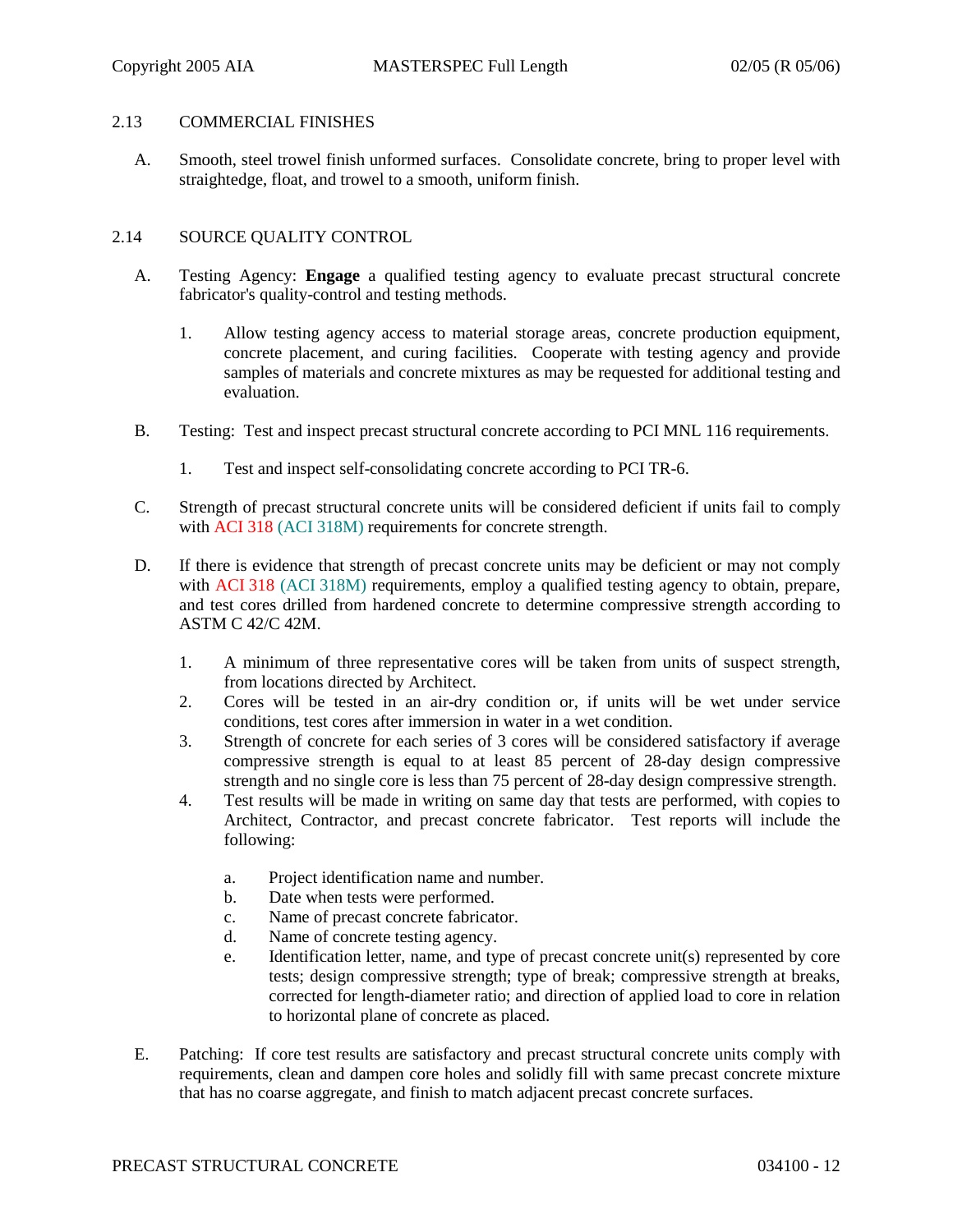### 2.13 COMMERCIAL FINISHES

A. Smooth, steel trowel finish unformed surfaces. Consolidate concrete, bring to proper level with straightedge, float, and trowel to a smooth, uniform finish.

#### 2.14 SOURCE QUALITY CONTROL

- A. Testing Agency: **Engage** a qualified testing agency to evaluate precast structural concrete fabricator's quality-control and testing methods.
	- 1. Allow testing agency access to material storage areas, concrete production equipment, concrete placement, and curing facilities. Cooperate with testing agency and provide samples of materials and concrete mixtures as may be requested for additional testing and evaluation.
- B. Testing: Test and inspect precast structural concrete according to PCI MNL 116 requirements.
	- 1. Test and inspect self-consolidating concrete according to PCI TR-6.
- C. Strength of precast structural concrete units will be considered deficient if units fail to comply with ACI 318 (ACI 318M) requirements for concrete strength.
- D. If there is evidence that strength of precast concrete units may be deficient or may not comply with ACI 318 (ACI 318M) requirements, employ a qualified testing agency to obtain, prepare, and test cores drilled from hardened concrete to determine compressive strength according to ASTM C 42/C 42M.
	- 1. A minimum of three representative cores will be taken from units of suspect strength, from locations directed by Architect.
	- 2. Cores will be tested in an air-dry condition or, if units will be wet under service conditions, test cores after immersion in water in a wet condition.
	- 3. Strength of concrete for each series of 3 cores will be considered satisfactory if average compressive strength is equal to at least 85 percent of 28-day design compressive strength and no single core is less than 75 percent of 28-day design compressive strength.
	- 4. Test results will be made in writing on same day that tests are performed, with copies to Architect, Contractor, and precast concrete fabricator. Test reports will include the following:
		- a. Project identification name and number.
		- b. Date when tests were performed.
		- c. Name of precast concrete fabricator.
		- d. Name of concrete testing agency.
		- e. Identification letter, name, and type of precast concrete unit(s) represented by core tests; design compressive strength; type of break; compressive strength at breaks, corrected for length-diameter ratio; and direction of applied load to core in relation to horizontal plane of concrete as placed.
- E. Patching: If core test results are satisfactory and precast structural concrete units comply with requirements, clean and dampen core holes and solidly fill with same precast concrete mixture that has no coarse aggregate, and finish to match adjacent precast concrete surfaces.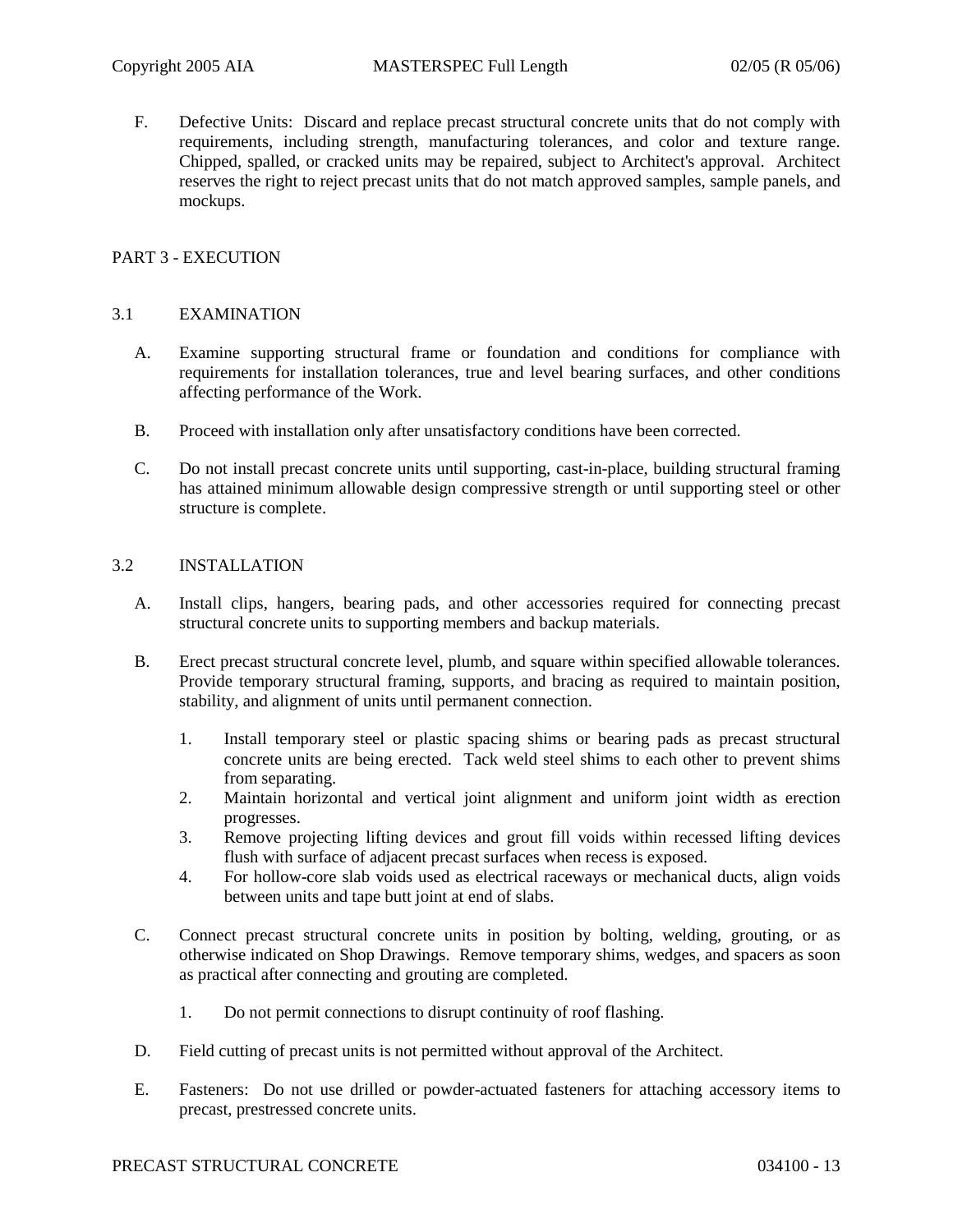F. Defective Units: Discard and replace precast structural concrete units that do not comply with requirements, including strength, manufacturing tolerances, and color and texture range. Chipped, spalled, or cracked units may be repaired, subject to Architect's approval. Architect reserves the right to reject precast units that do not match approved samples, sample panels, and mockups.

# PART 3 - EXECUTION

#### 3.1 EXAMINATION

- A. Examine supporting structural frame or foundation and conditions for compliance with requirements for installation tolerances, true and level bearing surfaces, and other conditions affecting performance of the Work.
- B. Proceed with installation only after unsatisfactory conditions have been corrected.
- C. Do not install precast concrete units until supporting, cast-in-place, building structural framing has attained minimum allowable design compressive strength or until supporting steel or other structure is complete.

#### 3.2 INSTALLATION

- A. Install clips, hangers, bearing pads, and other accessories required for connecting precast structural concrete units to supporting members and backup materials.
- B. Erect precast structural concrete level, plumb, and square within specified allowable tolerances. Provide temporary structural framing, supports, and bracing as required to maintain position, stability, and alignment of units until permanent connection.
	- 1. Install temporary steel or plastic spacing shims or bearing pads as precast structural concrete units are being erected. Tack weld steel shims to each other to prevent shims from separating.
	- 2. Maintain horizontal and vertical joint alignment and uniform joint width as erection progresses.
	- 3. Remove projecting lifting devices and grout fill voids within recessed lifting devices flush with surface of adjacent precast surfaces when recess is exposed.
	- 4. For hollow-core slab voids used as electrical raceways or mechanical ducts, align voids between units and tape butt joint at end of slabs.
- C. Connect precast structural concrete units in position by bolting, welding, grouting, or as otherwise indicated on Shop Drawings. Remove temporary shims, wedges, and spacers as soon as practical after connecting and grouting are completed.
	- 1. Do not permit connections to disrupt continuity of roof flashing.
- D. Field cutting of precast units is not permitted without approval of the Architect.
- E. Fasteners: Do not use drilled or powder-actuated fasteners for attaching accessory items to precast, prestressed concrete units.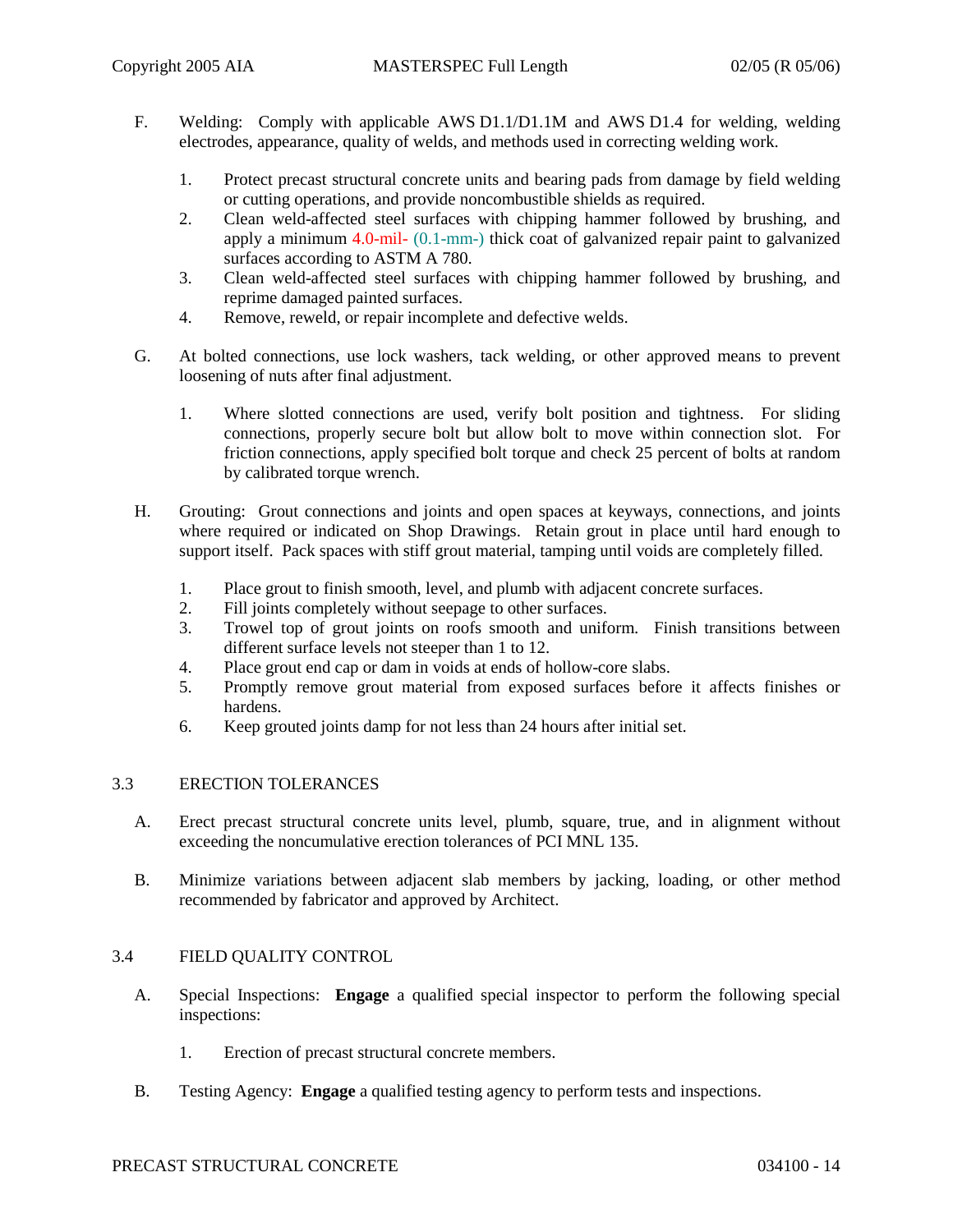- F. Welding: Comply with applicable AWS D1.1/D1.1M and AWS D1.4 for welding, welding electrodes, appearance, quality of welds, and methods used in correcting welding work.
	- 1. Protect precast structural concrete units and bearing pads from damage by field welding or cutting operations, and provide noncombustible shields as required.
	- 2. Clean weld-affected steel surfaces with chipping hammer followed by brushing, and apply a minimum 4.0-mil- (0.1-mm-) thick coat of galvanized repair paint to galvanized surfaces according to ASTM A 780.
	- 3. Clean weld-affected steel surfaces with chipping hammer followed by brushing, and reprime damaged painted surfaces.
	- 4. Remove, reweld, or repair incomplete and defective welds.
- G. At bolted connections, use lock washers, tack welding, or other approved means to prevent loosening of nuts after final adjustment.
	- 1. Where slotted connections are used, verify bolt position and tightness. For sliding connections, properly secure bolt but allow bolt to move within connection slot. For friction connections, apply specified bolt torque and check 25 percent of bolts at random by calibrated torque wrench.
- H. Grouting: Grout connections and joints and open spaces at keyways, connections, and joints where required or indicated on Shop Drawings. Retain grout in place until hard enough to support itself. Pack spaces with stiff grout material, tamping until voids are completely filled.
	- 1. Place grout to finish smooth, level, and plumb with adjacent concrete surfaces.
	- 2. Fill joints completely without seepage to other surfaces.
	- 3. Trowel top of grout joints on roofs smooth and uniform. Finish transitions between different surface levels not steeper than 1 to 12.
	- 4. Place grout end cap or dam in voids at ends of hollow-core slabs.
	- 5. Promptly remove grout material from exposed surfaces before it affects finishes or hardens.
	- 6. Keep grouted joints damp for not less than 24 hours after initial set.

### 3.3 ERECTION TOLERANCES

- A. Erect precast structural concrete units level, plumb, square, true, and in alignment without exceeding the noncumulative erection tolerances of PCI MNL 135.
- B. Minimize variations between adjacent slab members by jacking, loading, or other method recommended by fabricator and approved by Architect.

### 3.4 FIELD QUALITY CONTROL

- A. Special Inspections: **Engage** a qualified special inspector to perform the following special inspections:
	- 1. Erection of precast structural concrete members.
- B. Testing Agency: **Engage** a qualified testing agency to perform tests and inspections.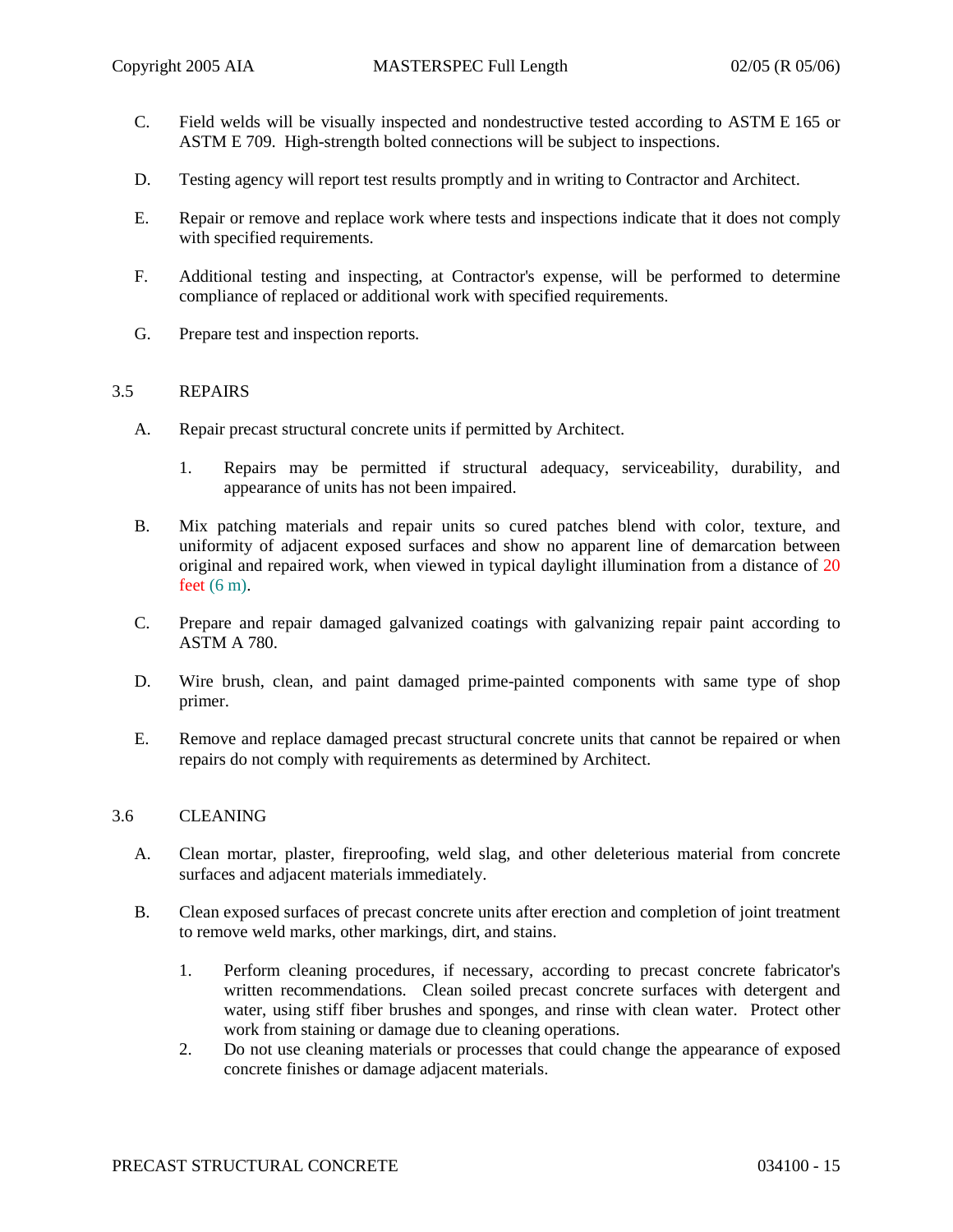- C. Field welds will be visually inspected and nondestructive tested according to ASTM E 165 or ASTM E 709. High-strength bolted connections will be subject to inspections.
- D. Testing agency will report test results promptly and in writing to Contractor and Architect.
- E. Repair or remove and replace work where tests and inspections indicate that it does not comply with specified requirements.
- F. Additional testing and inspecting, at Contractor's expense, will be performed to determine compliance of replaced or additional work with specified requirements.
- G. Prepare test and inspection reports.

### 3.5 REPAIRS

- A. Repair precast structural concrete units if permitted by Architect.
	- 1. Repairs may be permitted if structural adequacy, serviceability, durability, and appearance of units has not been impaired.
- B. Mix patching materials and repair units so cured patches blend with color, texture, and uniformity of adjacent exposed surfaces and show no apparent line of demarcation between original and repaired work, when viewed in typical daylight illumination from a distance of 20 feet (6 m).
- C. Prepare and repair damaged galvanized coatings with galvanizing repair paint according to ASTM A 780.
- D. Wire brush, clean, and paint damaged prime-painted components with same type of shop primer.
- E. Remove and replace damaged precast structural concrete units that cannot be repaired or when repairs do not comply with requirements as determined by Architect.

### 3.6 CLEANING

- A. Clean mortar, plaster, fireproofing, weld slag, and other deleterious material from concrete surfaces and adjacent materials immediately.
- B. Clean exposed surfaces of precast concrete units after erection and completion of joint treatment to remove weld marks, other markings, dirt, and stains.
	- 1. Perform cleaning procedures, if necessary, according to precast concrete fabricator's written recommendations. Clean soiled precast concrete surfaces with detergent and water, using stiff fiber brushes and sponges, and rinse with clean water. Protect other work from staining or damage due to cleaning operations.
	- 2. Do not use cleaning materials or processes that could change the appearance of exposed concrete finishes or damage adjacent materials.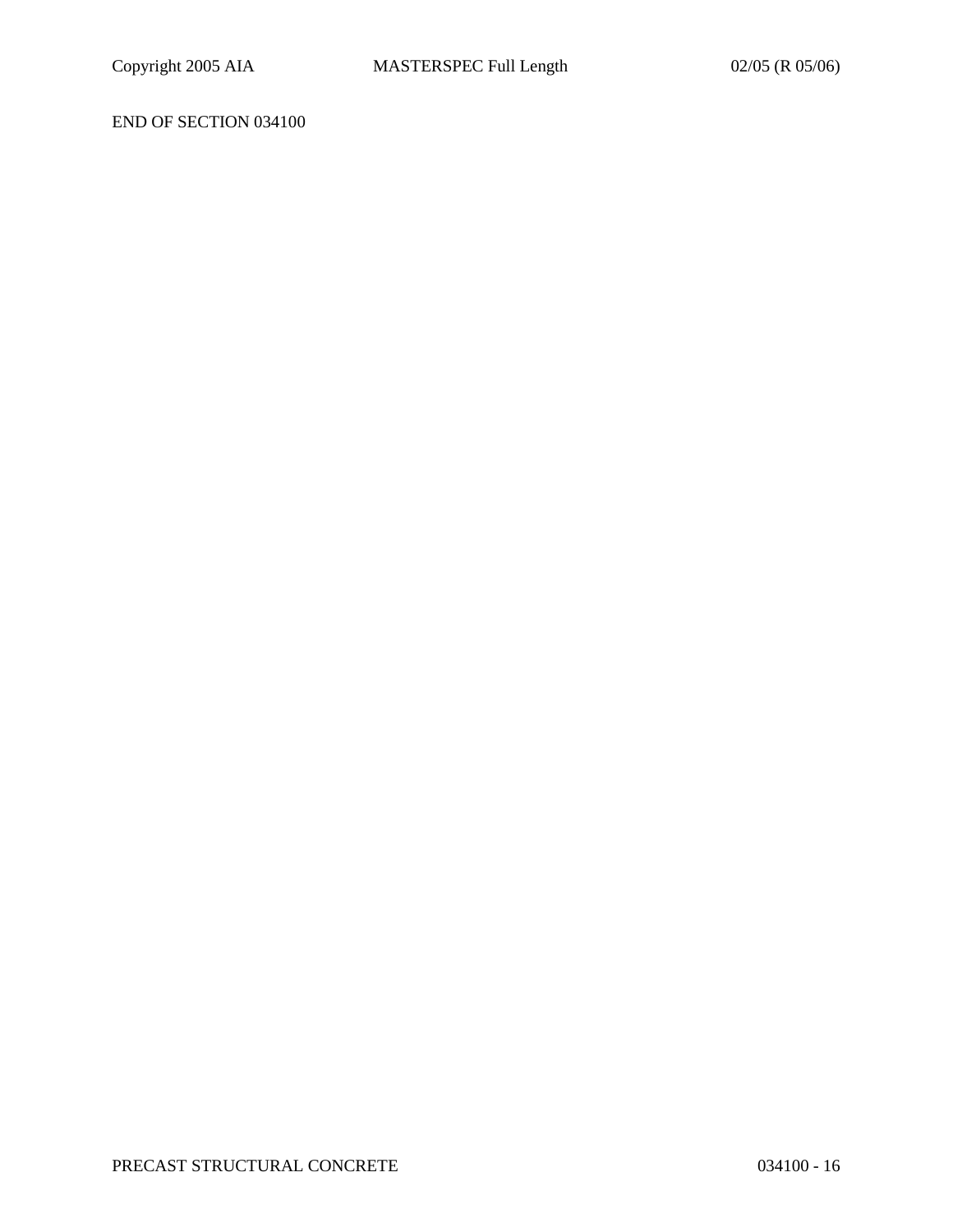# END OF SECTION 034100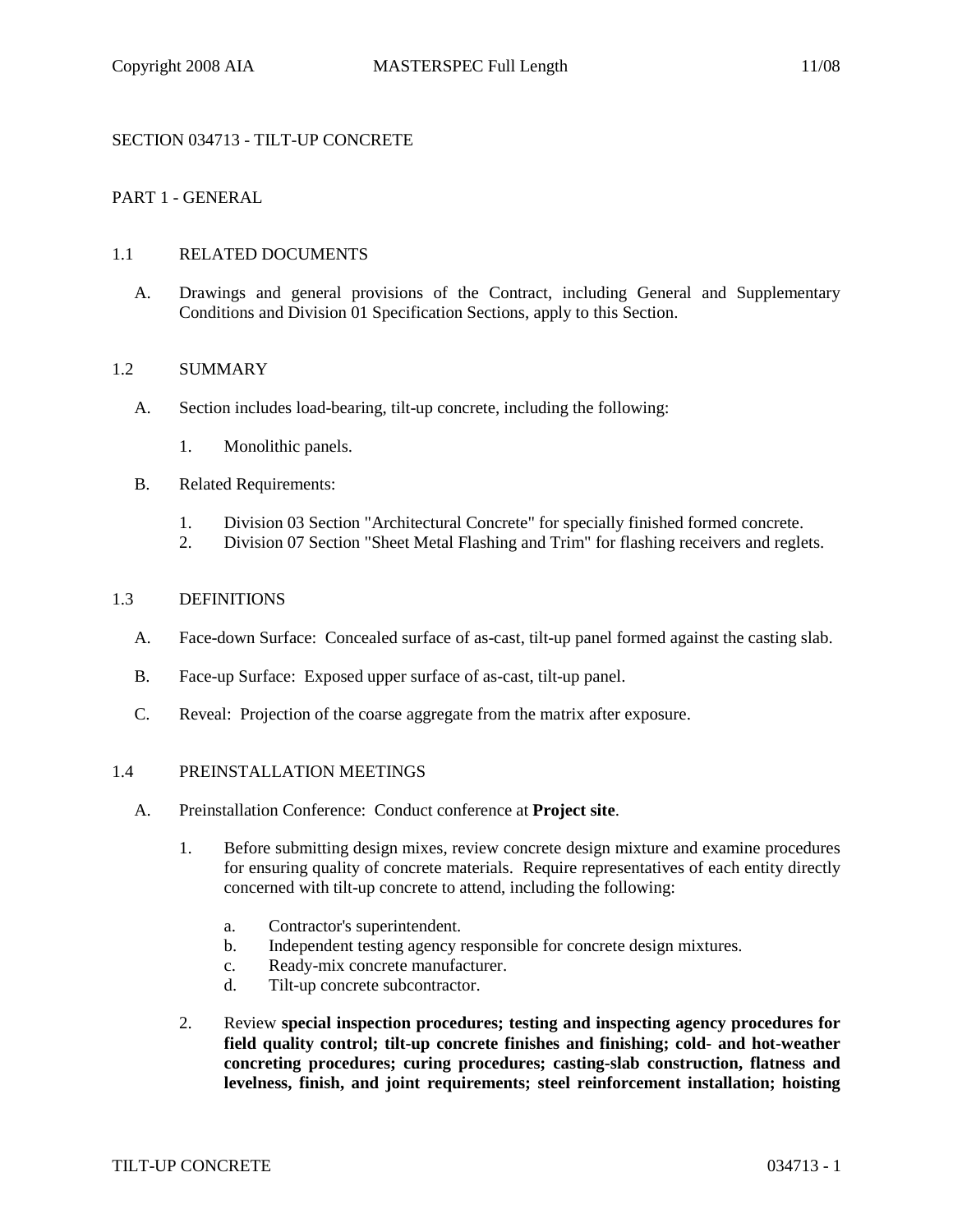## SECTION 034713 - TILT-UP CONCRETE

## PART 1 - GENERAL

### 1.1 RELATED DOCUMENTS

A. Drawings and general provisions of the Contract, including General and Supplementary Conditions and Division 01 Specification Sections, apply to this Section.

### 1.2 SUMMARY

- A. Section includes load-bearing, tilt-up concrete, including the following:
	- 1. Monolithic panels.
- B. Related Requirements:
	- 1. Division 03 Section "Architectural Concrete" for specially finished formed concrete.
	- 2. Division 07 Section "Sheet Metal Flashing and Trim" for flashing receivers and reglets.

### 1.3 DEFINITIONS

- A. Face-down Surface: Concealed surface of as-cast, tilt-up panel formed against the casting slab.
- B. Face-up Surface: Exposed upper surface of as-cast, tilt-up panel.
- C. Reveal: Projection of the coarse aggregate from the matrix after exposure.

#### 1.4 PREINSTALLATION MEETINGS

- A. Preinstallation Conference: Conduct conference at **Project site**.
	- 1. Before submitting design mixes, review concrete design mixture and examine procedures for ensuring quality of concrete materials. Require representatives of each entity directly concerned with tilt-up concrete to attend, including the following:
		- a. Contractor's superintendent.
		- b. Independent testing agency responsible for concrete design mixtures.
		- c. Ready-mix concrete manufacturer.
		- d. Tilt-up concrete subcontractor.
	- 2. Review **special inspection procedures; testing and inspecting agency procedures for field quality control; tilt-up concrete finishes and finishing; cold- and hot-weather concreting procedures; curing procedures; casting-slab construction, flatness and levelness, finish, and joint requirements; steel reinforcement installation; hoisting**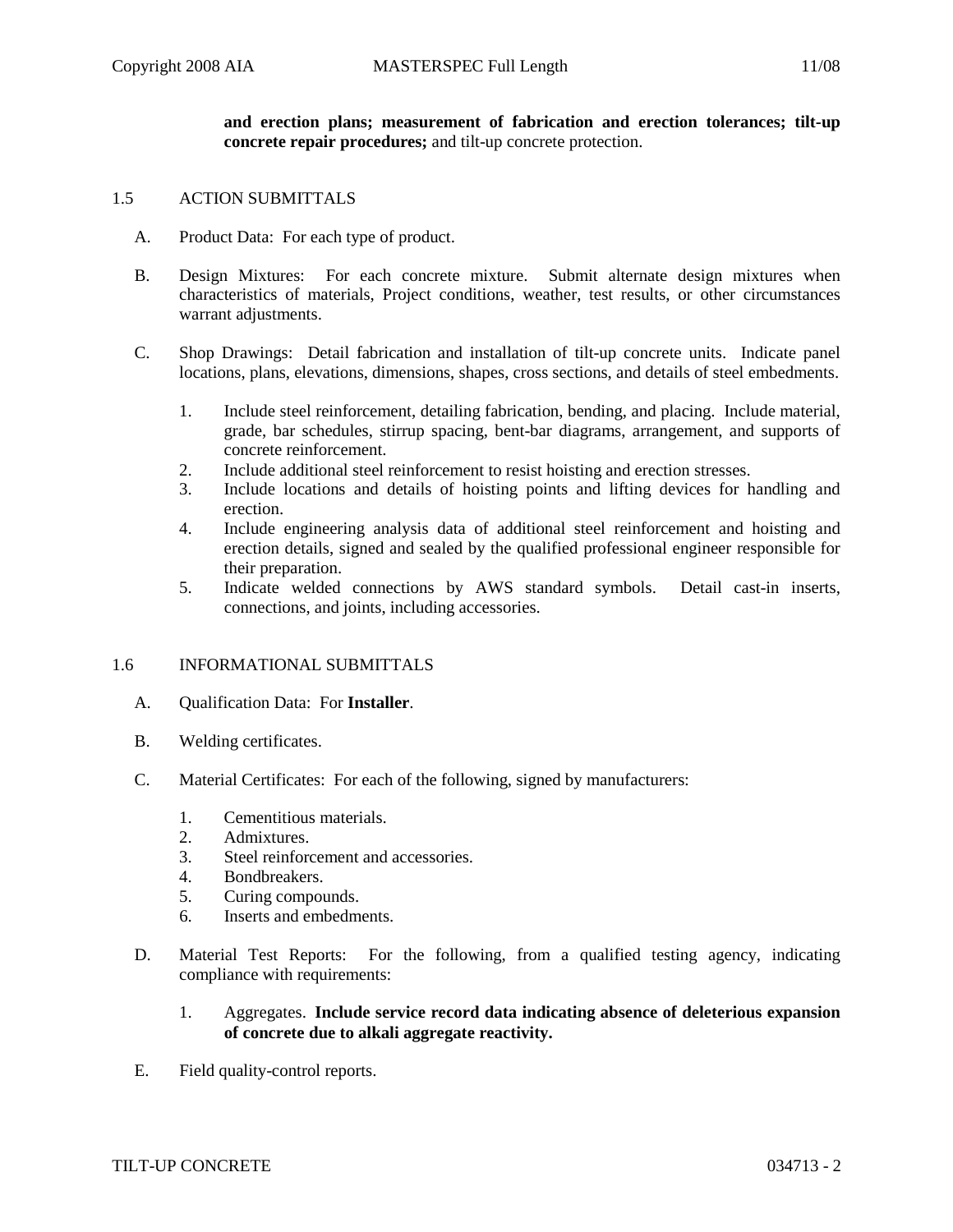**and erection plans; measurement of fabrication and erection tolerances; tilt-up concrete repair procedures;** and tilt-up concrete protection.

#### 1.5 ACTION SUBMITTALS

- A. Product Data: For each type of product.
- B. Design Mixtures: For each concrete mixture. Submit alternate design mixtures when characteristics of materials, Project conditions, weather, test results, or other circumstances warrant adjustments.
- C. Shop Drawings: Detail fabrication and installation of tilt-up concrete units. Indicate panel locations, plans, elevations, dimensions, shapes, cross sections, and details of steel embedments.
	- 1. Include steel reinforcement, detailing fabrication, bending, and placing. Include material, grade, bar schedules, stirrup spacing, bent-bar diagrams, arrangement, and supports of concrete reinforcement.
	- 2. Include additional steel reinforcement to resist hoisting and erection stresses.
	- 3. Include locations and details of hoisting points and lifting devices for handling and erection.
	- 4. Include engineering analysis data of additional steel reinforcement and hoisting and erection details, signed and sealed by the qualified professional engineer responsible for their preparation.
	- 5. Indicate welded connections by AWS standard symbols. Detail cast-in inserts, connections, and joints, including accessories.

#### 1.6 INFORMATIONAL SUBMITTALS

- A. Qualification Data: For **Installer**.
- B. Welding certificates.
- C. Material Certificates: For each of the following, signed by manufacturers:
	- 1. Cementitious materials.
	- 2. Admixtures.
	- 3. Steel reinforcement and accessories.
	- 4. Bondbreakers.
	- 5. Curing compounds.
	- 6. Inserts and embedments.
- D. Material Test Reports: For the following, from a qualified testing agency, indicating compliance with requirements:
	- 1. Aggregates. **Include service record data indicating absence of deleterious expansion of concrete due to alkali aggregate reactivity.**
- E. Field quality-control reports.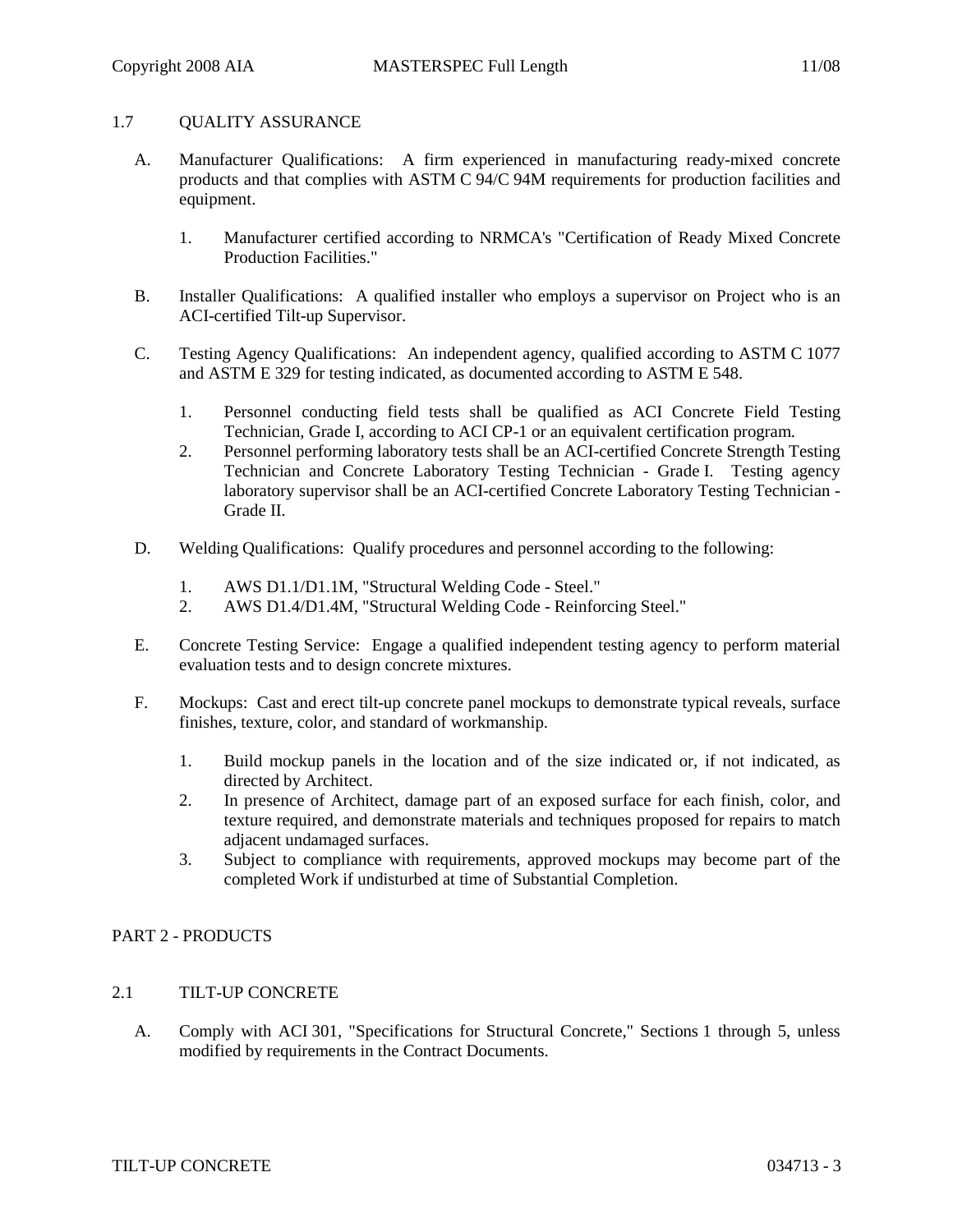## 1.7 OUALITY ASSURANCE

- A. Manufacturer Qualifications: A firm experienced in manufacturing ready-mixed concrete products and that complies with ASTM C 94/C 94M requirements for production facilities and equipment.
	- 1. Manufacturer certified according to NRMCA's "Certification of Ready Mixed Concrete Production Facilities."
- B. Installer Qualifications: A qualified installer who employs a supervisor on Project who is an ACI-certified Tilt-up Supervisor.
- C. Testing Agency Qualifications: An independent agency, qualified according to ASTM C 1077 and ASTM E 329 for testing indicated, as documented according to ASTM E 548.
	- 1. Personnel conducting field tests shall be qualified as ACI Concrete Field Testing Technician, Grade I, according to ACI CP-1 or an equivalent certification program.
	- 2. Personnel performing laboratory tests shall be an ACI-certified Concrete Strength Testing Technician and Concrete Laboratory Testing Technician - Grade I. Testing agency laboratory supervisor shall be an ACI-certified Concrete Laboratory Testing Technician - Grade II.
- D. Welding Qualifications: Qualify procedures and personnel according to the following:
	- 1. AWS D1.1/D1.1M, "Structural Welding Code Steel."
	- 2. AWS D1.4/D1.4M, "Structural Welding Code Reinforcing Steel."
- E. Concrete Testing Service: Engage a qualified independent testing agency to perform material evaluation tests and to design concrete mixtures.
- F. Mockups: Cast and erect tilt-up concrete panel mockups to demonstrate typical reveals, surface finishes, texture, color, and standard of workmanship.
	- 1. Build mockup panels in the location and of the size indicated or, if not indicated, as directed by Architect.
	- 2. In presence of Architect, damage part of an exposed surface for each finish, color, and texture required, and demonstrate materials and techniques proposed for repairs to match adjacent undamaged surfaces.
	- 3. Subject to compliance with requirements, approved mockups may become part of the completed Work if undisturbed at time of Substantial Completion.

### PART 2 - PRODUCTS

# 2.1 TILT-UP CONCRETE

A. Comply with ACI 301, "Specifications for Structural Concrete," Sections 1 through 5, unless modified by requirements in the Contract Documents.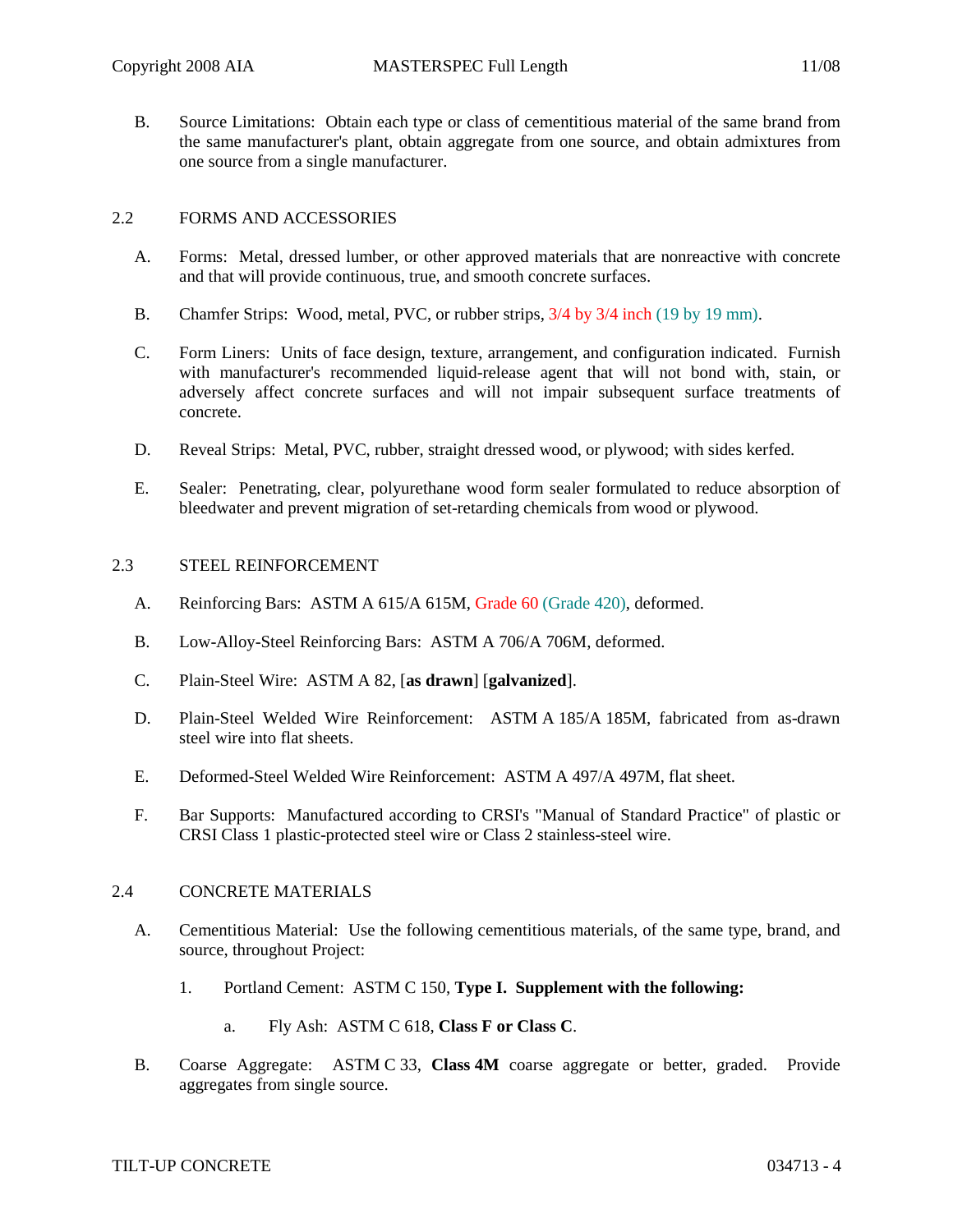B. Source Limitations: Obtain each type or class of cementitious material of the same brand from the same manufacturer's plant, obtain aggregate from one source, and obtain admixtures from one source from a single manufacturer.

## 2.2 FORMS AND ACCESSORIES

- A. Forms: Metal, dressed lumber, or other approved materials that are nonreactive with concrete and that will provide continuous, true, and smooth concrete surfaces.
- B. Chamfer Strips: Wood, metal, PVC, or rubber strips, 3/4 by 3/4 inch (19 by 19 mm).
- C. Form Liners: Units of face design, texture, arrangement, and configuration indicated. Furnish with manufacturer's recommended liquid-release agent that will not bond with, stain, or adversely affect concrete surfaces and will not impair subsequent surface treatments of concrete.
- D. Reveal Strips: Metal, PVC, rubber, straight dressed wood, or plywood; with sides kerfed.
- E. Sealer: Penetrating, clear, polyurethane wood form sealer formulated to reduce absorption of bleedwater and prevent migration of set-retarding chemicals from wood or plywood.

### 2.3 STEEL REINFORCEMENT

- A. Reinforcing Bars: ASTM A 615/A 615M, Grade 60 (Grade 420), deformed.
- B. Low-Alloy-Steel Reinforcing Bars: ASTM A 706/A 706M, deformed.
- C. Plain-Steel Wire: ASTM A 82, [**as drawn**] [**galvanized**].
- D. Plain-Steel Welded Wire Reinforcement: ASTM A 185/A 185M, fabricated from as-drawn steel wire into flat sheets.
- E. Deformed-Steel Welded Wire Reinforcement: ASTM A 497/A 497M, flat sheet.
- F. Bar Supports: Manufactured according to CRSI's "Manual of Standard Practice" of plastic or CRSI Class 1 plastic-protected steel wire or Class 2 stainless-steel wire.

### 2.4 CONCRETE MATERIALS

- A. Cementitious Material: Use the following cementitious materials, of the same type, brand, and source, throughout Project:
	- 1. Portland Cement: ASTM C 150, **Type I. Supplement with the following:**
		- a. Fly Ash: ASTM C 618, **Class F or Class C**.
- B. Coarse Aggregate: ASTM C 33, **Class 4M** coarse aggregate or better, graded. Provide aggregates from single source.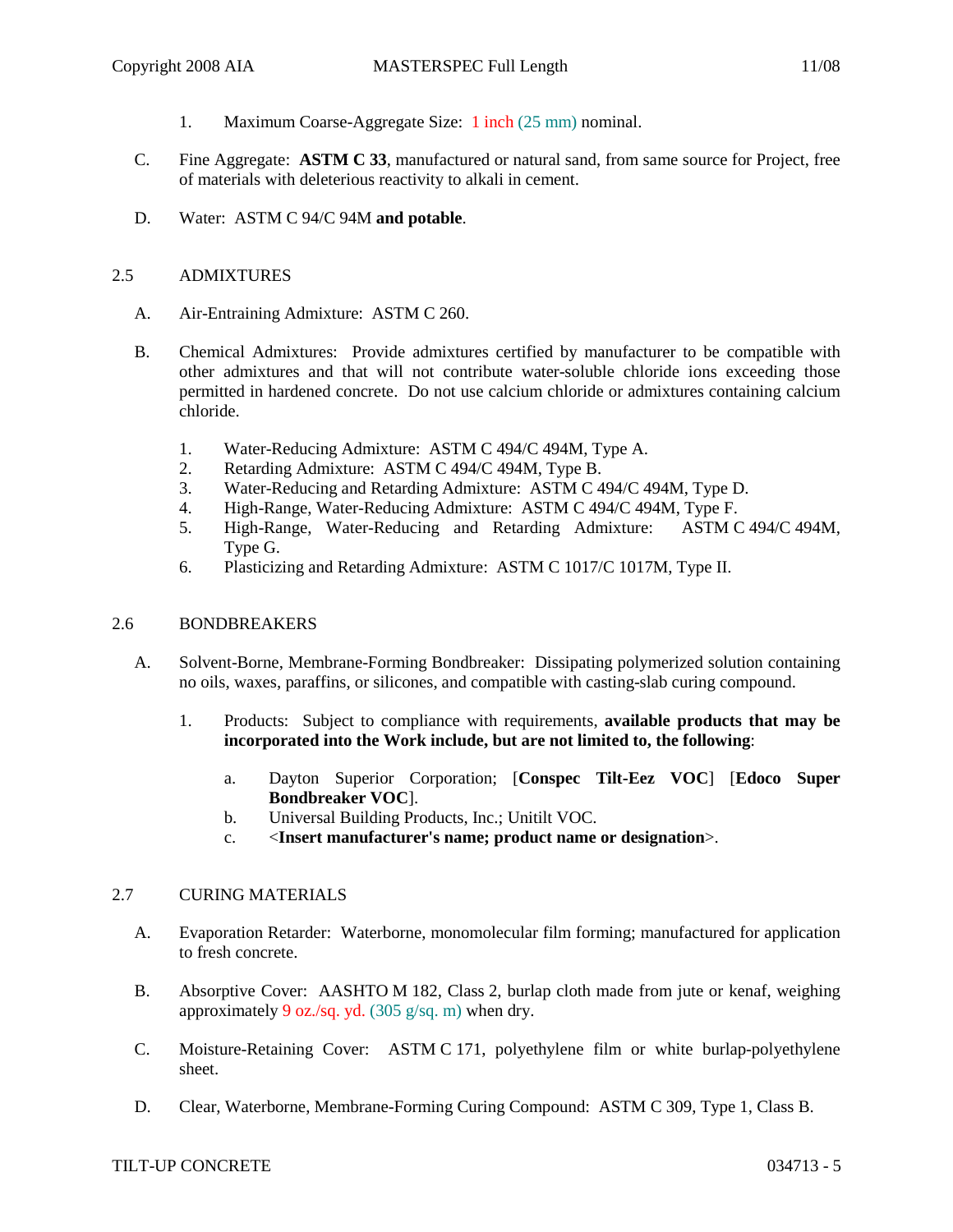- 1. Maximum Coarse-Aggregate Size: 1 inch (25 mm) nominal.
- C. Fine Aggregate: **ASTM C 33**, manufactured or natural sand, from same source for Project, free of materials with deleterious reactivity to alkali in cement.
- D. Water: ASTM C 94/C 94M **and potable**.

### 2.5 ADMIXTURES

- A. Air-Entraining Admixture: ASTM C 260.
- B. Chemical Admixtures: Provide admixtures certified by manufacturer to be compatible with other admixtures and that will not contribute water-soluble chloride ions exceeding those permitted in hardened concrete. Do not use calcium chloride or admixtures containing calcium chloride.
	- 1. Water-Reducing Admixture: ASTM C 494/C 494M, Type A.
	- 2. Retarding Admixture: ASTM C 494/C 494M, Type B.
	- 3. Water-Reducing and Retarding Admixture: ASTM C 494/C 494M, Type D.
	- 4. High-Range, Water-Reducing Admixture: ASTM C 494/C 494M, Type F.
	- 5. High-Range, Water-Reducing and Retarding Admixture: ASTM C 494/C 494M, Type G.
	- 6. Plasticizing and Retarding Admixture: ASTM C 1017/C 1017M, Type II.

## 2.6 BONDBREAKERS

- A. Solvent-Borne, Membrane-Forming Bondbreaker: Dissipating polymerized solution containing no oils, waxes, paraffins, or silicones, and compatible with casting-slab curing compound.
	- 1. Products: Subject to compliance with requirements, **available products that may be incorporated into the Work include, but are not limited to, the following**:
		- a. Dayton Superior Corporation; [**Conspec Tilt-Eez VOC**] [**Edoco Super Bondbreaker VOC**].
		- b. Universal Building Products, Inc.; Unitilt VOC.
		- c. <**Insert manufacturer's name; product name or designation**>.

### 2.7 CURING MATERIALS

- A. Evaporation Retarder: Waterborne, monomolecular film forming; manufactured for application to fresh concrete.
- B. Absorptive Cover: AASHTO M 182, Class 2, burlap cloth made from jute or kenaf, weighing approximately 9 oz./sq. yd.  $(305 \text{ g/sq. m})$  when dry.
- C. Moisture-Retaining Cover: ASTM C 171, polyethylene film or white burlap-polyethylene sheet.
- D. Clear, Waterborne, Membrane-Forming Curing Compound: ASTM C 309, Type 1, Class B.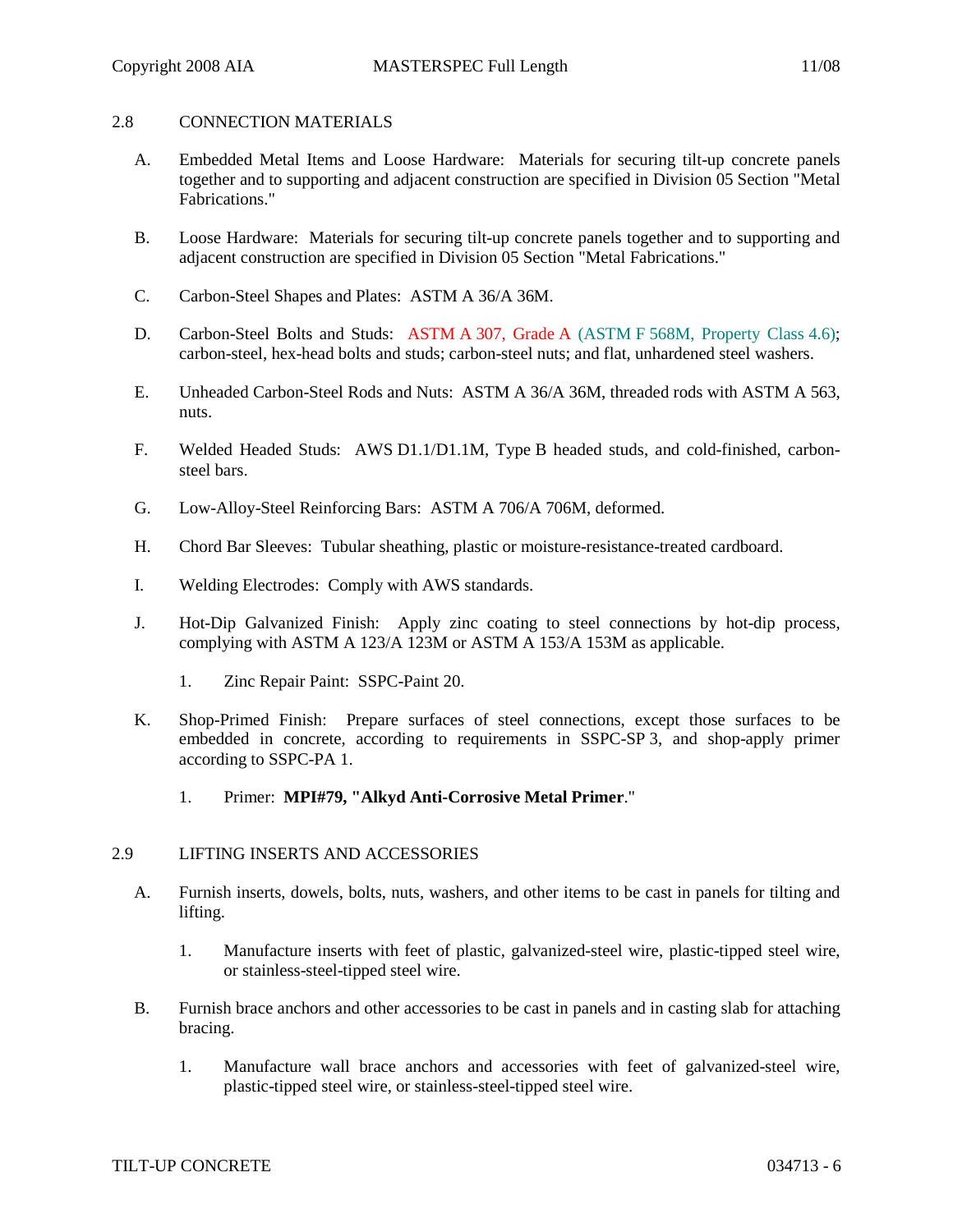### 2.8 CONNECTION MATERIALS

- A. Embedded Metal Items and Loose Hardware: Materials for securing tilt-up concrete panels together and to supporting and adjacent construction are specified in Division 05 Section "Metal Fabrications."
- B. Loose Hardware: Materials for securing tilt-up concrete panels together and to supporting and adjacent construction are specified in Division 05 Section "Metal Fabrications."
- C. Carbon-Steel Shapes and Plates: ASTM A 36/A 36M.
- D. Carbon-Steel Bolts and Studs: ASTM A 307, Grade A (ASTM F 568M, Property Class 4.6); carbon-steel, hex-head bolts and studs; carbon-steel nuts; and flat, unhardened steel washers.
- E. Unheaded Carbon-Steel Rods and Nuts: ASTM A 36/A 36M, threaded rods with ASTM A 563, nuts.
- F. Welded Headed Studs: AWS D1.1/D1.1M, Type B headed studs, and cold-finished, carbonsteel bars.
- G. Low-Alloy-Steel Reinforcing Bars: ASTM A 706/A 706M, deformed.
- H. Chord Bar Sleeves: Tubular sheathing, plastic or moisture-resistance-treated cardboard.
- I. Welding Electrodes: Comply with AWS standards.
- J. Hot-Dip Galvanized Finish: Apply zinc coating to steel connections by hot-dip process, complying with ASTM A 123/A 123M or ASTM A 153/A 153M as applicable.
	- 1. Zinc Repair Paint: SSPC-Paint 20.
- K. Shop-Primed Finish: Prepare surfaces of steel connections, except those surfaces to be embedded in concrete, according to requirements in SSPC-SP 3, and shop-apply primer according to SSPC-PA 1.
	- 1. Primer: **MPI#79, "Alkyd Anti-Corrosive Metal Primer**."

### 2.9 LIFTING INSERTS AND ACCESSORIES

- A. Furnish inserts, dowels, bolts, nuts, washers, and other items to be cast in panels for tilting and lifting.
	- 1. Manufacture inserts with feet of plastic, galvanized-steel wire, plastic-tipped steel wire, or stainless-steel-tipped steel wire.
- B. Furnish brace anchors and other accessories to be cast in panels and in casting slab for attaching bracing.
	- 1. Manufacture wall brace anchors and accessories with feet of galvanized-steel wire, plastic-tipped steel wire, or stainless-steel-tipped steel wire.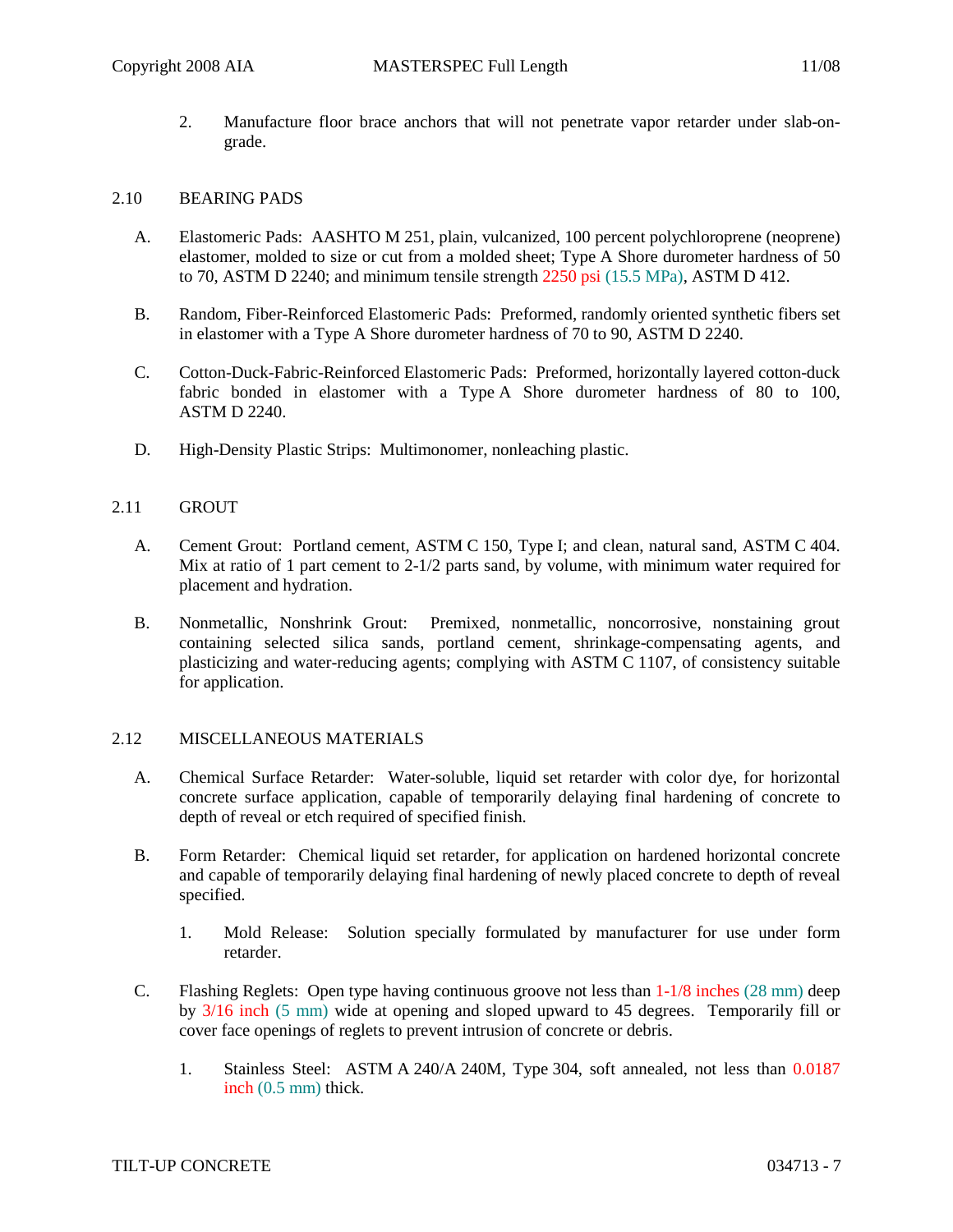2. Manufacture floor brace anchors that will not penetrate vapor retarder under slab-ongrade.

### 2.10 BEARING PADS

- A. Elastomeric Pads: AASHTO M 251, plain, vulcanized, 100 percent polychloroprene (neoprene) elastomer, molded to size or cut from a molded sheet; Type A Shore durometer hardness of 50 to 70, ASTM D 2240; and minimum tensile strength 2250 psi (15.5 MPa), ASTM D 412.
- B. Random, Fiber-Reinforced Elastomeric Pads: Preformed, randomly oriented synthetic fibers set in elastomer with a Type A Shore durometer hardness of 70 to 90, ASTM D 2240.
- C. Cotton-Duck-Fabric-Reinforced Elastomeric Pads: Preformed, horizontally layered cotton-duck fabric bonded in elastomer with a Type A Shore durometer hardness of 80 to 100, ASTM D 2240.
- D. High-Density Plastic Strips: Multimonomer, nonleaching plastic.

### 2.11 GROUT

- A. Cement Grout: Portland cement, ASTM C 150, Type I; and clean, natural sand, ASTM C 404. Mix at ratio of 1 part cement to 2-1/2 parts sand, by volume, with minimum water required for placement and hydration.
- B. Nonmetallic, Nonshrink Grout: Premixed, nonmetallic, noncorrosive, nonstaining grout containing selected silica sands, portland cement, shrinkage-compensating agents, and plasticizing and water-reducing agents; complying with ASTM C 1107, of consistency suitable for application.

### 2.12 MISCELLANEOUS MATERIALS

- A. Chemical Surface Retarder: Water-soluble, liquid set retarder with color dye, for horizontal concrete surface application, capable of temporarily delaying final hardening of concrete to depth of reveal or etch required of specified finish.
- B. Form Retarder: Chemical liquid set retarder, for application on hardened horizontal concrete and capable of temporarily delaying final hardening of newly placed concrete to depth of reveal specified.
	- 1. Mold Release: Solution specially formulated by manufacturer for use under form retarder.
- C. Flashing Reglets: Open type having continuous groove not less than 1-1/8 inches (28 mm) deep by 3/16 inch (5 mm) wide at opening and sloped upward to 45 degrees. Temporarily fill or cover face openings of reglets to prevent intrusion of concrete or debris.
	- 1. Stainless Steel: ASTM A 240/A 240M, Type 304, soft annealed, not less than 0.0187 inch (0.5 mm) thick.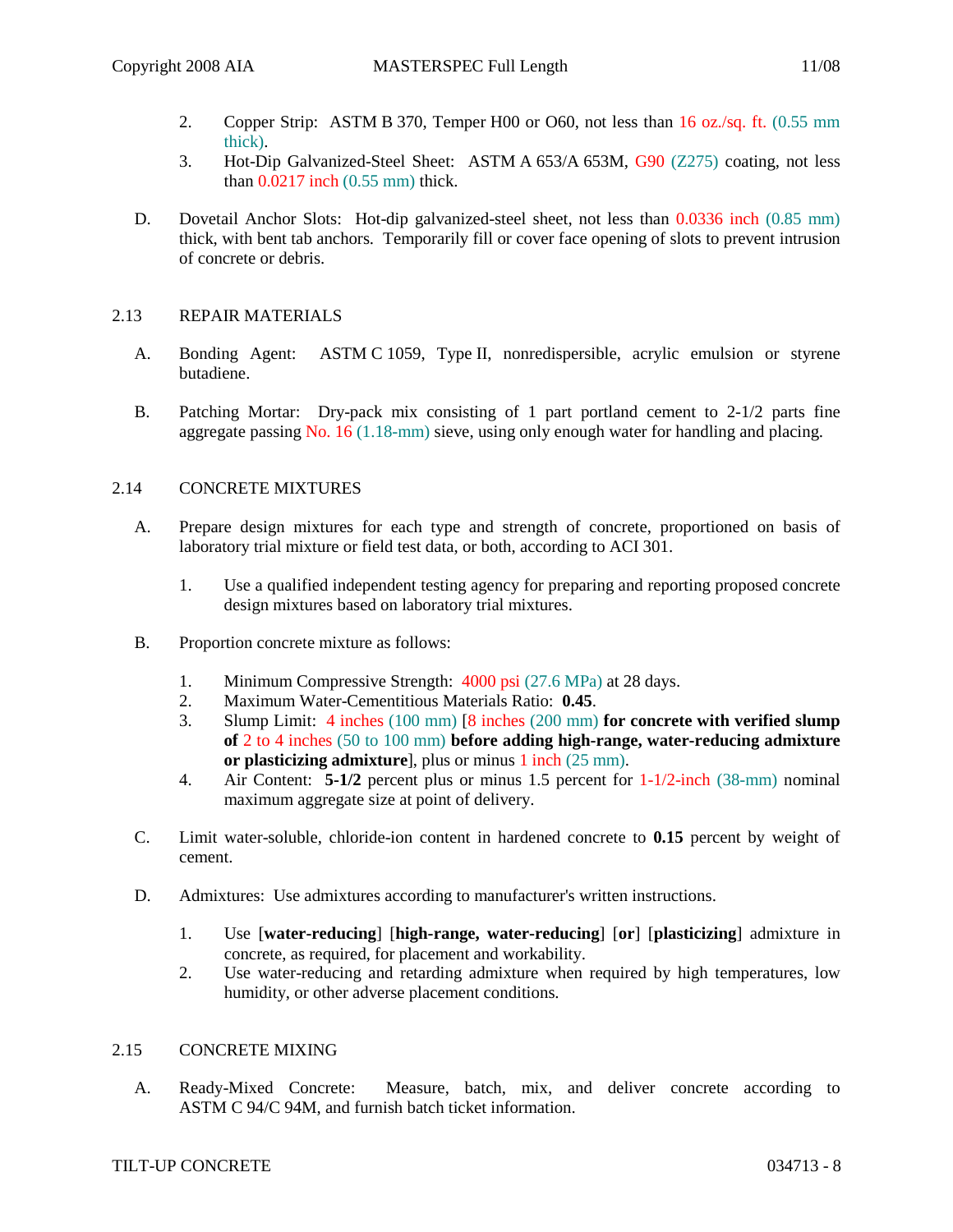- 2. Copper Strip: ASTM B 370, Temper H00 or O60, not less than 16 oz./sq. ft. (0.55 mm thick).
- 3. Hot-Dip Galvanized-Steel Sheet: ASTM A 653/A 653M, G90 (Z275) coating, not less than 0.0217 inch (0.55 mm) thick.
- D. Dovetail Anchor Slots: Hot-dip galvanized-steel sheet, not less than 0.0336 inch (0.85 mm) thick, with bent tab anchors. Temporarily fill or cover face opening of slots to prevent intrusion of concrete or debris.

## 2.13 REPAIR MATERIALS

- A. Bonding Agent: ASTM C 1059, Type II, nonredispersible, acrylic emulsion or styrene butadiene.
- B. Patching Mortar: Dry-pack mix consisting of 1 part portland cement to 2-1/2 parts fine aggregate passing No. 16 (1.18-mm) sieve, using only enough water for handling and placing.

## 2.14 CONCRETE MIXTURES

- A. Prepare design mixtures for each type and strength of concrete, proportioned on basis of laboratory trial mixture or field test data, or both, according to ACI 301.
	- 1. Use a qualified independent testing agency for preparing and reporting proposed concrete design mixtures based on laboratory trial mixtures.
- B. Proportion concrete mixture as follows:
	- 1. Minimum Compressive Strength: 4000 psi (27.6 MPa) at 28 days.
	- 2. Maximum Water-Cementitious Materials Ratio: **0.45**.
	- 3. Slump Limit: 4 inches (100 mm) [8 inches (200 mm) **for concrete with verified slump of** 2 to 4 inches (50 to 100 mm) **before adding high-range, water-reducing admixture or plasticizing admixture**], plus or minus 1 inch (25 mm).
	- 4. Air Content: **5-1/2** percent plus or minus 1.5 percent for 1-1/2-inch (38-mm) nominal maximum aggregate size at point of delivery.
- C. Limit water-soluble, chloride-ion content in hardened concrete to **0.15** percent by weight of cement.
- D. Admixtures: Use admixtures according to manufacturer's written instructions.
	- 1. Use [**water-reducing**] [**high-range, water-reducing**] [**or**] [**plasticizing**] admixture in concrete, as required, for placement and workability.
	- 2. Use water-reducing and retarding admixture when required by high temperatures, low humidity, or other adverse placement conditions.

### 2.15 CONCRETE MIXING

A. Ready-Mixed Concrete: Measure, batch, mix, and deliver concrete according to ASTM C 94/C 94M, and furnish batch ticket information.

## TILT-UP CONCRETE 034713 - 8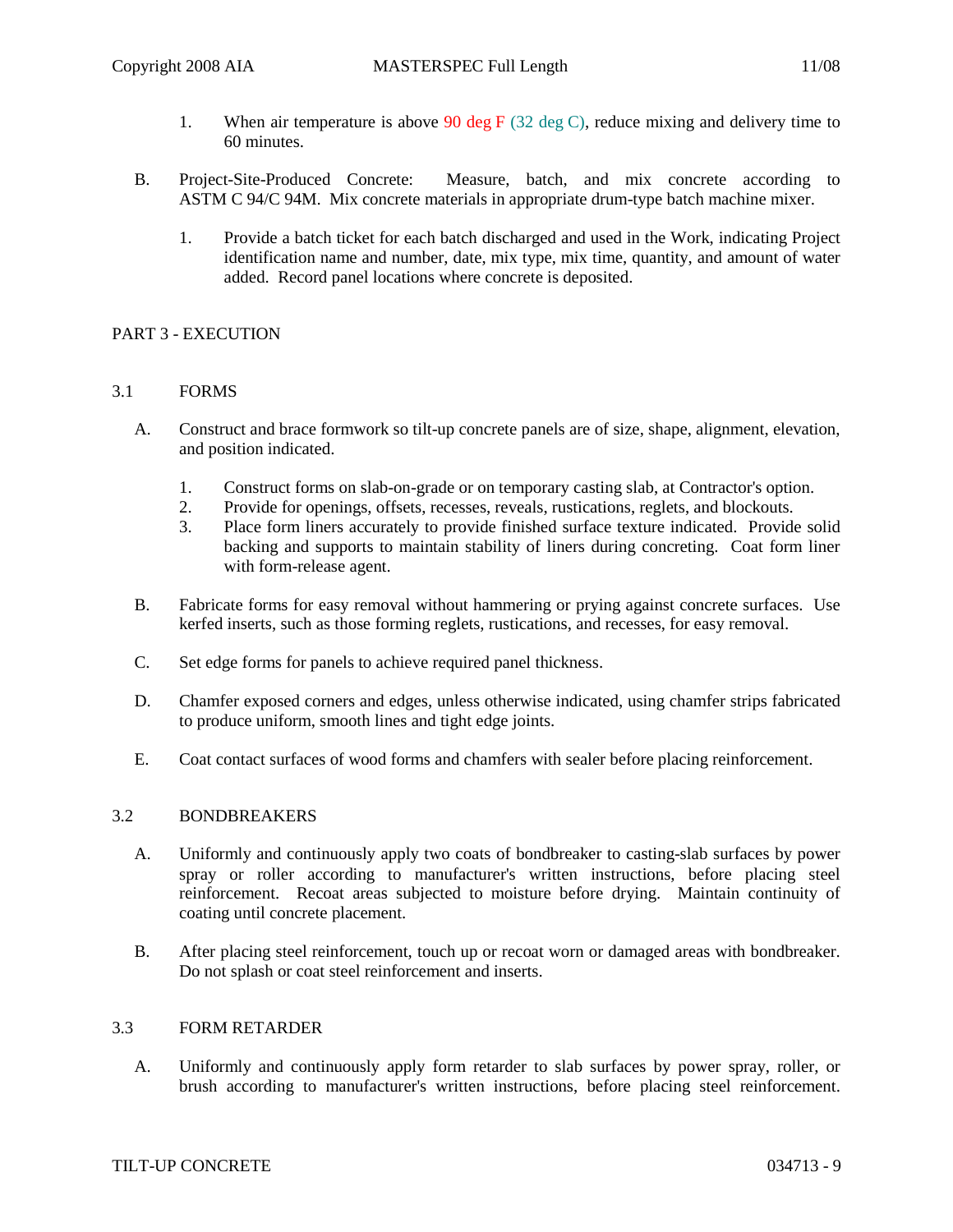- 1. When air temperature is above 90 deg  $F(32 \deg C)$ , reduce mixing and delivery time to 60 minutes.
- B. Project-Site-Produced Concrete: Measure, batch, and mix concrete according to ASTM C 94/C 94M. Mix concrete materials in appropriate drum-type batch machine mixer.
	- 1. Provide a batch ticket for each batch discharged and used in the Work, indicating Project identification name and number, date, mix type, mix time, quantity, and amount of water added. Record panel locations where concrete is deposited.

## PART 3 - EXECUTION

### 3.1 FORMS

- A. Construct and brace formwork so tilt-up concrete panels are of size, shape, alignment, elevation, and position indicated.
	- 1. Construct forms on slab-on-grade or on temporary casting slab, at Contractor's option.
	- 2. Provide for openings, offsets, recesses, reveals, rustications, reglets, and blockouts.
	- 3. Place form liners accurately to provide finished surface texture indicated. Provide solid backing and supports to maintain stability of liners during concreting. Coat form liner with form-release agent.
- B. Fabricate forms for easy removal without hammering or prying against concrete surfaces. Use kerfed inserts, such as those forming reglets, rustications, and recesses, for easy removal.
- C. Set edge forms for panels to achieve required panel thickness.
- D. Chamfer exposed corners and edges, unless otherwise indicated, using chamfer strips fabricated to produce uniform, smooth lines and tight edge joints.
- E. Coat contact surfaces of wood forms and chamfers with sealer before placing reinforcement.

#### 3.2 BONDBREAKERS

- A. Uniformly and continuously apply two coats of bondbreaker to casting-slab surfaces by power spray or roller according to manufacturer's written instructions, before placing steel reinforcement. Recoat areas subjected to moisture before drying. Maintain continuity of coating until concrete placement.
- B. After placing steel reinforcement, touch up or recoat worn or damaged areas with bondbreaker. Do not splash or coat steel reinforcement and inserts.

### 3.3 FORM RETARDER

A. Uniformly and continuously apply form retarder to slab surfaces by power spray, roller, or brush according to manufacturer's written instructions, before placing steel reinforcement.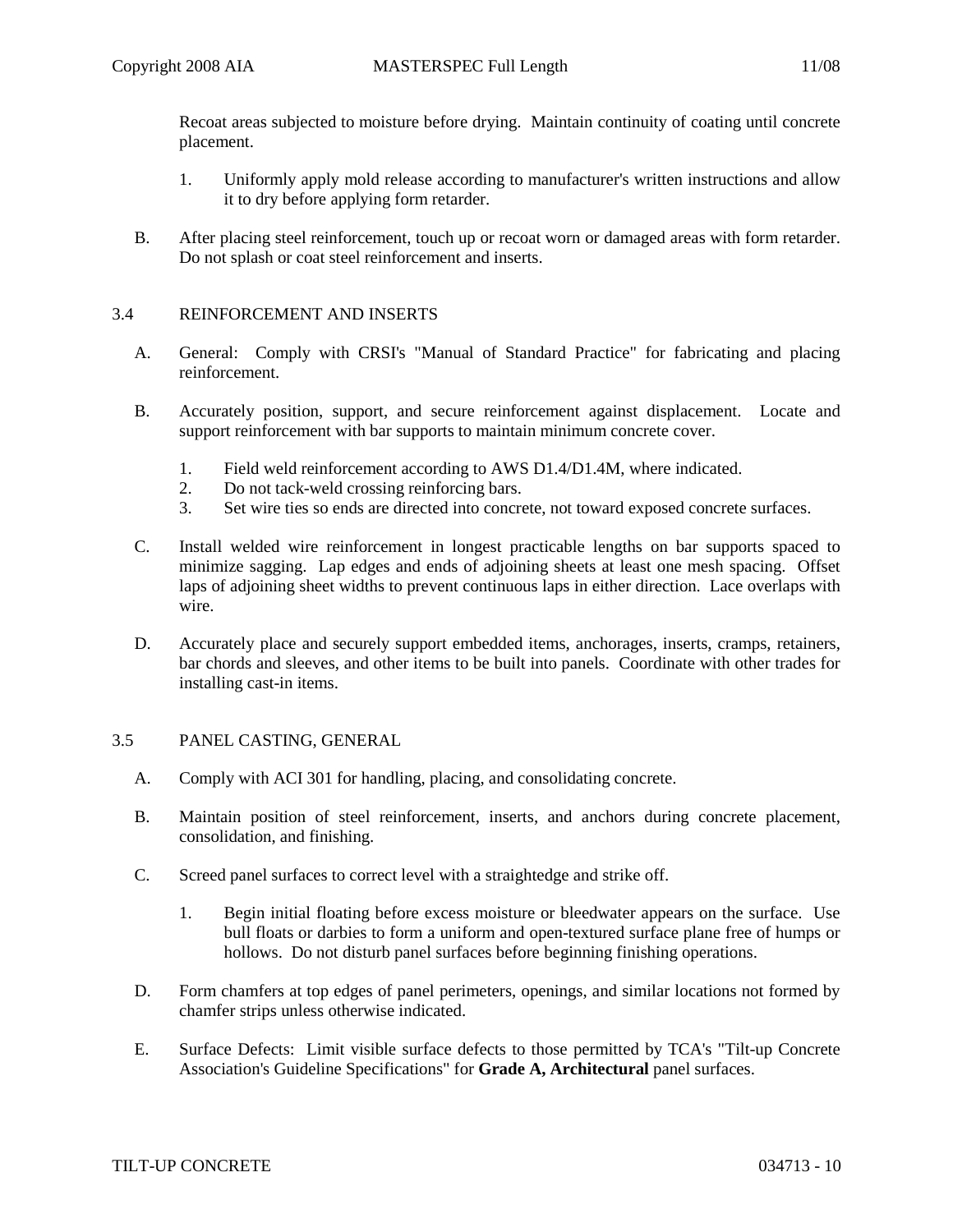Recoat areas subjected to moisture before drying. Maintain continuity of coating until concrete placement.

- 1. Uniformly apply mold release according to manufacturer's written instructions and allow it to dry before applying form retarder.
- B. After placing steel reinforcement, touch up or recoat worn or damaged areas with form retarder. Do not splash or coat steel reinforcement and inserts.

### 3.4 REINFORCEMENT AND INSERTS

- A. General: Comply with CRSI's "Manual of Standard Practice" for fabricating and placing reinforcement.
- B. Accurately position, support, and secure reinforcement against displacement. Locate and support reinforcement with bar supports to maintain minimum concrete cover.
	- 1. Field weld reinforcement according to AWS D1.4/D1.4M, where indicated.
	- 2. Do not tack-weld crossing reinforcing bars.<br>3. Set wire ties so ends are directed into concre
	- Set wire ties so ends are directed into concrete, not toward exposed concrete surfaces.
- C. Install welded wire reinforcement in longest practicable lengths on bar supports spaced to minimize sagging. Lap edges and ends of adjoining sheets at least one mesh spacing. Offset laps of adjoining sheet widths to prevent continuous laps in either direction. Lace overlaps with wire.
- D. Accurately place and securely support embedded items, anchorages, inserts, cramps, retainers, bar chords and sleeves, and other items to be built into panels. Coordinate with other trades for installing cast-in items.

### 3.5 PANEL CASTING, GENERAL

- A. Comply with ACI 301 for handling, placing, and consolidating concrete.
- B. Maintain position of steel reinforcement, inserts, and anchors during concrete placement, consolidation, and finishing.
- C. Screed panel surfaces to correct level with a straightedge and strike off.
	- 1. Begin initial floating before excess moisture or bleedwater appears on the surface. Use bull floats or darbies to form a uniform and open-textured surface plane free of humps or hollows. Do not disturb panel surfaces before beginning finishing operations.
- D. Form chamfers at top edges of panel perimeters, openings, and similar locations not formed by chamfer strips unless otherwise indicated.
- E. Surface Defects: Limit visible surface defects to those permitted by TCA's "Tilt-up Concrete Association's Guideline Specifications" for **Grade A, Architectural** panel surfaces.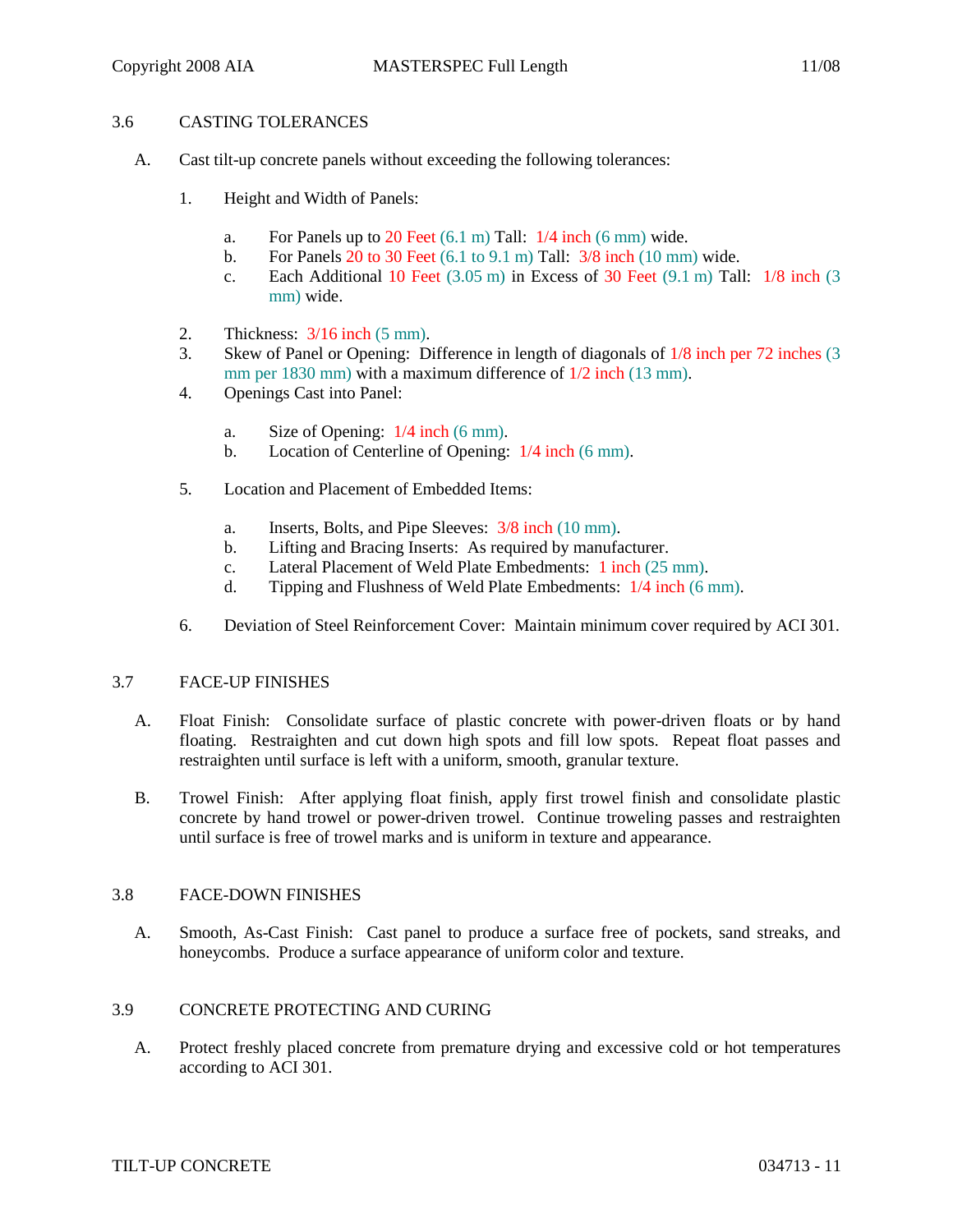## 3.6 CASTING TOLERANCES

- A. Cast tilt-up concrete panels without exceeding the following tolerances:
	- 1. Height and Width of Panels:
		- a. For Panels up to 20 Feet  $(6.1 \text{ m})$  Tall:  $1/4$  inch  $(6 \text{ mm})$  wide.
		- b. For Panels 20 to 30 Feet (6.1 to 9.1 m) Tall: 3/8 inch (10 mm) wide.
		- c. Each Additional 10 Feet (3.05 m) in Excess of 30 Feet (9.1 m) Tall: 1/8 inch (3 mm) wide.
	- 2. Thickness: 3/16 inch (5 mm).
	- 3. Skew of Panel or Opening: Difference in length of diagonals of 1/8 inch per 72 inches (3 mm per 1830 mm) with a maximum difference of  $1/2$  inch (13 mm).
	- 4. Openings Cast into Panel:
		- a. Size of Opening: 1/4 inch (6 mm).
		- b. Location of Centerline of Opening: 1/4 inch (6 mm).
	- 5. Location and Placement of Embedded Items:
		- a. Inserts, Bolts, and Pipe Sleeves: 3/8 inch (10 mm).
		- b. Lifting and Bracing Inserts: As required by manufacturer.
		- c. Lateral Placement of Weld Plate Embedments: 1 inch (25 mm).
		- d. Tipping and Flushness of Weld Plate Embedments: 1/4 inch (6 mm).
	- 6. Deviation of Steel Reinforcement Cover: Maintain minimum cover required by ACI 301.

### 3.7 FACE-UP FINISHES

- A. Float Finish: Consolidate surface of plastic concrete with power-driven floats or by hand floating. Restraighten and cut down high spots and fill low spots. Repeat float passes and restraighten until surface is left with a uniform, smooth, granular texture.
- B. Trowel Finish: After applying float finish, apply first trowel finish and consolidate plastic concrete by hand trowel or power-driven trowel. Continue troweling passes and restraighten until surface is free of trowel marks and is uniform in texture and appearance.

### 3.8 FACE-DOWN FINISHES

A. Smooth, As-Cast Finish: Cast panel to produce a surface free of pockets, sand streaks, and honeycombs. Produce a surface appearance of uniform color and texture.

# 3.9 CONCRETE PROTECTING AND CURING

A. Protect freshly placed concrete from premature drying and excessive cold or hot temperatures according to ACI 301.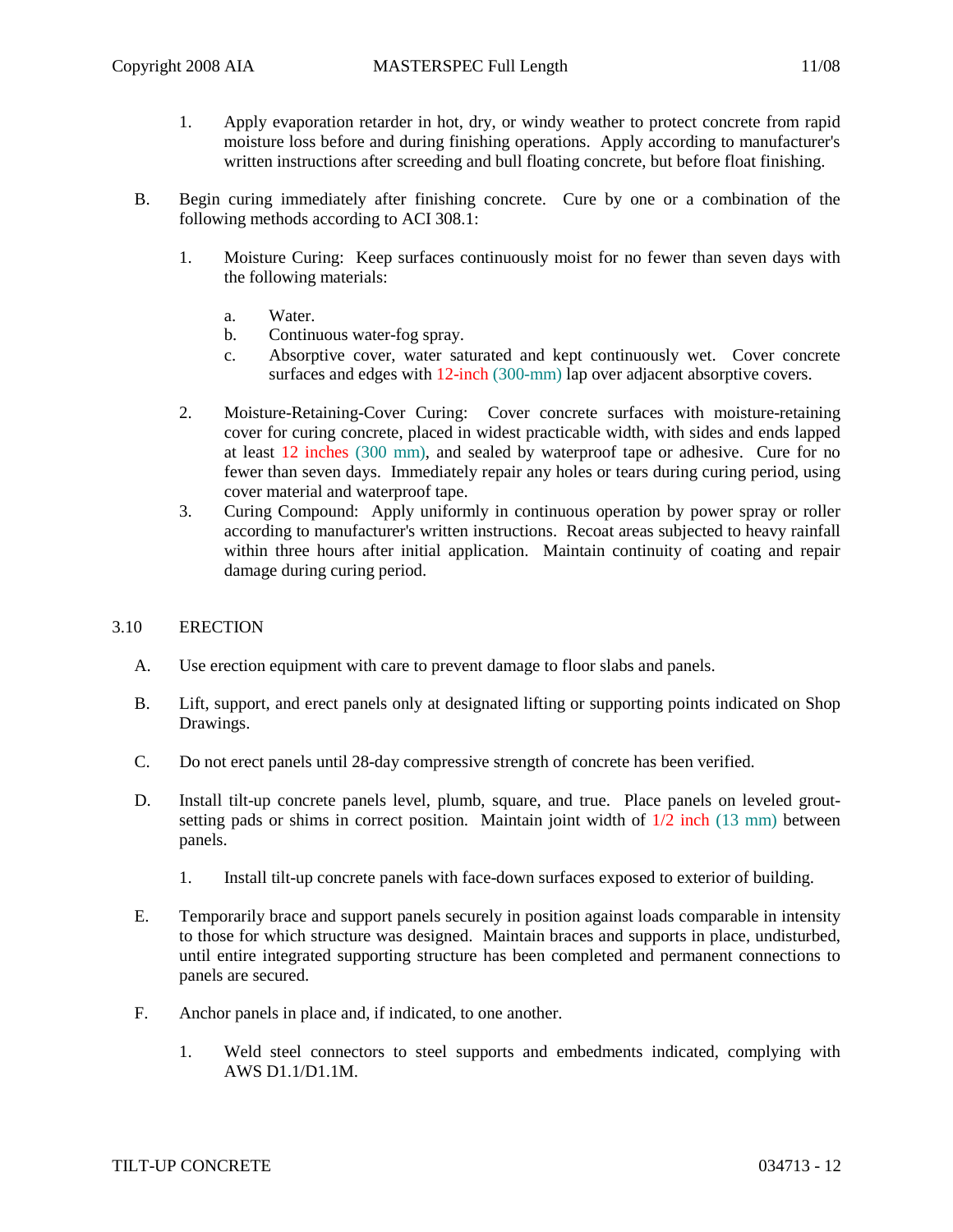- 1. Apply evaporation retarder in hot, dry, or windy weather to protect concrete from rapid moisture loss before and during finishing operations. Apply according to manufacturer's written instructions after screeding and bull floating concrete, but before float finishing.
- B. Begin curing immediately after finishing concrete. Cure by one or a combination of the following methods according to ACI 308.1:
	- 1. Moisture Curing: Keep surfaces continuously moist for no fewer than seven days with the following materials:
		- a. Water.
		- b. Continuous water-fog spray.
		- c. Absorptive cover, water saturated and kept continuously wet. Cover concrete surfaces and edges with 12-inch (300-mm) lap over adjacent absorptive covers.
	- 2. Moisture-Retaining-Cover Curing: Cover concrete surfaces with moisture-retaining cover for curing concrete, placed in widest practicable width, with sides and ends lapped at least 12 inches (300 mm), and sealed by waterproof tape or adhesive. Cure for no fewer than seven days. Immediately repair any holes or tears during curing period, using cover material and waterproof tape.
	- 3. Curing Compound: Apply uniformly in continuous operation by power spray or roller according to manufacturer's written instructions. Recoat areas subjected to heavy rainfall within three hours after initial application. Maintain continuity of coating and repair damage during curing period.

### 3.10 ERECTION

- A. Use erection equipment with care to prevent damage to floor slabs and panels.
- B. Lift, support, and erect panels only at designated lifting or supporting points indicated on Shop Drawings.
- C. Do not erect panels until 28-day compressive strength of concrete has been verified.
- D. Install tilt-up concrete panels level, plumb, square, and true. Place panels on leveled groutsetting pads or shims in correct position. Maintain joint width of  $1/2$  inch (13 mm) between panels.
	- 1. Install tilt-up concrete panels with face-down surfaces exposed to exterior of building.
- E. Temporarily brace and support panels securely in position against loads comparable in intensity to those for which structure was designed. Maintain braces and supports in place, undisturbed, until entire integrated supporting structure has been completed and permanent connections to panels are secured.
- F. Anchor panels in place and, if indicated, to one another.
	- 1. Weld steel connectors to steel supports and embedments indicated, complying with AWS D1.1/D1.1M.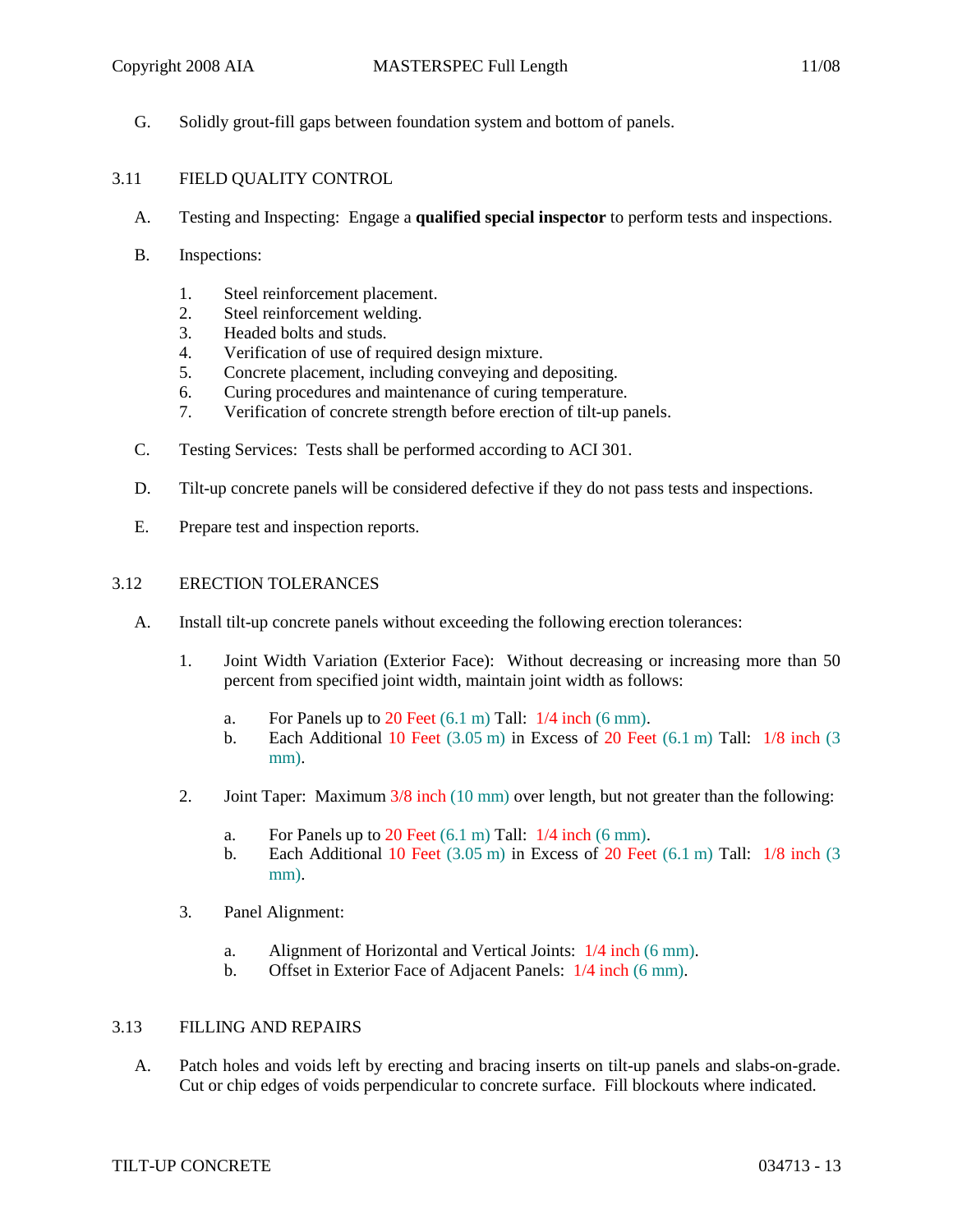- 
- G. Solidly grout-fill gaps between foundation system and bottom of panels.

## 3.11 FIELD QUALITY CONTROL

- A. Testing and Inspecting: Engage a **qualified special inspector** to perform tests and inspections.
- B. Inspections:
	- 1. Steel reinforcement placement.
	- 2. Steel reinforcement welding.
	- 3. Headed bolts and studs.
	- 4. Verification of use of required design mixture.
	- 5. Concrete placement, including conveying and depositing.
	- 6. Curing procedures and maintenance of curing temperature.
	- 7. Verification of concrete strength before erection of tilt-up panels.
- C. Testing Services: Tests shall be performed according to ACI 301.
- D. Tilt-up concrete panels will be considered defective if they do not pass tests and inspections.
- E. Prepare test and inspection reports.

### 3.12 ERECTION TOLERANCES

- A. Install tilt-up concrete panels without exceeding the following erection tolerances:
	- 1. Joint Width Variation (Exterior Face): Without decreasing or increasing more than 50 percent from specified joint width, maintain joint width as follows:
		- a. For Panels up to 20 Feet  $(6.1 \text{ m})$  Tall:  $1/4$  inch  $(6 \text{ mm})$ .
		- b. Each Additional 10 Feet  $(3.05 \text{ m})$  in Excess of 20 Feet  $(6.1 \text{ m})$  Tall:  $1/8$  inch  $(3.05 \text{ m})$ mm).
	- 2. Joint Taper: Maximum  $3/8$  inch (10 mm) over length, but not greater than the following:
		- a. For Panels up to 20 Feet  $(6.1 \text{ m})$  Tall:  $1/4$  inch  $(6 \text{ mm})$ .
		- b. Each Additional 10 Feet  $(3.05 \text{ m})$  in Excess of 20 Feet  $(6.1 \text{ m})$  Tall:  $1/8$  inch  $(3.05 \text{ m})$ mm).
	- 3. Panel Alignment:
		- a. Alignment of Horizontal and Vertical Joints: 1/4 inch (6 mm).
		- b. Offset in Exterior Face of Adjacent Panels: 1/4 inch (6 mm).

### 3.13 FILLING AND REPAIRS

A. Patch holes and voids left by erecting and bracing inserts on tilt-up panels and slabs-on-grade. Cut or chip edges of voids perpendicular to concrete surface. Fill blockouts where indicated.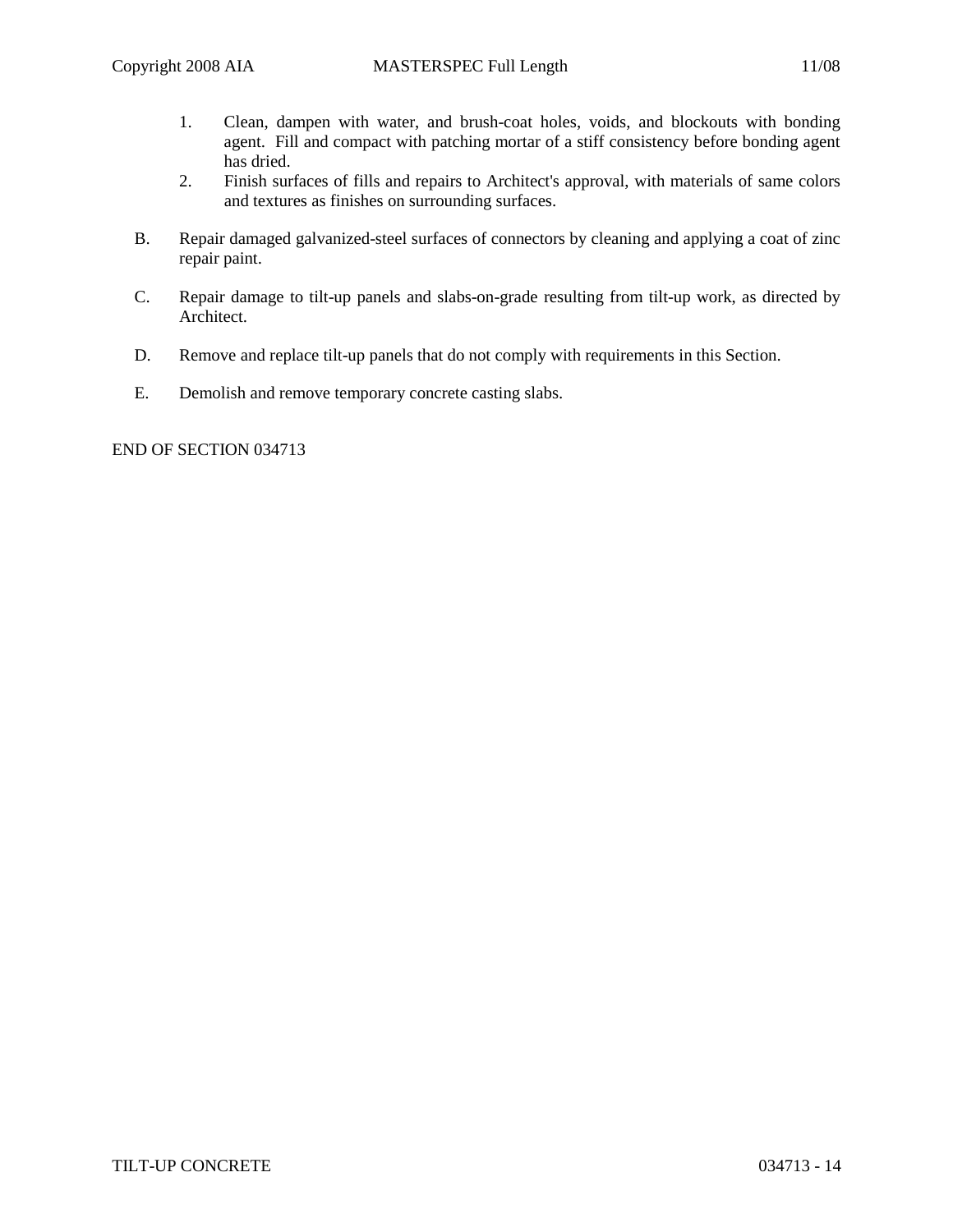- 1. Clean, dampen with water, and brush-coat holes, voids, and blockouts with bonding agent. Fill and compact with patching mortar of a stiff consistency before bonding agent has dried.
- 2. Finish surfaces of fills and repairs to Architect's approval, with materials of same colors and textures as finishes on surrounding surfaces.
- B. Repair damaged galvanized-steel surfaces of connectors by cleaning and applying a coat of zinc repair paint.
- C. Repair damage to tilt-up panels and slabs-on-grade resulting from tilt-up work, as directed by Architect.
- D. Remove and replace tilt-up panels that do not comply with requirements in this Section.
- E. Demolish and remove temporary concrete casting slabs.

END OF SECTION 034713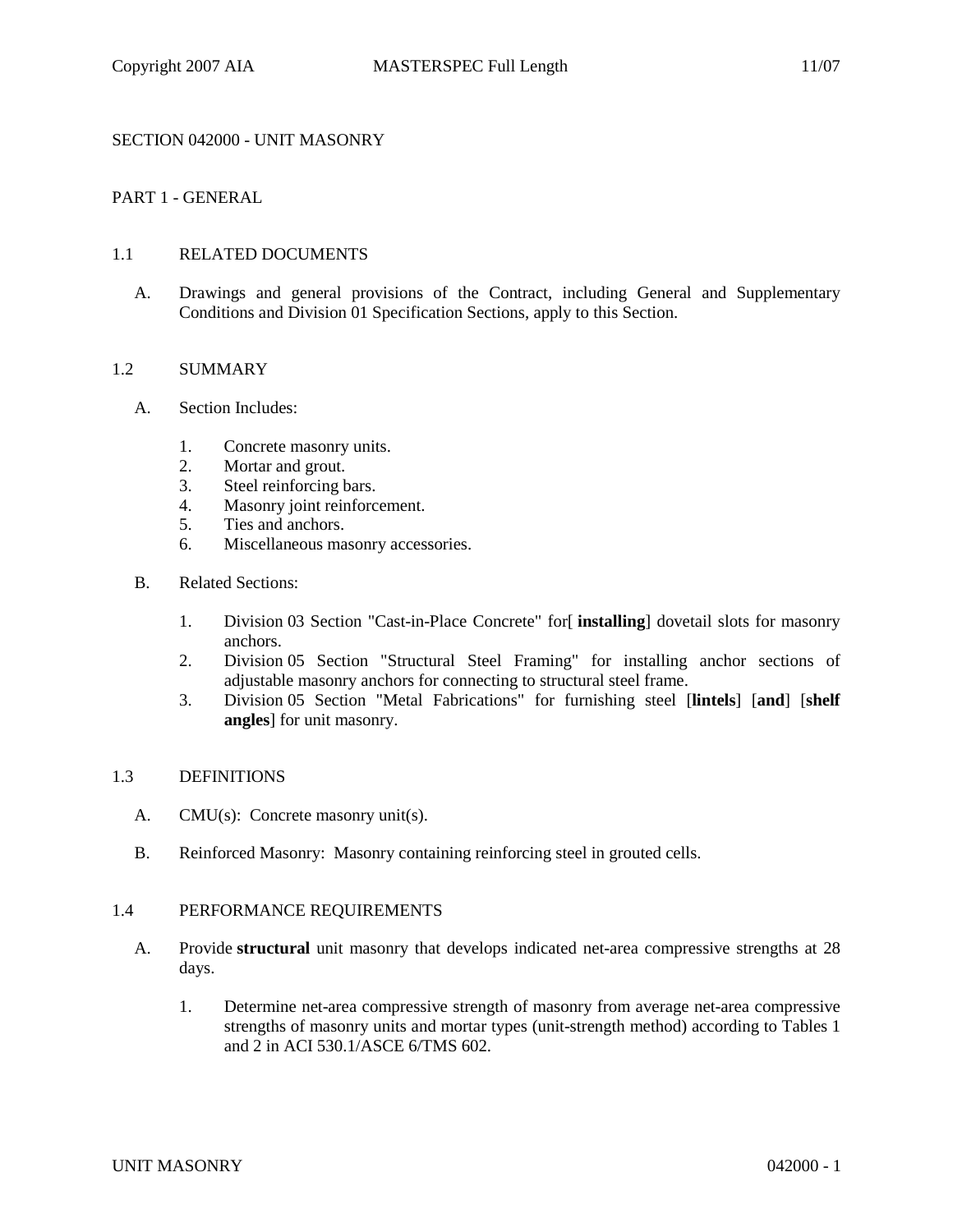## SECTION 042000 - UNIT MASONRY

## PART 1 - GENERAL

### 1.1 RELATED DOCUMENTS

A. Drawings and general provisions of the Contract, including General and Supplementary Conditions and Division 01 Specification Sections, apply to this Section.

### 1.2 SUMMARY

- A. Section Includes:
	- 1. Concrete masonry units.
	- 2. Mortar and grout.
	- 3. Steel reinforcing bars.
	- 4. Masonry joint reinforcement.
	- 5. Ties and anchors.
	- 6. Miscellaneous masonry accessories.
- B. Related Sections:
	- 1. Division 03 Section "Cast-in-Place Concrete" for[ **installing**] dovetail slots for masonry anchors.
	- 2. Division 05 Section "Structural Steel Framing" for installing anchor sections of adjustable masonry anchors for connecting to structural steel frame.
	- 3. Division 05 Section "Metal Fabrications" for furnishing steel [**lintels**] [**and**] [**shelf angles**] for unit masonry.

#### 1.3 DEFINITIONS

- A. CMU(s): Concrete masonry unit(s).
- B. Reinforced Masonry: Masonry containing reinforcing steel in grouted cells.

### 1.4 PERFORMANCE REQUIREMENTS

- A. Provide **structural** unit masonry that develops indicated net-area compressive strengths at 28 days.
	- 1. Determine net-area compressive strength of masonry from average net-area compressive strengths of masonry units and mortar types (unit-strength method) according to Tables 1 and 2 in ACI 530.1/ASCE 6/TMS 602.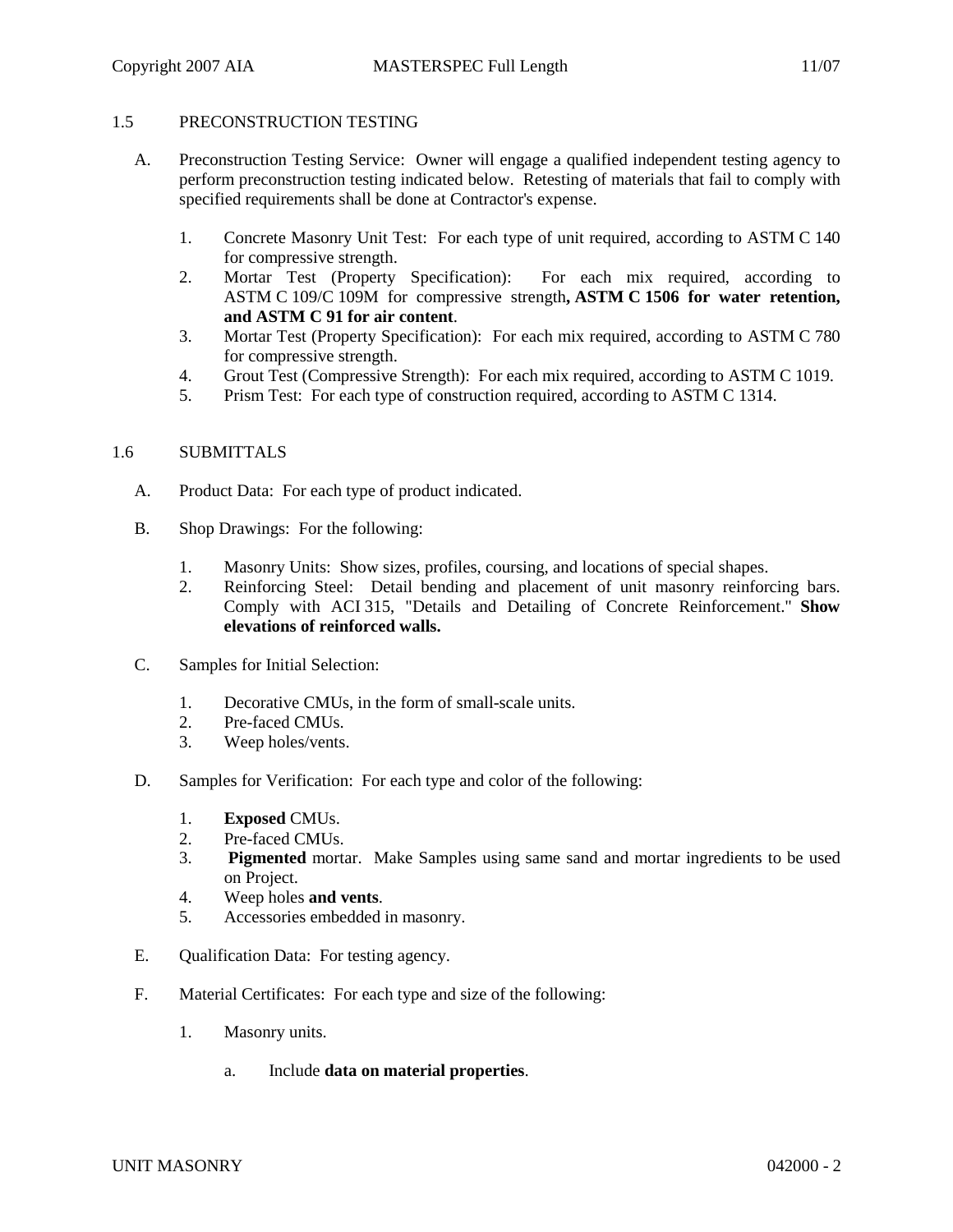# 1.5 PRECONSTRUCTION TESTING

- A. Preconstruction Testing Service: Owner will engage a qualified independent testing agency to perform preconstruction testing indicated below. Retesting of materials that fail to comply with specified requirements shall be done at Contractor's expense.
	- 1. Concrete Masonry Unit Test: For each type of unit required, according to ASTM C 140 for compressive strength.
	- 2. Mortar Test (Property Specification): For each mix required, according to ASTM C 109/C 109M for compressive strength**, ASTM C 1506 for water retention, and ASTM C 91 for air content**.
	- 3. Mortar Test (Property Specification): For each mix required, according to ASTM C 780 for compressive strength.
	- 4. Grout Test (Compressive Strength): For each mix required, according to ASTM C 1019.
	- 5. Prism Test: For each type of construction required, according to ASTM C 1314.

## 1.6 SUBMITTALS

- A. Product Data: For each type of product indicated.
- B. Shop Drawings: For the following:
	- 1. Masonry Units: Show sizes, profiles, coursing, and locations of special shapes.
	- 2. Reinforcing Steel: Detail bending and placement of unit masonry reinforcing bars. Comply with ACI 315, "Details and Detailing of Concrete Reinforcement." **Show elevations of reinforced walls.**
- C. Samples for Initial Selection:
	- 1. Decorative CMUs, in the form of small-scale units.
	- 2. Pre-faced CMUs.
	- 3. Weep holes/vents.
- D. Samples for Verification: For each type and color of the following:
	- 1. **Exposed** CMUs.
	- 2. Pre-faced CMUs.
	- 3. **Pigmented** mortar. Make Samples using same sand and mortar ingredients to be used on Project.
	- 4. Weep holes **and vents**.
	- 5. Accessories embedded in masonry.
- E. Qualification Data: For testing agency.
- F. Material Certificates: For each type and size of the following:
	- 1. Masonry units.
		- a. Include **data on material properties**.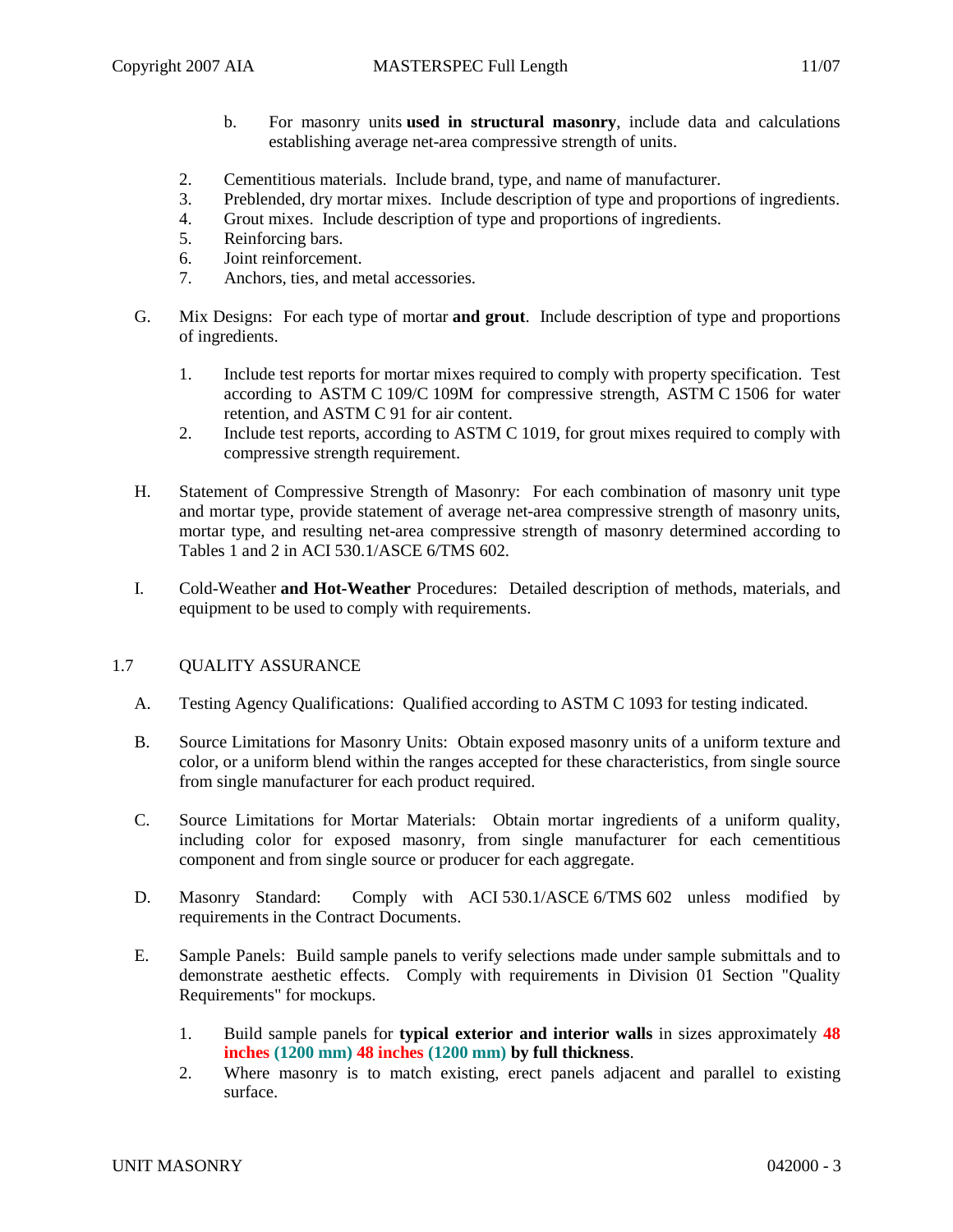- b. For masonry units **used in structural masonry**, include data and calculations establishing average net-area compressive strength of units.
- 2. Cementitious materials. Include brand, type, and name of manufacturer.
- 3. Preblended, dry mortar mixes. Include description of type and proportions of ingredients.
- 4. Grout mixes. Include description of type and proportions of ingredients.
- 5. Reinforcing bars.
- 6. Joint reinforcement.
- 7. Anchors, ties, and metal accessories.
- G. Mix Designs: For each type of mortar **and grout**. Include description of type and proportions of ingredients.
	- 1. Include test reports for mortar mixes required to comply with property specification. Test according to ASTM C 109/C 109M for compressive strength, ASTM C 1506 for water retention, and ASTM C 91 for air content.
	- 2. Include test reports, according to ASTM C 1019, for grout mixes required to comply with compressive strength requirement.
- H. Statement of Compressive Strength of Masonry: For each combination of masonry unit type and mortar type, provide statement of average net-area compressive strength of masonry units, mortar type, and resulting net-area compressive strength of masonry determined according to Tables 1 and 2 in ACI 530.1/ASCE 6/TMS 602.
- I. Cold-Weather **and Hot-Weather** Procedures: Detailed description of methods, materials, and equipment to be used to comply with requirements.

### 1.7 OUALITY ASSURANCE

- A. Testing Agency Qualifications: Qualified according to ASTM C 1093 for testing indicated.
- B. Source Limitations for Masonry Units: Obtain exposed masonry units of a uniform texture and color, or a uniform blend within the ranges accepted for these characteristics, from single source from single manufacturer for each product required.
- C. Source Limitations for Mortar Materials: Obtain mortar ingredients of a uniform quality, including color for exposed masonry, from single manufacturer for each cementitious component and from single source or producer for each aggregate.
- D. Masonry Standard: Comply with ACI 530.1/ASCE 6/TMS 602 unless modified by requirements in the Contract Documents.
- E. Sample Panels: Build sample panels to verify selections made under sample submittals and to demonstrate aesthetic effects. Comply with requirements in Division 01 Section "Quality Requirements" for mockups.
	- 1. Build sample panels for **typical exterior and interior walls** in sizes approximately **48 inches (1200 mm) 48 inches (1200 mm) by full thickness**.
	- 2. Where masonry is to match existing, erect panels adjacent and parallel to existing surface.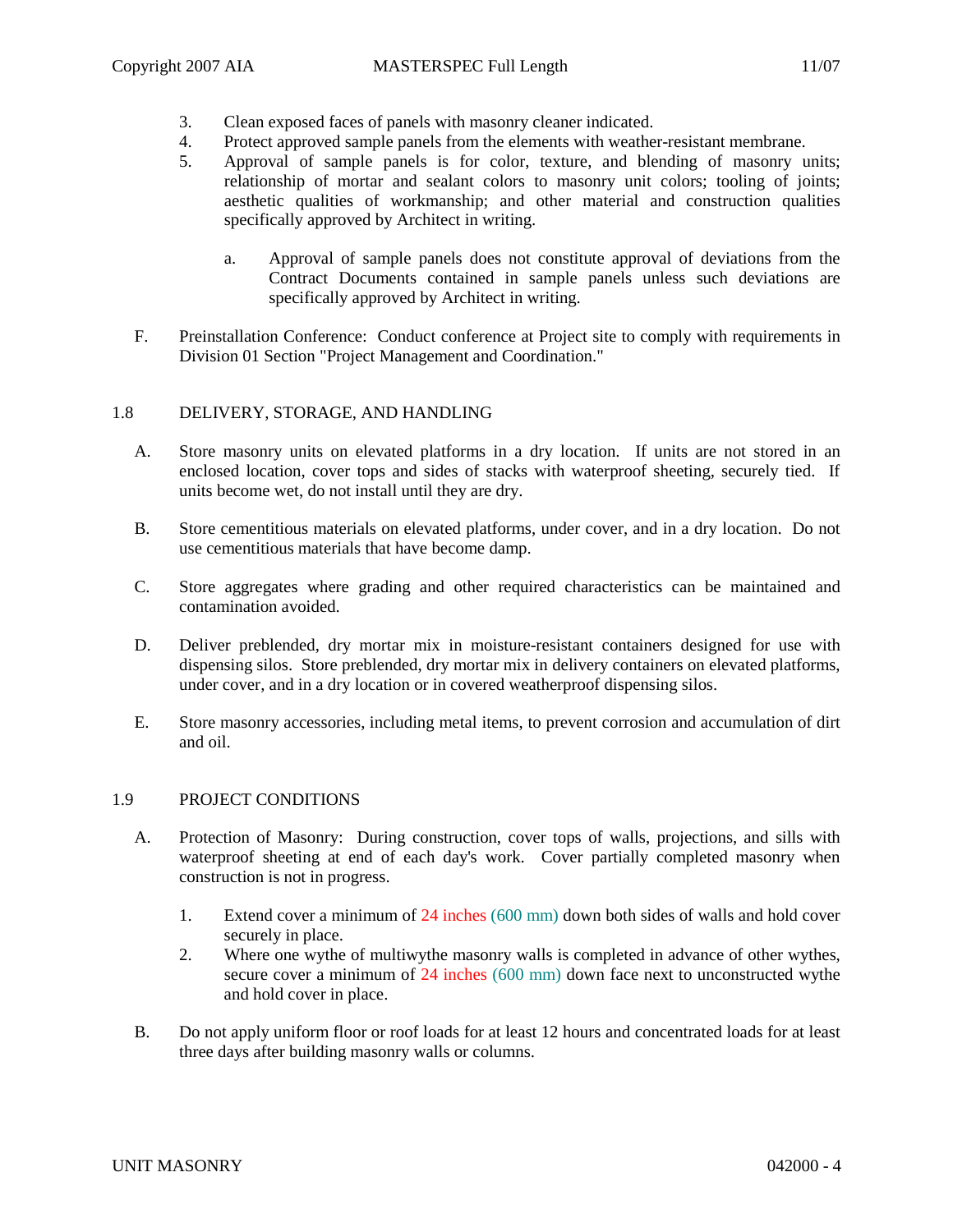- 3. Clean exposed faces of panels with masonry cleaner indicated.
- 4. Protect approved sample panels from the elements with weather-resistant membrane.
- 5. Approval of sample panels is for color, texture, and blending of masonry units; relationship of mortar and sealant colors to masonry unit colors; tooling of joints; aesthetic qualities of workmanship; and other material and construction qualities specifically approved by Architect in writing.
	- a. Approval of sample panels does not constitute approval of deviations from the Contract Documents contained in sample panels unless such deviations are specifically approved by Architect in writing.
- F. Preinstallation Conference: Conduct conference at Project site to comply with requirements in Division 01 Section "Project Management and Coordination."

### 1.8 DELIVERY, STORAGE, AND HANDLING

- A. Store masonry units on elevated platforms in a dry location. If units are not stored in an enclosed location, cover tops and sides of stacks with waterproof sheeting, securely tied. If units become wet, do not install until they are dry.
- B. Store cementitious materials on elevated platforms, under cover, and in a dry location. Do not use cementitious materials that have become damp.
- C. Store aggregates where grading and other required characteristics can be maintained and contamination avoided.
- D. Deliver preblended, dry mortar mix in moisture-resistant containers designed for use with dispensing silos. Store preblended, dry mortar mix in delivery containers on elevated platforms, under cover, and in a dry location or in covered weatherproof dispensing silos.
- E. Store masonry accessories, including metal items, to prevent corrosion and accumulation of dirt and oil.

### 1.9 PROJECT CONDITIONS

- A. Protection of Masonry: During construction, cover tops of walls, projections, and sills with waterproof sheeting at end of each day's work. Cover partially completed masonry when construction is not in progress.
	- 1. Extend cover a minimum of 24 inches (600 mm) down both sides of walls and hold cover securely in place.
	- 2. Where one wythe of multiwythe masonry walls is completed in advance of other wythes, secure cover a minimum of 24 inches (600 mm) down face next to unconstructed wythe and hold cover in place.
- B. Do not apply uniform floor or roof loads for at least 12 hours and concentrated loads for at least three days after building masonry walls or columns.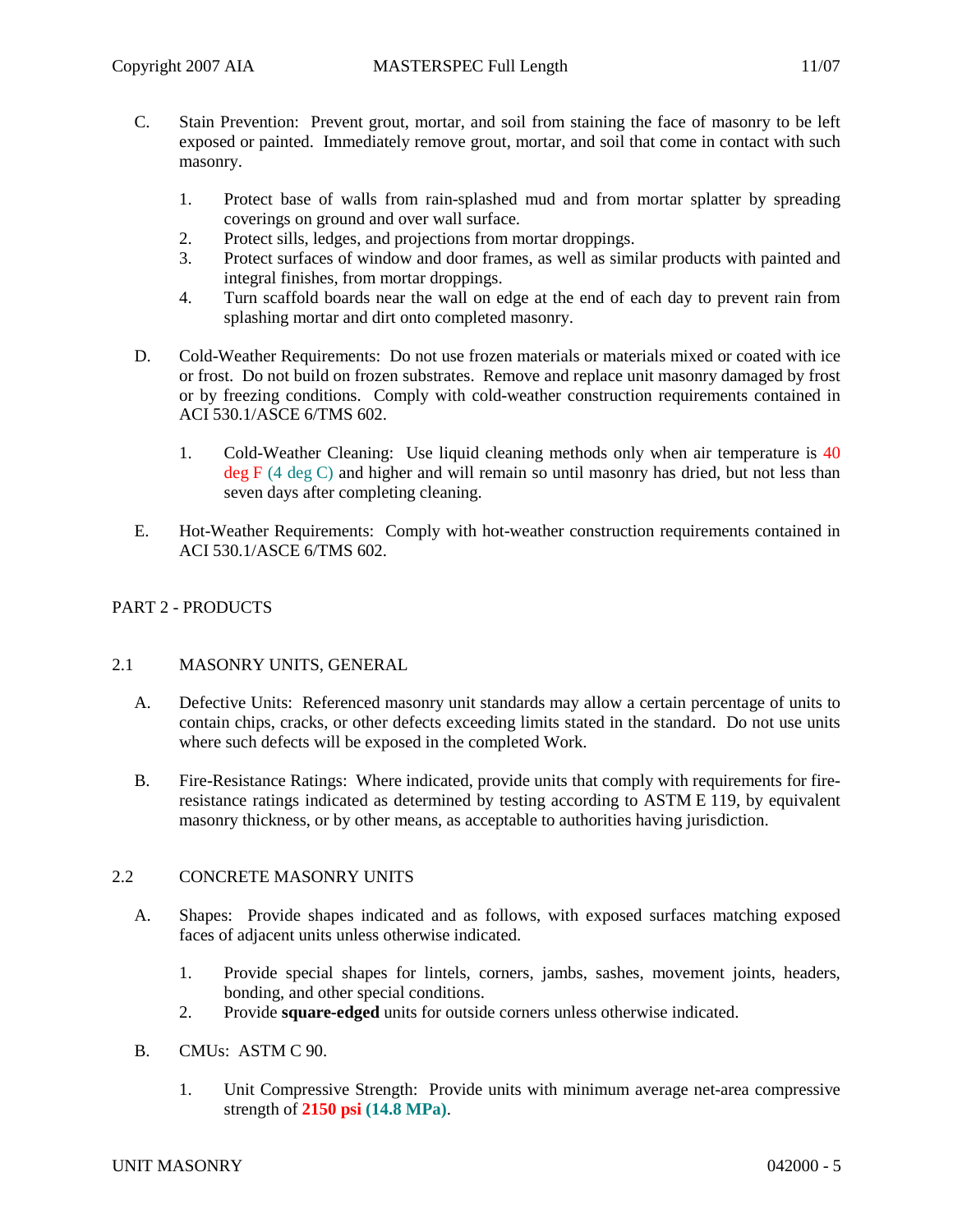- C. Stain Prevention: Prevent grout, mortar, and soil from staining the face of masonry to be left exposed or painted. Immediately remove grout, mortar, and soil that come in contact with such masonry.
	- 1. Protect base of walls from rain-splashed mud and from mortar splatter by spreading coverings on ground and over wall surface.
	- 2. Protect sills, ledges, and projections from mortar droppings.
	- 3. Protect surfaces of window and door frames, as well as similar products with painted and integral finishes, from mortar droppings.
	- 4. Turn scaffold boards near the wall on edge at the end of each day to prevent rain from splashing mortar and dirt onto completed masonry.
- D. Cold-Weather Requirements: Do not use frozen materials or materials mixed or coated with ice or frost. Do not build on frozen substrates. Remove and replace unit masonry damaged by frost or by freezing conditions. Comply with cold-weather construction requirements contained in ACI 530.1/ASCE 6/TMS 602.
	- 1. Cold-Weather Cleaning: Use liquid cleaning methods only when air temperature is 40  $deg F$  (4 deg C) and higher and will remain so until masonry has dried, but not less than seven days after completing cleaning.
- E. Hot-Weather Requirements: Comply with hot-weather construction requirements contained in ACI 530.1/ASCE 6/TMS 602.

## PART 2 - PRODUCTS

### 2.1 MASONRY UNITS, GENERAL

- A. Defective Units: Referenced masonry unit standards may allow a certain percentage of units to contain chips, cracks, or other defects exceeding limits stated in the standard. Do not use units where such defects will be exposed in the completed Work.
- B. Fire-Resistance Ratings: Where indicated, provide units that comply with requirements for fireresistance ratings indicated as determined by testing according to ASTM E 119, by equivalent masonry thickness, or by other means, as acceptable to authorities having jurisdiction.

### 2.2 CONCRETE MASONRY UNITS

- A. Shapes: Provide shapes indicated and as follows, with exposed surfaces matching exposed faces of adjacent units unless otherwise indicated.
	- 1. Provide special shapes for lintels, corners, jambs, sashes, movement joints, headers, bonding, and other special conditions.
	- 2. Provide **square-edged** units for outside corners unless otherwise indicated.
- B. CMUs: ASTM C 90.
	- 1. Unit Compressive Strength: Provide units with minimum average net-area compressive strength of **2150 psi (14.8 MPa)**.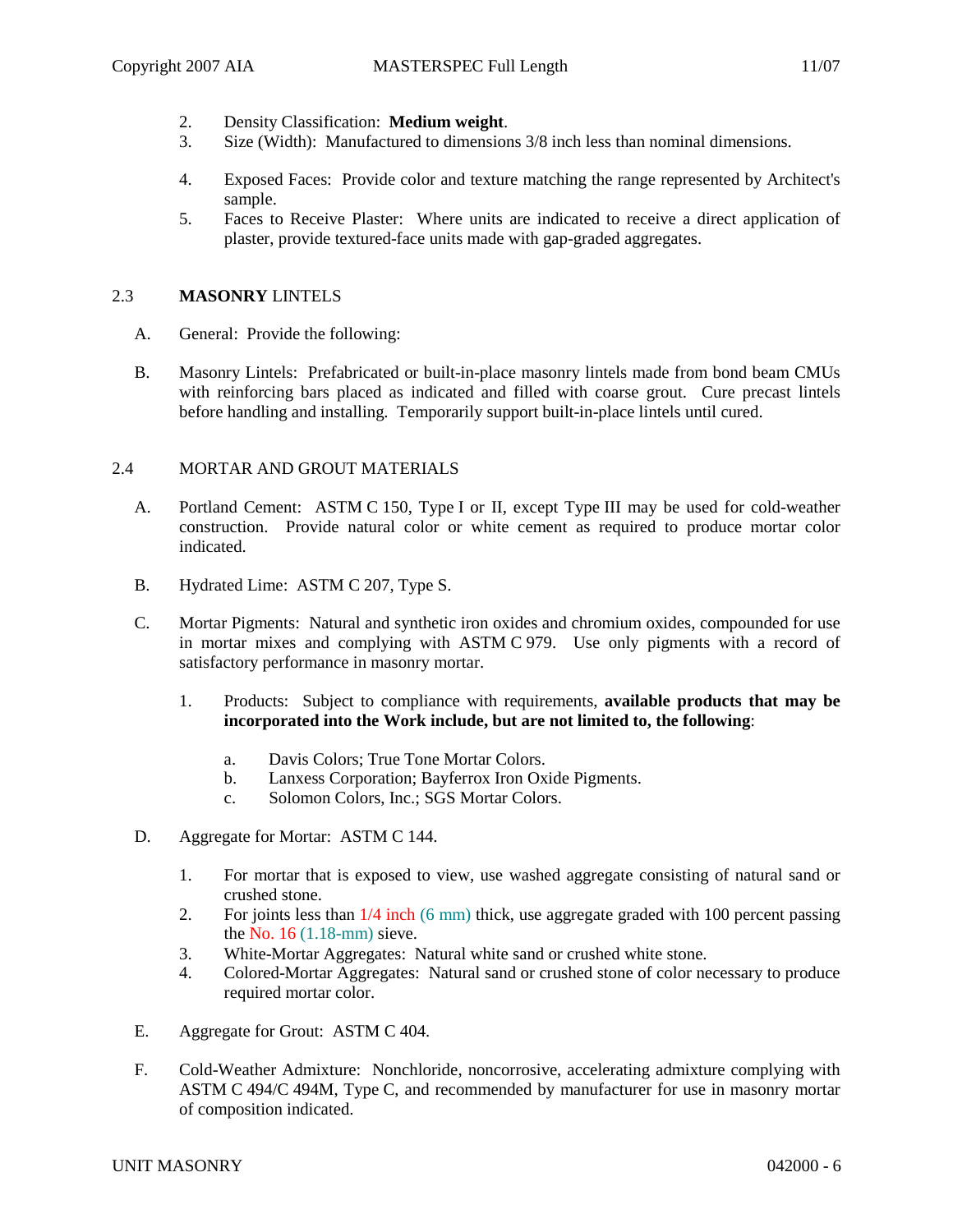- 2. Density Classification: **Medium weight**.
- 3. Size (Width): Manufactured to dimensions 3/8 inch less than nominal dimensions.
- 4. Exposed Faces: Provide color and texture matching the range represented by Architect's sample.
- 5. Faces to Receive Plaster: Where units are indicated to receive a direct application of plaster, provide textured-face units made with gap-graded aggregates.

# 2.3 **MASONRY** LINTELS

- A. General: Provide the following:
- B. Masonry Lintels: Prefabricated or built-in-place masonry lintels made from bond beam CMUs with reinforcing bars placed as indicated and filled with coarse grout. Cure precast lintels before handling and installing. Temporarily support built-in-place lintels until cured.

# 2.4 MORTAR AND GROUT MATERIALS

- A. Portland Cement: ASTM C 150, Type I or II, except Type III may be used for cold-weather construction. Provide natural color or white cement as required to produce mortar color indicated.
- B. Hydrated Lime: ASTM C 207, Type S.
- C. Mortar Pigments: Natural and synthetic iron oxides and chromium oxides, compounded for use in mortar mixes and complying with ASTM C 979. Use only pigments with a record of satisfactory performance in masonry mortar.
	- 1. Products: Subject to compliance with requirements, **available products that may be incorporated into the Work include, but are not limited to, the following**:
		- a. Davis Colors; True Tone Mortar Colors.
		- b. Lanxess Corporation; Bayferrox Iron Oxide Pigments.
		- c. Solomon Colors, Inc.; SGS Mortar Colors.
- D. Aggregate for Mortar: ASTM C 144.
	- 1. For mortar that is exposed to view, use washed aggregate consisting of natural sand or crushed stone.
	- 2. For joints less than 1/4 inch (6 mm) thick, use aggregate graded with 100 percent passing the No. 16 (1.18-mm) sieve.
	- 3. White-Mortar Aggregates: Natural white sand or crushed white stone.
	- 4. Colored-Mortar Aggregates: Natural sand or crushed stone of color necessary to produce required mortar color.
- E. Aggregate for Grout: ASTM C 404.
- F. Cold-Weather Admixture: Nonchloride, noncorrosive, accelerating admixture complying with ASTM C 494/C 494M, Type C, and recommended by manufacturer for use in masonry mortar of composition indicated.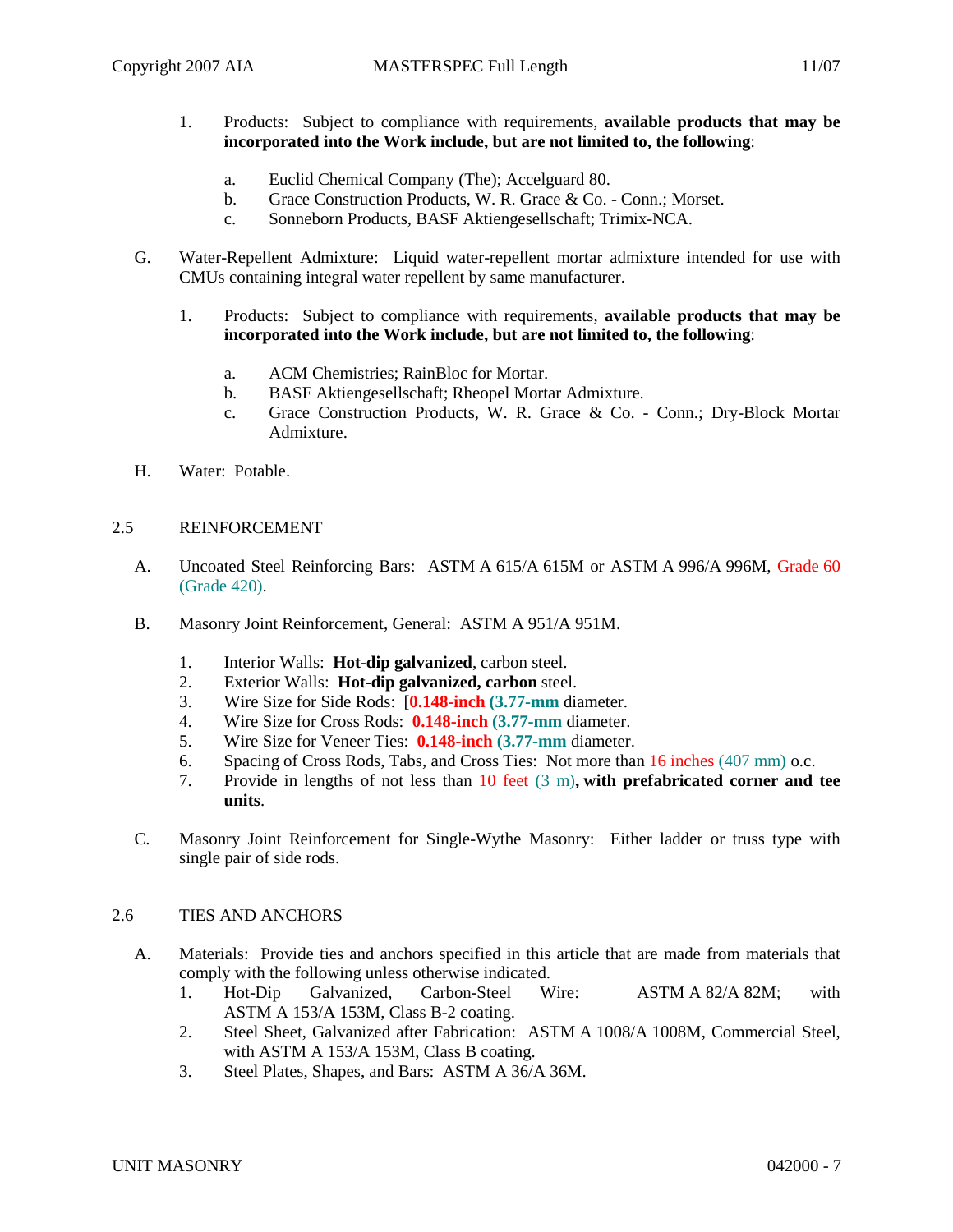- 1. Products: Subject to compliance with requirements, **available products that may be incorporated into the Work include, but are not limited to, the following**:
	- a. Euclid Chemical Company (The); Accelguard 80.
	- b. Grace Construction Products, W. R. Grace & Co. Conn.; Morset.
	- c. Sonneborn Products, BASF Aktiengesellschaft; Trimix-NCA.
- G. Water-Repellent Admixture: Liquid water-repellent mortar admixture intended for use with CMUs containing integral water repellent by same manufacturer.
	- 1. Products: Subject to compliance with requirements, **available products that may be incorporated into the Work include, but are not limited to, the following**:
		- a. ACM Chemistries; RainBloc for Mortar.
		- b. BASF Aktiengesellschaft; Rheopel Mortar Admixture.
		- c. Grace Construction Products, W. R. Grace & Co. Conn.; Dry-Block Mortar Admixture.
- H. Water: Potable.

### 2.5 REINFORCEMENT

- A. Uncoated Steel Reinforcing Bars: ASTM A 615/A 615M or ASTM A 996/A 996M, Grade 60 (Grade 420).
- B. Masonry Joint Reinforcement, General: ASTM A 951/A 951M.
	- 1. Interior Walls: **Hot-dip galvanized**, carbon steel.
	- 2. Exterior Walls: **Hot-dip galvanized, carbon** steel.
	- 3. Wire Size for Side Rods: [**0.148-inch (3.77-mm** diameter.
	- 4. Wire Size for Cross Rods: **0.148-inch (3.77-mm** diameter.
	- 5. Wire Size for Veneer Ties: **0.148-inch (3.77-mm** diameter.
	- 6. Spacing of Cross Rods, Tabs, and Cross Ties: Not more than 16 inches (407 mm) o.c.
	- 7. Provide in lengths of not less than 10 feet (3 m)**, with prefabricated corner and tee units**.
- C. Masonry Joint Reinforcement for Single-Wythe Masonry: Either ladder or truss type with single pair of side rods.

### 2.6 TIES AND ANCHORS

- A. Materials: Provide ties and anchors specified in this article that are made from materials that comply with the following unless otherwise indicated.
	- 1. Hot-Dip Galvanized, Carbon-Steel Wire: ASTM A 82/A 82M; with ASTM A 153/A 153M, Class B-2 coating.
	- 2. Steel Sheet, Galvanized after Fabrication: ASTM A 1008/A 1008M, Commercial Steel, with ASTM A 153/A 153M, Class B coating.
	- 3. Steel Plates, Shapes, and Bars: ASTM A 36/A 36M.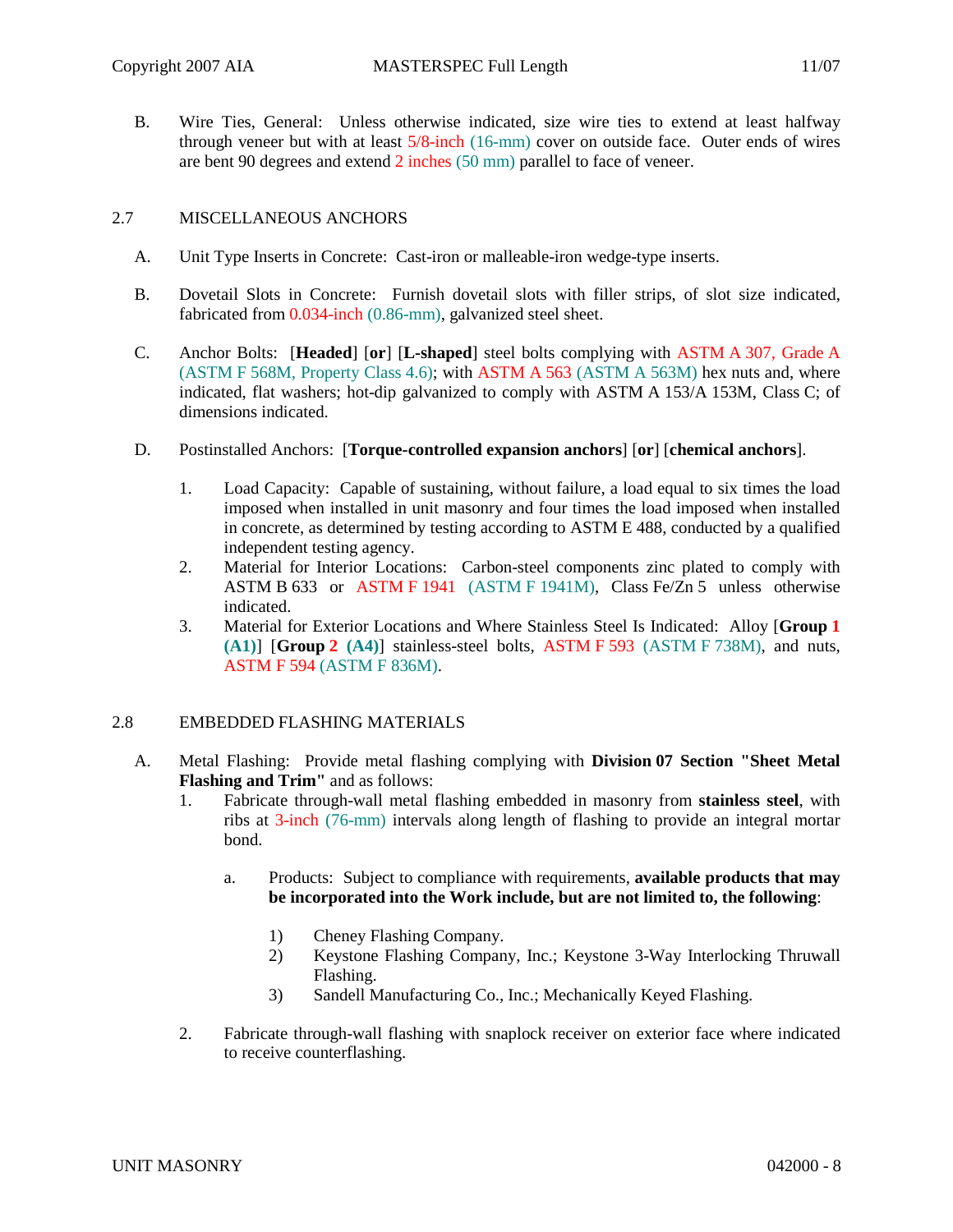B. Wire Ties, General: Unless otherwise indicated, size wire ties to extend at least halfway through veneer but with at least 5/8-inch (16-mm) cover on outside face. Outer ends of wires are bent 90 degrees and extend 2 inches (50 mm) parallel to face of veneer.

## 2.7 MISCELLANEOUS ANCHORS

- A. Unit Type Inserts in Concrete: Cast-iron or malleable-iron wedge-type inserts.
- B. Dovetail Slots in Concrete: Furnish dovetail slots with filler strips, of slot size indicated, fabricated from 0.034-inch (0.86-mm), galvanized steel sheet.
- C. Anchor Bolts: [**Headed**] [**or**] [**L-shaped**] steel bolts complying with ASTM A 307, Grade A (ASTM F 568M, Property Class 4.6); with ASTM A 563 (ASTM A 563M) hex nuts and, where indicated, flat washers; hot-dip galvanized to comply with ASTM A 153/A 153M, Class C; of dimensions indicated.
- D. Postinstalled Anchors: [**Torque-controlled expansion anchors**] [**or**] [**chemical anchors**].
	- 1. Load Capacity: Capable of sustaining, without failure, a load equal to six times the load imposed when installed in unit masonry and four times the load imposed when installed in concrete, as determined by testing according to ASTM E 488, conducted by a qualified independent testing agency.
	- 2. Material for Interior Locations: Carbon-steel components zinc plated to comply with ASTM B 633 or ASTM F 1941 (ASTM F 1941M), Class Fe/Zn 5 unless otherwise indicated.
	- 3. Material for Exterior Locations and Where Stainless Steel Is Indicated: Alloy [**Group 1 (A1)**] [**Group 2 (A4)**] stainless-steel bolts, ASTM F 593 (ASTM F 738M), and nuts, ASTM F 594 (ASTM F 836M).

# 2.8 EMBEDDED FLASHING MATERIALS

- A. Metal Flashing: Provide metal flashing complying with **Division 07 Section "Sheet Metal Flashing and Trim"** and as follows:
	- 1. Fabricate through-wall metal flashing embedded in masonry from **stainless steel**, with ribs at 3-inch (76-mm) intervals along length of flashing to provide an integral mortar bond.
		- a. Products: Subject to compliance with requirements, **available products that may be incorporated into the Work include, but are not limited to, the following**:
			- 1) Cheney Flashing Company.
			- 2) Keystone Flashing Company, Inc.; Keystone 3-Way Interlocking Thruwall Flashing.
			- 3) Sandell Manufacturing Co., Inc.; Mechanically Keyed Flashing.
	- 2. Fabricate through-wall flashing with snaplock receiver on exterior face where indicated to receive counterflashing.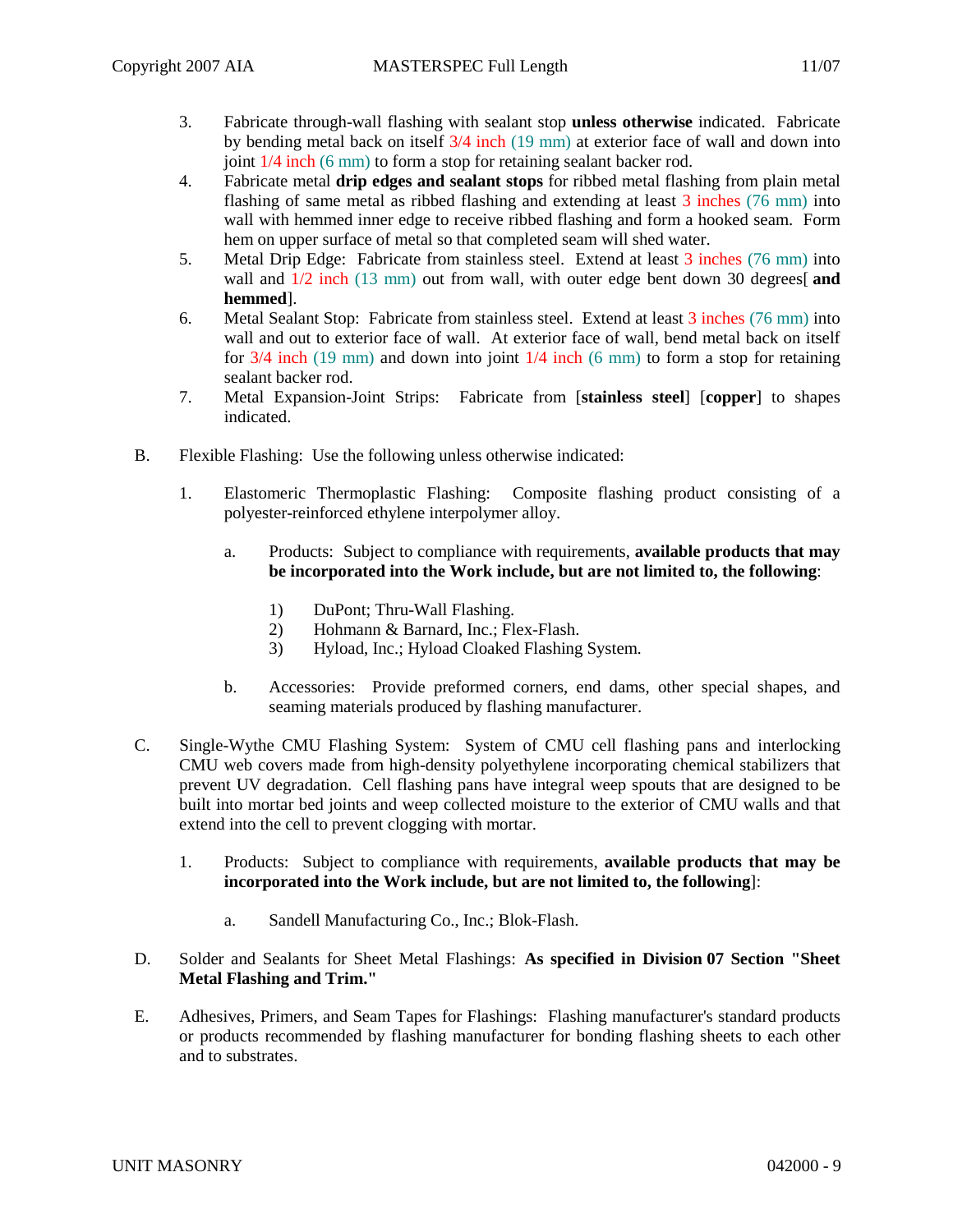- 3. Fabricate through-wall flashing with sealant stop **unless otherwise** indicated. Fabricate by bending metal back on itself 3/4 inch (19 mm) at exterior face of wall and down into joint 1/4 inch (6 mm) to form a stop for retaining sealant backer rod.
- 4. Fabricate metal **drip edges and sealant stops** for ribbed metal flashing from plain metal flashing of same metal as ribbed flashing and extending at least 3 inches (76 mm) into wall with hemmed inner edge to receive ribbed flashing and form a hooked seam. Form hem on upper surface of metal so that completed seam will shed water.
- 5. Metal Drip Edge: Fabricate from stainless steel. Extend at least 3 inches (76 mm) into wall and  $\frac{1}{2}$  inch (13 mm) out from wall, with outer edge bent down 30 degrees[ and **hemmed**].
- 6. Metal Sealant Stop: Fabricate from stainless steel. Extend at least 3 inches (76 mm) into wall and out to exterior face of wall. At exterior face of wall, bend metal back on itself for  $3/4$  inch (19 mm) and down into joint  $1/4$  inch (6 mm) to form a stop for retaining sealant backer rod.
- 7. Metal Expansion-Joint Strips: Fabricate from [**stainless steel**] [**copper**] to shapes indicated.
- B. Flexible Flashing: Use the following unless otherwise indicated:
	- 1. Elastomeric Thermoplastic Flashing: Composite flashing product consisting of a polyester-reinforced ethylene interpolymer alloy.
		- a. Products: Subject to compliance with requirements, **available products that may be incorporated into the Work include, but are not limited to, the following**:
			- 1) DuPont; Thru-Wall Flashing.
			- 2) Hohmann & Barnard, Inc.; Flex-Flash.
			- 3) Hyload, Inc.; Hyload Cloaked Flashing System.
		- b. Accessories: Provide preformed corners, end dams, other special shapes, and seaming materials produced by flashing manufacturer.
- C. Single-Wythe CMU Flashing System: System of CMU cell flashing pans and interlocking CMU web covers made from high-density polyethylene incorporating chemical stabilizers that prevent UV degradation. Cell flashing pans have integral weep spouts that are designed to be built into mortar bed joints and weep collected moisture to the exterior of CMU walls and that extend into the cell to prevent clogging with mortar.
	- 1. Products: Subject to compliance with requirements, **available products that may be incorporated into the Work include, but are not limited to, the following**]:
		- a. Sandell Manufacturing Co., Inc.; Blok-Flash.
- D. Solder and Sealants for Sheet Metal Flashings: **As specified in Division 07 Section "Sheet Metal Flashing and Trim."**
- E. Adhesives, Primers, and Seam Tapes for Flashings: Flashing manufacturer's standard products or products recommended by flashing manufacturer for bonding flashing sheets to each other and to substrates.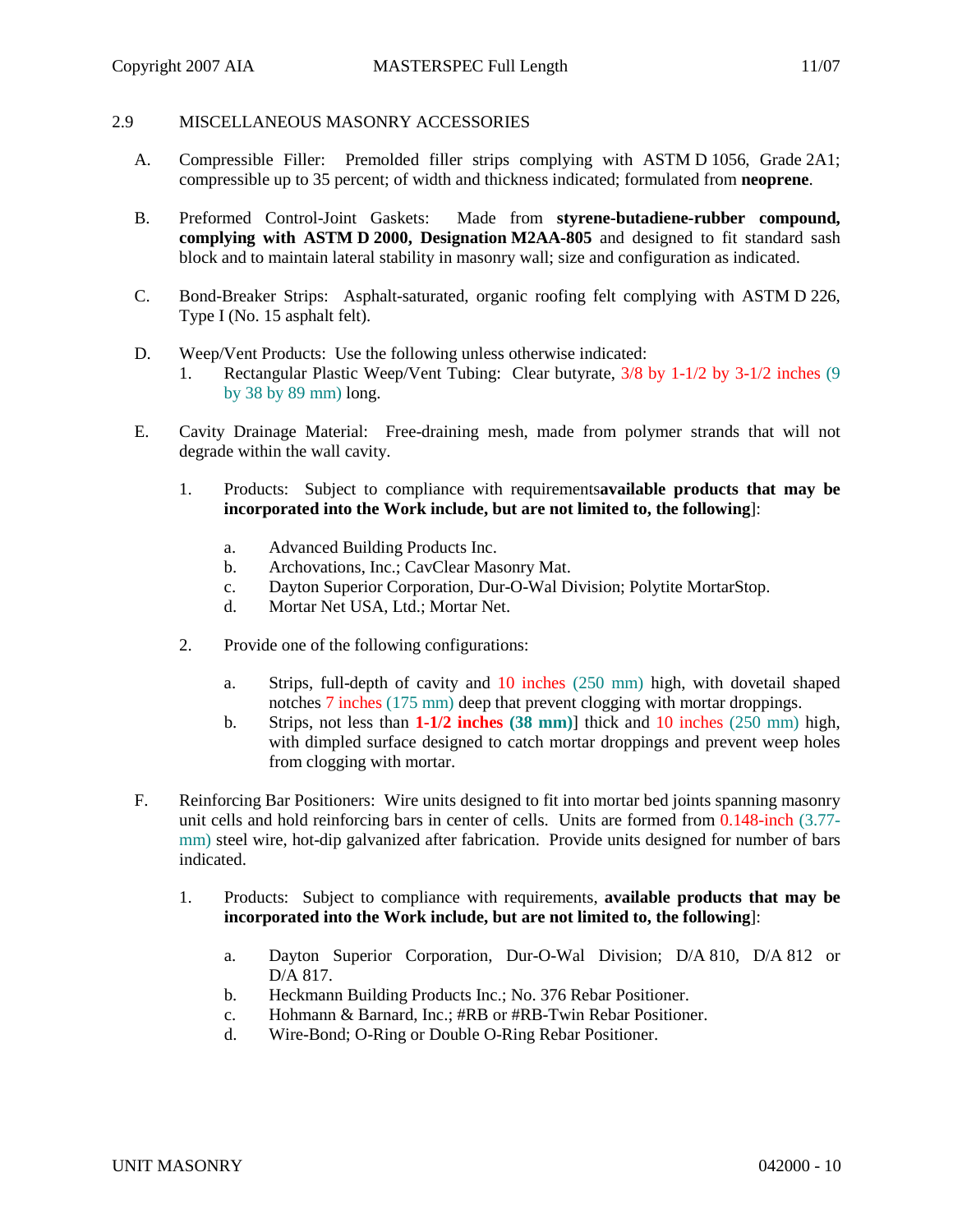### 2.9 MISCELLANEOUS MASONRY ACCESSORIES

- A. Compressible Filler: Premolded filler strips complying with ASTM D 1056, Grade 2A1; compressible up to 35 percent; of width and thickness indicated; formulated from **neoprene**.
- B. Preformed Control-Joint Gaskets: Made from **styrene-butadiene-rubber compound, complying with ASTM D 2000, Designation M2AA-805** and designed to fit standard sash block and to maintain lateral stability in masonry wall; size and configuration as indicated.
- C. Bond-Breaker Strips: Asphalt-saturated, organic roofing felt complying with ASTM D 226, Type I (No. 15 asphalt felt).
- D. Weep/Vent Products: Use the following unless otherwise indicated:
	- 1. Rectangular Plastic Weep/Vent Tubing: Clear butyrate, 3/8 by 1-1/2 by 3-1/2 inches (9 by 38 by 89 mm) long.
- E. Cavity Drainage Material: Free-draining mesh, made from polymer strands that will not degrade within the wall cavity.
	- 1. Products: Subject to compliance with requirements**available products that may be incorporated into the Work include, but are not limited to, the following**]:
		- a. Advanced Building Products Inc.
		- b. Archovations, Inc.; CavClear Masonry Mat.
		- c. Dayton Superior Corporation, Dur-O-Wal Division; Polytite MortarStop.
		- d. Mortar Net USA, Ltd.; Mortar Net.
	- 2. Provide one of the following configurations:
		- a. Strips, full-depth of cavity and 10 inches (250 mm) high, with dovetail shaped notches 7 inches (175 mm) deep that prevent clogging with mortar droppings.
		- b. Strips, not less than **1-1/2 inches (38 mm)**] thick and 10 inches (250 mm) high, with dimpled surface designed to catch mortar droppings and prevent weep holes from clogging with mortar.
- F. Reinforcing Bar Positioners: Wire units designed to fit into mortar bed joints spanning masonry unit cells and hold reinforcing bars in center of cells. Units are formed from 0.148-inch (3.77 mm) steel wire, hot-dip galvanized after fabrication. Provide units designed for number of bars indicated.
	- 1. Products: Subject to compliance with requirements, **available products that may be incorporated into the Work include, but are not limited to, the following**]:
		- a. Dayton Superior Corporation, Dur-O-Wal Division; D/A 810, D/A 812 or D/A 817.
		- b. Heckmann Building Products Inc.; No. 376 Rebar Positioner.
		- c. Hohmann & Barnard, Inc.; #RB or #RB-Twin Rebar Positioner.
		- d. Wire-Bond; O-Ring or Double O-Ring Rebar Positioner.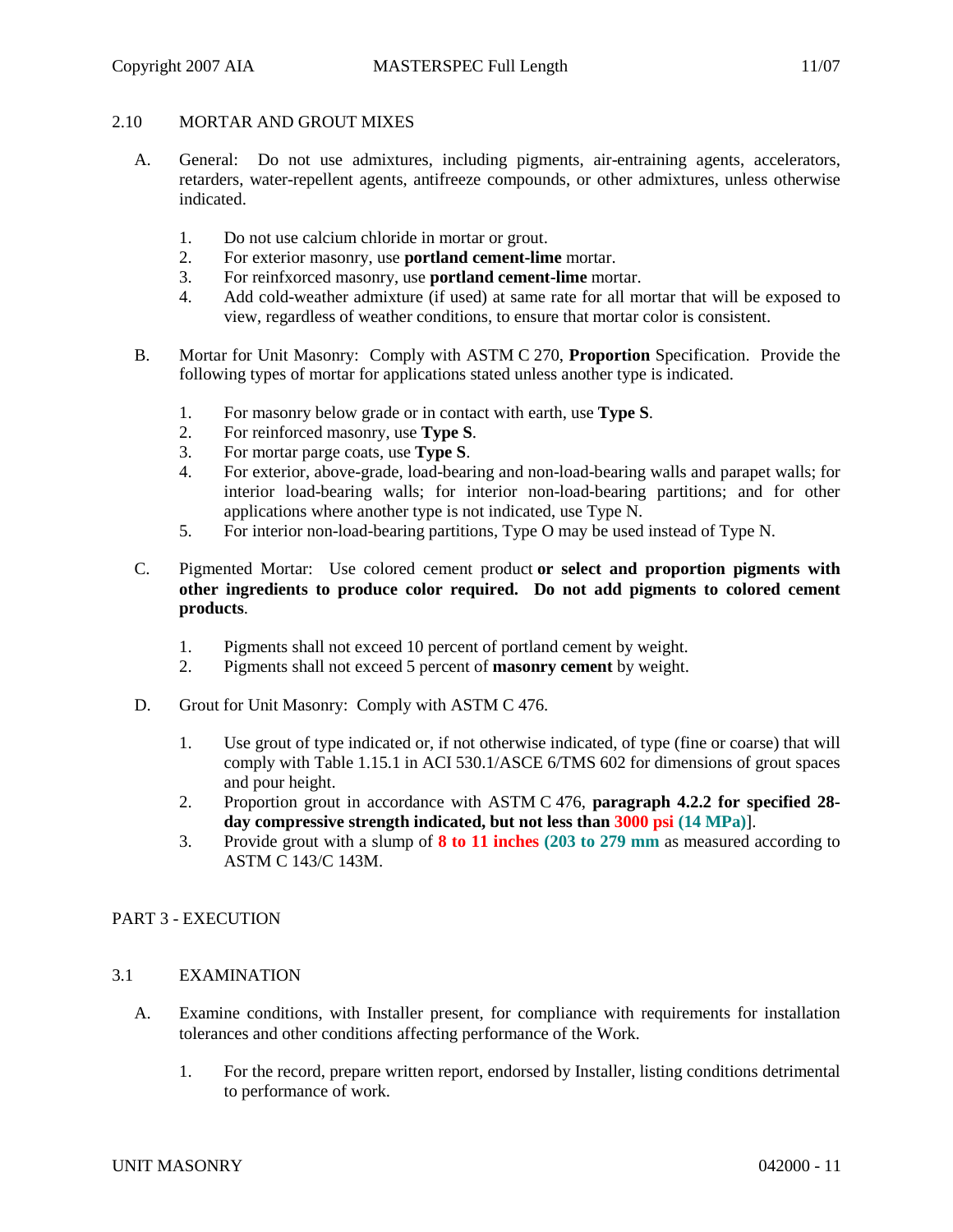# 2.10 MORTAR AND GROUT MIXES

- A. General: Do not use admixtures, including pigments, air-entraining agents, accelerators, retarders, water-repellent agents, antifreeze compounds, or other admixtures, unless otherwise indicated.
	- 1. Do not use calcium chloride in mortar or grout.
	- 2. For exterior masonry, use **portland cement-lime** mortar.
	- 3. For reinfxorced masonry, use **portland cement-lime** mortar.
	- 4. Add cold-weather admixture (if used) at same rate for all mortar that will be exposed to view, regardless of weather conditions, to ensure that mortar color is consistent.
- B. Mortar for Unit Masonry: Comply with ASTM C 270, **Proportion** Specification. Provide the following types of mortar for applications stated unless another type is indicated.
	- 1. For masonry below grade or in contact with earth, use **Type S**.
	- 2. For reinforced masonry, use **Type S**.
	- 3. For mortar parge coats, use **Type S**.
	- 4. For exterior, above-grade, load-bearing and non-load-bearing walls and parapet walls; for interior load-bearing walls; for interior non-load-bearing partitions; and for other applications where another type is not indicated, use Type N.
	- 5. For interior non-load-bearing partitions, Type O may be used instead of Type N.
- C. Pigmented Mortar: Use colored cement product **or select and proportion pigments with other ingredients to produce color required. Do not add pigments to colored cement products**.
	- 1. Pigments shall not exceed 10 percent of portland cement by weight.
	- 2. Pigments shall not exceed 5 percent of **masonry cement** by weight.
- D. Grout for Unit Masonry: Comply with ASTM C 476.
	- 1. Use grout of type indicated or, if not otherwise indicated, of type (fine or coarse) that will comply with Table 1.15.1 in ACI 530.1/ASCE 6/TMS 602 for dimensions of grout spaces and pour height.
	- 2. Proportion grout in accordance with ASTM C 476, **paragraph 4.2.2 for specified 28 day compressive strength indicated, but not less than 3000 psi (14 MPa)**].
	- 3. Provide grout with a slump of **8 to 11 inches (203 to 279 mm** as measured according to ASTM C 143/C 143M.

# PART 3 - EXECUTION

# 3.1 EXAMINATION

- A. Examine conditions, with Installer present, for compliance with requirements for installation tolerances and other conditions affecting performance of the Work.
	- 1. For the record, prepare written report, endorsed by Installer, listing conditions detrimental to performance of work.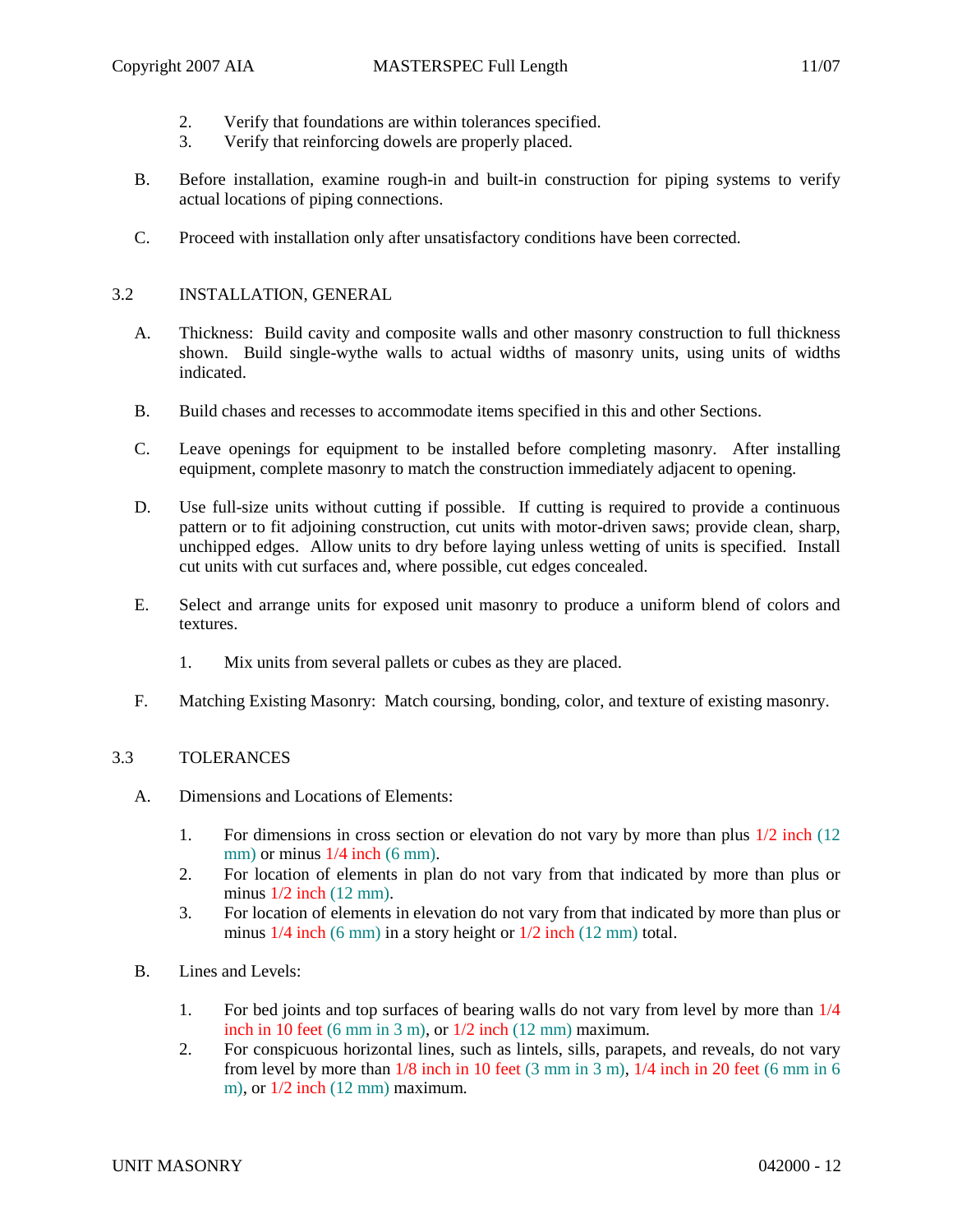- 2. Verify that foundations are within tolerances specified.
- 3. Verify that reinforcing dowels are properly placed.
- B. Before installation, examine rough-in and built-in construction for piping systems to verify actual locations of piping connections.
- C. Proceed with installation only after unsatisfactory conditions have been corrected.

## 3.2 INSTALLATION, GENERAL

- A. Thickness: Build cavity and composite walls and other masonry construction to full thickness shown. Build single-wythe walls to actual widths of masonry units, using units of widths indicated.
- B. Build chases and recesses to accommodate items specified in this and other Sections.
- C. Leave openings for equipment to be installed before completing masonry. After installing equipment, complete masonry to match the construction immediately adjacent to opening.
- D. Use full-size units without cutting if possible. If cutting is required to provide a continuous pattern or to fit adjoining construction, cut units with motor-driven saws; provide clean, sharp, unchipped edges. Allow units to dry before laying unless wetting of units is specified. Install cut units with cut surfaces and, where possible, cut edges concealed.
- E. Select and arrange units for exposed unit masonry to produce a uniform blend of colors and textures.
	- 1. Mix units from several pallets or cubes as they are placed.
- F. Matching Existing Masonry: Match coursing, bonding, color, and texture of existing masonry.

### 3.3 TOLERANCES

- A. Dimensions and Locations of Elements:
	- 1. For dimensions in cross section or elevation do not vary by more than plus 1/2 inch (12 mm) or minus  $1/4$  inch (6 mm).
	- 2. For location of elements in plan do not vary from that indicated by more than plus or minus 1/2 inch (12 mm).
	- 3. For location of elements in elevation do not vary from that indicated by more than plus or minus 1/4 inch (6 mm) in a story height or 1/2 inch (12 mm) total.
- B. Lines and Levels:
	- 1. For bed joints and top surfaces of bearing walls do not vary from level by more than 1/4 inch in 10 feet (6 mm in 3 m), or  $1/2$  inch (12 mm) maximum.
	- 2. For conspicuous horizontal lines, such as lintels, sills, parapets, and reveals, do not vary from level by more than  $1/8$  inch in 10 feet (3 mm in 3 m),  $1/4$  inch in 20 feet (6 mm in 6 m), or 1/2 inch (12 mm) maximum.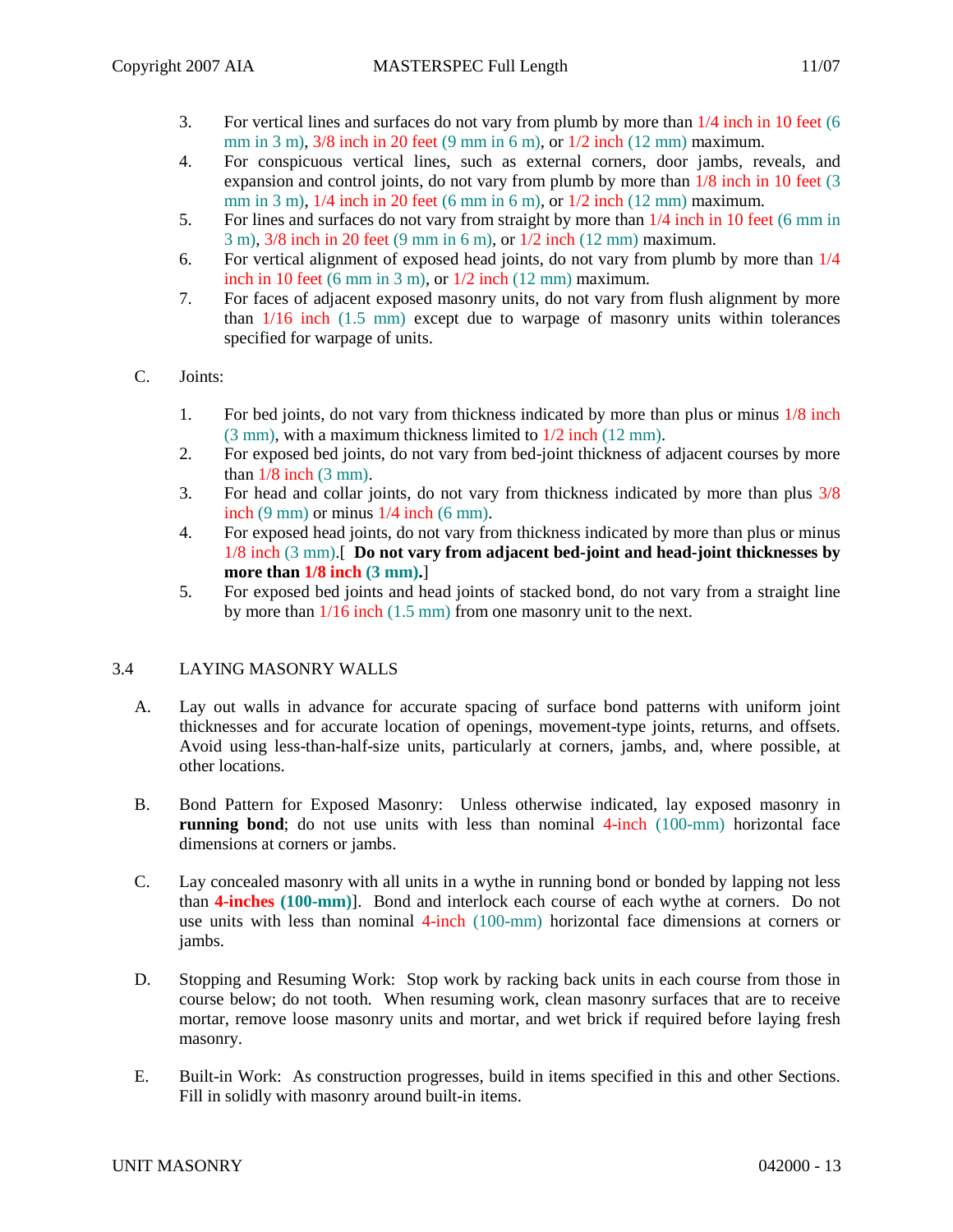- 3. For vertical lines and surfaces do not vary from plumb by more than 1/4 inch in 10 feet (6 mm in 3 m),  $3/8$  inch in 20 feet (9 mm in 6 m), or  $1/2$  inch (12 mm) maximum.
- 4. For conspicuous vertical lines, such as external corners, door jambs, reveals, and expansion and control joints, do not vary from plumb by more than  $1/8$  inch in 10 feet (3) mm in 3 m), 1/4 inch in 20 feet (6 mm in 6 m), or 1/2 inch (12 mm) maximum.
- 5. For lines and surfaces do not vary from straight by more than 1/4 inch in 10 feet (6 mm in 3 m), 3/8 inch in 20 feet (9 mm in 6 m), or 1/2 inch (12 mm) maximum.
- 6. For vertical alignment of exposed head joints, do not vary from plumb by more than 1/4 inch in 10 feet (6 mm in 3 m), or  $1/2$  inch (12 mm) maximum.
- 7. For faces of adjacent exposed masonry units, do not vary from flush alignment by more than 1/16 inch (1.5 mm) except due to warpage of masonry units within tolerances specified for warpage of units.
- C. Joints:
	- 1. For bed joints, do not vary from thickness indicated by more than plus or minus 1/8 inch (3 mm), with a maximum thickness limited to 1/2 inch (12 mm).
	- 2. For exposed bed joints, do not vary from bed-joint thickness of adjacent courses by more than  $1/8$  inch  $(3 \text{ mm})$ .
	- 3. For head and collar joints, do not vary from thickness indicated by more than plus 3/8 inch (9 mm) or minus 1/4 inch (6 mm).
	- 4. For exposed head joints, do not vary from thickness indicated by more than plus or minus 1/8 inch (3 mm).[ **Do not vary from adjacent bed-joint and head-joint thicknesses by more than 1/8 inch (3 mm).**]
	- 5. For exposed bed joints and head joints of stacked bond, do not vary from a straight line by more than 1/16 inch (1.5 mm) from one masonry unit to the next.

# 3.4 LAYING MASONRY WALLS

- A. Lay out walls in advance for accurate spacing of surface bond patterns with uniform joint thicknesses and for accurate location of openings, movement-type joints, returns, and offsets. Avoid using less-than-half-size units, particularly at corners, jambs, and, where possible, at other locations.
- B. Bond Pattern for Exposed Masonry: Unless otherwise indicated, lay exposed masonry in **running bond**; do not use units with less than nominal 4-inch (100-mm) horizontal face dimensions at corners or jambs.
- C. Lay concealed masonry with all units in a wythe in running bond or bonded by lapping not less than **4-inches (100-mm)**]. Bond and interlock each course of each wythe at corners. Do not use units with less than nominal 4-inch (100-mm) horizontal face dimensions at corners or jambs.
- D. Stopping and Resuming Work: Stop work by racking back units in each course from those in course below; do not tooth. When resuming work, clean masonry surfaces that are to receive mortar, remove loose masonry units and mortar, and wet brick if required before laying fresh masonry.
- E. Built-in Work: As construction progresses, build in items specified in this and other Sections. Fill in solidly with masonry around built-in items.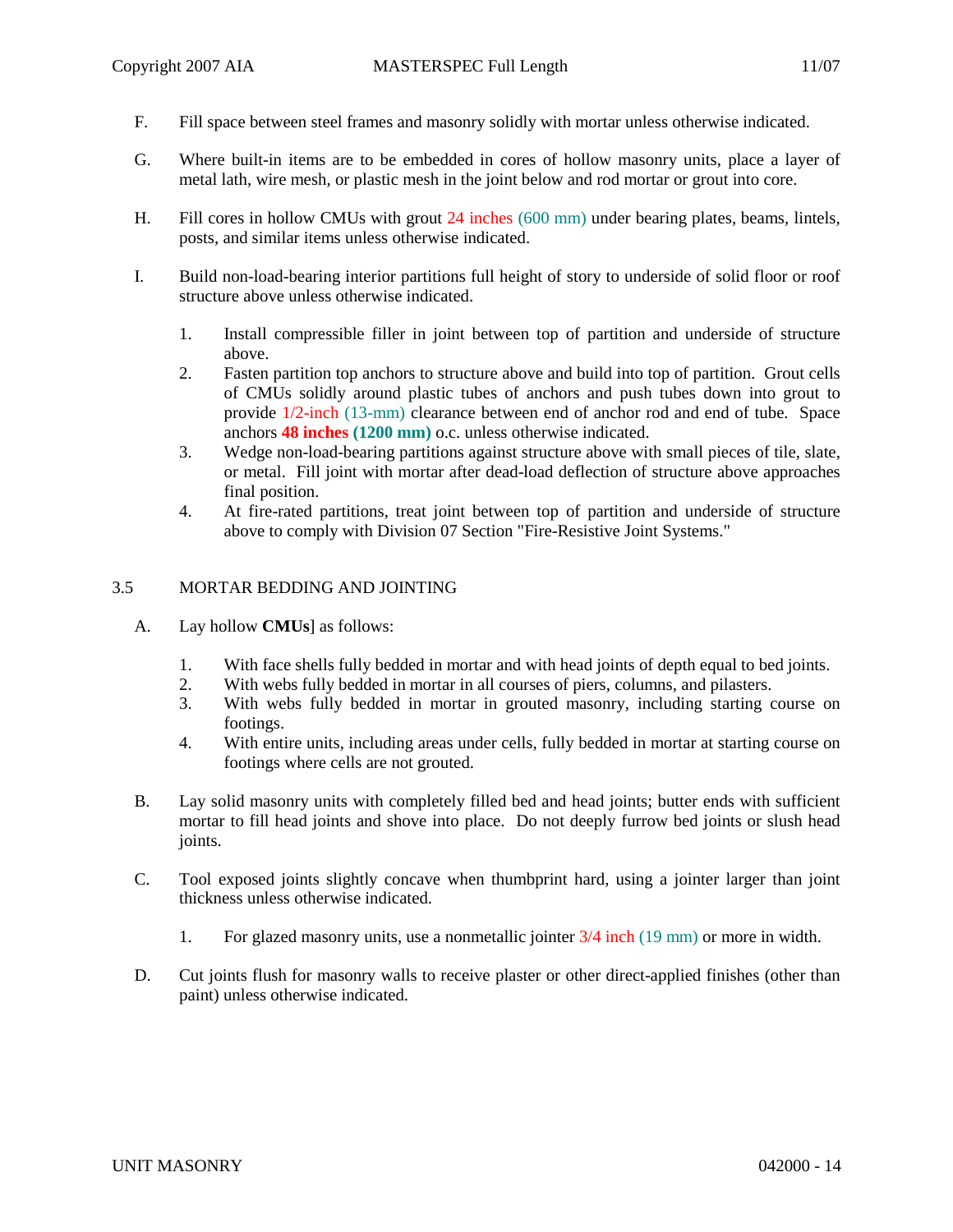- F. Fill space between steel frames and masonry solidly with mortar unless otherwise indicated.
- G. Where built-in items are to be embedded in cores of hollow masonry units, place a layer of metal lath, wire mesh, or plastic mesh in the joint below and rod mortar or grout into core.
- H. Fill cores in hollow CMUs with grout 24 inches (600 mm) under bearing plates, beams, lintels, posts, and similar items unless otherwise indicated.
- I. Build non-load-bearing interior partitions full height of story to underside of solid floor or roof structure above unless otherwise indicated.
	- 1. Install compressible filler in joint between top of partition and underside of structure above.
	- 2. Fasten partition top anchors to structure above and build into top of partition. Grout cells of CMUs solidly around plastic tubes of anchors and push tubes down into grout to provide 1/2-inch (13-mm) clearance between end of anchor rod and end of tube. Space anchors **48 inches (1200 mm)** o.c. unless otherwise indicated.
	- 3. Wedge non-load-bearing partitions against structure above with small pieces of tile, slate, or metal. Fill joint with mortar after dead-load deflection of structure above approaches final position.
	- 4. At fire-rated partitions, treat joint between top of partition and underside of structure above to comply with Division 07 Section "Fire-Resistive Joint Systems."

# 3.5 MORTAR BEDDING AND JOINTING

- A. Lay hollow **CMUs**] as follows:
	- 1. With face shells fully bedded in mortar and with head joints of depth equal to bed joints.
	- 2. With webs fully bedded in mortar in all courses of piers, columns, and pilasters.
	- 3. With webs fully bedded in mortar in grouted masonry, including starting course on footings.
	- 4. With entire units, including areas under cells, fully bedded in mortar at starting course on footings where cells are not grouted.
- B. Lay solid masonry units with completely filled bed and head joints; butter ends with sufficient mortar to fill head joints and shove into place. Do not deeply furrow bed joints or slush head joints.
- C. Tool exposed joints slightly concave when thumbprint hard, using a jointer larger than joint thickness unless otherwise indicated.
	- 1. For glazed masonry units, use a nonmetallic jointer 3/4 inch (19 mm) or more in width.
- D. Cut joints flush for masonry walls to receive plaster or other direct-applied finishes (other than paint) unless otherwise indicated.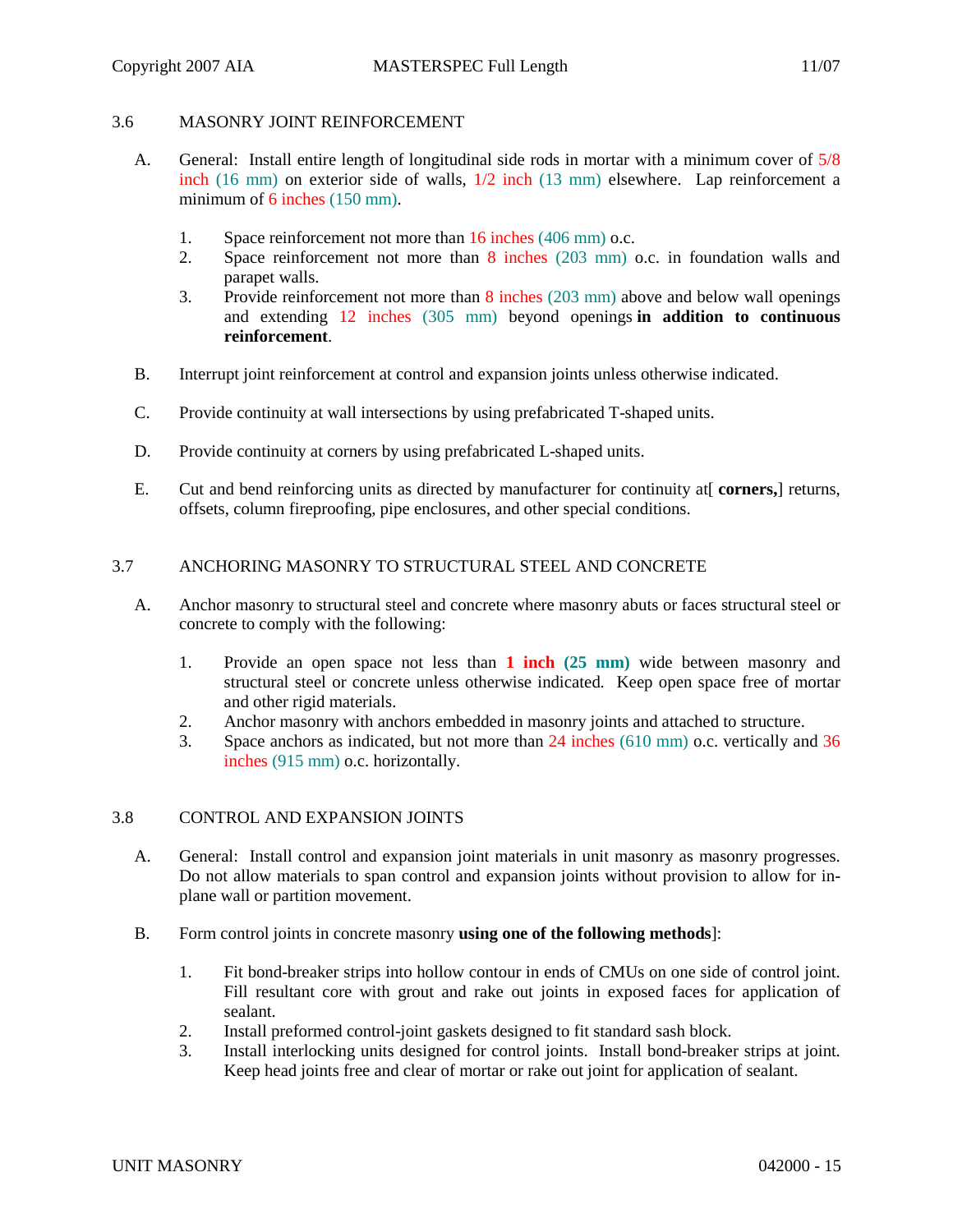# 3.6 MASONRY JOINT REINFORCEMENT

- A. General: Install entire length of longitudinal side rods in mortar with a minimum cover of 5/8 inch (16 mm) on exterior side of walls, 1/2 inch (13 mm) elsewhere. Lap reinforcement a minimum of 6 inches (150 mm).
	- 1. Space reinforcement not more than 16 inches (406 mm) o.c.
	- 2. Space reinforcement not more than 8 inches (203 mm) o.c. in foundation walls and parapet walls.
	- 3. Provide reinforcement not more than 8 inches (203 mm) above and below wall openings and extending 12 inches (305 mm) beyond openings **in addition to continuous reinforcement**.
- B. Interrupt joint reinforcement at control and expansion joints unless otherwise indicated.
- C. Provide continuity at wall intersections by using prefabricated T-shaped units.
- D. Provide continuity at corners by using prefabricated L-shaped units.
- E. Cut and bend reinforcing units as directed by manufacturer for continuity at[ **corners,**] returns, offsets, column fireproofing, pipe enclosures, and other special conditions.

# 3.7 ANCHORING MASONRY TO STRUCTURAL STEEL AND CONCRETE

- A. Anchor masonry to structural steel and concrete where masonry abuts or faces structural steel or concrete to comply with the following:
	- 1. Provide an open space not less than **1 inch (25 mm)** wide between masonry and structural steel or concrete unless otherwise indicated. Keep open space free of mortar and other rigid materials.
	- 2. Anchor masonry with anchors embedded in masonry joints and attached to structure.
	- 3. Space anchors as indicated, but not more than 24 inches (610 mm) o.c. vertically and 36 inches (915 mm) o.c. horizontally.

# 3.8 CONTROL AND EXPANSION JOINTS

- A. General: Install control and expansion joint materials in unit masonry as masonry progresses. Do not allow materials to span control and expansion joints without provision to allow for inplane wall or partition movement.
- B. Form control joints in concrete masonry **using one of the following methods**]:
	- 1. Fit bond-breaker strips into hollow contour in ends of CMUs on one side of control joint. Fill resultant core with grout and rake out joints in exposed faces for application of sealant.
	- 2. Install preformed control-joint gaskets designed to fit standard sash block.
	- 3. Install interlocking units designed for control joints. Install bond-breaker strips at joint. Keep head joints free and clear of mortar or rake out joint for application of sealant.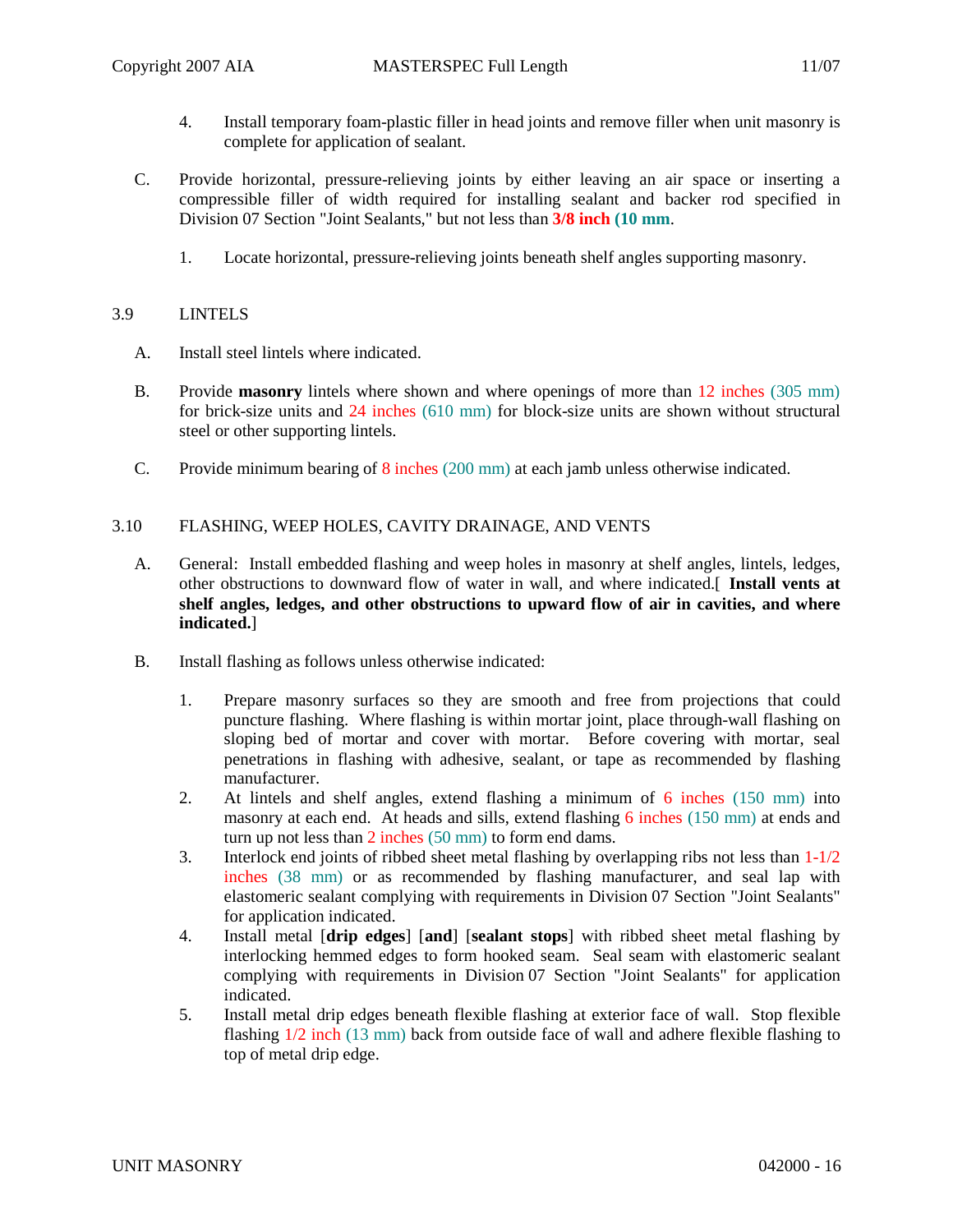- 4. Install temporary foam-plastic filler in head joints and remove filler when unit masonry is complete for application of sealant.
- C. Provide horizontal, pressure-relieving joints by either leaving an air space or inserting a compressible filler of width required for installing sealant and backer rod specified in Division 07 Section "Joint Sealants," but not less than **3/8 inch (10 mm**.
	- 1. Locate horizontal, pressure-relieving joints beneath shelf angles supporting masonry.

## 3.9 LINTELS

- A. Install steel lintels where indicated.
- B. Provide **masonry** lintels where shown and where openings of more than 12 inches (305 mm) for brick-size units and 24 inches (610 mm) for block-size units are shown without structural steel or other supporting lintels.
- C. Provide minimum bearing of 8 inches (200 mm) at each jamb unless otherwise indicated.

# 3.10 FLASHING, WEEP HOLES, CAVITY DRAINAGE, AND VENTS

- A. General: Install embedded flashing and weep holes in masonry at shelf angles, lintels, ledges, other obstructions to downward flow of water in wall, and where indicated.[ **Install vents at shelf angles, ledges, and other obstructions to upward flow of air in cavities, and where indicated.**]
- B. Install flashing as follows unless otherwise indicated:
	- 1. Prepare masonry surfaces so they are smooth and free from projections that could puncture flashing. Where flashing is within mortar joint, place through-wall flashing on sloping bed of mortar and cover with mortar. Before covering with mortar, seal penetrations in flashing with adhesive, sealant, or tape as recommended by flashing manufacturer.
	- 2. At lintels and shelf angles, extend flashing a minimum of 6 inches (150 mm) into masonry at each end. At heads and sills, extend flashing 6 inches (150 mm) at ends and turn up not less than 2 inches (50 mm) to form end dams.
	- 3. Interlock end joints of ribbed sheet metal flashing by overlapping ribs not less than  $1-1/2$ inches (38 mm) or as recommended by flashing manufacturer, and seal lap with elastomeric sealant complying with requirements in Division 07 Section "Joint Sealants" for application indicated.
	- 4. Install metal [**drip edges**] [**and**] [**sealant stops**] with ribbed sheet metal flashing by interlocking hemmed edges to form hooked seam. Seal seam with elastomeric sealant complying with requirements in Division 07 Section "Joint Sealants" for application indicated.
	- 5. Install metal drip edges beneath flexible flashing at exterior face of wall. Stop flexible flashing 1/2 inch (13 mm) back from outside face of wall and adhere flexible flashing to top of metal drip edge.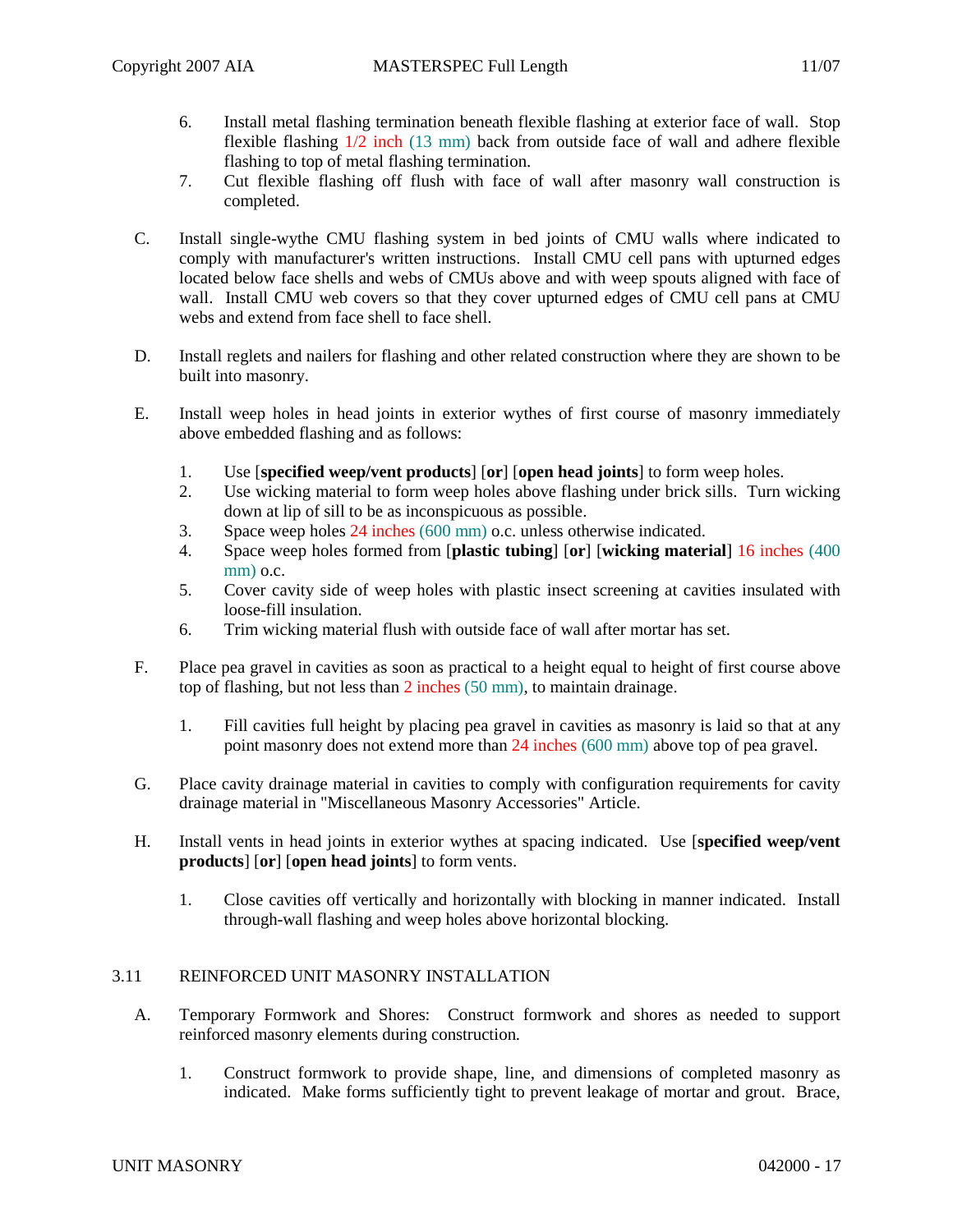- 6. Install metal flashing termination beneath flexible flashing at exterior face of wall. Stop flexible flashing 1/2 inch (13 mm) back from outside face of wall and adhere flexible flashing to top of metal flashing termination.
- 7. Cut flexible flashing off flush with face of wall after masonry wall construction is completed.
- C. Install single-wythe CMU flashing system in bed joints of CMU walls where indicated to comply with manufacturer's written instructions. Install CMU cell pans with upturned edges located below face shells and webs of CMUs above and with weep spouts aligned with face of wall. Install CMU web covers so that they cover upturned edges of CMU cell pans at CMU webs and extend from face shell to face shell.
- D. Install reglets and nailers for flashing and other related construction where they are shown to be built into masonry.
- E. Install weep holes in head joints in exterior wythes of first course of masonry immediately above embedded flashing and as follows:
	- 1. Use [**specified weep/vent products**] [**or**] [**open head joints**] to form weep holes.
	- 2. Use wicking material to form weep holes above flashing under brick sills. Turn wicking down at lip of sill to be as inconspicuous as possible.
	- 3. Space weep holes 24 inches (600 mm) o.c. unless otherwise indicated.
	- 4. Space weep holes formed from [**plastic tubing**] [**or**] [**wicking material**] 16 inches (400 mm) o.c.
	- 5. Cover cavity side of weep holes with plastic insect screening at cavities insulated with loose-fill insulation.
	- 6. Trim wicking material flush with outside face of wall after mortar has set.
- F. Place pea gravel in cavities as soon as practical to a height equal to height of first course above top of flashing, but not less than 2 inches (50 mm), to maintain drainage.
	- 1. Fill cavities full height by placing pea gravel in cavities as masonry is laid so that at any point masonry does not extend more than 24 inches (600 mm) above top of pea gravel.
- G. Place cavity drainage material in cavities to comply with configuration requirements for cavity drainage material in "Miscellaneous Masonry Accessories" Article.
- H. Install vents in head joints in exterior wythes at spacing indicated. Use [**specified weep/vent products**] [**or**] [**open head joints**] to form vents.
	- 1. Close cavities off vertically and horizontally with blocking in manner indicated. Install through-wall flashing and weep holes above horizontal blocking.

### 3.11 REINFORCED UNIT MASONRY INSTALLATION

- A. Temporary Formwork and Shores: Construct formwork and shores as needed to support reinforced masonry elements during construction.
	- 1. Construct formwork to provide shape, line, and dimensions of completed masonry as indicated. Make forms sufficiently tight to prevent leakage of mortar and grout. Brace,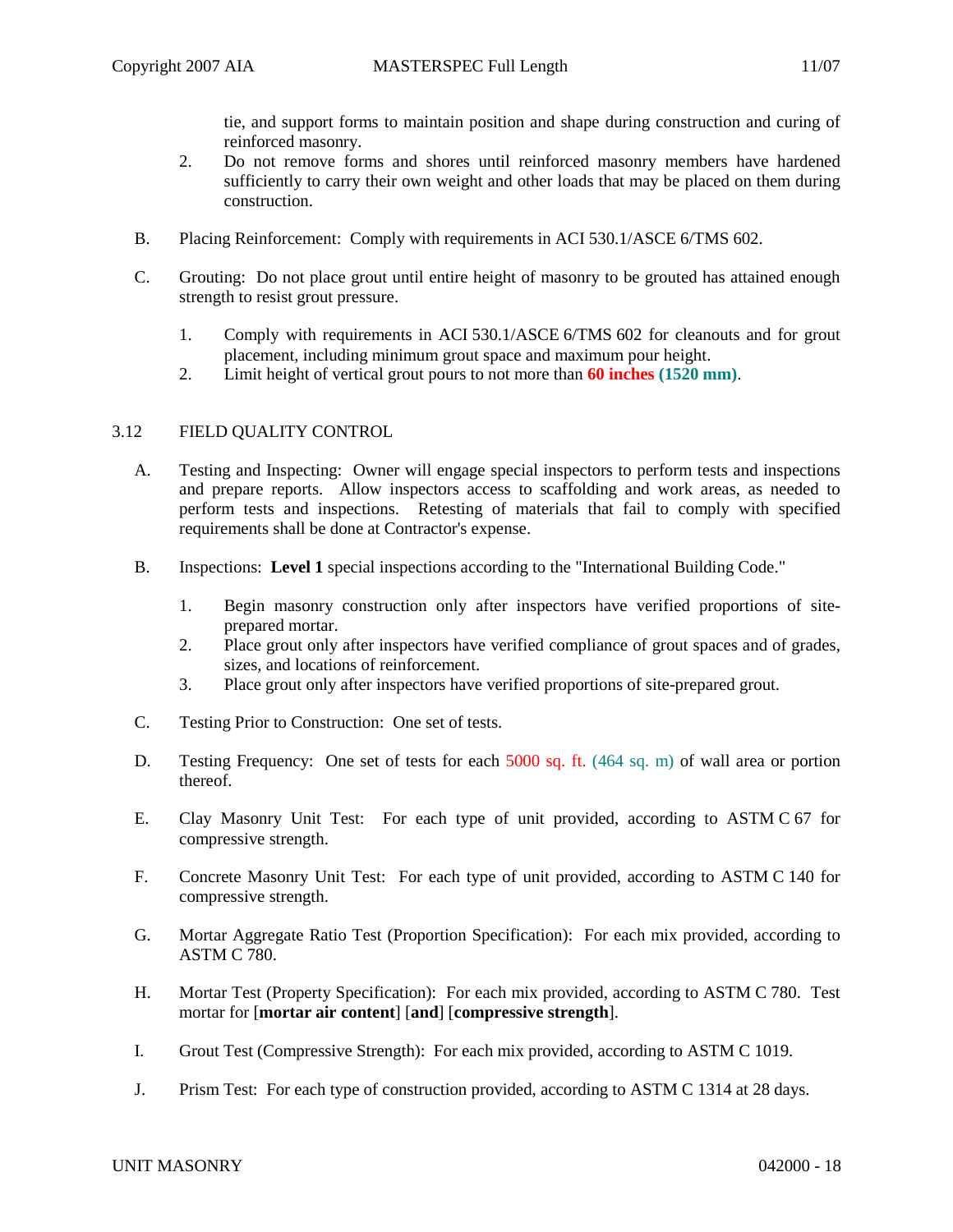- 2. Do not remove forms and shores until reinforced masonry members have hardened sufficiently to carry their own weight and other loads that may be placed on them during construction.
- B. Placing Reinforcement: Comply with requirements in ACI 530.1/ASCE 6/TMS 602.
- C. Grouting: Do not place grout until entire height of masonry to be grouted has attained enough strength to resist grout pressure.
	- 1. Comply with requirements in ACI 530.1/ASCE 6/TMS 602 for cleanouts and for grout placement, including minimum grout space and maximum pour height.
	- 2. Limit height of vertical grout pours to not more than **60 inches (1520 mm)**.

# 3.12 FIELD QUALITY CONTROL

- A. Testing and Inspecting: Owner will engage special inspectors to perform tests and inspections and prepare reports. Allow inspectors access to scaffolding and work areas, as needed to perform tests and inspections. Retesting of materials that fail to comply with specified requirements shall be done at Contractor's expense.
- B. Inspections: **Level 1** special inspections according to the "International Building Code."
	- 1. Begin masonry construction only after inspectors have verified proportions of siteprepared mortar.
	- 2. Place grout only after inspectors have verified compliance of grout spaces and of grades, sizes, and locations of reinforcement.
	- 3. Place grout only after inspectors have verified proportions of site-prepared grout.
- C. Testing Prior to Construction: One set of tests.
- D. Testing Frequency: One set of tests for each 5000 sq. ft. (464 sq. m) of wall area or portion thereof.
- E. Clay Masonry Unit Test: For each type of unit provided, according to ASTM C 67 for compressive strength.
- F. Concrete Masonry Unit Test: For each type of unit provided, according to ASTM C 140 for compressive strength.
- G. Mortar Aggregate Ratio Test (Proportion Specification): For each mix provided, according to ASTM C 780.
- H. Mortar Test (Property Specification): For each mix provided, according to ASTM C 780. Test mortar for [**mortar air content**] [**and**] [**compressive strength**].
- I. Grout Test (Compressive Strength): For each mix provided, according to ASTM C 1019.
- J. Prism Test: For each type of construction provided, according to ASTM C 1314 at 28 days.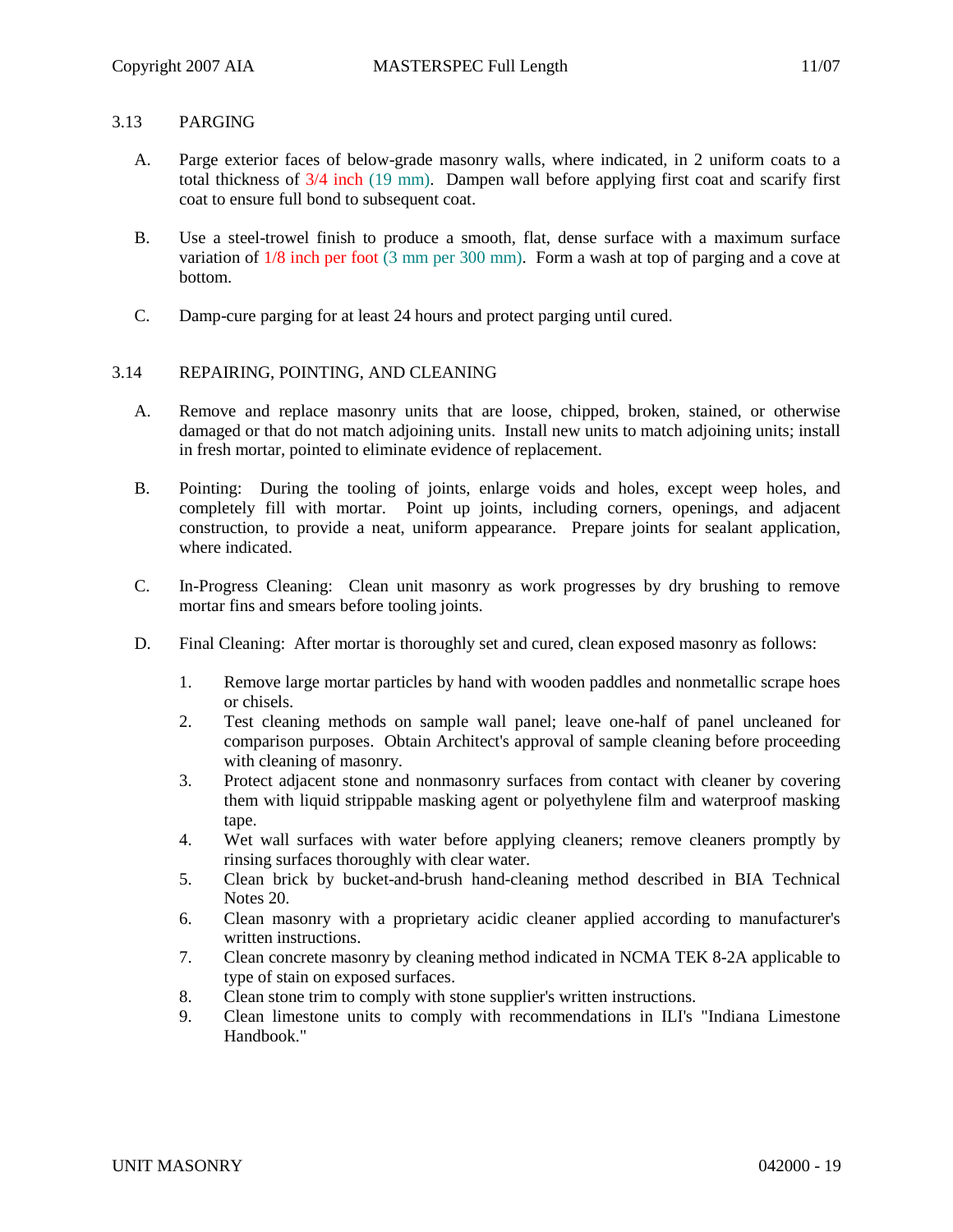## 3.13 PARGING

- A. Parge exterior faces of below-grade masonry walls, where indicated, in 2 uniform coats to a total thickness of 3/4 inch (19 mm). Dampen wall before applying first coat and scarify first coat to ensure full bond to subsequent coat.
- B. Use a steel-trowel finish to produce a smooth, flat, dense surface with a maximum surface variation of 1/8 inch per foot (3 mm per 300 mm). Form a wash at top of parging and a cove at bottom.
- C. Damp-cure parging for at least 24 hours and protect parging until cured.

# 3.14 REPAIRING, POINTING, AND CLEANING

- A. Remove and replace masonry units that are loose, chipped, broken, stained, or otherwise damaged or that do not match adjoining units. Install new units to match adjoining units; install in fresh mortar, pointed to eliminate evidence of replacement.
- B. Pointing: During the tooling of joints, enlarge voids and holes, except weep holes, and completely fill with mortar. Point up joints, including corners, openings, and adjacent construction, to provide a neat, uniform appearance. Prepare joints for sealant application, where indicated.
- C. In-Progress Cleaning: Clean unit masonry as work progresses by dry brushing to remove mortar fins and smears before tooling joints.
- D. Final Cleaning: After mortar is thoroughly set and cured, clean exposed masonry as follows:
	- 1. Remove large mortar particles by hand with wooden paddles and nonmetallic scrape hoes or chisels.
	- 2. Test cleaning methods on sample wall panel; leave one-half of panel uncleaned for comparison purposes. Obtain Architect's approval of sample cleaning before proceeding with cleaning of masonry.
	- 3. Protect adjacent stone and nonmasonry surfaces from contact with cleaner by covering them with liquid strippable masking agent or polyethylene film and waterproof masking tape.
	- 4. Wet wall surfaces with water before applying cleaners; remove cleaners promptly by rinsing surfaces thoroughly with clear water.
	- 5. Clean brick by bucket-and-brush hand-cleaning method described in BIA Technical Notes 20.
	- 6. Clean masonry with a proprietary acidic cleaner applied according to manufacturer's written instructions.
	- 7. Clean concrete masonry by cleaning method indicated in NCMA TEK 8-2A applicable to type of stain on exposed surfaces.
	- 8. Clean stone trim to comply with stone supplier's written instructions.
	- 9. Clean limestone units to comply with recommendations in ILI's "Indiana Limestone Handbook."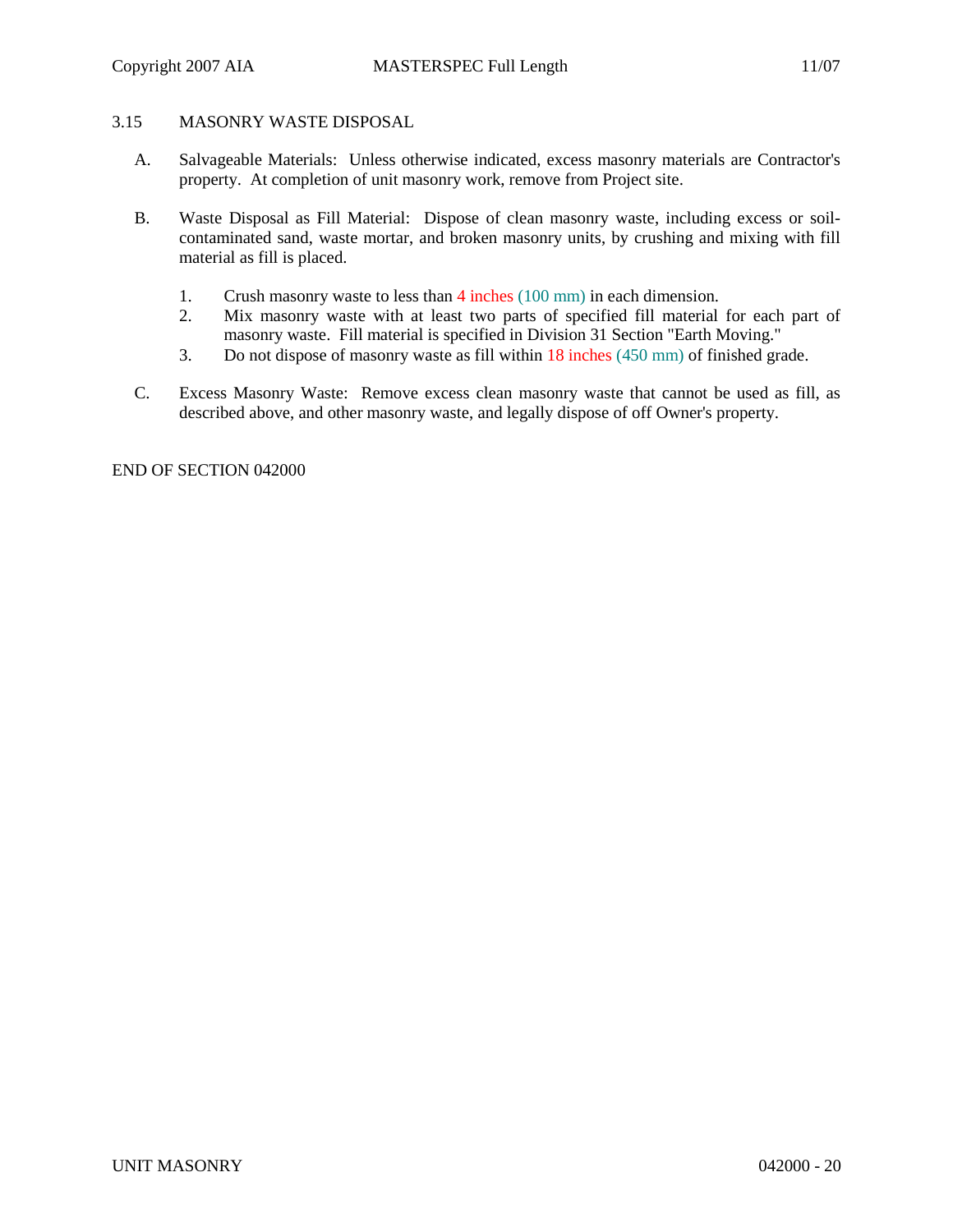# 3.15 MASONRY WASTE DISPOSAL

- A. Salvageable Materials: Unless otherwise indicated, excess masonry materials are Contractor's property. At completion of unit masonry work, remove from Project site.
- B. Waste Disposal as Fill Material: Dispose of clean masonry waste, including excess or soilcontaminated sand, waste mortar, and broken masonry units, by crushing and mixing with fill material as fill is placed.
	- 1. Crush masonry waste to less than 4 inches (100 mm) in each dimension.
	- 2. Mix masonry waste with at least two parts of specified fill material for each part of masonry waste. Fill material is specified in Division 31 Section "Earth Moving."
	- 3. Do not dispose of masonry waste as fill within 18 inches (450 mm) of finished grade.
- C. Excess Masonry Waste: Remove excess clean masonry waste that cannot be used as fill, as described above, and other masonry waste, and legally dispose of off Owner's property.

END OF SECTION 042000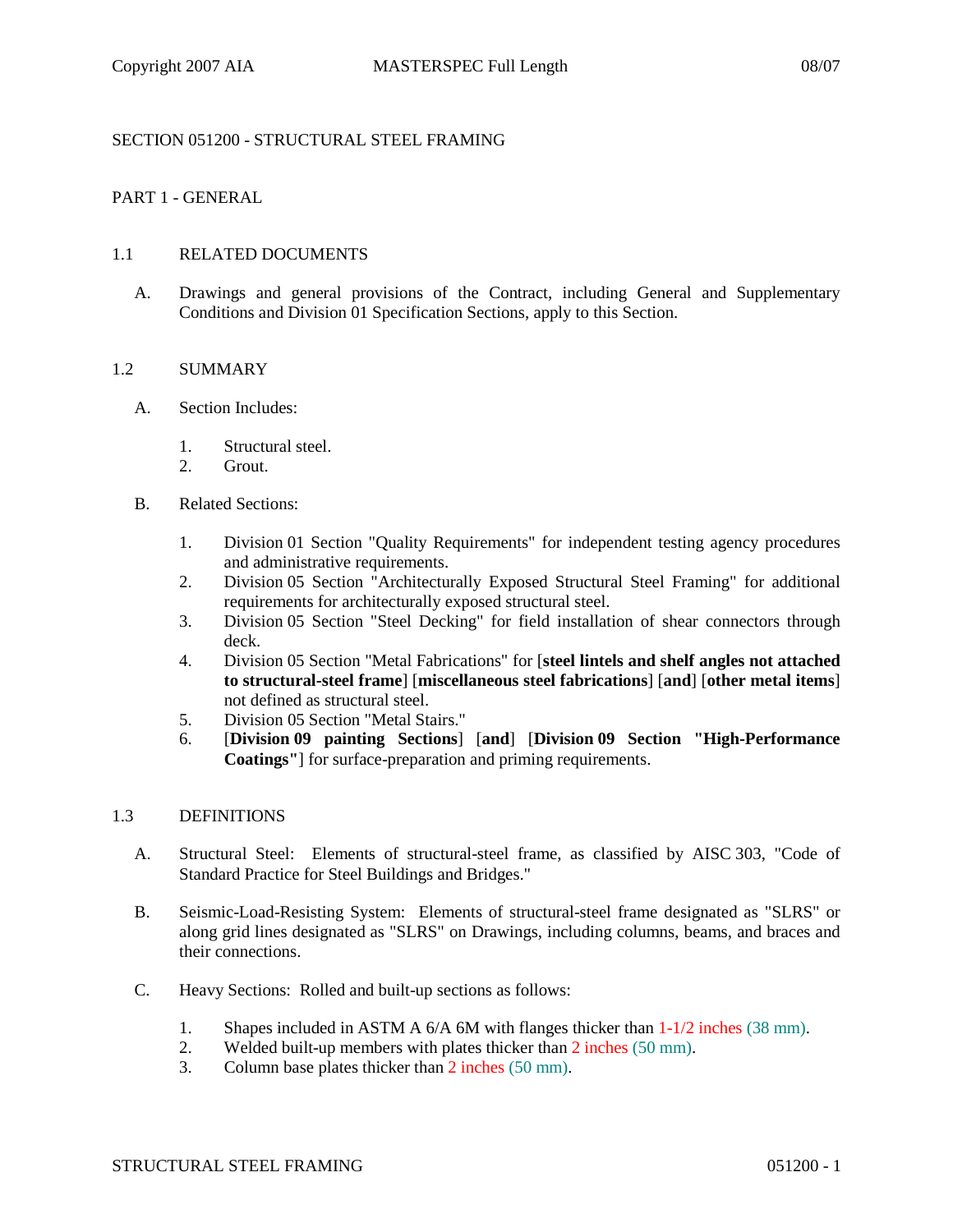## SECTION 051200 - STRUCTURAL STEEL FRAMING

## PART 1 - GENERAL

### 1.1 RELATED DOCUMENTS

A. Drawings and general provisions of the Contract, including General and Supplementary Conditions and Division 01 Specification Sections, apply to this Section.

### 1.2 SUMMARY

- A. Section Includes:
	- 1. Structural steel.
	- 2. Grout.
- B. Related Sections:
	- 1. Division 01 Section "Quality Requirements" for independent testing agency procedures and administrative requirements.
	- 2. Division 05 Section "Architecturally Exposed Structural Steel Framing" for additional requirements for architecturally exposed structural steel.
	- 3. Division 05 Section "Steel Decking" for field installation of shear connectors through deck.
	- 4. Division 05 Section "Metal Fabrications" for [**steel lintels and shelf angles not attached to structural-steel frame**] [**miscellaneous steel fabrications**] [**and**] [**other metal items**] not defined as structural steel.
	- 5. Division 05 Section "Metal Stairs."
	- 6. [**Division 09 painting Sections**] [**and**] [**Division 09 Section "High-Performance Coatings"**] for surface-preparation and priming requirements.

#### 1.3 DEFINITIONS

- A. Structural Steel: Elements of structural-steel frame, as classified by AISC 303, "Code of Standard Practice for Steel Buildings and Bridges."
- B. Seismic-Load-Resisting System: Elements of structural-steel frame designated as "SLRS" or along grid lines designated as "SLRS" on Drawings, including columns, beams, and braces and their connections.
- C. Heavy Sections: Rolled and built-up sections as follows:
	- 1. Shapes included in ASTM A 6/A 6M with flanges thicker than 1-1/2 inches (38 mm).
	- 2. Welded built-up members with plates thicker than 2 inches (50 mm).
	- 3. Column base plates thicker than 2 inches (50 mm).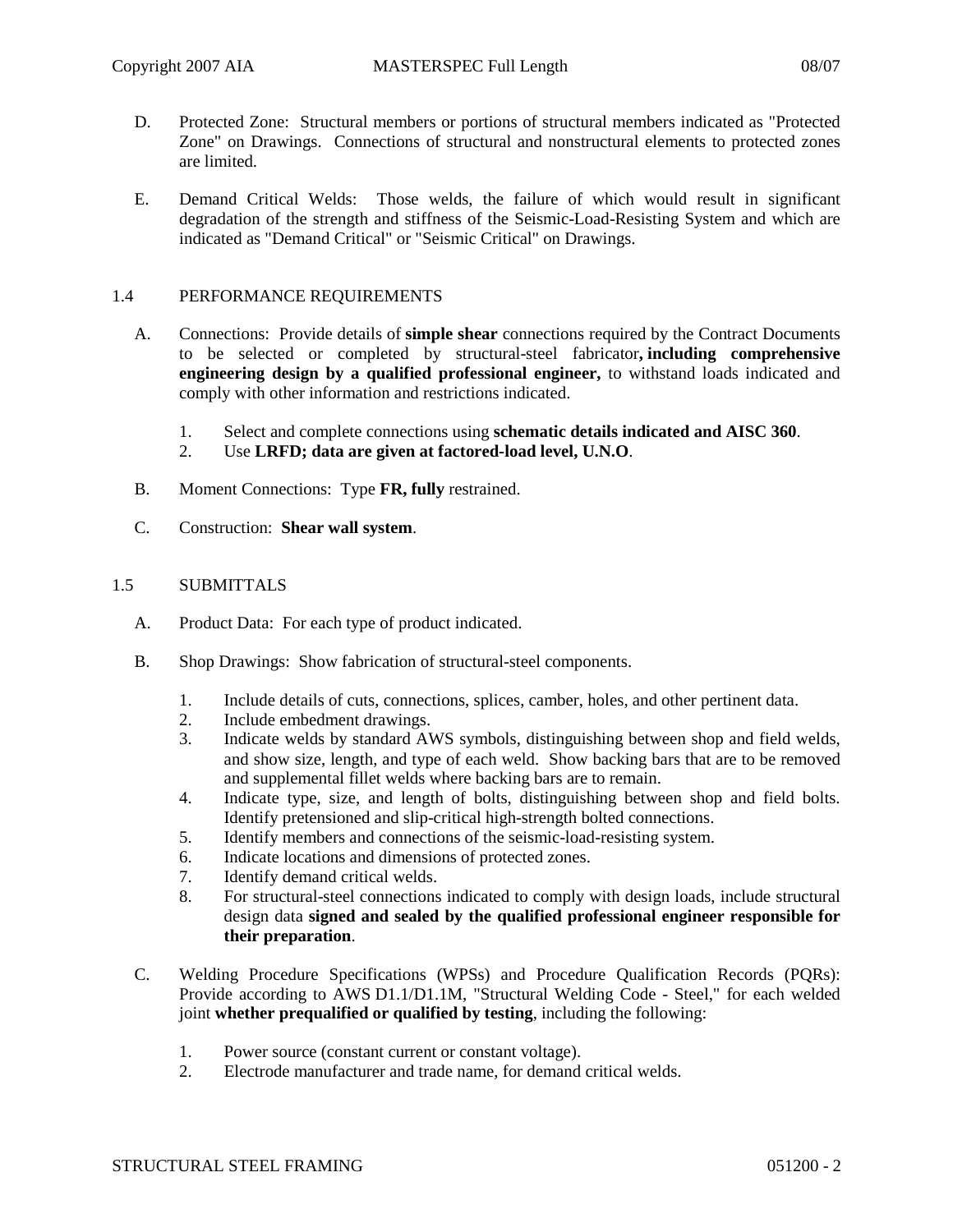- D. Protected Zone: Structural members or portions of structural members indicated as "Protected Zone" on Drawings. Connections of structural and nonstructural elements to protected zones are limited.
- E. Demand Critical Welds: Those welds, the failure of which would result in significant degradation of the strength and stiffness of the Seismic-Load-Resisting System and which are indicated as "Demand Critical" or "Seismic Critical" on Drawings.

## 1.4 PERFORMANCE REQUIREMENTS

- A. Connections: Provide details of **simple shear** connections required by the Contract Documents to be selected or completed by structural-steel fabricator**, including comprehensive engineering design by a qualified professional engineer,** to withstand loads indicated and comply with other information and restrictions indicated.
	- 1. Select and complete connections using **schematic details indicated and AISC 360**.
	- 2. Use **LRFD; data are given at factored-load level, U.N.O**.
- B. Moment Connections: Type **FR, fully** restrained.
- C. Construction: **Shear wall system**.

## 1.5 SUBMITTALS

- A. Product Data: For each type of product indicated.
- B. Shop Drawings: Show fabrication of structural-steel components.
	- 1. Include details of cuts, connections, splices, camber, holes, and other pertinent data.
	- 2. Include embedment drawings.
	- 3. Indicate welds by standard AWS symbols, distinguishing between shop and field welds, and show size, length, and type of each weld. Show backing bars that are to be removed and supplemental fillet welds where backing bars are to remain.
	- 4. Indicate type, size, and length of bolts, distinguishing between shop and field bolts. Identify pretensioned and slip-critical high-strength bolted connections.
	- 5. Identify members and connections of the seismic-load-resisting system.
	- 6. Indicate locations and dimensions of protected zones.
	- 7. Identify demand critical welds.
	- 8. For structural-steel connections indicated to comply with design loads, include structural design data **signed and sealed by the qualified professional engineer responsible for their preparation**.
- C. Welding Procedure Specifications (WPSs) and Procedure Qualification Records (PQRs): Provide according to AWS D1.1/D1.1M, "Structural Welding Code - Steel," for each welded joint **whether prequalified or qualified by testing**, including the following:
	- 1. Power source (constant current or constant voltage).<br>2. Electrode manufacturer and trade name, for demand
	- 2. Electrode manufacturer and trade name, for demand critical welds.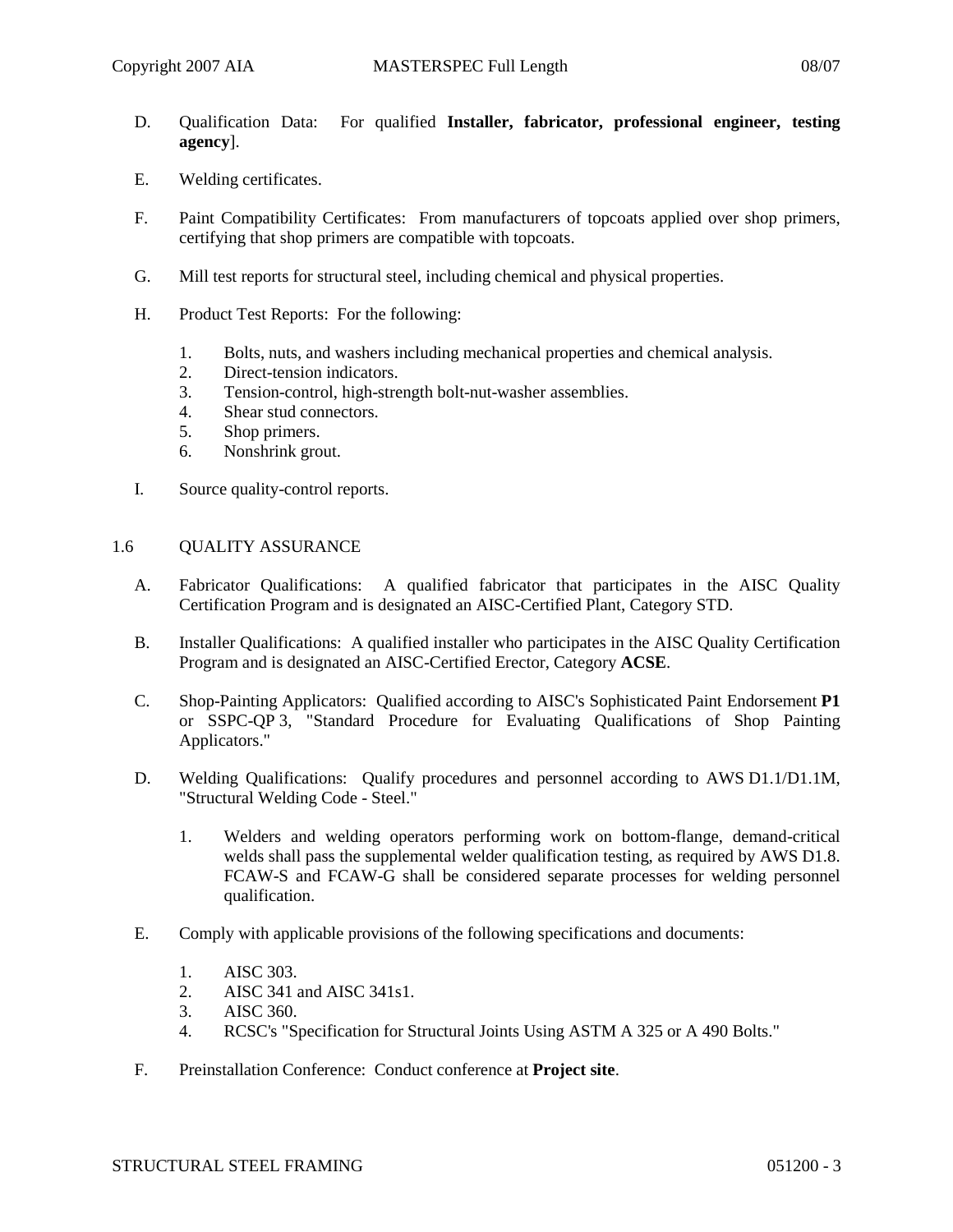- D. Qualification Data: For qualified **Installer, fabricator, professional engineer, testing agency**].
- E. Welding certificates.
- F. Paint Compatibility Certificates: From manufacturers of topcoats applied over shop primers, certifying that shop primers are compatible with topcoats.
- G. Mill test reports for structural steel, including chemical and physical properties.
- H. Product Test Reports: For the following:
	- 1. Bolts, nuts, and washers including mechanical properties and chemical analysis.
	- 2. Direct-tension indicators.
	- 3. Tension-control, high-strength bolt-nut-washer assemblies.
	- 4. Shear stud connectors.
	- 5. Shop primers.
	- 6. Nonshrink grout.
- I. Source quality-control reports.

### 1.6 QUALITY ASSURANCE

- A. Fabricator Qualifications: A qualified fabricator that participates in the AISC Quality Certification Program and is designated an AISC-Certified Plant, Category STD.
- B. Installer Qualifications: A qualified installer who participates in the AISC Quality Certification Program and is designated an AISC-Certified Erector, Category **ACSE**.
- C. Shop-Painting Applicators: Qualified according to AISC's Sophisticated Paint Endorsement **P1** or SSPC-QP 3, "Standard Procedure for Evaluating Qualifications of Shop Painting Applicators."
- D. Welding Qualifications: Qualify procedures and personnel according to AWS D1.1/D1.1M, "Structural Welding Code - Steel."
	- 1. Welders and welding operators performing work on bottom-flange, demand-critical welds shall pass the supplemental welder qualification testing, as required by AWS D1.8. FCAW-S and FCAW-G shall be considered separate processes for welding personnel qualification.
- E. Comply with applicable provisions of the following specifications and documents:
	- 1. AISC 303.
	- 2. AISC 341 and AISC 341s1.<br>3. AISC 360.
	- AISC 360.
	- 4. RCSC's "Specification for Structural Joints Using ASTM A 325 or A 490 Bolts."
- F. Preinstallation Conference: Conduct conference at **Project site**.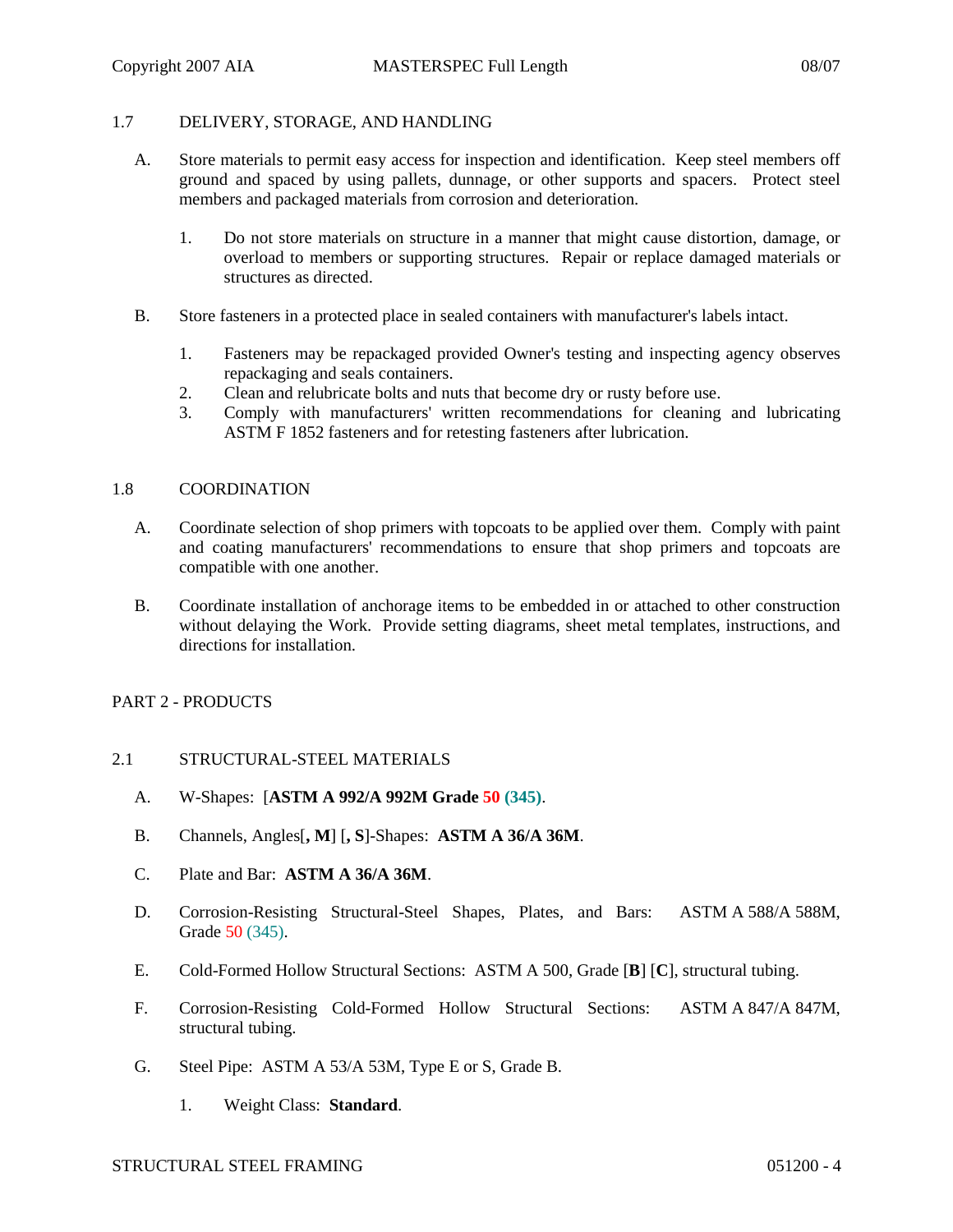### 1.7 DELIVERY, STORAGE, AND HANDLING

- A. Store materials to permit easy access for inspection and identification. Keep steel members off ground and spaced by using pallets, dunnage, or other supports and spacers. Protect steel members and packaged materials from corrosion and deterioration.
	- 1. Do not store materials on structure in a manner that might cause distortion, damage, or overload to members or supporting structures. Repair or replace damaged materials or structures as directed.
- B. Store fasteners in a protected place in sealed containers with manufacturer's labels intact.
	- 1. Fasteners may be repackaged provided Owner's testing and inspecting agency observes repackaging and seals containers.
	- 2. Clean and relubricate bolts and nuts that become dry or rusty before use.
	- 3. Comply with manufacturers' written recommendations for cleaning and lubricating ASTM F 1852 fasteners and for retesting fasteners after lubrication.

#### 1.8 COORDINATION

- A. Coordinate selection of shop primers with topcoats to be applied over them. Comply with paint and coating manufacturers' recommendations to ensure that shop primers and topcoats are compatible with one another.
- B. Coordinate installation of anchorage items to be embedded in or attached to other construction without delaying the Work. Provide setting diagrams, sheet metal templates, instructions, and directions for installation.

### PART 2 - PRODUCTS

### 2.1 STRUCTURAL-STEEL MATERIALS

- A. W-Shapes: [**ASTM A 992/A 992M Grade 50 (345)**.
- B. Channels, Angles[**, M**] [**, S**]-Shapes: **ASTM A 36/A 36M**.
- C. Plate and Bar: **ASTM A 36/A 36M**.
- D. Corrosion-Resisting Structural-Steel Shapes, Plates, and Bars: ASTM A 588/A 588M, Grade 50 (345).
- E. Cold-Formed Hollow Structural Sections: ASTM A 500, Grade [**B**] [**C**], structural tubing.
- F. Corrosion-Resisting Cold-Formed Hollow Structural Sections: ASTM A 847/A 847M, structural tubing.
- G. Steel Pipe: ASTM A 53/A 53M, Type E or S, Grade B.
	- 1. Weight Class: **Standard**.

# STRUCTURAL STEEL FRAMING 051200 - 4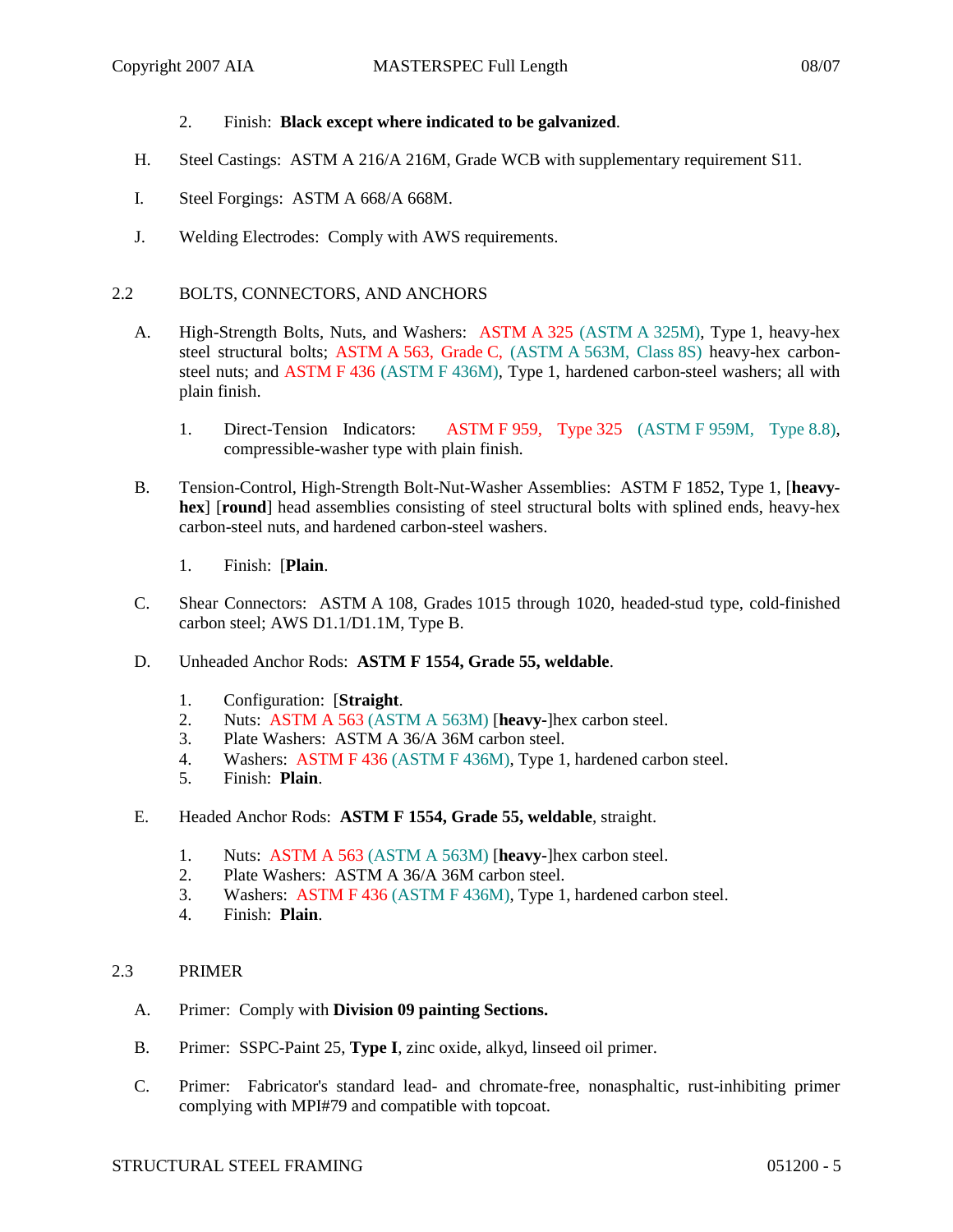## 2. Finish: **Black except where indicated to be galvanized**.

- H. Steel Castings: ASTM A 216/A 216M, Grade WCB with supplementary requirement S11.
- I. Steel Forgings: ASTM A 668/A 668M.
- J. Welding Electrodes: Comply with AWS requirements.

## 2.2 BOLTS, CONNECTORS, AND ANCHORS

- A. High-Strength Bolts, Nuts, and Washers: ASTM A 325 (ASTM A 325M), Type 1, heavy-hex steel structural bolts; ASTM A 563, Grade C, (ASTM A 563M, Class 8S) heavy-hex carbonsteel nuts; and ASTM F 436 (ASTM F 436M), Type 1, hardened carbon-steel washers; all with plain finish.
	- 1. Direct-Tension Indicators: ASTM F 959, Type 325 (ASTM F 959M, Type 8.8), compressible-washer type with plain finish.
- B. Tension-Control, High-Strength Bolt-Nut-Washer Assemblies: ASTM F 1852, Type 1, [**heavyhex**] [**round**] head assemblies consisting of steel structural bolts with splined ends, heavy-hex carbon-steel nuts, and hardened carbon-steel washers.
	- 1. Finish: [**Plain**.
- C. Shear Connectors: ASTM A 108, Grades 1015 through 1020, headed-stud type, cold-finished carbon steel; AWS D1.1/D1.1M, Type B.
- D. Unheaded Anchor Rods: **ASTM F 1554, Grade 55, weldable**.
	- 1. Configuration: [**Straight**.
	- 2. Nuts: ASTM A 563 (ASTM A 563M) [**heavy-**]hex carbon steel.
	- 3. Plate Washers: ASTM A 36/A 36M carbon steel.
	- 4. Washers: ASTM F 436 (ASTM F 436M), Type 1, hardened carbon steel.
	- 5. Finish: **Plain**.
- E. Headed Anchor Rods: **ASTM F 1554, Grade 55, weldable**, straight.
	- 1. Nuts: ASTM A 563 (ASTM A 563M) [**heavy-**]hex carbon steel.
	- 2. Plate Washers: ASTM A 36/A 36M carbon steel.
	- 3. Washers: ASTM F 436 (ASTM F 436M), Type 1, hardened carbon steel.
	- 4. Finish: **Plain**.

### 2.3 PRIMER

- A. Primer: Comply with **Division 09 painting Sections.**
- B. Primer: SSPC-Paint 25, **Type I**, zinc oxide, alkyd, linseed oil primer.
- C. Primer: Fabricator's standard lead- and chromate-free, nonasphaltic, rust-inhibiting primer complying with MPI#79 and compatible with topcoat.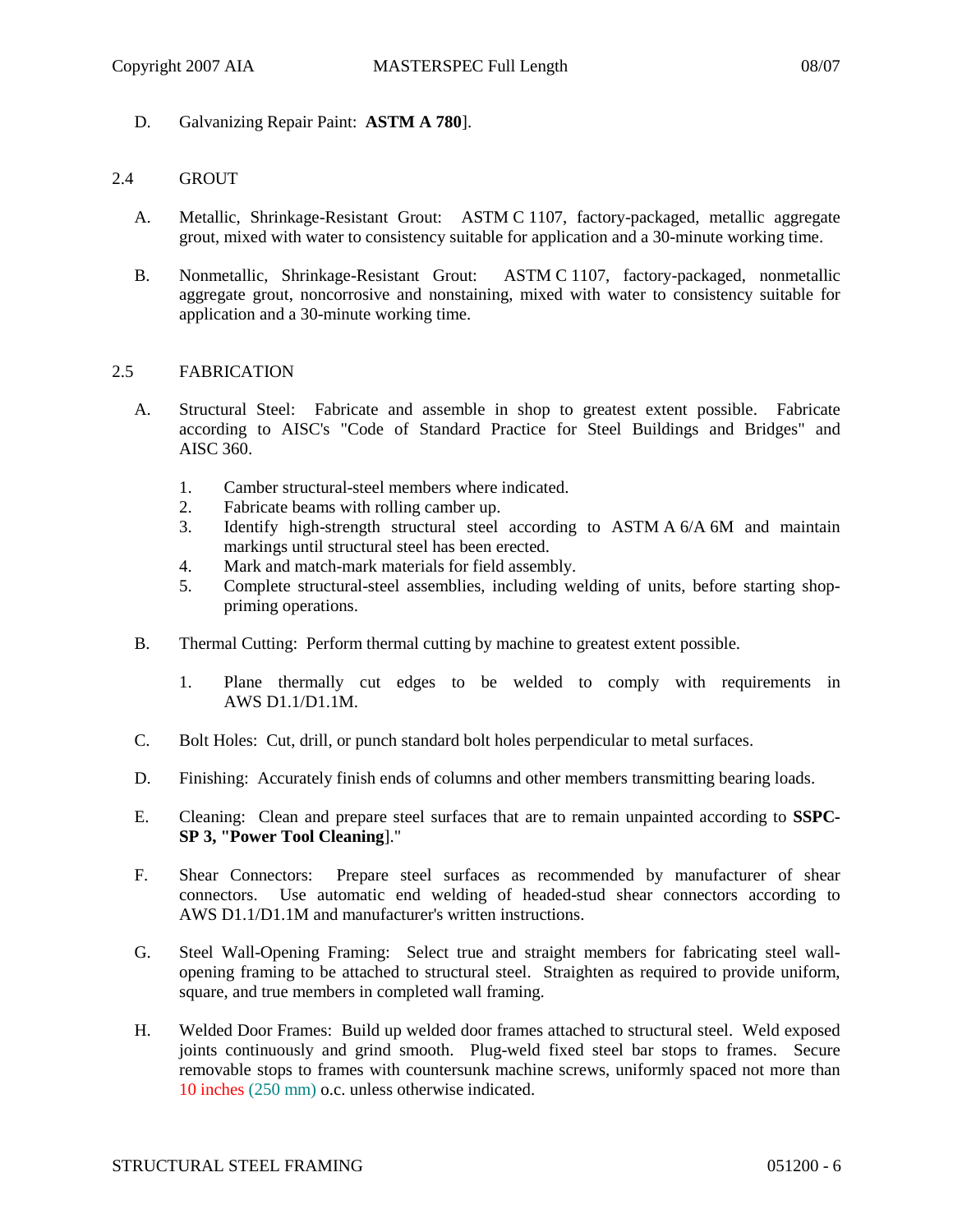D. Galvanizing Repair Paint: **ASTM A 780**].

#### 2.4 GROUT

- A. Metallic, Shrinkage-Resistant Grout: ASTM C 1107, factory-packaged, metallic aggregate grout, mixed with water to consistency suitable for application and a 30-minute working time.
- B. Nonmetallic, Shrinkage-Resistant Grout: ASTM C 1107, factory-packaged, nonmetallic aggregate grout, noncorrosive and nonstaining, mixed with water to consistency suitable for application and a 30-minute working time.

#### 2.5 FABRICATION

- A. Structural Steel: Fabricate and assemble in shop to greatest extent possible. Fabricate according to AISC's "Code of Standard Practice for Steel Buildings and Bridges" and AISC 360.
	- 1. Camber structural-steel members where indicated.
	- 2. Fabricate beams with rolling camber up.
	- 3. Identify high-strength structural steel according to ASTM A 6/A 6M and maintain markings until structural steel has been erected.
	- 4. Mark and match-mark materials for field assembly.
	- 5. Complete structural-steel assemblies, including welding of units, before starting shoppriming operations.
- B. Thermal Cutting: Perform thermal cutting by machine to greatest extent possible.
	- 1. Plane thermally cut edges to be welded to comply with requirements in AWS D1.1/D1.1M.
- C. Bolt Holes: Cut, drill, or punch standard bolt holes perpendicular to metal surfaces.
- D. Finishing: Accurately finish ends of columns and other members transmitting bearing loads.
- E. Cleaning: Clean and prepare steel surfaces that are to remain unpainted according to **SSPC-SP 3, "Power Tool Cleaning**]."
- F. Shear Connectors: Prepare steel surfaces as recommended by manufacturer of shear connectors. Use automatic end welding of headed-stud shear connectors according to AWS D1.1/D1.1M and manufacturer's written instructions.
- G. Steel Wall-Opening Framing: Select true and straight members for fabricating steel wallopening framing to be attached to structural steel. Straighten as required to provide uniform, square, and true members in completed wall framing.
- H. Welded Door Frames: Build up welded door frames attached to structural steel. Weld exposed joints continuously and grind smooth. Plug-weld fixed steel bar stops to frames. Secure removable stops to frames with countersunk machine screws, uniformly spaced not more than 10 inches (250 mm) o.c. unless otherwise indicated.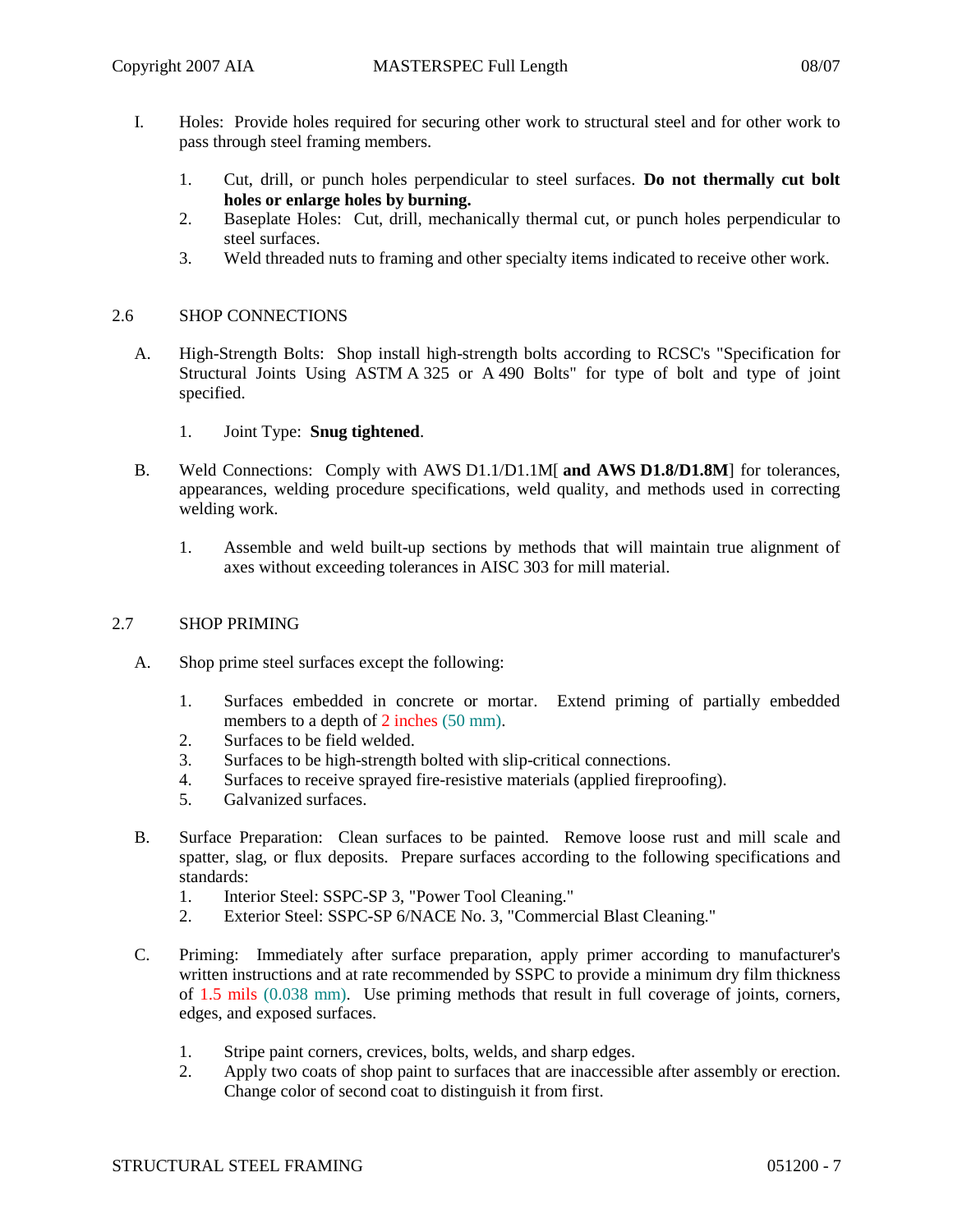- I. Holes: Provide holes required for securing other work to structural steel and for other work to pass through steel framing members.
	- 1. Cut, drill, or punch holes perpendicular to steel surfaces. **Do not thermally cut bolt holes or enlarge holes by burning.**
	- 2. Baseplate Holes: Cut, drill, mechanically thermal cut, or punch holes perpendicular to steel surfaces.
	- 3. Weld threaded nuts to framing and other specialty items indicated to receive other work.

### 2.6 SHOP CONNECTIONS

- A. High-Strength Bolts: Shop install high-strength bolts according to RCSC's "Specification for Structural Joints Using ASTM A 325 or A 490 Bolts" for type of bolt and type of joint specified.
	- 1. Joint Type: **Snug tightened**.
- B. Weld Connections: Comply with AWS D1.1/D1.1M[ **and AWS D1.8/D1.8M**] for tolerances, appearances, welding procedure specifications, weld quality, and methods used in correcting welding work.
	- 1. Assemble and weld built-up sections by methods that will maintain true alignment of axes without exceeding tolerances in AISC 303 for mill material.

## 2.7 SHOP PRIMING

- A. Shop prime steel surfaces except the following:
	- 1. Surfaces embedded in concrete or mortar. Extend priming of partially embedded members to a depth of 2 inches (50 mm).
	- 2. Surfaces to be field welded.
	- 3. Surfaces to be high-strength bolted with slip-critical connections.
	- 4. Surfaces to receive sprayed fire-resistive materials (applied fireproofing).
	- 5. Galvanized surfaces.
- B. Surface Preparation: Clean surfaces to be painted. Remove loose rust and mill scale and spatter, slag, or flux deposits. Prepare surfaces according to the following specifications and standards:
	- 1. Interior Steel: SSPC-SP 3, "Power Tool Cleaning."
	- 2. Exterior Steel: SSPC-SP 6/NACE No. 3, "Commercial Blast Cleaning."
- C. Priming: Immediately after surface preparation, apply primer according to manufacturer's written instructions and at rate recommended by SSPC to provide a minimum dry film thickness of 1.5 mils (0.038 mm). Use priming methods that result in full coverage of joints, corners, edges, and exposed surfaces.
	- 1. Stripe paint corners, crevices, bolts, welds, and sharp edges.
	- 2. Apply two coats of shop paint to surfaces that are inaccessible after assembly or erection. Change color of second coat to distinguish it from first.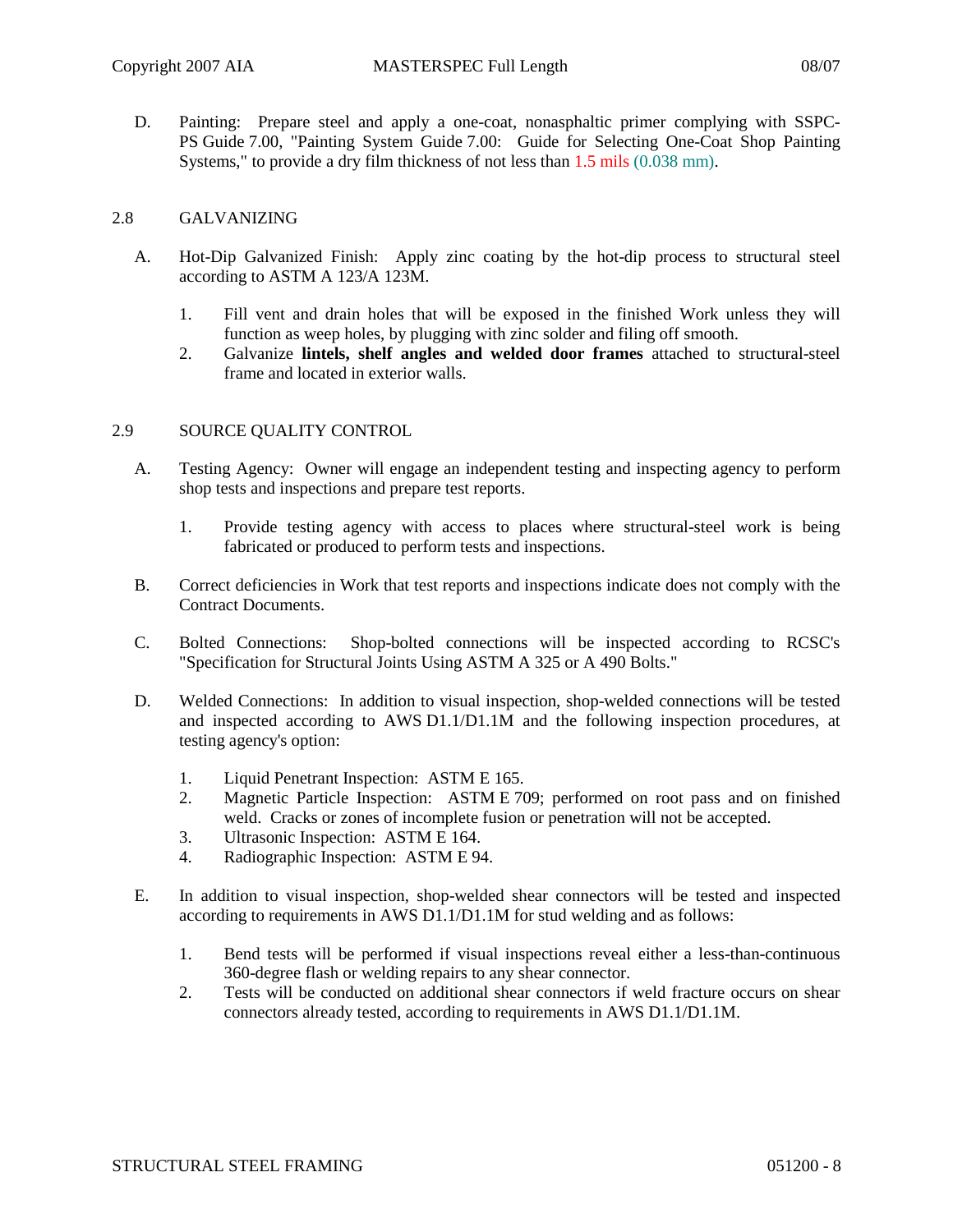D. Painting: Prepare steel and apply a one-coat, nonasphaltic primer complying with SSPC-PS Guide 7.00, "Painting System Guide 7.00: Guide for Selecting One-Coat Shop Painting Systems," to provide a dry film thickness of not less than 1.5 mils (0.038 mm).

## 2.8 GALVANIZING

- A. Hot-Dip Galvanized Finish: Apply zinc coating by the hot-dip process to structural steel according to ASTM A 123/A 123M.
	- 1. Fill vent and drain holes that will be exposed in the finished Work unless they will function as weep holes, by plugging with zinc solder and filing off smooth.
	- 2. Galvanize **lintels, shelf angles and welded door frames** attached to structural-steel frame and located in exterior walls.

### 2.9 SOURCE QUALITY CONTROL

- A. Testing Agency: Owner will engage an independent testing and inspecting agency to perform shop tests and inspections and prepare test reports.
	- 1. Provide testing agency with access to places where structural-steel work is being fabricated or produced to perform tests and inspections.
- B. Correct deficiencies in Work that test reports and inspections indicate does not comply with the Contract Documents.
- C. Bolted Connections: Shop-bolted connections will be inspected according to RCSC's "Specification for Structural Joints Using ASTM A 325 or A 490 Bolts."
- D. Welded Connections: In addition to visual inspection, shop-welded connections will be tested and inspected according to AWS D1.1/D1.1M and the following inspection procedures, at testing agency's option:
	- 1. Liquid Penetrant Inspection: ASTM E 165.
	- 2. Magnetic Particle Inspection: ASTM E 709; performed on root pass and on finished weld. Cracks or zones of incomplete fusion or penetration will not be accepted.
	- 3. Ultrasonic Inspection: ASTM E 164.
	- 4. Radiographic Inspection: ASTM E 94.
- E. In addition to visual inspection, shop-welded shear connectors will be tested and inspected according to requirements in AWS D1.1/D1.1M for stud welding and as follows:
	- 1. Bend tests will be performed if visual inspections reveal either a less-than-continuous 360-degree flash or welding repairs to any shear connector.
	- 2. Tests will be conducted on additional shear connectors if weld fracture occurs on shear connectors already tested, according to requirements in AWS D1.1/D1.1M.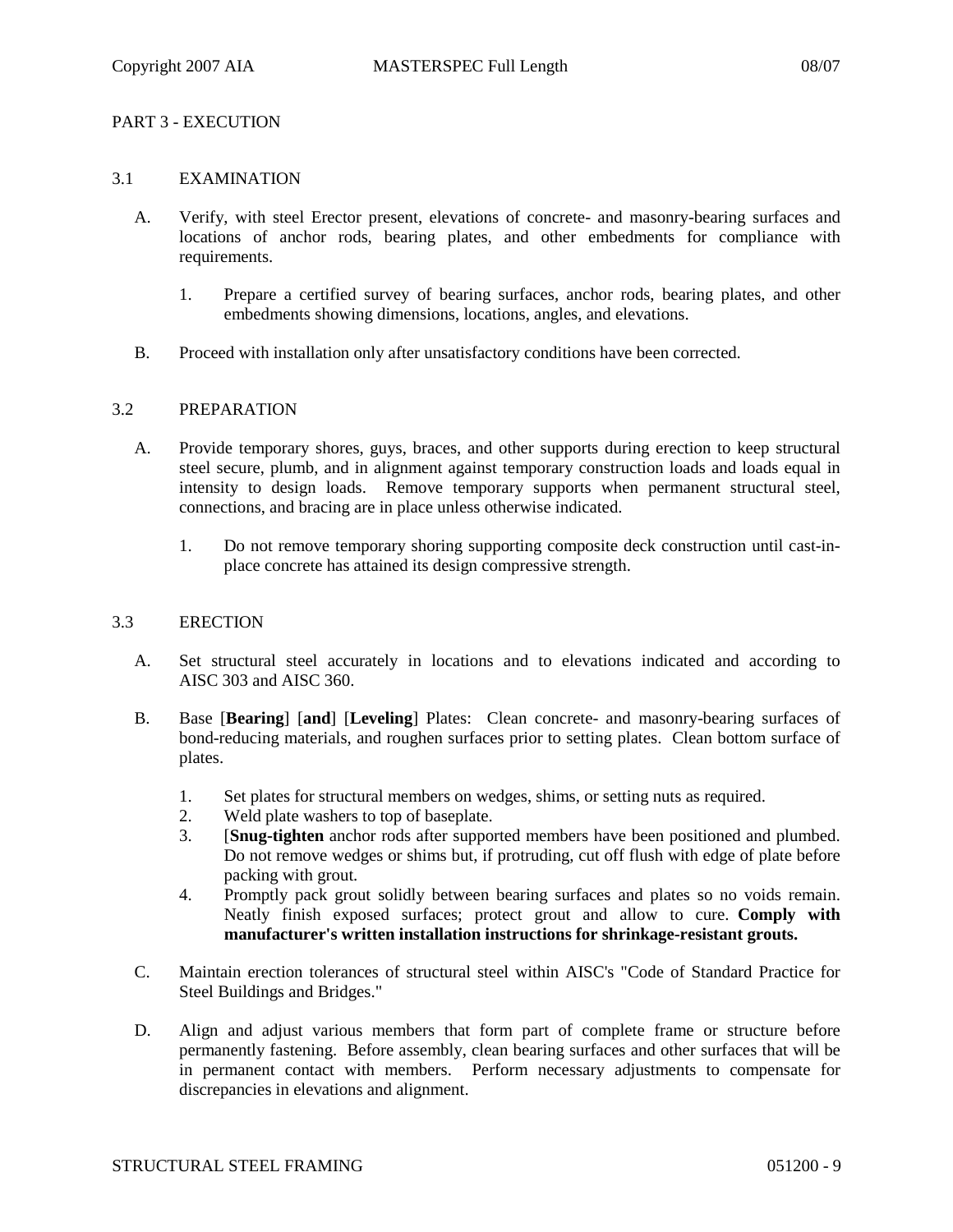# PART 3 - EXECUTION

### 3.1 EXAMINATION

- A. Verify, with steel Erector present, elevations of concrete- and masonry-bearing surfaces and locations of anchor rods, bearing plates, and other embedments for compliance with requirements.
	- 1. Prepare a certified survey of bearing surfaces, anchor rods, bearing plates, and other embedments showing dimensions, locations, angles, and elevations.
- B. Proceed with installation only after unsatisfactory conditions have been corrected.

#### 3.2 PREPARATION

- A. Provide temporary shores, guys, braces, and other supports during erection to keep structural steel secure, plumb, and in alignment against temporary construction loads and loads equal in intensity to design loads. Remove temporary supports when permanent structural steel, connections, and bracing are in place unless otherwise indicated.
	- 1. Do not remove temporary shoring supporting composite deck construction until cast-inplace concrete has attained its design compressive strength.

#### 3.3 ERECTION

- A. Set structural steel accurately in locations and to elevations indicated and according to AISC 303 and AISC 360.
- B. Base [**Bearing**] [**and**] [**Leveling**] Plates: Clean concrete- and masonry-bearing surfaces of bond-reducing materials, and roughen surfaces prior to setting plates. Clean bottom surface of plates.
	- 1. Set plates for structural members on wedges, shims, or setting nuts as required.
	- 2. Weld plate washers to top of baseplate.
	- 3. [**Snug-tighten** anchor rods after supported members have been positioned and plumbed. Do not remove wedges or shims but, if protruding, cut off flush with edge of plate before packing with grout.
	- 4. Promptly pack grout solidly between bearing surfaces and plates so no voids remain. Neatly finish exposed surfaces; protect grout and allow to cure. **Comply with manufacturer's written installation instructions for shrinkage-resistant grouts.**
- C. Maintain erection tolerances of structural steel within AISC's "Code of Standard Practice for Steel Buildings and Bridges."
- D. Align and adjust various members that form part of complete frame or structure before permanently fastening. Before assembly, clean bearing surfaces and other surfaces that will be in permanent contact with members. Perform necessary adjustments to compensate for discrepancies in elevations and alignment.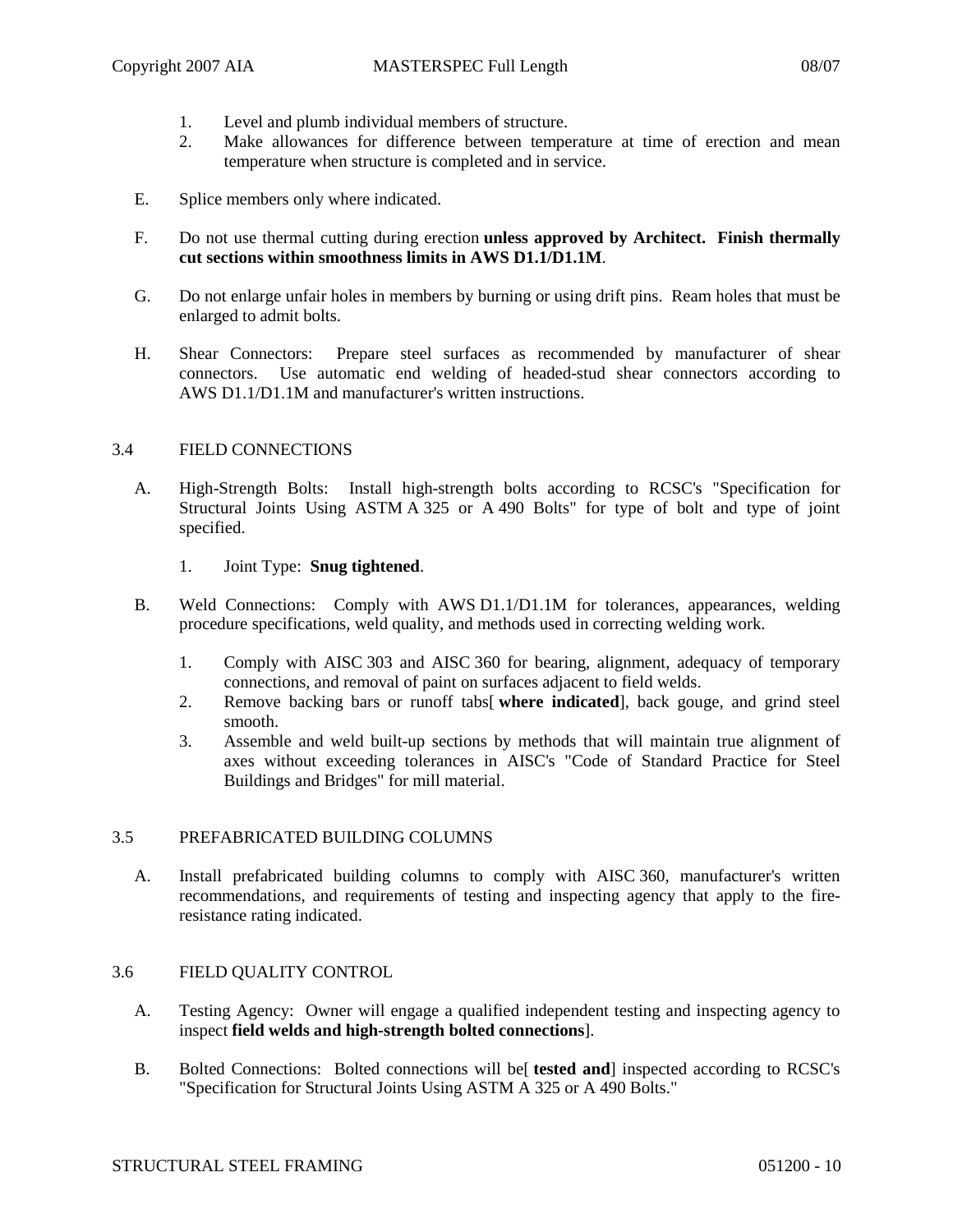- 1. Level and plumb individual members of structure.
- 2. Make allowances for difference between temperature at time of erection and mean temperature when structure is completed and in service.
- E. Splice members only where indicated.
- F. Do not use thermal cutting during erection **unless approved by Architect. Finish thermally cut sections within smoothness limits in AWS D1.1/D1.1M**.
- G. Do not enlarge unfair holes in members by burning or using drift pins. Ream holes that must be enlarged to admit bolts.
- H. Shear Connectors: Prepare steel surfaces as recommended by manufacturer of shear connectors. Use automatic end welding of headed-stud shear connectors according to AWS D1.1/D1.1M and manufacturer's written instructions.

# 3.4 FIELD CONNECTIONS

- A. High-Strength Bolts: Install high-strength bolts according to RCSC's "Specification for Structural Joints Using ASTM A 325 or A 490 Bolts" for type of bolt and type of joint specified.
	- 1. Joint Type: **Snug tightened**.
- B. Weld Connections: Comply with AWS D1.1/D1.1M for tolerances, appearances, welding procedure specifications, weld quality, and methods used in correcting welding work.
	- 1. Comply with AISC 303 and AISC 360 for bearing, alignment, adequacy of temporary connections, and removal of paint on surfaces adjacent to field welds.
	- 2. Remove backing bars or runoff tabs[ **where indicated**], back gouge, and grind steel smooth.
	- 3. Assemble and weld built-up sections by methods that will maintain true alignment of axes without exceeding tolerances in AISC's "Code of Standard Practice for Steel Buildings and Bridges" for mill material.

### 3.5 PREFABRICATED BUILDING COLUMNS

A. Install prefabricated building columns to comply with AISC 360, manufacturer's written recommendations, and requirements of testing and inspecting agency that apply to the fireresistance rating indicated.

### 3.6 FIELD QUALITY CONTROL

- A. Testing Agency: Owner will engage a qualified independent testing and inspecting agency to inspect **field welds and high-strength bolted connections**].
- B. Bolted Connections: Bolted connections will be[ **tested and**] inspected according to RCSC's "Specification for Structural Joints Using ASTM A 325 or A 490 Bolts."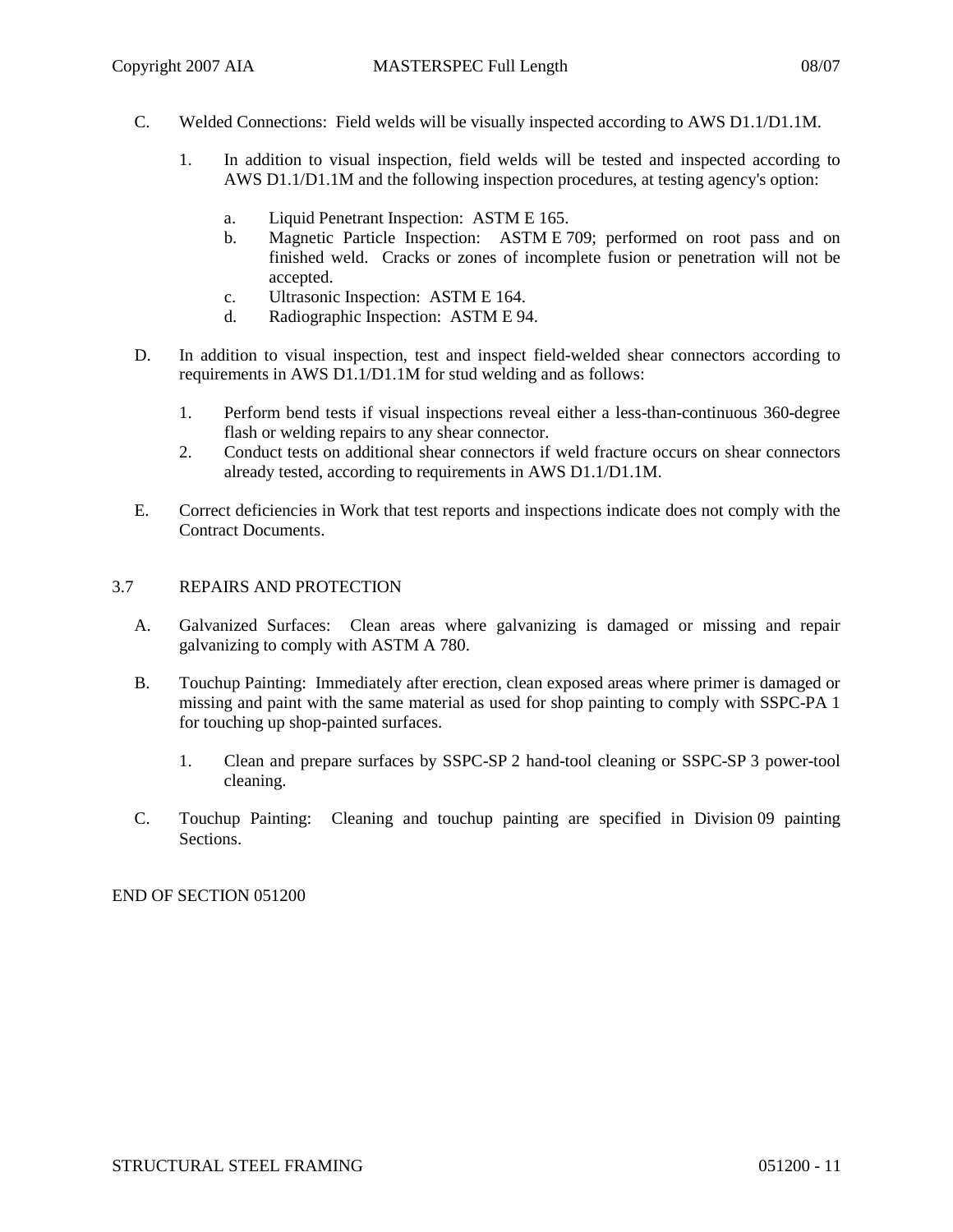- C. Welded Connections: Field welds will be visually inspected according to AWS D1.1/D1.1M.
	- 1. In addition to visual inspection, field welds will be tested and inspected according to AWS D1.1/D1.1M and the following inspection procedures, at testing agency's option:
		- a. Liquid Penetrant Inspection: ASTM E 165.
		- b. Magnetic Particle Inspection: ASTM E 709; performed on root pass and on finished weld. Cracks or zones of incomplete fusion or penetration will not be accepted.
		- c. Ultrasonic Inspection: ASTM E 164.
		- d. Radiographic Inspection: ASTM E 94.
- D. In addition to visual inspection, test and inspect field-welded shear connectors according to requirements in AWS D1.1/D1.1M for stud welding and as follows:
	- 1. Perform bend tests if visual inspections reveal either a less-than-continuous 360-degree flash or welding repairs to any shear connector.
	- 2. Conduct tests on additional shear connectors if weld fracture occurs on shear connectors already tested, according to requirements in AWS D1.1/D1.1M.
- E. Correct deficiencies in Work that test reports and inspections indicate does not comply with the Contract Documents.

# 3.7 REPAIRS AND PROTECTION

- A. Galvanized Surfaces: Clean areas where galvanizing is damaged or missing and repair galvanizing to comply with ASTM A 780.
- B. Touchup Painting: Immediately after erection, clean exposed areas where primer is damaged or missing and paint with the same material as used for shop painting to comply with SSPC-PA 1 for touching up shop-painted surfaces.
	- 1. Clean and prepare surfaces by SSPC-SP 2 hand-tool cleaning or SSPC-SP 3 power-tool cleaning.
- C. Touchup Painting: Cleaning and touchup painting are specified in Division 09 painting Sections.

END OF SECTION 051200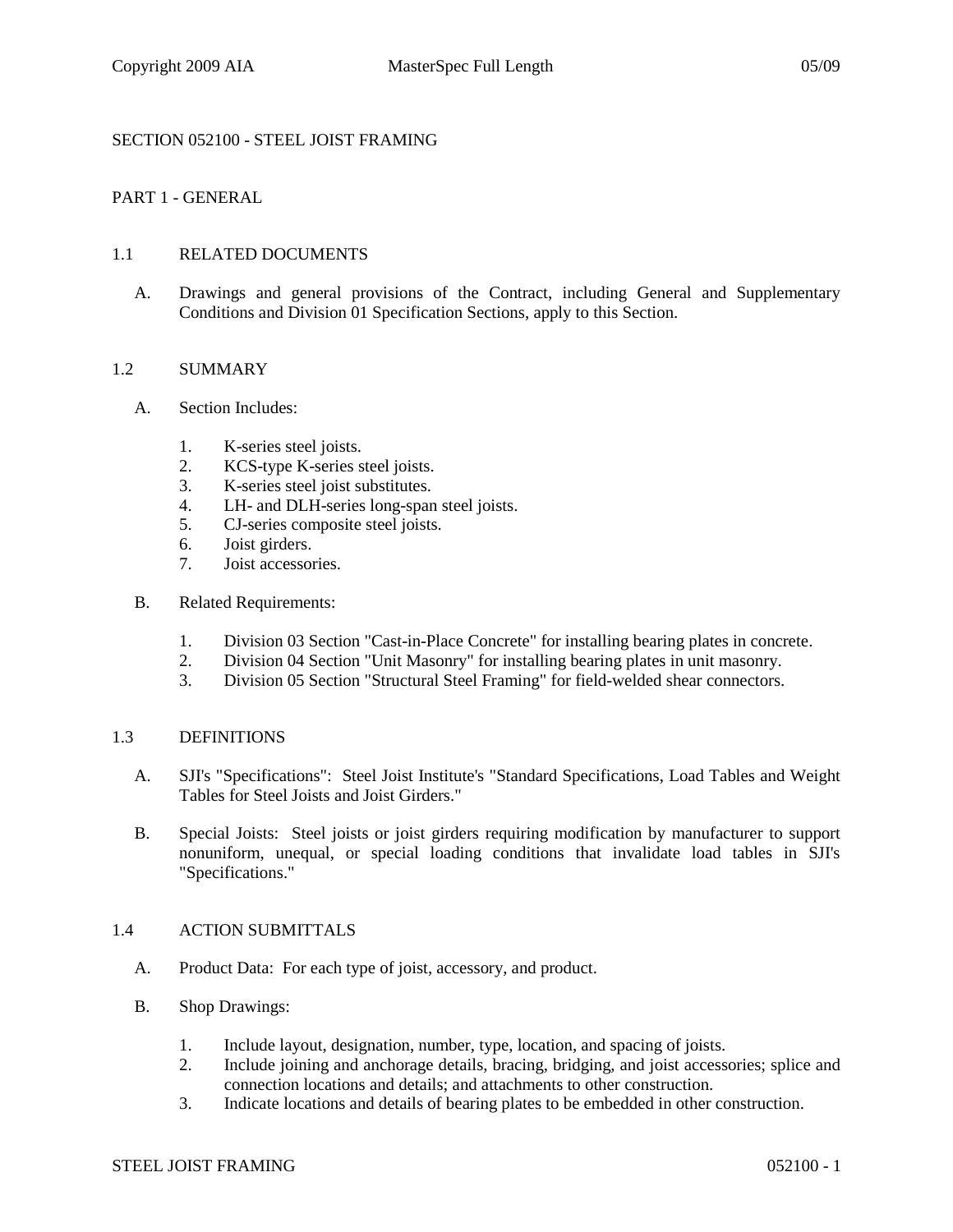# SECTION 052100 - STEEL JOIST FRAMING

## PART 1 - GENERAL

### 1.1 RELATED DOCUMENTS

A. Drawings and general provisions of the Contract, including General and Supplementary Conditions and Division 01 Specification Sections, apply to this Section.

#### 1.2 SUMMARY

- A. Section Includes:
	- 1. K-series steel joists.
	- 2. KCS-type K-series steel joists.
	- 3. K-series steel joist substitutes.
	- 4. LH- and DLH-series long-span steel joists.
	- 5. CJ-series composite steel joists.
	- 6. Joist girders.<br>7 Joist accessor
	- 7. Joist accessories.

#### B. Related Requirements:

- 1. Division 03 Section "Cast-in-Place Concrete" for installing bearing plates in concrete.
- 2. Division 04 Section "Unit Masonry" for installing bearing plates in unit masonry.
- 3. Division 05 Section "Structural Steel Framing" for field-welded shear connectors.

#### 1.3 DEFINITIONS

- A. SJI's "Specifications": Steel Joist Institute's "Standard Specifications, Load Tables and Weight Tables for Steel Joists and Joist Girders."
- B. Special Joists: Steel joists or joist girders requiring modification by manufacturer to support nonuniform, unequal, or special loading conditions that invalidate load tables in SJI's "Specifications."

### 1.4 ACTION SUBMITTALS

- A. Product Data: For each type of joist, accessory, and product.
- B. Shop Drawings:
	- 1. Include layout, designation, number, type, location, and spacing of joists.
	- 2. Include joining and anchorage details, bracing, bridging, and joist accessories; splice and connection locations and details; and attachments to other construction.
	- 3. Indicate locations and details of bearing plates to be embedded in other construction.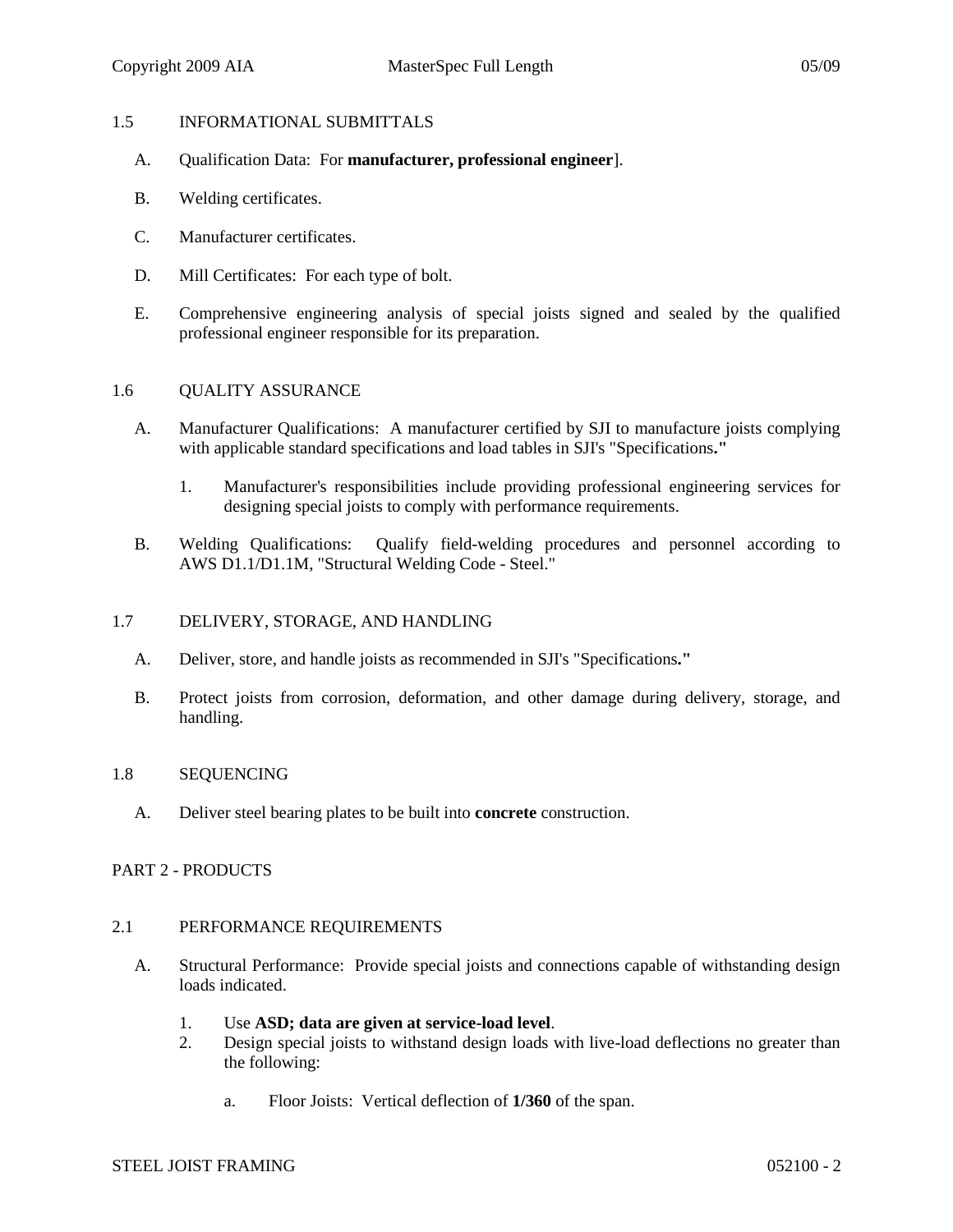#### 1.5 INFORMATIONAL SUBMITTALS

- A. Qualification Data: For **manufacturer, professional engineer**].
- B. Welding certificates.
- C. Manufacturer certificates.
- D. Mill Certificates: For each type of bolt.
- E. Comprehensive engineering analysis of special joists signed and sealed by the qualified professional engineer responsible for its preparation.

#### 1.6 QUALITY ASSURANCE

- A. Manufacturer Qualifications: A manufacturer certified by SJI to manufacture joists complying with applicable standard specifications and load tables in SJI's "Specifications**."**
	- 1. Manufacturer's responsibilities include providing professional engineering services for designing special joists to comply with performance requirements.
- B. Welding Qualifications: Qualify field-welding procedures and personnel according to AWS D1.1/D1.1M, "Structural Welding Code - Steel."

#### 1.7 DELIVERY, STORAGE, AND HANDLING

- A. Deliver, store, and handle joists as recommended in SJI's "Specifications**."**
- B. Protect joists from corrosion, deformation, and other damage during delivery, storage, and handling.

#### 1.8 SEQUENCING

A. Deliver steel bearing plates to be built into **concrete** construction.

### PART 2 - PRODUCTS

#### 2.1 PERFORMANCE REQUIREMENTS

- A. Structural Performance: Provide special joists and connections capable of withstanding design loads indicated.
	- 1. Use **ASD; data are given at service-load level**.
	- 2. Design special joists to withstand design loads with live-load deflections no greater than the following:
		- a. Floor Joists: Vertical deflection of **1/360** of the span.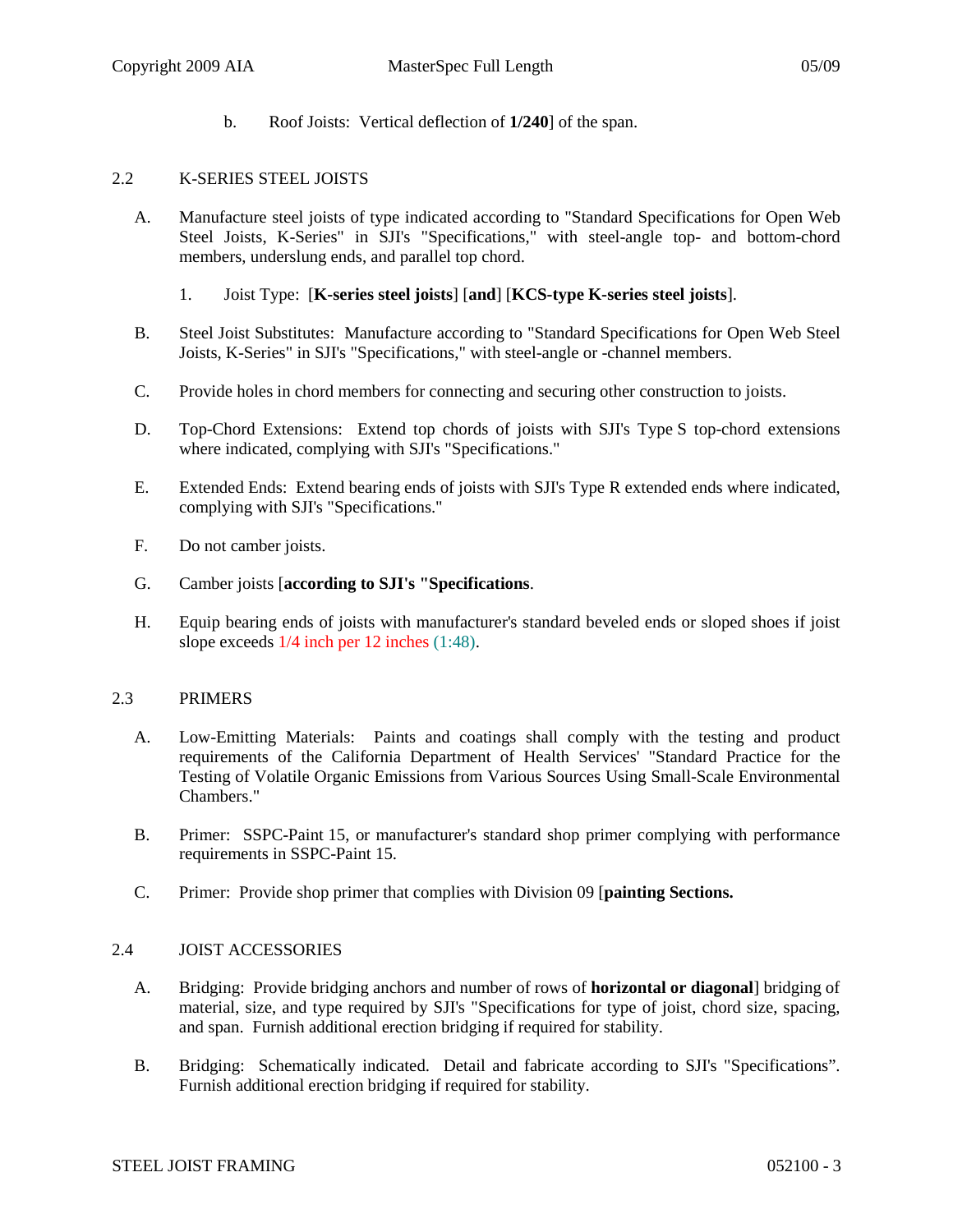b. Roof Joists: Vertical deflection of **1/240**] of the span.

# 2.2 K-SERIES STEEL JOISTS

- A. Manufacture steel joists of type indicated according to "Standard Specifications for Open Web Steel Joists, K-Series" in SJI's "Specifications," with steel-angle top- and bottom-chord members, underslung ends, and parallel top chord.
	- 1. Joist Type: [**K-series steel joists**] [**and**] [**KCS-type K-series steel joists**].
- B. Steel Joist Substitutes: Manufacture according to "Standard Specifications for Open Web Steel Joists, K-Series" in SJI's "Specifications," with steel-angle or -channel members.
- C. Provide holes in chord members for connecting and securing other construction to joists.
- D. Top-Chord Extensions: Extend top chords of joists with SJI's Type S top-chord extensions where indicated, complying with SJI's "Specifications."
- E. Extended Ends: Extend bearing ends of joists with SJI's Type R extended ends where indicated, complying with SJI's "Specifications."
- F. Do not camber joists.
- G. Camber joists [**according to SJI's "Specifications**.
- H. Equip bearing ends of joists with manufacturer's standard beveled ends or sloped shoes if joist slope exceeds 1/4 inch per 12 inches (1:48).

### 2.3 PRIMERS

- A. Low-Emitting Materials: Paints and coatings shall comply with the testing and product requirements of the California Department of Health Services' "Standard Practice for the Testing of Volatile Organic Emissions from Various Sources Using Small-Scale Environmental Chambers."
- B. Primer: SSPC-Paint 15, or manufacturer's standard shop primer complying with performance requirements in SSPC-Paint 15.
- C. Primer: Provide shop primer that complies with Division 09 [**painting Sections.**

### 2.4 JOIST ACCESSORIES

- A. Bridging: Provide bridging anchors and number of rows of **horizontal or diagonal**] bridging of material, size, and type required by SJI's "Specifications for type of joist, chord size, spacing, and span. Furnish additional erection bridging if required for stability.
- B. Bridging: Schematically indicated. Detail and fabricate according to SJI's "Specifications". Furnish additional erection bridging if required for stability.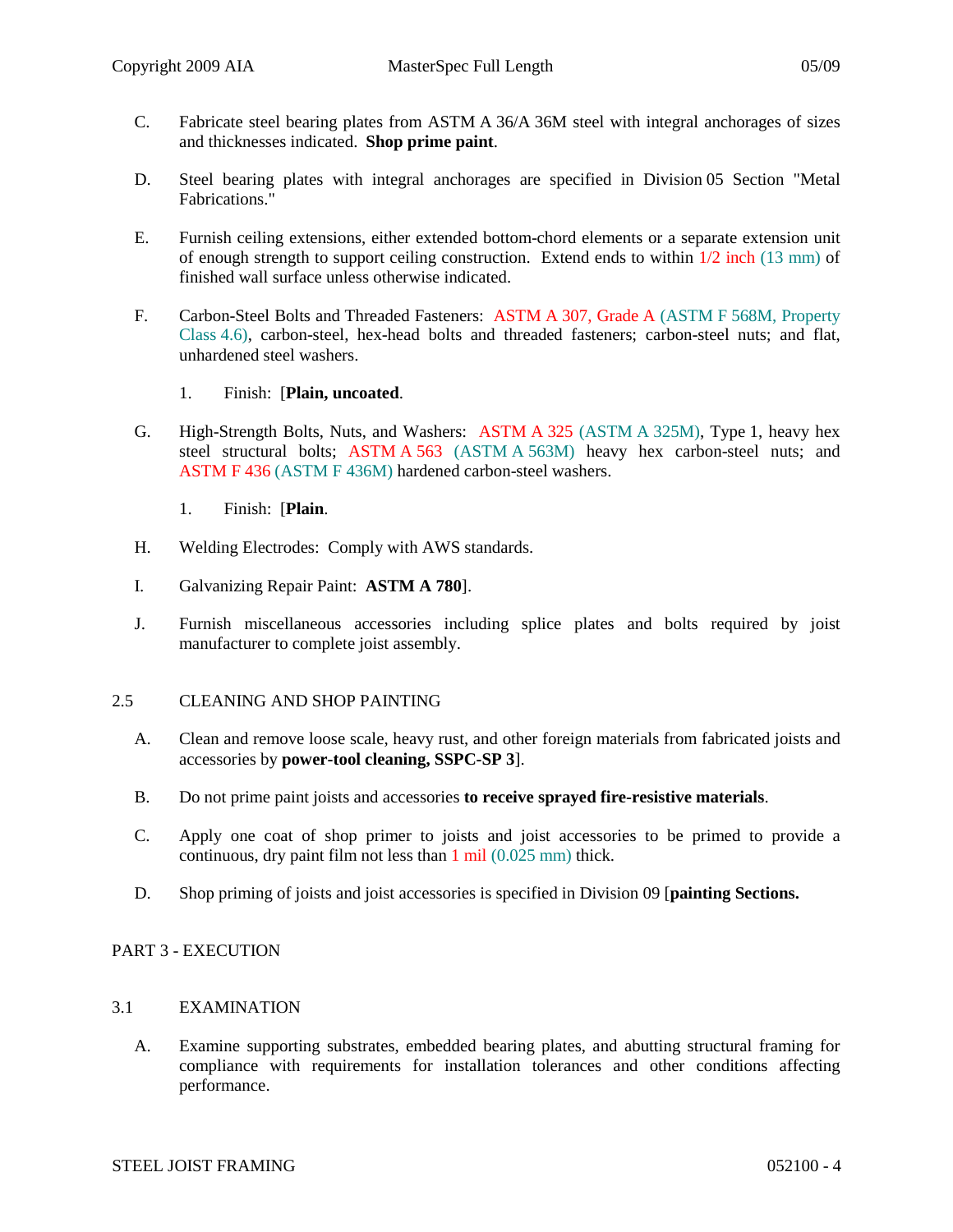- C. Fabricate steel bearing plates from ASTM A 36/A 36M steel with integral anchorages of sizes and thicknesses indicated. **Shop prime paint**.
- D. Steel bearing plates with integral anchorages are specified in Division 05 Section "Metal Fabrications."
- E. Furnish ceiling extensions, either extended bottom-chord elements or a separate extension unit of enough strength to support ceiling construction. Extend ends to within 1/2 inch (13 mm) of finished wall surface unless otherwise indicated.
- F. Carbon-Steel Bolts and Threaded Fasteners: ASTM A 307, Grade A (ASTM F 568M, Property Class 4.6), carbon-steel, hex-head bolts and threaded fasteners; carbon-steel nuts; and flat, unhardened steel washers.
	- 1. Finish: [**Plain, uncoated**.
- G. High-Strength Bolts, Nuts, and Washers: ASTM A 325 (ASTM A 325M), Type 1, heavy hex steel structural bolts; ASTM A 563 (ASTM A 563M) heavy hex carbon-steel nuts; and ASTM F 436 (ASTM F 436M) hardened carbon-steel washers.
	- 1. Finish: [**Plain**.
- H. Welding Electrodes: Comply with AWS standards.
- I. Galvanizing Repair Paint: **ASTM A 780**].
- J. Furnish miscellaneous accessories including splice plates and bolts required by joist manufacturer to complete joist assembly.

### 2.5 CLEANING AND SHOP PAINTING

- A. Clean and remove loose scale, heavy rust, and other foreign materials from fabricated joists and accessories by **power-tool cleaning, SSPC-SP 3**].
- B. Do not prime paint joists and accessories **to receive sprayed fire-resistive materials**.
- C. Apply one coat of shop primer to joists and joist accessories to be primed to provide a continuous, dry paint film not less than 1 mil (0.025 mm) thick.
- D. Shop priming of joists and joist accessories is specified in Division 09 [**painting Sections.**

# PART 3 - EXECUTION

### 3.1 EXAMINATION

A. Examine supporting substrates, embedded bearing plates, and abutting structural framing for compliance with requirements for installation tolerances and other conditions affecting performance.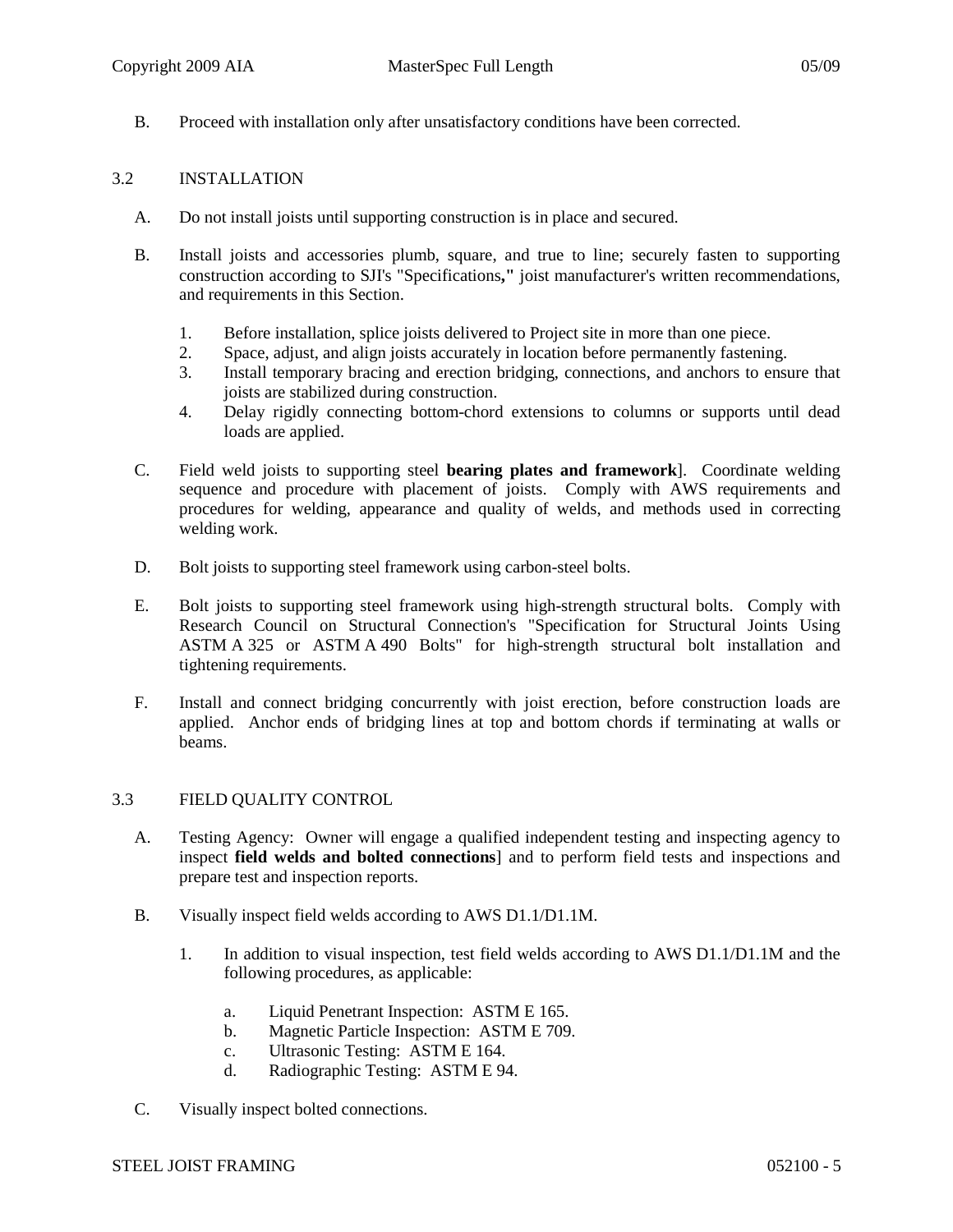B. Proceed with installation only after unsatisfactory conditions have been corrected.

# 3.2 INSTALLATION

- A. Do not install joists until supporting construction is in place and secured.
- B. Install joists and accessories plumb, square, and true to line; securely fasten to supporting construction according to SJI's "Specifications**,"** joist manufacturer's written recommendations, and requirements in this Section.
	- 1. Before installation, splice joists delivered to Project site in more than one piece.
	- 2. Space, adjust, and align joists accurately in location before permanently fastening.
	- 3. Install temporary bracing and erection bridging, connections, and anchors to ensure that joists are stabilized during construction.
	- 4. Delay rigidly connecting bottom-chord extensions to columns or supports until dead loads are applied.
- C. Field weld joists to supporting steel **bearing plates and framework**]. Coordinate welding sequence and procedure with placement of joists. Comply with AWS requirements and procedures for welding, appearance and quality of welds, and methods used in correcting welding work.
- D. Bolt joists to supporting steel framework using carbon-steel bolts.
- E. Bolt joists to supporting steel framework using high-strength structural bolts. Comply with Research Council on Structural Connection's "Specification for Structural Joints Using ASTM A 325 or ASTM A 490 Bolts" for high-strength structural bolt installation and tightening requirements.
- F. Install and connect bridging concurrently with joist erection, before construction loads are applied. Anchor ends of bridging lines at top and bottom chords if terminating at walls or beams.

# 3.3 FIELD QUALITY CONTROL

- A. Testing Agency: Owner will engage a qualified independent testing and inspecting agency to inspect **field welds and bolted connections**] and to perform field tests and inspections and prepare test and inspection reports.
- B. Visually inspect field welds according to AWS D1.1/D1.1M.
	- 1. In addition to visual inspection, test field welds according to AWS D1.1/D1.1M and the following procedures, as applicable:
		- a. Liquid Penetrant Inspection: ASTM E 165.
		- b. Magnetic Particle Inspection: ASTM E 709.
		- c. Ultrasonic Testing: ASTM E 164.
		- d. Radiographic Testing: ASTM E 94.
- C. Visually inspect bolted connections.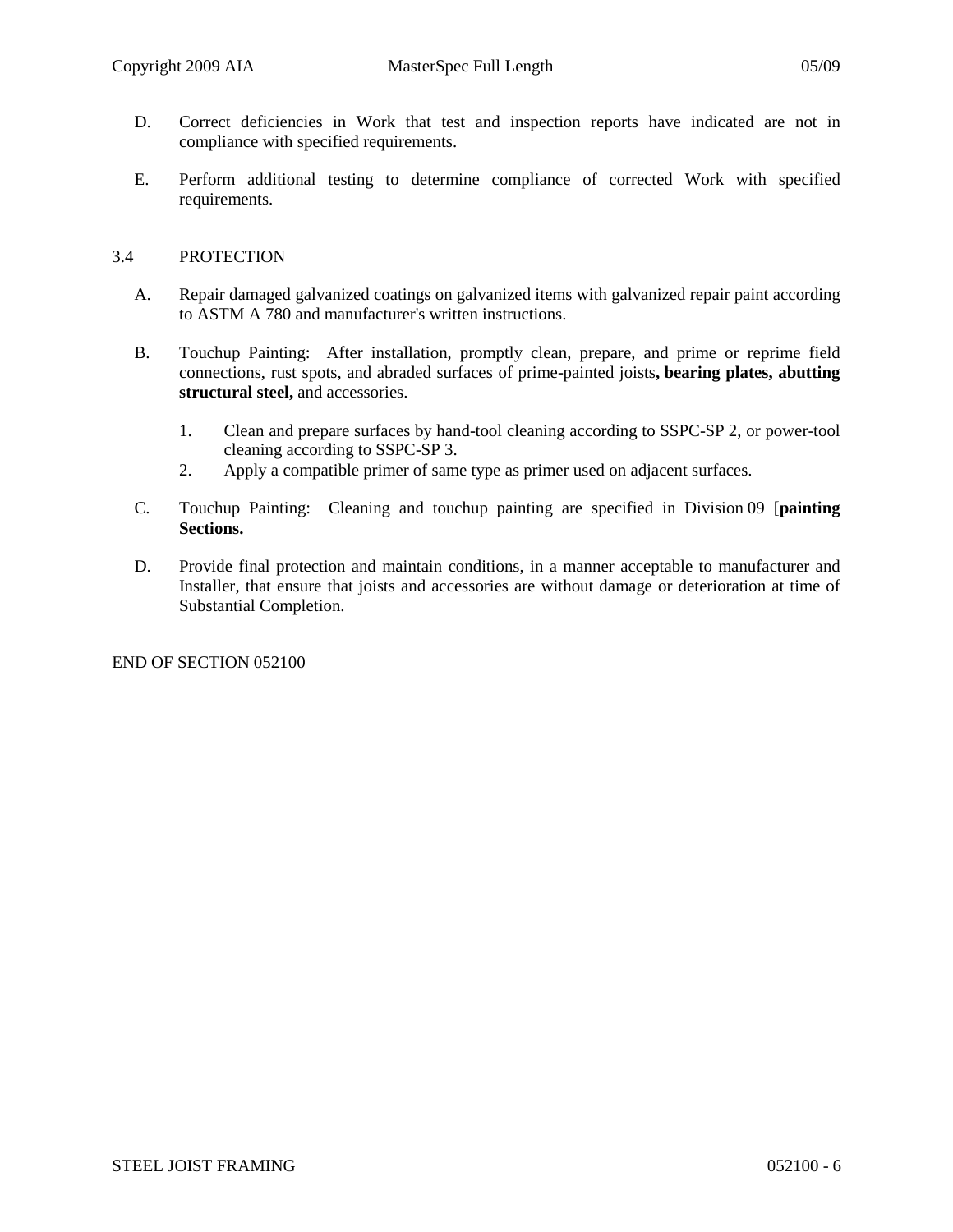- D. Correct deficiencies in Work that test and inspection reports have indicated are not in compliance with specified requirements.
- E. Perform additional testing to determine compliance of corrected Work with specified requirements.

# 3.4 PROTECTION

- A. Repair damaged galvanized coatings on galvanized items with galvanized repair paint according to ASTM A 780 and manufacturer's written instructions.
- B. Touchup Painting: After installation, promptly clean, prepare, and prime or reprime field connections, rust spots, and abraded surfaces of prime-painted joists**, bearing plates, abutting structural steel,** and accessories.
	- 1. Clean and prepare surfaces by hand-tool cleaning according to SSPC-SP 2, or power-tool cleaning according to SSPC-SP 3.
	- 2. Apply a compatible primer of same type as primer used on adjacent surfaces.
- C. Touchup Painting: Cleaning and touchup painting are specified in Division 09 [**painting Sections.**
- D. Provide final protection and maintain conditions, in a manner acceptable to manufacturer and Installer, that ensure that joists and accessories are without damage or deterioration at time of Substantial Completion.

END OF SECTION 052100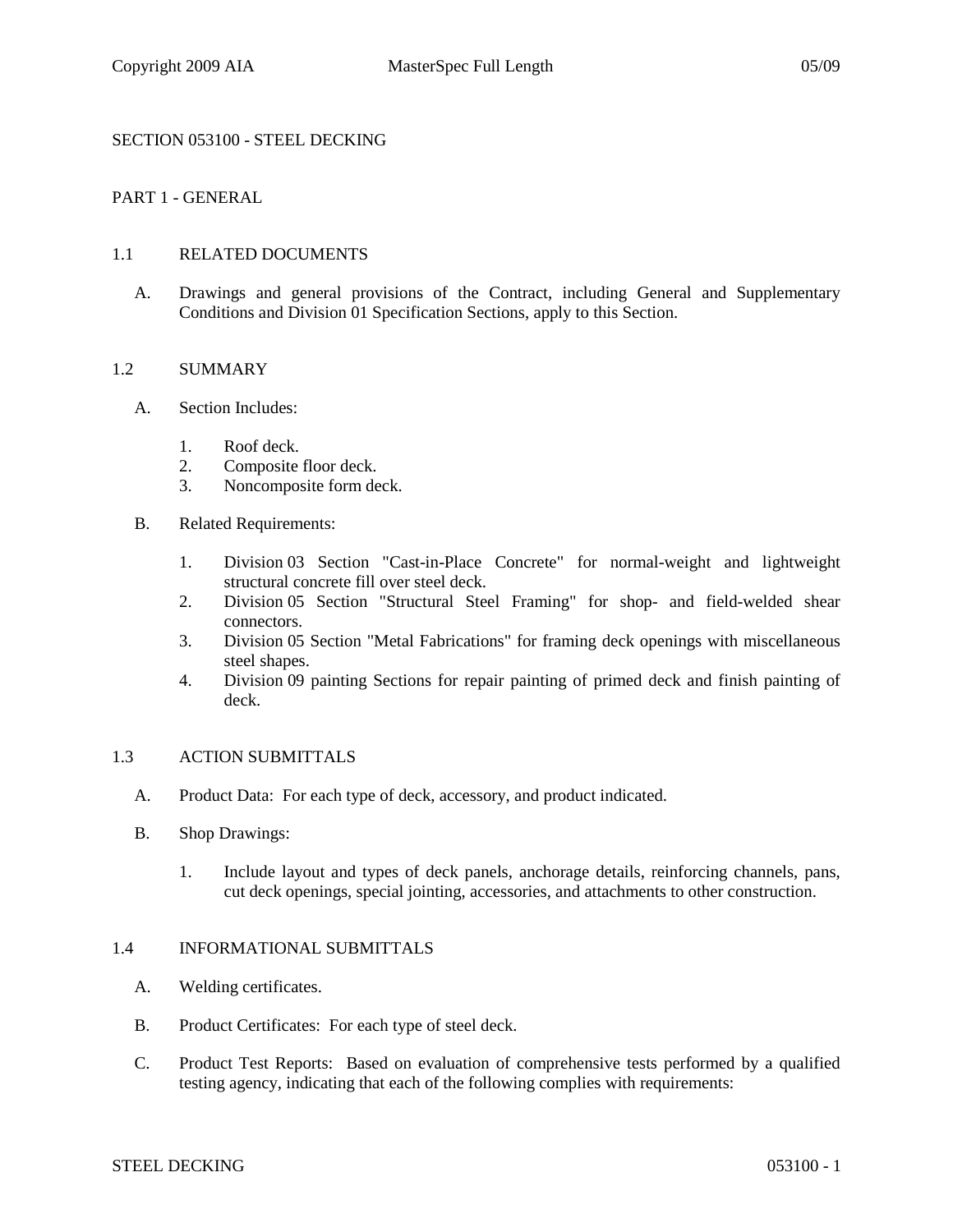# SECTION 053100 - STEEL DECKING

# PART 1 - GENERAL

### 1.1 RELATED DOCUMENTS

A. Drawings and general provisions of the Contract, including General and Supplementary Conditions and Division 01 Specification Sections, apply to this Section.

#### 1.2 SUMMARY

- A. Section Includes:
	- 1. Roof deck.
	- 2. Composite floor deck.
	- 3. Noncomposite form deck.
- B. Related Requirements:
	- 1. Division 03 Section "Cast-in-Place Concrete" for normal-weight and lightweight structural concrete fill over steel deck.
	- 2. Division 05 Section "Structural Steel Framing" for shop- and field-welded shear connectors.
	- 3. Division 05 Section "Metal Fabrications" for framing deck openings with miscellaneous steel shapes.
	- 4. Division 09 painting Sections for repair painting of primed deck and finish painting of deck.

### 1.3 ACTION SUBMITTALS

- A. Product Data: For each type of deck, accessory, and product indicated.
- B. Shop Drawings:
	- 1. Include layout and types of deck panels, anchorage details, reinforcing channels, pans, cut deck openings, special jointing, accessories, and attachments to other construction.

# 1.4 INFORMATIONAL SUBMITTALS

- A. Welding certificates.
- B. Product Certificates: For each type of steel deck.
- C. Product Test Reports: Based on evaluation of comprehensive tests performed by a qualified testing agency, indicating that each of the following complies with requirements: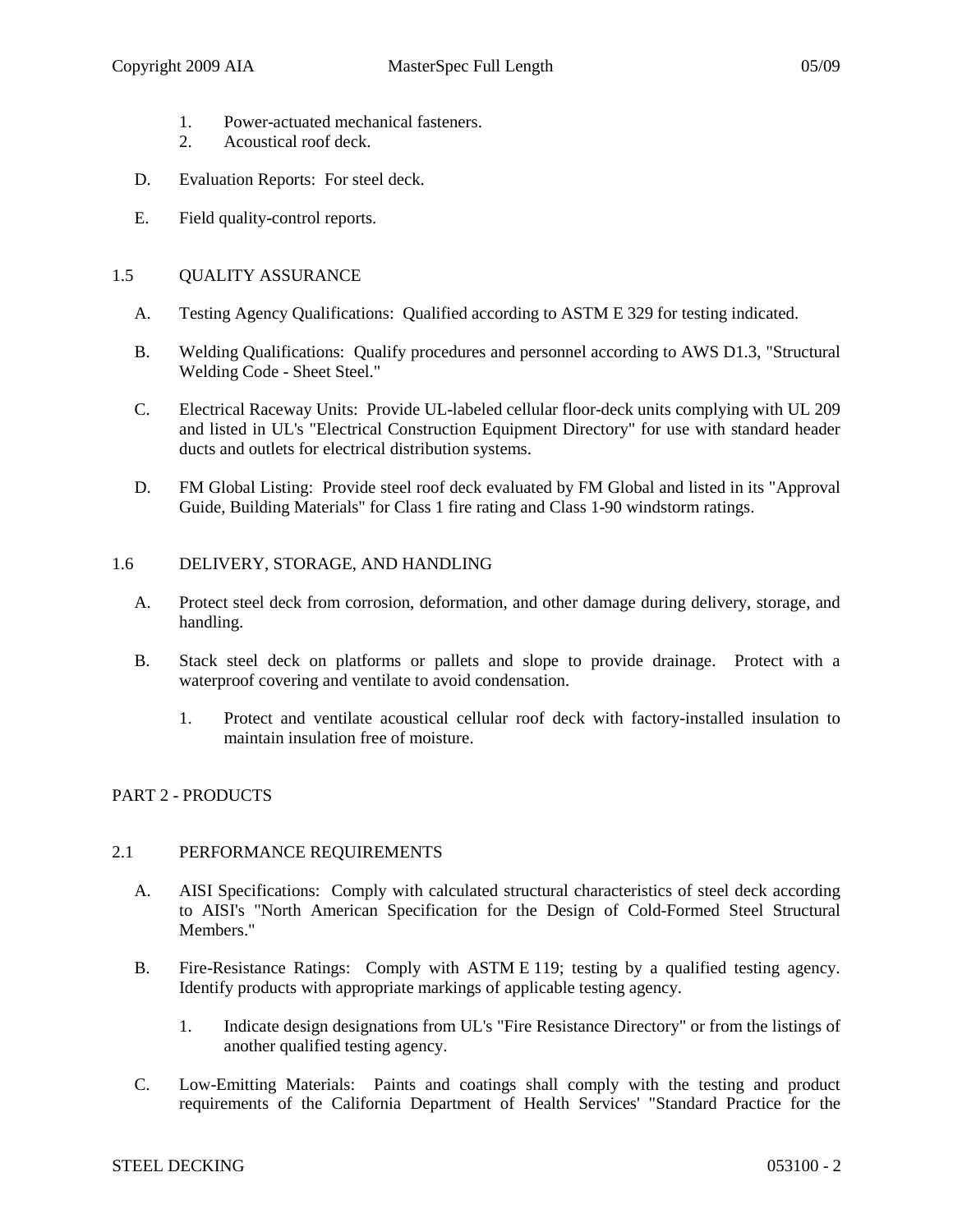- 1. Power-actuated mechanical fasteners.
- 2. Acoustical roof deck.
- D. Evaluation Reports: For steel deck.
- E. Field quality-control reports.

# 1.5 OUALITY ASSURANCE

- A. Testing Agency Qualifications: Qualified according to ASTM E 329 for testing indicated.
- B. Welding Qualifications: Qualify procedures and personnel according to AWS D1.3, "Structural Welding Code - Sheet Steel."
- C. Electrical Raceway Units: Provide UL-labeled cellular floor-deck units complying with UL 209 and listed in UL's "Electrical Construction Equipment Directory" for use with standard header ducts and outlets for electrical distribution systems.
- D. FM Global Listing: Provide steel roof deck evaluated by FM Global and listed in its "Approval Guide, Building Materials" for Class 1 fire rating and Class 1-90 windstorm ratings.

# 1.6 DELIVERY, STORAGE, AND HANDLING

- A. Protect steel deck from corrosion, deformation, and other damage during delivery, storage, and handling.
- B. Stack steel deck on platforms or pallets and slope to provide drainage. Protect with a waterproof covering and ventilate to avoid condensation.
	- 1. Protect and ventilate acoustical cellular roof deck with factory-installed insulation to maintain insulation free of moisture.

# PART 2 - PRODUCTS

### 2.1 PERFORMANCE REQUIREMENTS

- A. AISI Specifications: Comply with calculated structural characteristics of steel deck according to AISI's "North American Specification for the Design of Cold-Formed Steel Structural Members."
- B. Fire-Resistance Ratings: Comply with ASTM E 119; testing by a qualified testing agency. Identify products with appropriate markings of applicable testing agency.
	- 1. Indicate design designations from UL's "Fire Resistance Directory" or from the listings of another qualified testing agency.
- C. Low-Emitting Materials: Paints and coatings shall comply with the testing and product requirements of the California Department of Health Services' "Standard Practice for the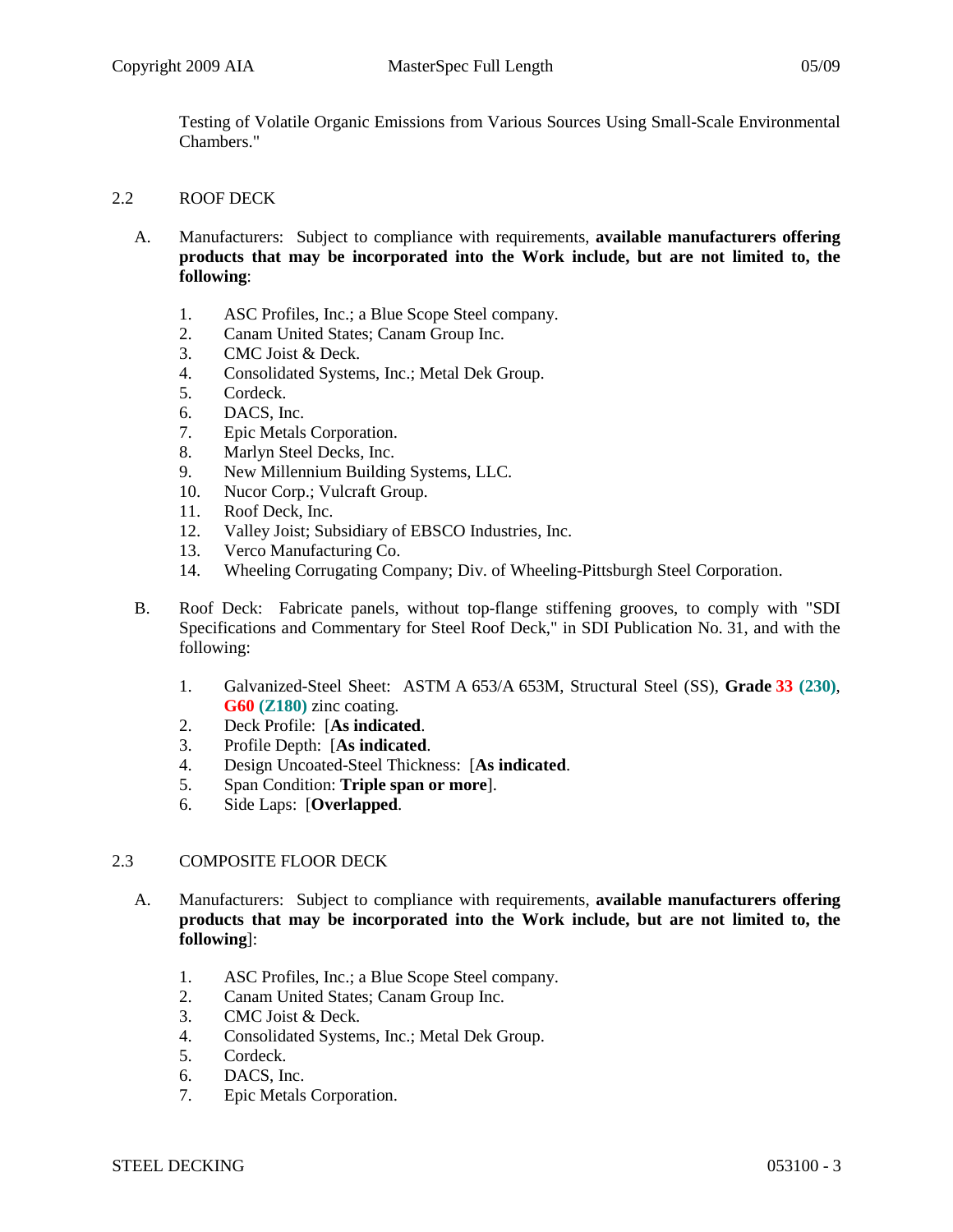Testing of Volatile Organic Emissions from Various Sources Using Small-Scale Environmental Chambers."

# 2.2 ROOF DECK

- A. Manufacturers: Subject to compliance with requirements, **available manufacturers offering products that may be incorporated into the Work include, but are not limited to, the following**:
	- 1. ASC Profiles, Inc.; a Blue Scope Steel company.
	- 2. Canam United States; Canam Group Inc.
	- 3. CMC Joist & Deck.
	- 4. Consolidated Systems, Inc.; Metal Dek Group.
	- 5. Cordeck.
	- 6. DACS, Inc.
	- 7. Epic Metals Corporation.
	- 8. Marlyn Steel Decks, Inc.
	- 9. New Millennium Building Systems, LLC.
	- 10. Nucor Corp.; Vulcraft Group.
	- 11. Roof Deck, Inc.
	- 12. Valley Joist; Subsidiary of EBSCO Industries, Inc.
	- 13. Verco Manufacturing Co.
	- 14. Wheeling Corrugating Company; Div. of Wheeling-Pittsburgh Steel Corporation.
- B. Roof Deck: Fabricate panels, without top-flange stiffening grooves, to comply with "SDI Specifications and Commentary for Steel Roof Deck," in SDI Publication No. 31, and with the following:
	- 1. Galvanized-Steel Sheet: ASTM A 653/A 653M, Structural Steel (SS), **Grade 33 (230)**, **G60 (Z180)** zinc coating.
	- 2. Deck Profile: [**As indicated**.
	- 3. Profile Depth: [**As indicated**.
	- 4. Design Uncoated-Steel Thickness: [**As indicated**.
	- 5. Span Condition: **Triple span or more**].
	- 6. Side Laps: [**Overlapped**.

### 2.3 COMPOSITE FLOOR DECK

- A. Manufacturers: Subject to compliance with requirements, **available manufacturers offering products that may be incorporated into the Work include, but are not limited to, the following**]:
	- 1. ASC Profiles, Inc.; a Blue Scope Steel company.<br>2. Canam United States: Canam Group Inc.
	- 2. Canam United States; Canam Group Inc.
	- 3. CMC Joist & Deck.
	- 4. Consolidated Systems, Inc.; Metal Dek Group.
	- 5. Cordeck.
	- 6. DACS, Inc.
	- 7. Epic Metals Corporation.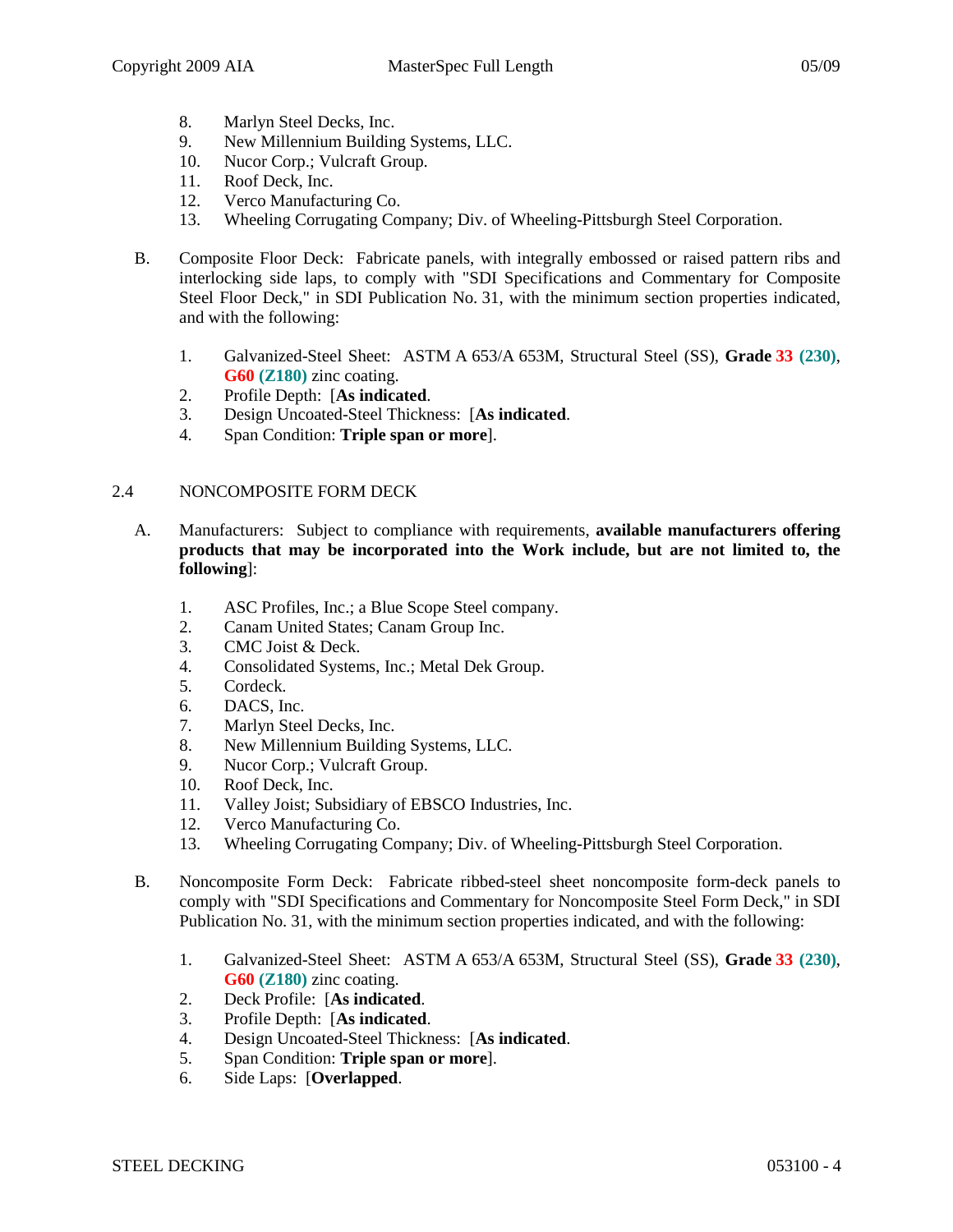- 8. Marlyn Steel Decks, Inc.
- 9. New Millennium Building Systems, LLC.
- 10. Nucor Corp.; Vulcraft Group.
- 11. Roof Deck, Inc.
- 12. Verco Manufacturing Co.
- 13. Wheeling Corrugating Company; Div. of Wheeling-Pittsburgh Steel Corporation.
- B. Composite Floor Deck: Fabricate panels, with integrally embossed or raised pattern ribs and interlocking side laps, to comply with "SDI Specifications and Commentary for Composite Steel Floor Deck," in SDI Publication No. 31, with the minimum section properties indicated, and with the following:
	- 1. Galvanized-Steel Sheet: ASTM A 653/A 653M, Structural Steel (SS), **Grade 33 (230)**, **G60 (Z180)** zinc coating.
	- 2. Profile Depth: [**As indicated**.
	- 3. Design Uncoated-Steel Thickness: [**As indicated**.
	- 4. Span Condition: **Triple span or more**].

### 2.4 NONCOMPOSITE FORM DECK

- A. Manufacturers: Subject to compliance with requirements, **available manufacturers offering products that may be incorporated into the Work include, but are not limited to, the following**]:
	- 1. ASC Profiles, Inc.; a Blue Scope Steel company.
	- 2. Canam United States; Canam Group Inc.
	- 3. CMC Joist & Deck.
	- 4. Consolidated Systems, Inc.; Metal Dek Group.
	- 5. Cordeck.
	- 6. DACS, Inc.
	- 7. Marlyn Steel Decks, Inc.
	- 8. New Millennium Building Systems, LLC.
	- 9. Nucor Corp.; Vulcraft Group.
	- 10. Roof Deck, Inc.
	- 11. Valley Joist; Subsidiary of EBSCO Industries, Inc.
	- 12. Verco Manufacturing Co.
	- 13. Wheeling Corrugating Company; Div. of Wheeling-Pittsburgh Steel Corporation.
- B. Noncomposite Form Deck: Fabricate ribbed-steel sheet noncomposite form-deck panels to comply with "SDI Specifications and Commentary for Noncomposite Steel Form Deck," in SDI Publication No. 31, with the minimum section properties indicated, and with the following:
	- 1. Galvanized-Steel Sheet: ASTM A 653/A 653M, Structural Steel (SS), **Grade 33 (230)**, **G60 (Z180)** zinc coating.
	- 2. Deck Profile: [**As indicated**.
	- 3. Profile Depth: [**As indicated**.
	- 4. Design Uncoated-Steel Thickness: [**As indicated**.
	- 5. Span Condition: **Triple span or more**].
	- 6. Side Laps: [**Overlapped**.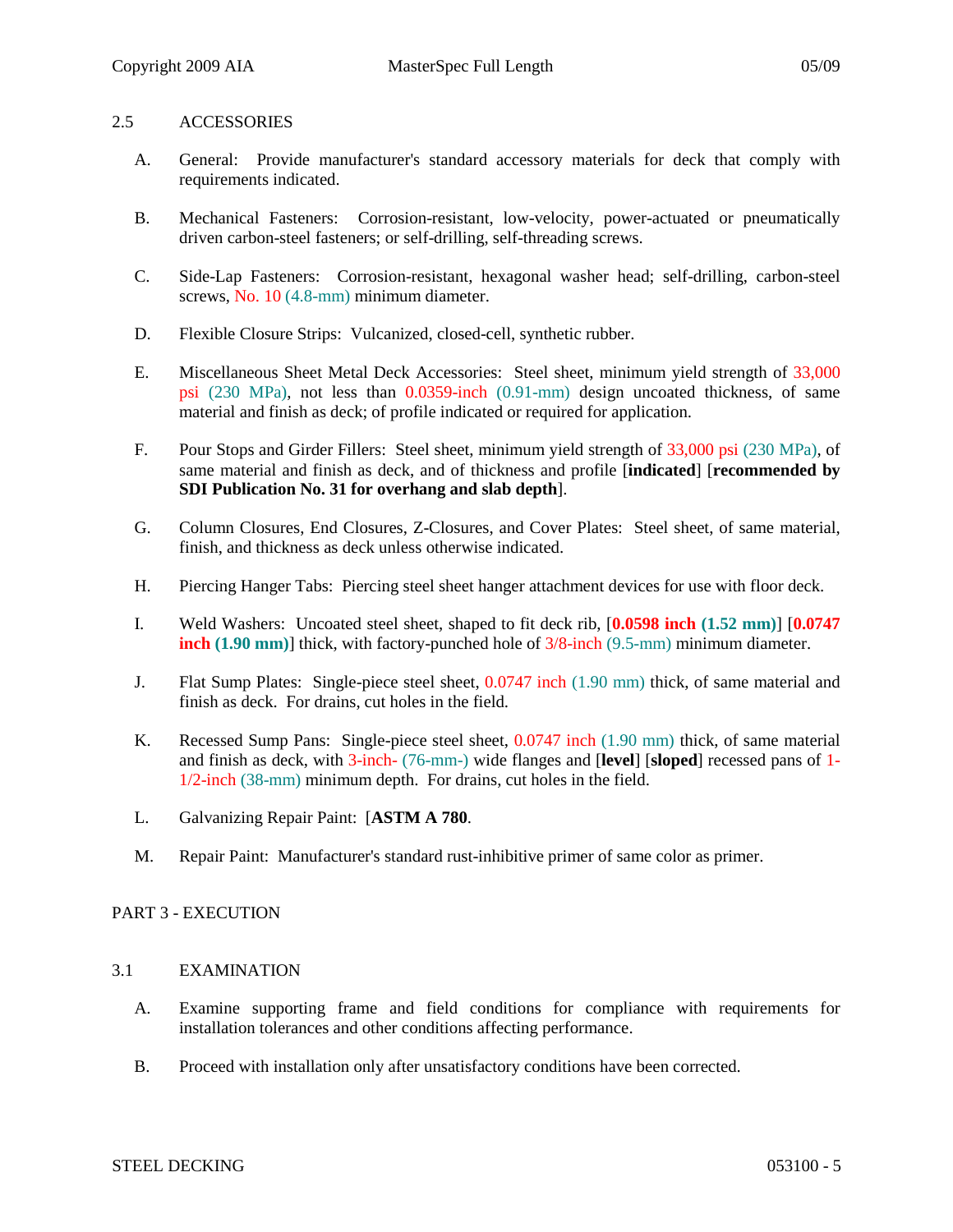### 2.5 ACCESSORIES

- A. General: Provide manufacturer's standard accessory materials for deck that comply with requirements indicated.
- B. Mechanical Fasteners: Corrosion-resistant, low-velocity, power-actuated or pneumatically driven carbon-steel fasteners; or self-drilling, self-threading screws.
- C. Side-Lap Fasteners: Corrosion-resistant, hexagonal washer head; self-drilling, carbon-steel screws, No. 10 (4.8-mm) minimum diameter.
- D. Flexible Closure Strips: Vulcanized, closed-cell, synthetic rubber.
- E. Miscellaneous Sheet Metal Deck Accessories: Steel sheet, minimum yield strength of 33,000 psi (230 MPa), not less than 0.0359-inch (0.91-mm) design uncoated thickness, of same material and finish as deck; of profile indicated or required for application.
- F. Pour Stops and Girder Fillers: Steel sheet, minimum yield strength of 33,000 psi (230 MPa), of same material and finish as deck, and of thickness and profile [**indicated**] [**recommended by SDI Publication No. 31 for overhang and slab depth**].
- G. Column Closures, End Closures, Z-Closures, and Cover Plates: Steel sheet, of same material, finish, and thickness as deck unless otherwise indicated.
- H. Piercing Hanger Tabs: Piercing steel sheet hanger attachment devices for use with floor deck.
- I. Weld Washers: Uncoated steel sheet, shaped to fit deck rib, [**0.0598 inch (1.52 mm)**] [**0.0747 inch** (1.90 mm)] thick, with factory-punched hole of  $3/8$ -inch (9.5-mm) minimum diameter.
- J. Flat Sump Plates: Single-piece steel sheet, 0.0747 inch (1.90 mm) thick, of same material and finish as deck. For drains, cut holes in the field.
- K. Recessed Sump Pans: Single-piece steel sheet, 0.0747 inch (1.90 mm) thick, of same material and finish as deck, with 3-inch- (76-mm-) wide flanges and [**level**] [**sloped**] recessed pans of 1- 1/2-inch (38-mm) minimum depth. For drains, cut holes in the field.
- L. Galvanizing Repair Paint: [**ASTM A 780**.
- M. Repair Paint: Manufacturer's standard rust-inhibitive primer of same color as primer.

### PART 3 - EXECUTION

### 3.1 EXAMINATION

- A. Examine supporting frame and field conditions for compliance with requirements for installation tolerances and other conditions affecting performance.
- B. Proceed with installation only after unsatisfactory conditions have been corrected.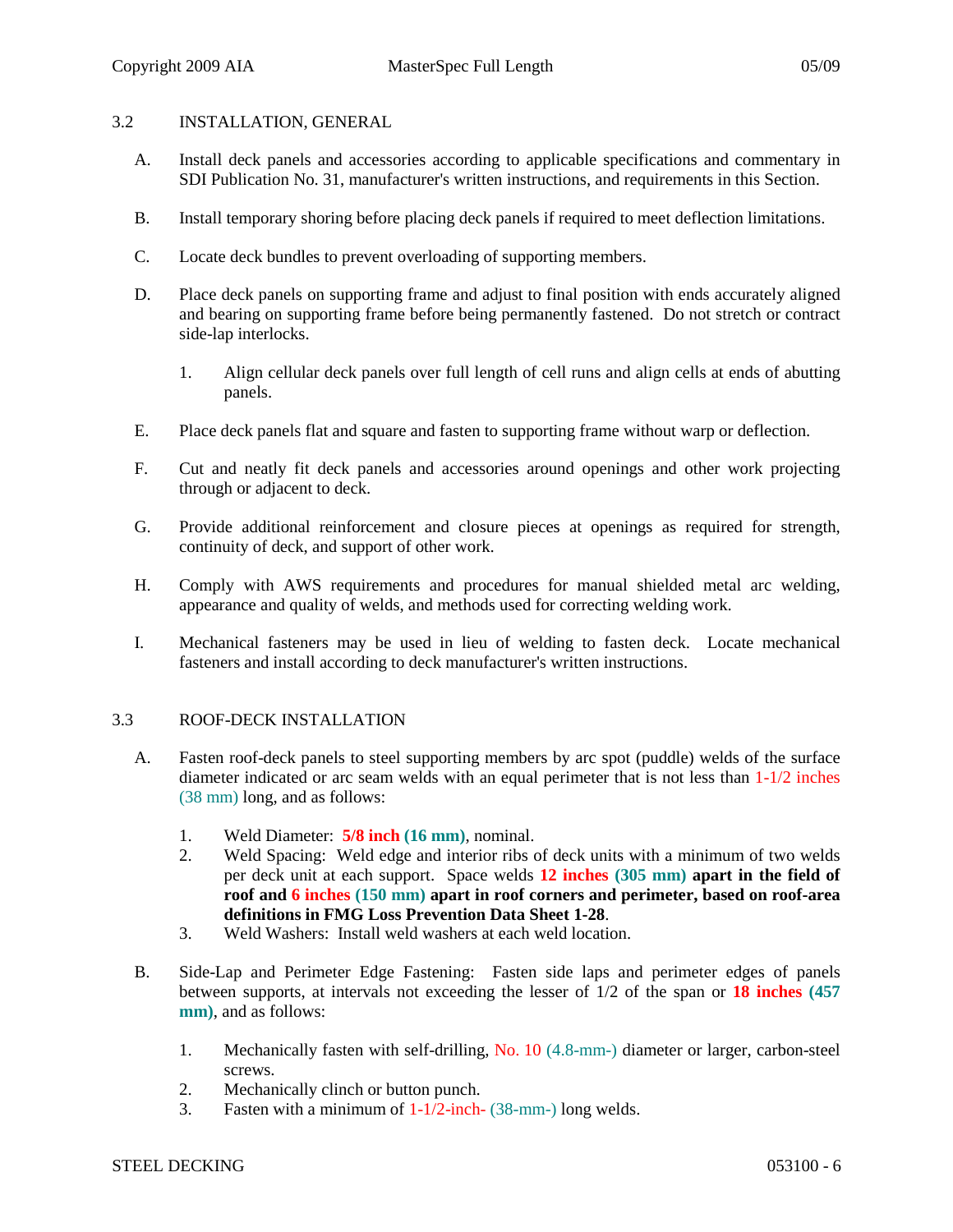# 3.2 INSTALLATION, GENERAL

- A. Install deck panels and accessories according to applicable specifications and commentary in SDI Publication No. 31, manufacturer's written instructions, and requirements in this Section.
- B. Install temporary shoring before placing deck panels if required to meet deflection limitations.
- C. Locate deck bundles to prevent overloading of supporting members.
- D. Place deck panels on supporting frame and adjust to final position with ends accurately aligned and bearing on supporting frame before being permanently fastened. Do not stretch or contract side-lap interlocks.
	- 1. Align cellular deck panels over full length of cell runs and align cells at ends of abutting panels.
- E. Place deck panels flat and square and fasten to supporting frame without warp or deflection.
- F. Cut and neatly fit deck panels and accessories around openings and other work projecting through or adjacent to deck.
- G. Provide additional reinforcement and closure pieces at openings as required for strength, continuity of deck, and support of other work.
- H. Comply with AWS requirements and procedures for manual shielded metal arc welding, appearance and quality of welds, and methods used for correcting welding work.
- I. Mechanical fasteners may be used in lieu of welding to fasten deck. Locate mechanical fasteners and install according to deck manufacturer's written instructions.

### 3.3 ROOF-DECK INSTALLATION

- A. Fasten roof-deck panels to steel supporting members by arc spot (puddle) welds of the surface diameter indicated or arc seam welds with an equal perimeter that is not less than  $1-1/2$  inches (38 mm) long, and as follows:
	- 1. Weld Diameter: **5/8 inch (16 mm)**, nominal.
	- 2. Weld Spacing: Weld edge and interior ribs of deck units with a minimum of two welds per deck unit at each support. Space welds **12 inches (305 mm) apart in the field of roof and 6 inches (150 mm) apart in roof corners and perimeter, based on roof-area definitions in FMG Loss Prevention Data Sheet 1-28**.
	- 3. Weld Washers: Install weld washers at each weld location.
- B. Side-Lap and Perimeter Edge Fastening: Fasten side laps and perimeter edges of panels between supports, at intervals not exceeding the lesser of 1/2 of the span or **18 inches (457 mm)**, and as follows:
	- 1. Mechanically fasten with self-drilling, No. 10 (4.8-mm-) diameter or larger, carbon-steel screws.
	- 2. Mechanically clinch or button punch.
	- 3. Fasten with a minimum of 1-1/2-inch- (38-mm-) long welds.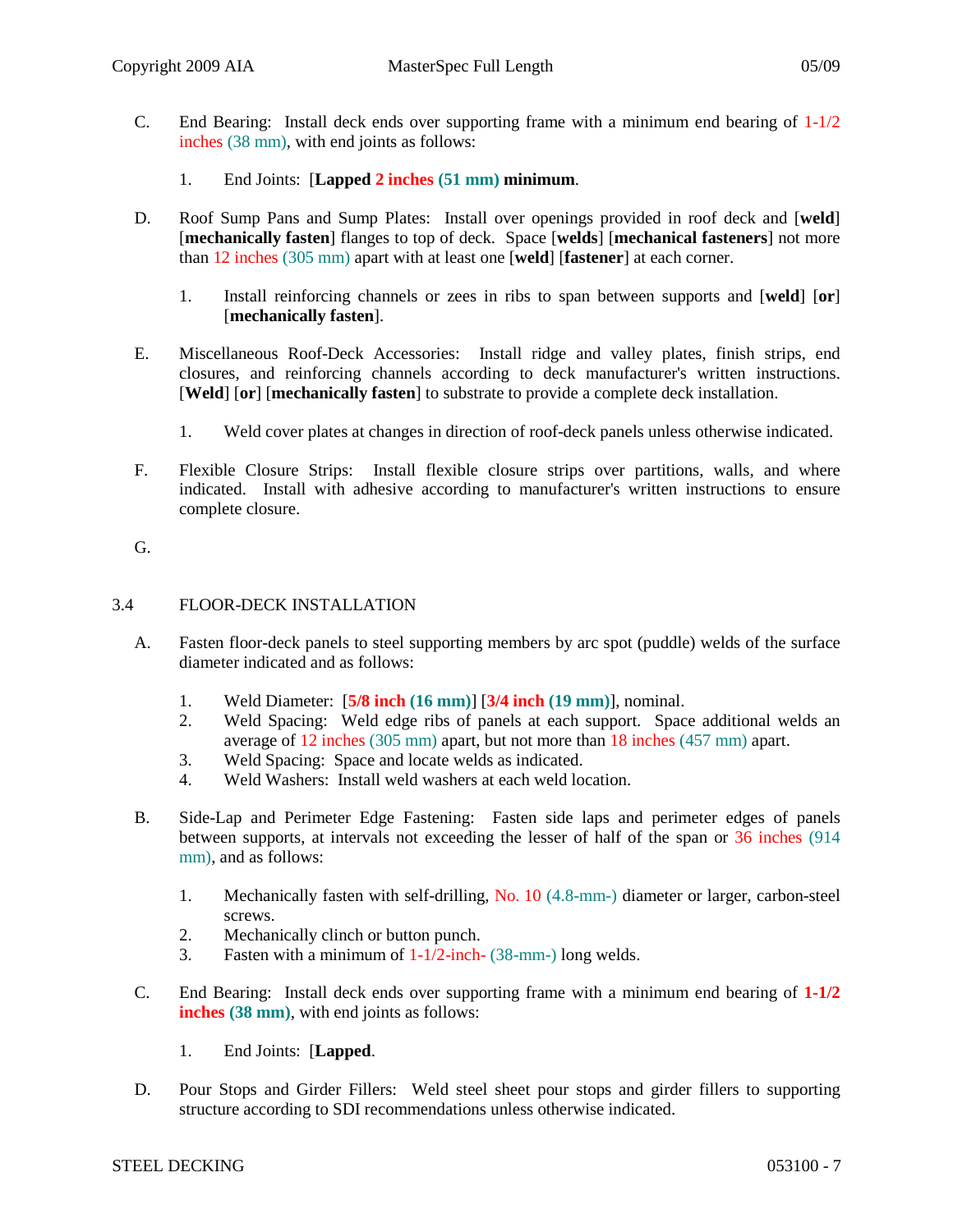- C. End Bearing: Install deck ends over supporting frame with a minimum end bearing of  $1-1/2$ inches (38 mm), with end joints as follows:
	- 1. End Joints: [**Lapped 2 inches (51 mm) minimum**.
- D. Roof Sump Pans and Sump Plates: Install over openings provided in roof deck and [**weld**] [**mechanically fasten**] flanges to top of deck. Space [**welds**] [**mechanical fasteners**] not more than 12 inches (305 mm) apart with at least one [**weld**] [**fastener**] at each corner.
	- 1. Install reinforcing channels or zees in ribs to span between supports and [**weld**] [**or**] [**mechanically fasten**].
- E. Miscellaneous Roof-Deck Accessories: Install ridge and valley plates, finish strips, end closures, and reinforcing channels according to deck manufacturer's written instructions. [**Weld**] [**or**] [**mechanically fasten**] to substrate to provide a complete deck installation.
	- 1. Weld cover plates at changes in direction of roof-deck panels unless otherwise indicated.
- F. Flexible Closure Strips: Install flexible closure strips over partitions, walls, and where indicated. Install with adhesive according to manufacturer's written instructions to ensure complete closure.

# G.

### 3.4 FLOOR-DECK INSTALLATION

- A. Fasten floor-deck panels to steel supporting members by arc spot (puddle) welds of the surface diameter indicated and as follows:
	- 1. Weld Diameter: [**5/8 inch (16 mm)**] [**3/4 inch (19 mm)**], nominal.
	- 2. Weld Spacing: Weld edge ribs of panels at each support. Space additional welds an average of 12 inches (305 mm) apart, but not more than 18 inches (457 mm) apart.
	- 3. Weld Spacing: Space and locate welds as indicated.
	- 4. Weld Washers: Install weld washers at each weld location.
- B. Side-Lap and Perimeter Edge Fastening: Fasten side laps and perimeter edges of panels between supports, at intervals not exceeding the lesser of half of the span or 36 inches (914 mm), and as follows:
	- 1. Mechanically fasten with self-drilling, No. 10 (4.8-mm-) diameter or larger, carbon-steel screws.
	- 2. Mechanically clinch or button punch.
	- 3. Fasten with a minimum of 1-1/2-inch- (38-mm-) long welds.
- C. End Bearing: Install deck ends over supporting frame with a minimum end bearing of **1-1/2 inches (38 mm)**, with end joints as follows:
	- 1. End Joints: [**Lapped**.
- D. Pour Stops and Girder Fillers: Weld steel sheet pour stops and girder fillers to supporting structure according to SDI recommendations unless otherwise indicated.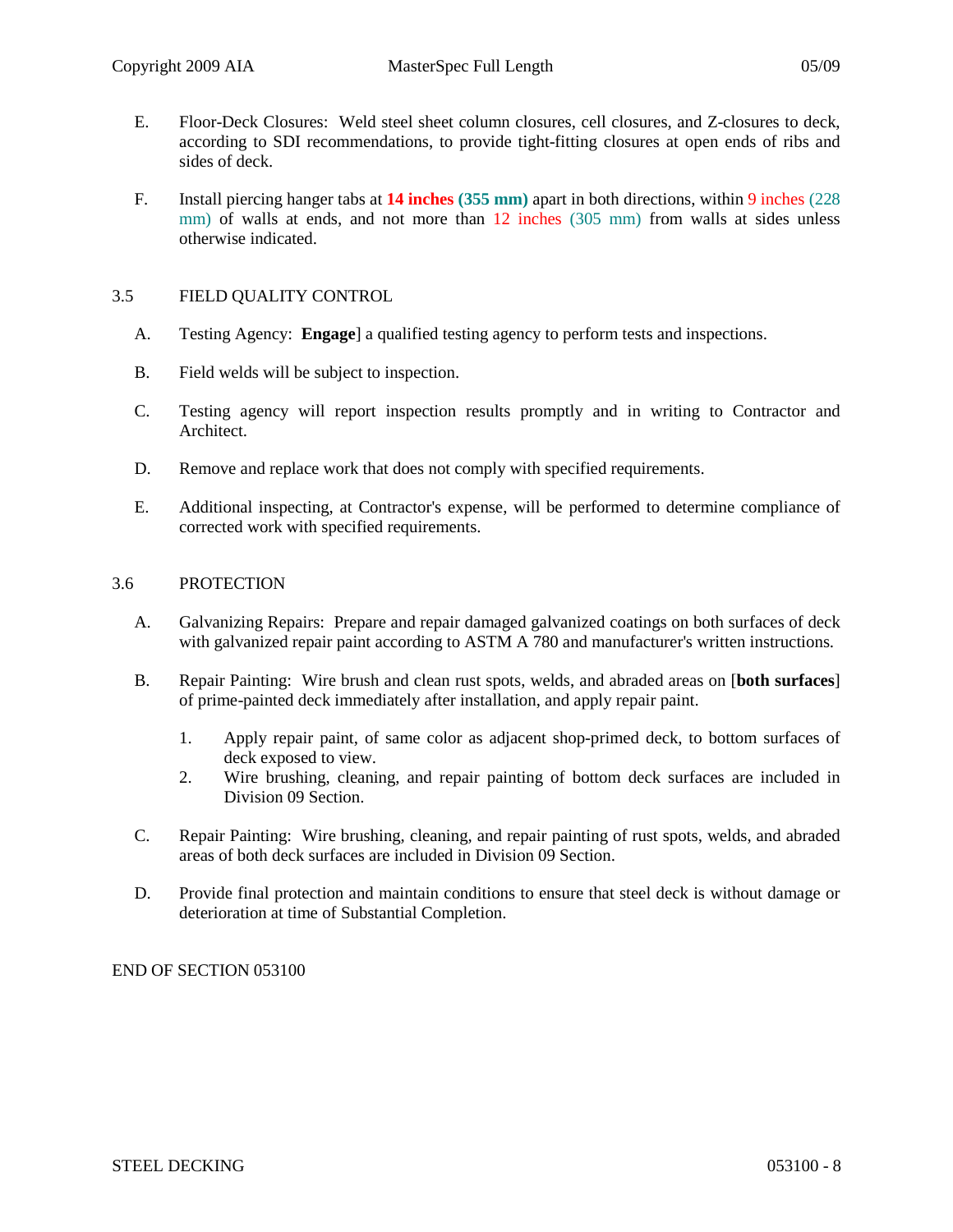- E. Floor-Deck Closures: Weld steel sheet column closures, cell closures, and Z-closures to deck, according to SDI recommendations, to provide tight-fitting closures at open ends of ribs and sides of deck.
- F. Install piercing hanger tabs at **14 inches (355 mm)** apart in both directions, within 9 inches (228 mm) of walls at ends, and not more than 12 inches (305 mm) from walls at sides unless otherwise indicated.

# 3.5 FIELD QUALITY CONTROL

- A. Testing Agency: **Engage**] a qualified testing agency to perform tests and inspections.
- B. Field welds will be subject to inspection.
- C. Testing agency will report inspection results promptly and in writing to Contractor and Architect.
- D. Remove and replace work that does not comply with specified requirements.
- E. Additional inspecting, at Contractor's expense, will be performed to determine compliance of corrected work with specified requirements.

### 3.6 PROTECTION

- A. Galvanizing Repairs: Prepare and repair damaged galvanized coatings on both surfaces of deck with galvanized repair paint according to ASTM A 780 and manufacturer's written instructions.
- B. Repair Painting: Wire brush and clean rust spots, welds, and abraded areas on [**both surfaces**] of prime-painted deck immediately after installation, and apply repair paint.
	- 1. Apply repair paint, of same color as adjacent shop-primed deck, to bottom surfaces of deck exposed to view.
	- 2. Wire brushing, cleaning, and repair painting of bottom deck surfaces are included in Division 09 Section.
- C. Repair Painting: Wire brushing, cleaning, and repair painting of rust spots, welds, and abraded areas of both deck surfaces are included in Division 09 Section.
- D. Provide final protection and maintain conditions to ensure that steel deck is without damage or deterioration at time of Substantial Completion.

END OF SECTION 053100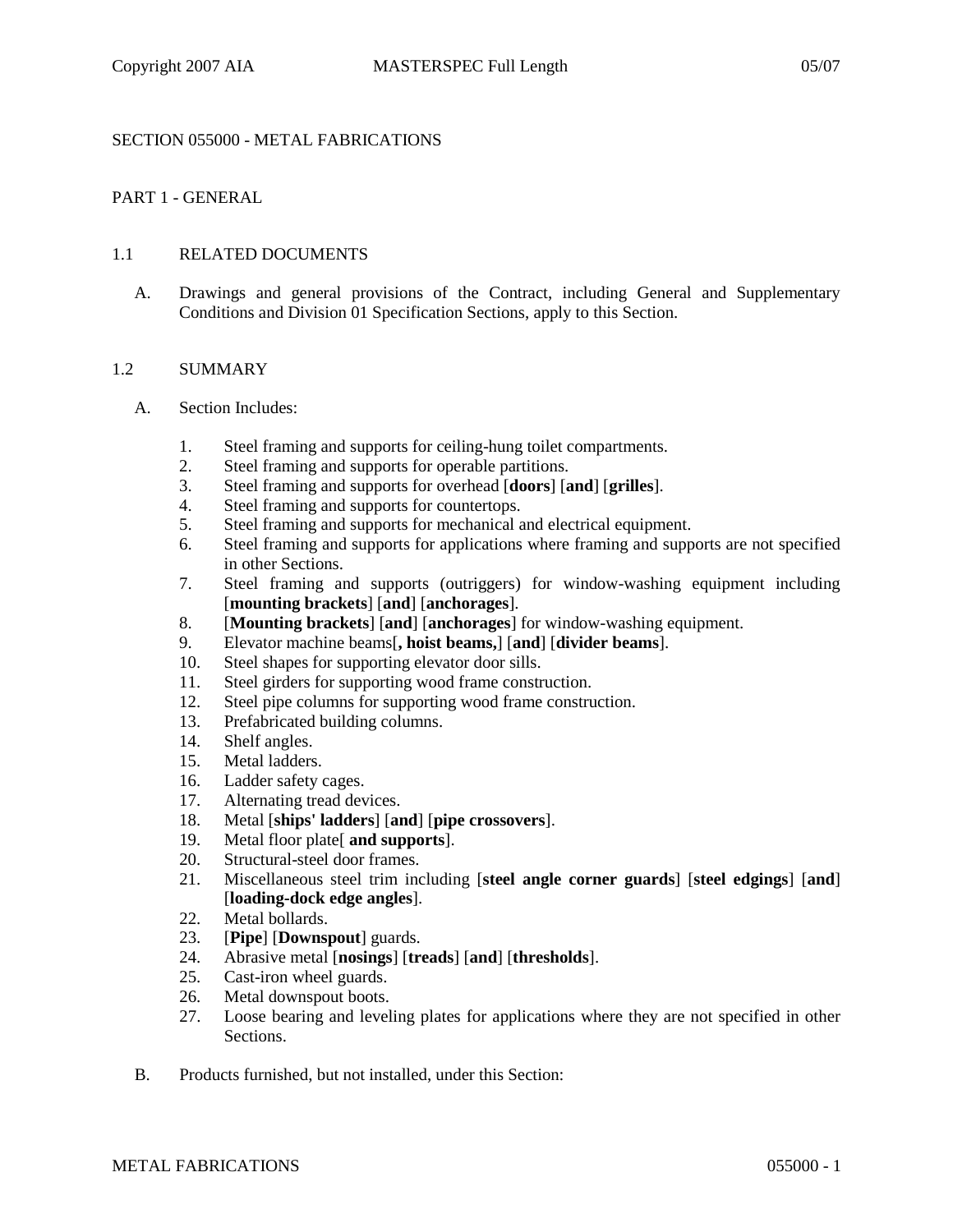## SECTION 055000 - METAL FABRICATIONS

# PART 1 - GENERAL

### 1.1 RELATED DOCUMENTS

A. Drawings and general provisions of the Contract, including General and Supplementary Conditions and Division 01 Specification Sections, apply to this Section.

#### 1.2 SUMMARY

- A. Section Includes:
	- 1. Steel framing and supports for ceiling-hung toilet compartments.
	- 2. Steel framing and supports for operable partitions.
	- 3. Steel framing and supports for overhead [**doors**] [**and**] [**grilles**].
	- 4. Steel framing and supports for countertops.
	- 5. Steel framing and supports for mechanical and electrical equipment.
	- 6. Steel framing and supports for applications where framing and supports are not specified in other Sections.
	- 7. Steel framing and supports (outriggers) for window-washing equipment including [**mounting brackets**] [**and**] [**anchorages**].
	- 8. [**Mounting brackets**] [**and**] [**anchorages**] for window-washing equipment.
	- 9. Elevator machine beams[**, hoist beams,**] [**and**] [**divider beams**].
	- 10. Steel shapes for supporting elevator door sills.
	- 11. Steel girders for supporting wood frame construction.
	- 12. Steel pipe columns for supporting wood frame construction.
	- 13. Prefabricated building columns.
	- 14. Shelf angles.
	- 15. Metal ladders.
	- 16. Ladder safety cages.
	- 17. Alternating tread devices.
	- 18. Metal [**ships' ladders**] [**and**] [**pipe crossovers**].
	- 19. Metal floor plate[ **and supports**].
	- 20. Structural-steel door frames.
	- 21. Miscellaneous steel trim including [**steel angle corner guards**] [**steel edgings**] [**and**] [**loading-dock edge angles**].
	- 22. Metal bollards.
	- 23. [**Pipe**] [**Downspout**] guards.
	- 24. Abrasive metal [**nosings**] [**treads**] [**and**] [**thresholds**].
	- 25. Cast-iron wheel guards.
	- 26. Metal downspout boots.
	- 27. Loose bearing and leveling plates for applications where they are not specified in other Sections.
- B. Products furnished, but not installed, under this Section: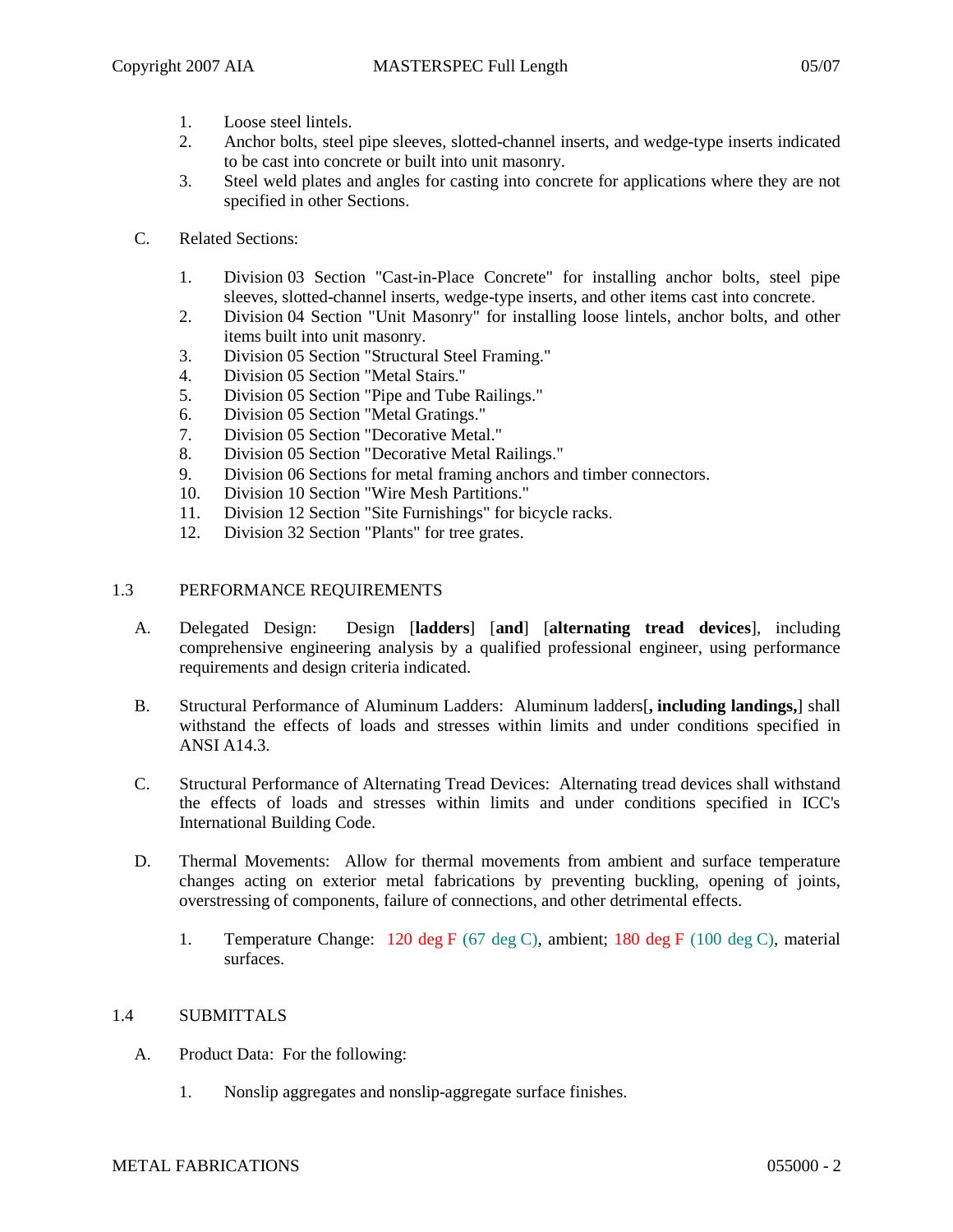- 1. Loose steel lintels.
- 2. Anchor bolts, steel pipe sleeves, slotted-channel inserts, and wedge-type inserts indicated to be cast into concrete or built into unit masonry.
- 3. Steel weld plates and angles for casting into concrete for applications where they are not specified in other Sections.
- C. Related Sections:
	- 1. Division 03 Section "Cast-in-Place Concrete" for installing anchor bolts, steel pipe sleeves, slotted-channel inserts, wedge-type inserts, and other items cast into concrete.
	- 2. Division 04 Section "Unit Masonry" for installing loose lintels, anchor bolts, and other items built into unit masonry.
	- 3. Division 05 Section "Structural Steel Framing."
	- 4. Division 05 Section "Metal Stairs."
	- 5. Division 05 Section "Pipe and Tube Railings."
	- 6. Division 05 Section "Metal Gratings."
	- 7. Division 05 Section "Decorative Metal."
	- 8. Division 05 Section "Decorative Metal Railings."
	- 9. Division 06 Sections for metal framing anchors and timber connectors.
	- 10. Division 10 Section "Wire Mesh Partitions."
	- 11. Division 12 Section "Site Furnishings" for bicycle racks.
	- 12. Division 32 Section "Plants" for tree grates.

### 1.3 PERFORMANCE REQUIREMENTS

- A. Delegated Design: Design [**ladders**] [**and**] [**alternating tread devices**], including comprehensive engineering analysis by a qualified professional engineer, using performance requirements and design criteria indicated.
- B. Structural Performance of Aluminum Ladders: Aluminum ladders[**, including landings,**] shall withstand the effects of loads and stresses within limits and under conditions specified in ANSI A14.3.
- C. Structural Performance of Alternating Tread Devices: Alternating tread devices shall withstand the effects of loads and stresses within limits and under conditions specified in ICC's International Building Code.
- D. Thermal Movements: Allow for thermal movements from ambient and surface temperature changes acting on exterior metal fabrications by preventing buckling, opening of joints, overstressing of components, failure of connections, and other detrimental effects.
	- 1. Temperature Change: 120 deg F (67 deg C), ambient; 180 deg F (100 deg C), material surfaces.

### 1.4 SUBMITTALS

- A. Product Data: For the following:
	- 1. Nonslip aggregates and nonslip-aggregate surface finishes.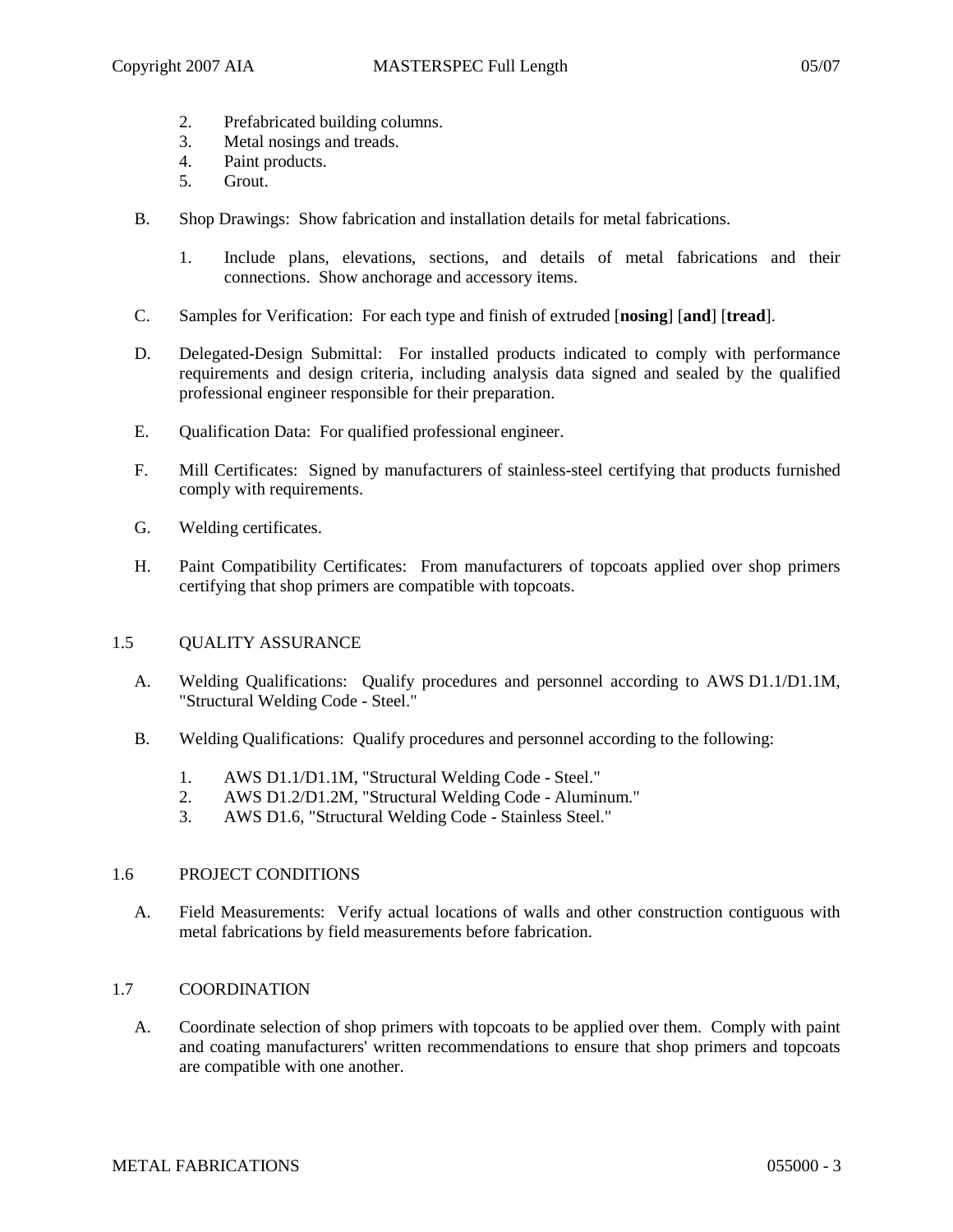- 2. Prefabricated building columns.
- 3. Metal nosings and treads.
- 4. Paint products.
- 5. Grout.
- B. Shop Drawings: Show fabrication and installation details for metal fabrications.
	- 1. Include plans, elevations, sections, and details of metal fabrications and their connections. Show anchorage and accessory items.
- C. Samples for Verification: For each type and finish of extruded [**nosing**] [**and**] [**tread**].
- D. Delegated-Design Submittal: For installed products indicated to comply with performance requirements and design criteria, including analysis data signed and sealed by the qualified professional engineer responsible for their preparation.
- E. Qualification Data: For qualified professional engineer.
- F. Mill Certificates: Signed by manufacturers of stainless-steel certifying that products furnished comply with requirements.
- G. Welding certificates.
- H. Paint Compatibility Certificates: From manufacturers of topcoats applied over shop primers certifying that shop primers are compatible with topcoats.

# 1.5 QUALITY ASSURANCE

- A. Welding Qualifications: Qualify procedures and personnel according to AWS D1.1/D1.1M, "Structural Welding Code - Steel."
- B. Welding Qualifications: Qualify procedures and personnel according to the following:
	- 1. AWS D1.1/D1.1M, "Structural Welding Code Steel."<br>2. AWS D1.2/D1.2M. "Structural Welding Code Alumin
	- 2. AWS D1.2/D1.2M, "Structural Welding Code Aluminum."
	- 3. AWS D1.6, "Structural Welding Code Stainless Steel."

# 1.6 PROJECT CONDITIONS

A. Field Measurements: Verify actual locations of walls and other construction contiguous with metal fabrications by field measurements before fabrication.

# 1.7 COORDINATION

A. Coordinate selection of shop primers with topcoats to be applied over them. Comply with paint and coating manufacturers' written recommendations to ensure that shop primers and topcoats are compatible with one another.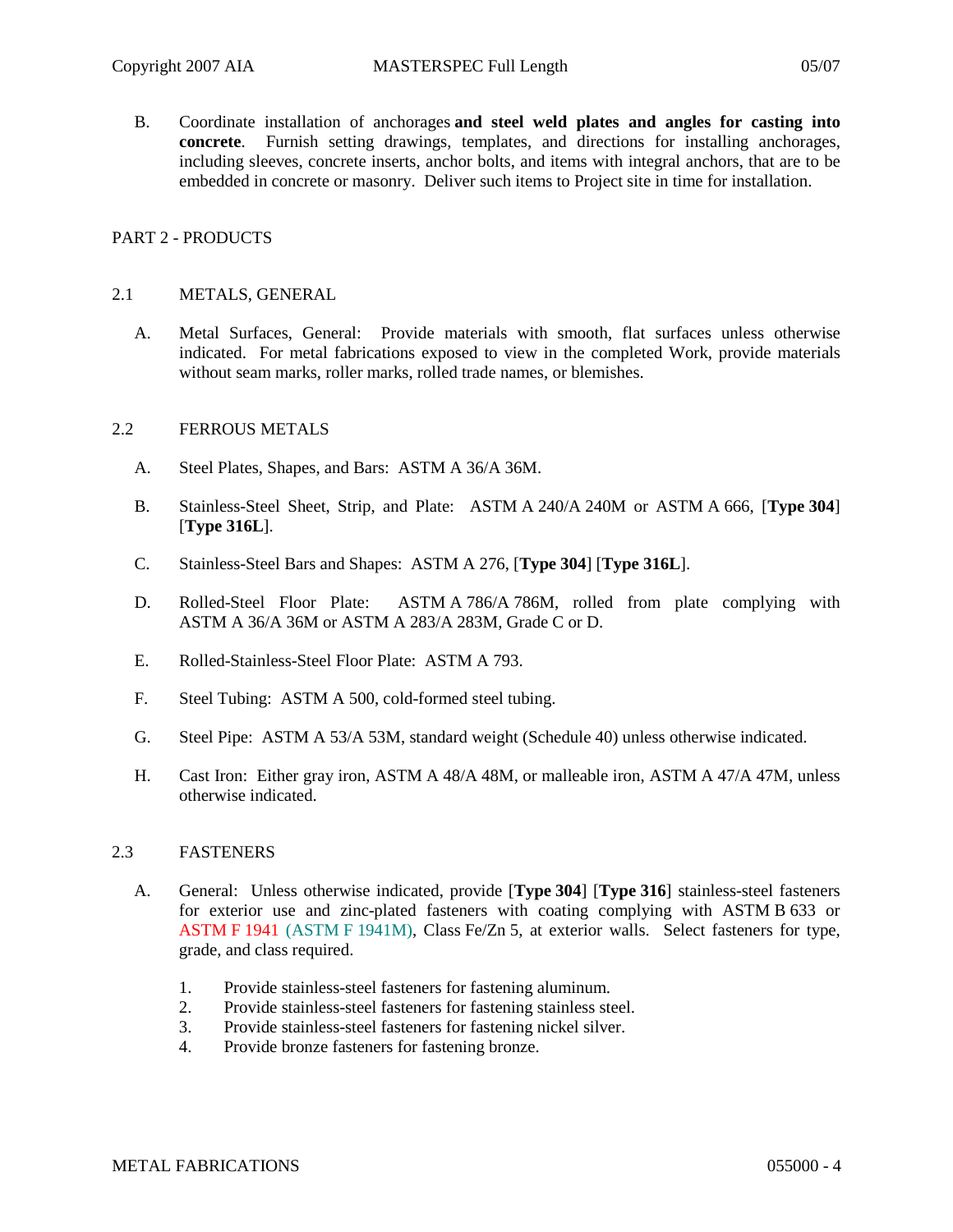B. Coordinate installation of anchorages **and steel weld plates and angles for casting into concrete**. Furnish setting drawings, templates, and directions for installing anchorages, including sleeves, concrete inserts, anchor bolts, and items with integral anchors, that are to be embedded in concrete or masonry. Deliver such items to Project site in time for installation.

## PART 2 - PRODUCTS

### 2.1 METALS, GENERAL

A. Metal Surfaces, General: Provide materials with smooth, flat surfaces unless otherwise indicated. For metal fabrications exposed to view in the completed Work, provide materials without seam marks, roller marks, rolled trade names, or blemishes.

### 2.2 FERROUS METALS

- A. Steel Plates, Shapes, and Bars: ASTM A 36/A 36M.
- B. Stainless-Steel Sheet, Strip, and Plate: ASTM A 240/A 240M or ASTM A 666, [**Type 304**] [**Type 316L**].
- C. Stainless-Steel Bars and Shapes: ASTM A 276, [**Type 304**] [**Type 316L**].
- D. Rolled-Steel Floor Plate: ASTM A 786/A 786M, rolled from plate complying with ASTM A 36/A 36M or ASTM A 283/A 283M, Grade C or D.
- E. Rolled-Stainless-Steel Floor Plate: ASTM A 793.
- F. Steel Tubing: ASTM A 500, cold-formed steel tubing.
- G. Steel Pipe: ASTM A 53/A 53M, standard weight (Schedule 40) unless otherwise indicated.
- H. Cast Iron: Either gray iron, ASTM A 48/A 48M, or malleable iron, ASTM A 47/A 47M, unless otherwise indicated.

### 2.3 FASTENERS

- A. General: Unless otherwise indicated, provide [**Type 304**] [**Type 316**] stainless-steel fasteners for exterior use and zinc-plated fasteners with coating complying with ASTM B 633 or ASTM F 1941 (ASTM F 1941M), Class Fe/Zn 5, at exterior walls. Select fasteners for type, grade, and class required.
	- 1. Provide stainless-steel fasteners for fastening aluminum.
	- 2. Provide stainless-steel fasteners for fastening stainless steel.
	- 3. Provide stainless-steel fasteners for fastening nickel silver.
	- 4. Provide bronze fasteners for fastening bronze.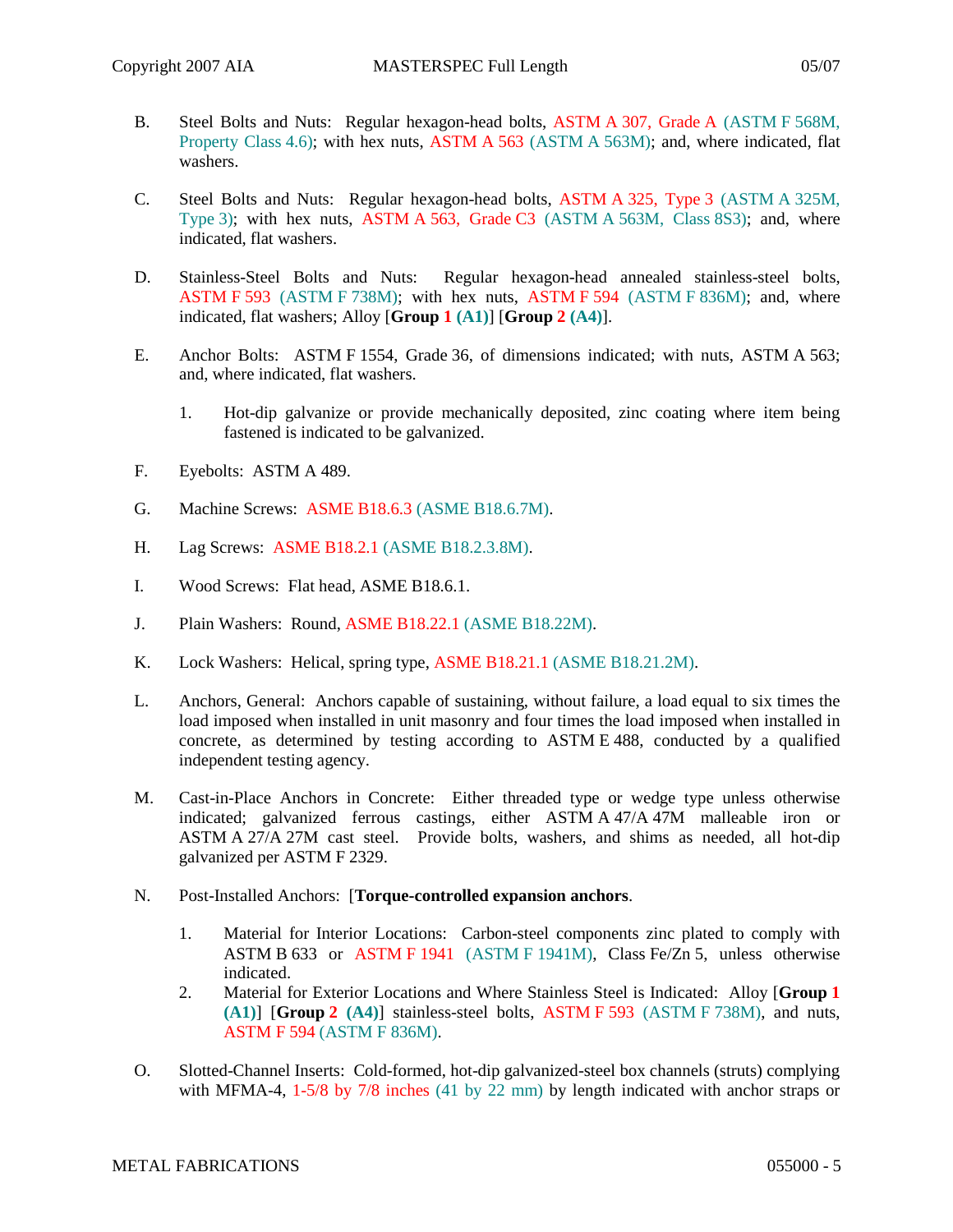- B. Steel Bolts and Nuts: Regular hexagon-head bolts, ASTM A 307, Grade A (ASTM F 568M, Property Class 4.6); with hex nuts, ASTM A 563 (ASTM A 563M); and, where indicated, flat washers.
- C. Steel Bolts and Nuts: Regular hexagon-head bolts, ASTM A 325, Type 3 (ASTM A 325M, Type 3); with hex nuts, ASTM A 563, Grade C3 (ASTM A 563M, Class 8S3); and, where indicated, flat washers.
- D. Stainless-Steel Bolts and Nuts: Regular hexagon-head annealed stainless-steel bolts, ASTM F 593 (ASTM F 738M); with hex nuts, ASTM F 594 (ASTM F 836M); and, where indicated, flat washers; Alloy [**Group 1 (A1)**] [**Group 2 (A4)**].
- E. Anchor Bolts: ASTM F 1554, Grade 36, of dimensions indicated; with nuts, ASTM A 563; and, where indicated, flat washers.
	- 1. Hot-dip galvanize or provide mechanically deposited, zinc coating where item being fastened is indicated to be galvanized.
- F. Eyebolts: ASTM A 489.
- G. Machine Screws: ASME B18.6.3 (ASME B18.6.7M).
- H. Lag Screws: ASME B18.2.1 (ASME B18.2.3.8M).
- I. Wood Screws: Flat head, ASME B18.6.1.
- J. Plain Washers: Round, ASME B18.22.1 (ASME B18.22M).
- K. Lock Washers: Helical, spring type, ASME B18.21.1 (ASME B18.21.2M).
- L. Anchors, General: Anchors capable of sustaining, without failure, a load equal to six times the load imposed when installed in unit masonry and four times the load imposed when installed in concrete, as determined by testing according to ASTM E 488, conducted by a qualified independent testing agency.
- M. Cast-in-Place Anchors in Concrete: Either threaded type or wedge type unless otherwise indicated; galvanized ferrous castings, either ASTM A 47/A 47M malleable iron or ASTM A 27/A 27M cast steel. Provide bolts, washers, and shims as needed, all hot-dip galvanized per ASTM F 2329.
- N. Post-Installed Anchors: [**Torque-controlled expansion anchors**.
	- 1. Material for Interior Locations: Carbon-steel components zinc plated to comply with ASTM B 633 or ASTM F 1941 (ASTM F 1941M), Class Fe/Zn 5, unless otherwise indicated.
	- 2. Material for Exterior Locations and Where Stainless Steel is Indicated: Alloy [**Group 1 (A1)**] [**Group 2 (A4)**] stainless-steel bolts, ASTM F 593 (ASTM F 738M), and nuts, ASTM F 594 (ASTM F 836M).
- O. Slotted-Channel Inserts: Cold-formed, hot-dip galvanized-steel box channels (struts) complying with MFMA-4, 1-5/8 by 7/8 inches (41 by 22 mm) by length indicated with anchor straps or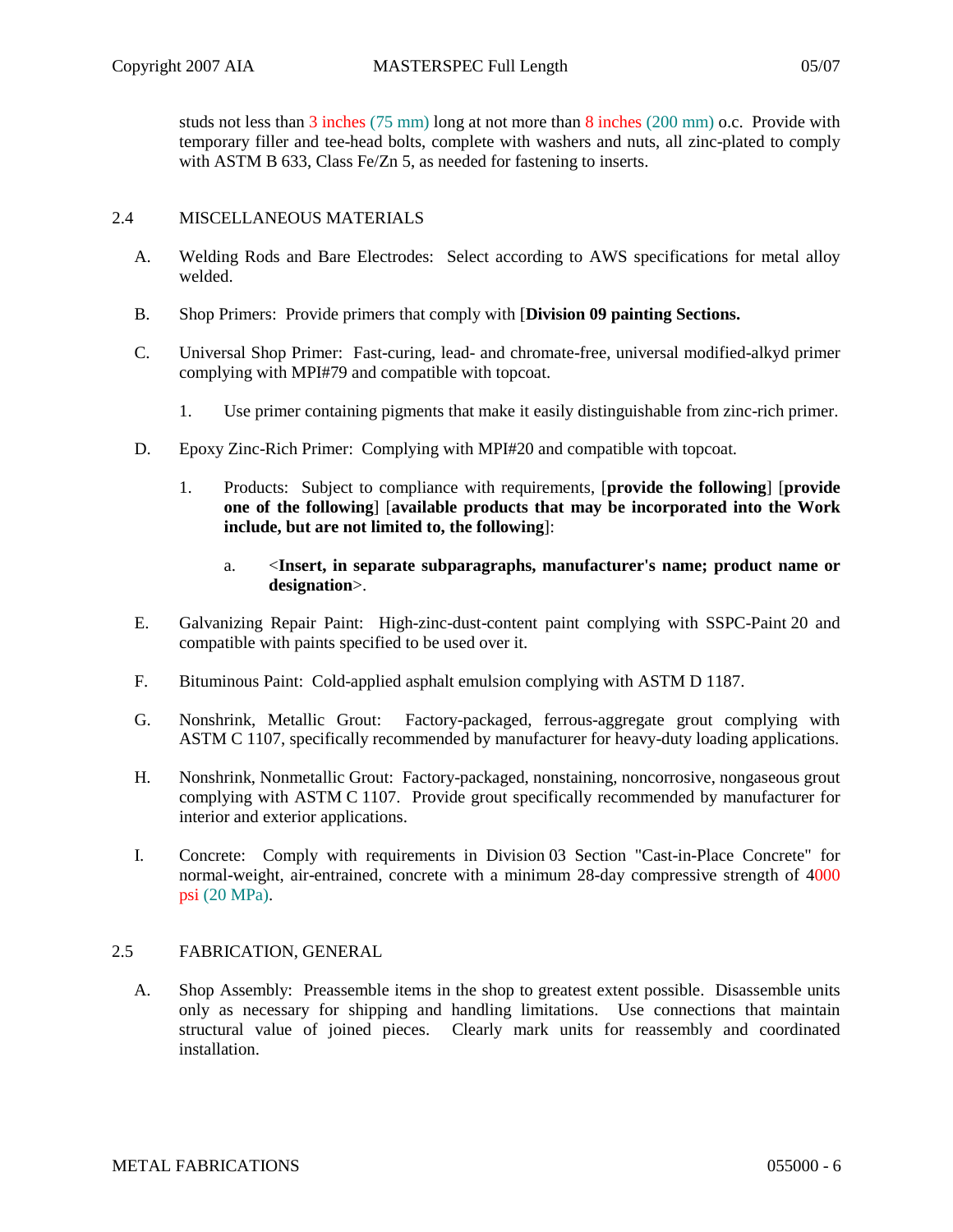studs not less than 3 inches (75 mm) long at not more than 8 inches (200 mm) o.c. Provide with temporary filler and tee-head bolts, complete with washers and nuts, all zinc-plated to comply with ASTM B 633, Class Fe/Zn 5, as needed for fastening to inserts.

# 2.4 MISCELLANEOUS MATERIALS

- A. Welding Rods and Bare Electrodes: Select according to AWS specifications for metal alloy welded.
- B. Shop Primers: Provide primers that comply with [**Division 09 painting Sections.**
- C. Universal Shop Primer: Fast-curing, lead- and chromate-free, universal modified-alkyd primer complying with MPI#79 and compatible with topcoat.
	- 1. Use primer containing pigments that make it easily distinguishable from zinc-rich primer.
- D. Epoxy Zinc-Rich Primer: Complying with MPI#20 and compatible with topcoat.
	- 1. Products: Subject to compliance with requirements, [**provide the following**] [**provide one of the following**] [**available products that may be incorporated into the Work include, but are not limited to, the following**]:
		- a. <**Insert, in separate subparagraphs, manufacturer's name; product name or designation**>.
- E. Galvanizing Repair Paint: High-zinc-dust-content paint complying with SSPC-Paint 20 and compatible with paints specified to be used over it.
- F. Bituminous Paint: Cold-applied asphalt emulsion complying with ASTM D 1187.
- G. Nonshrink, Metallic Grout: Factory-packaged, ferrous-aggregate grout complying with ASTM C 1107, specifically recommended by manufacturer for heavy-duty loading applications.
- H. Nonshrink, Nonmetallic Grout: Factory-packaged, nonstaining, noncorrosive, nongaseous grout complying with ASTM C 1107. Provide grout specifically recommended by manufacturer for interior and exterior applications.
- I. Concrete: Comply with requirements in Division 03 Section "Cast-in-Place Concrete" for normal-weight, air-entrained, concrete with a minimum 28-day compressive strength of 4000 psi (20 MPa).

# 2.5 FABRICATION, GENERAL

A. Shop Assembly: Preassemble items in the shop to greatest extent possible. Disassemble units only as necessary for shipping and handling limitations. Use connections that maintain structural value of joined pieces. Clearly mark units for reassembly and coordinated installation.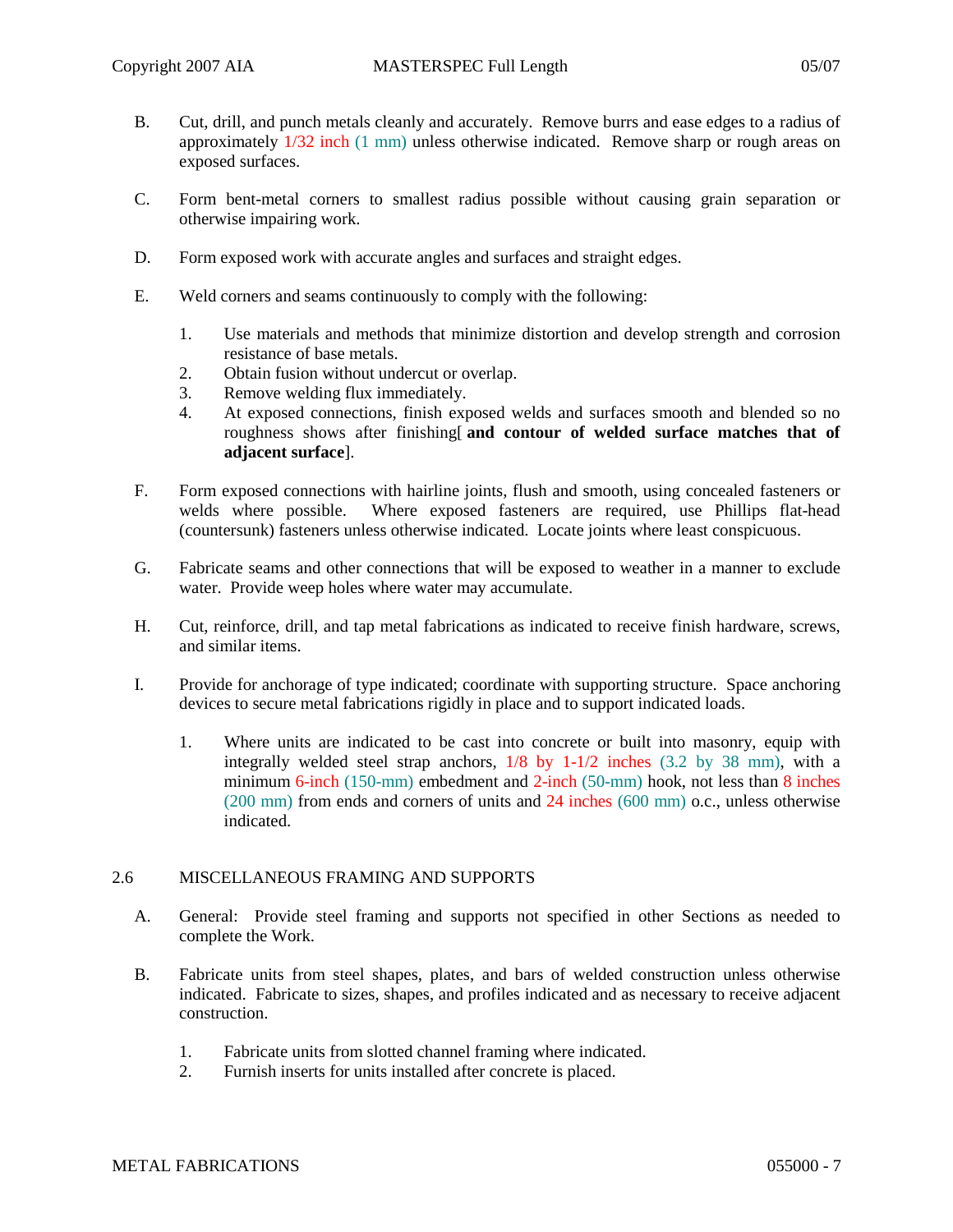- B. Cut, drill, and punch metals cleanly and accurately. Remove burrs and ease edges to a radius of approximately 1/32 inch (1 mm) unless otherwise indicated. Remove sharp or rough areas on exposed surfaces.
- C. Form bent-metal corners to smallest radius possible without causing grain separation or otherwise impairing work.
- D. Form exposed work with accurate angles and surfaces and straight edges.
- E. Weld corners and seams continuously to comply with the following:
	- 1. Use materials and methods that minimize distortion and develop strength and corrosion resistance of base metals.
	- 2. Obtain fusion without undercut or overlap.
	- 3. Remove welding flux immediately.
	- 4. At exposed connections, finish exposed welds and surfaces smooth and blended so no roughness shows after finishing[ **and contour of welded surface matches that of adjacent surface**].
- F. Form exposed connections with hairline joints, flush and smooth, using concealed fasteners or welds where possible. Where exposed fasteners are required, use Phillips flat-head (countersunk) fasteners unless otherwise indicated. Locate joints where least conspicuous.
- G. Fabricate seams and other connections that will be exposed to weather in a manner to exclude water. Provide weep holes where water may accumulate.
- H. Cut, reinforce, drill, and tap metal fabrications as indicated to receive finish hardware, screws, and similar items.
- I. Provide for anchorage of type indicated; coordinate with supporting structure. Space anchoring devices to secure metal fabrications rigidly in place and to support indicated loads.
	- 1. Where units are indicated to be cast into concrete or built into masonry, equip with integrally welded steel strap anchors, 1/8 by 1-1/2 inches (3.2 by 38 mm), with a minimum 6-inch (150-mm) embedment and 2-inch (50-mm) hook, not less than 8 inches (200 mm) from ends and corners of units and 24 inches (600 mm) o.c., unless otherwise indicated.

### 2.6 MISCELLANEOUS FRAMING AND SUPPORTS

- A. General: Provide steel framing and supports not specified in other Sections as needed to complete the Work.
- B. Fabricate units from steel shapes, plates, and bars of welded construction unless otherwise indicated. Fabricate to sizes, shapes, and profiles indicated and as necessary to receive adjacent construction.
	- 1. Fabricate units from slotted channel framing where indicated.<br>2. Furnish inserts for units installed after concrete is placed.
	- 2. Furnish inserts for units installed after concrete is placed.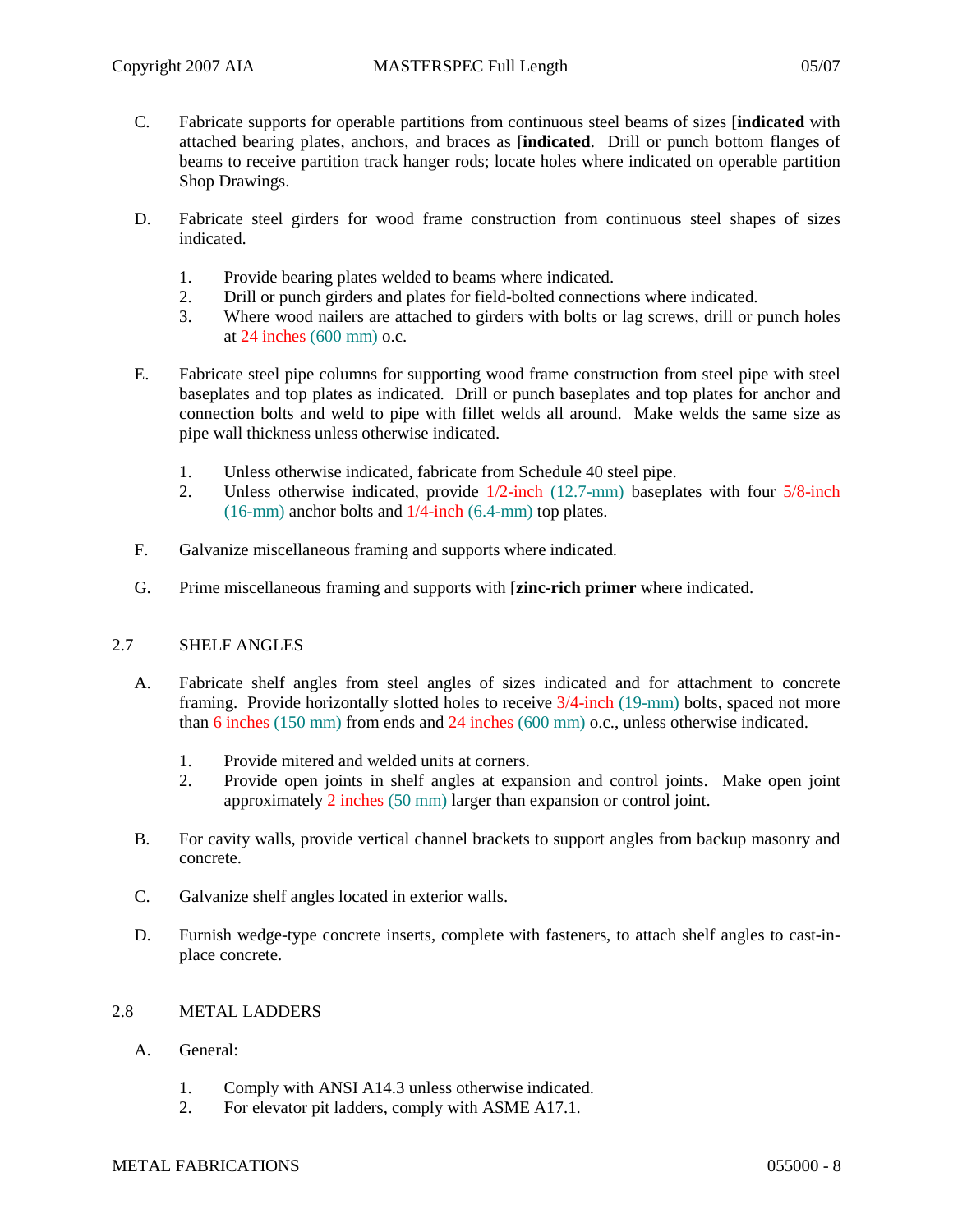- 
- C. Fabricate supports for operable partitions from continuous steel beams of sizes [**indicated** with attached bearing plates, anchors, and braces as [**indicated**. Drill or punch bottom flanges of beams to receive partition track hanger rods; locate holes where indicated on operable partition Shop Drawings.
- D. Fabricate steel girders for wood frame construction from continuous steel shapes of sizes indicated.
	- 1. Provide bearing plates welded to beams where indicated.
	- 2. Drill or punch girders and plates for field-bolted connections where indicated.
	- 3. Where wood nailers are attached to girders with bolts or lag screws, drill or punch holes at 24 inches (600 mm) o.c.
- E. Fabricate steel pipe columns for supporting wood frame construction from steel pipe with steel baseplates and top plates as indicated. Drill or punch baseplates and top plates for anchor and connection bolts and weld to pipe with fillet welds all around. Make welds the same size as pipe wall thickness unless otherwise indicated.
	- 1. Unless otherwise indicated, fabricate from Schedule 40 steel pipe.
	- 2. Unless otherwise indicated, provide 1/2-inch (12.7-mm) baseplates with four 5/8-inch (16-mm) anchor bolts and 1/4-inch (6.4-mm) top plates.
- F. Galvanize miscellaneous framing and supports where indicated.
- G. Prime miscellaneous framing and supports with [**zinc-rich primer** where indicated.

### 2.7 SHELF ANGLES

- A. Fabricate shelf angles from steel angles of sizes indicated and for attachment to concrete framing. Provide horizontally slotted holes to receive 3/4-inch (19-mm) bolts, spaced not more than 6 inches (150 mm) from ends and 24 inches (600 mm) o.c., unless otherwise indicated.
	- 1. Provide mitered and welded units at corners.
	- 2. Provide open joints in shelf angles at expansion and control joints. Make open joint approximately 2 inches (50 mm) larger than expansion or control joint.
- B. For cavity walls, provide vertical channel brackets to support angles from backup masonry and concrete.
- C. Galvanize shelf angles located in exterior walls.
- D. Furnish wedge-type concrete inserts, complete with fasteners, to attach shelf angles to cast-inplace concrete.

# 2.8 METAL LADDERS

- A. General:
	- 1. Comply with ANSI A14.3 unless otherwise indicated.
	- 2. For elevator pit ladders, comply with ASME A17.1.

#### METAL FABRICATIONS 055000 - 8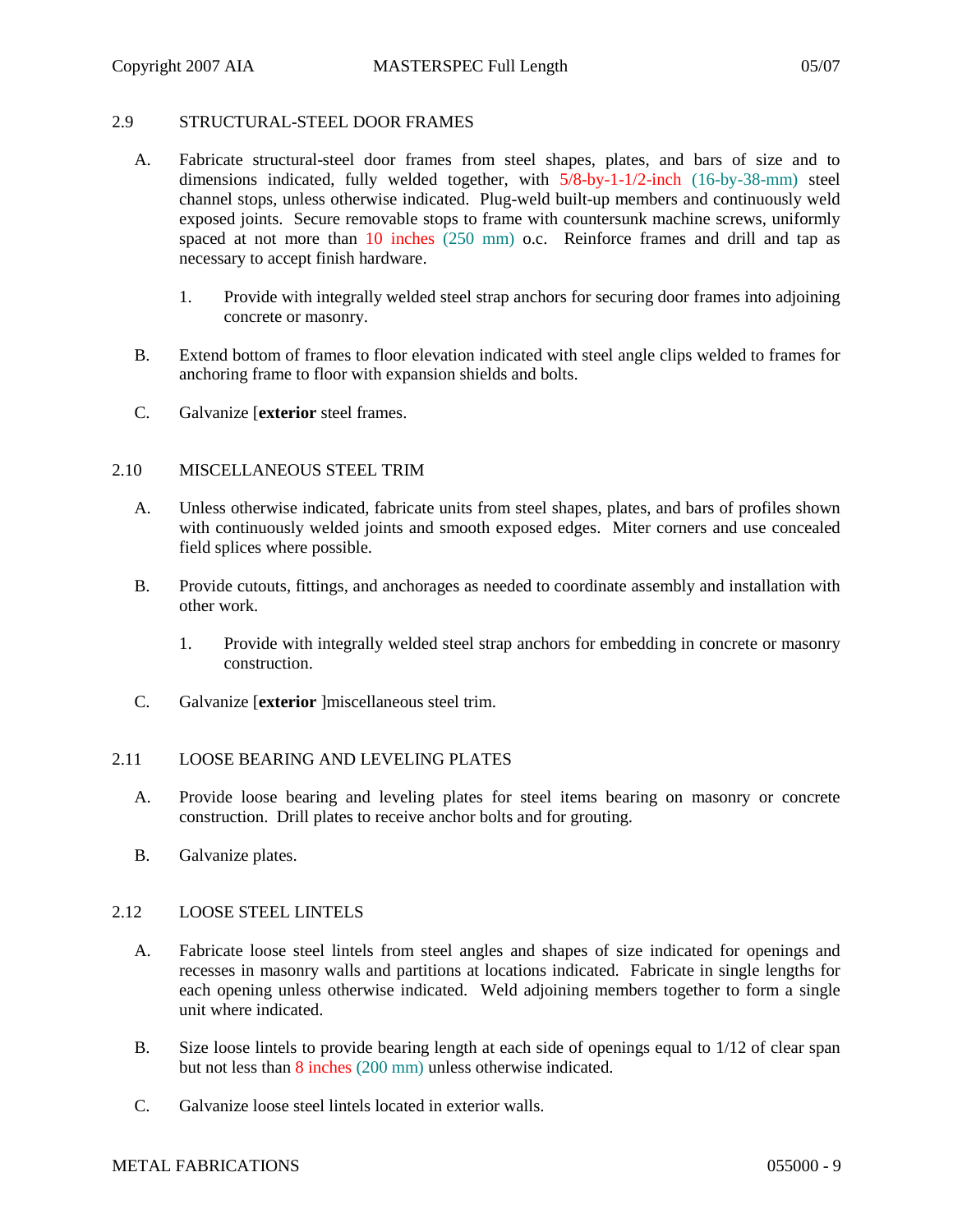#### 2.9 STRUCTURAL-STEEL DOOR FRAMES

- A. Fabricate structural-steel door frames from steel shapes, plates, and bars of size and to dimensions indicated, fully welded together, with 5/8-by-1-1/2-inch (16-by-38-mm) steel channel stops, unless otherwise indicated. Plug-weld built-up members and continuously weld exposed joints. Secure removable stops to frame with countersunk machine screws, uniformly spaced at not more than 10 inches (250 mm) o.c. Reinforce frames and drill and tap as necessary to accept finish hardware.
	- 1. Provide with integrally welded steel strap anchors for securing door frames into adjoining concrete or masonry.
- B. Extend bottom of frames to floor elevation indicated with steel angle clips welded to frames for anchoring frame to floor with expansion shields and bolts.
- C. Galvanize [**exterior** steel frames.

### 2.10 MISCELLANEOUS STEEL TRIM

- A. Unless otherwise indicated, fabricate units from steel shapes, plates, and bars of profiles shown with continuously welded joints and smooth exposed edges. Miter corners and use concealed field splices where possible.
- B. Provide cutouts, fittings, and anchorages as needed to coordinate assembly and installation with other work.
	- 1. Provide with integrally welded steel strap anchors for embedding in concrete or masonry construction.
- C. Galvanize [**exterior** ]miscellaneous steel trim.

### 2.11 LOOSE BEARING AND LEVELING PLATES

- A. Provide loose bearing and leveling plates for steel items bearing on masonry or concrete construction. Drill plates to receive anchor bolts and for grouting.
- B. Galvanize plates.

### 2.12 LOOSE STEEL LINTELS

- A. Fabricate loose steel lintels from steel angles and shapes of size indicated for openings and recesses in masonry walls and partitions at locations indicated. Fabricate in single lengths for each opening unless otherwise indicated. Weld adjoining members together to form a single unit where indicated.
- B. Size loose lintels to provide bearing length at each side of openings equal to 1/12 of clear span but not less than 8 inches (200 mm) unless otherwise indicated.
- C. Galvanize loose steel lintels located in exterior walls.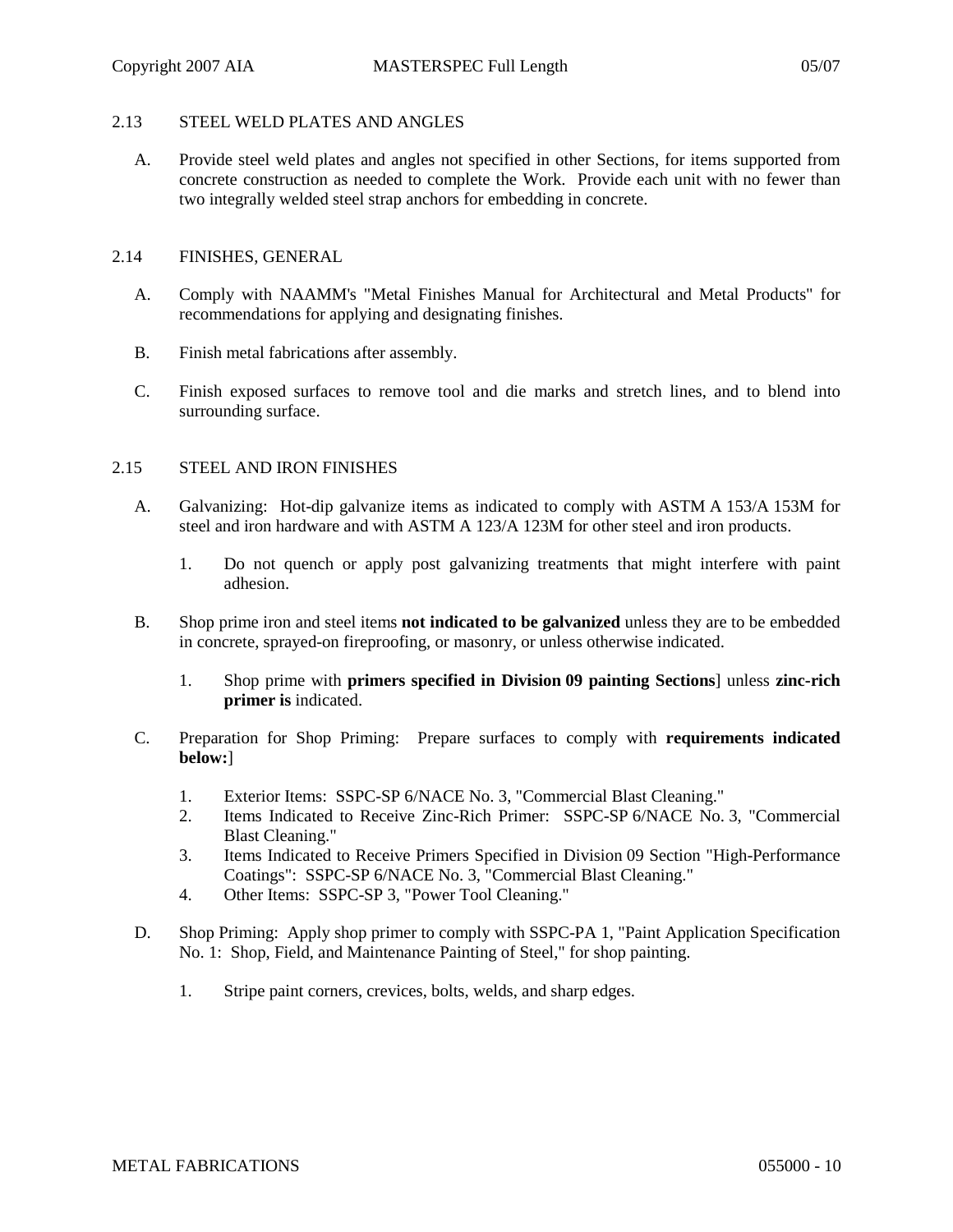# 2.13 STEEL WELD PLATES AND ANGLES

A. Provide steel weld plates and angles not specified in other Sections, for items supported from concrete construction as needed to complete the Work. Provide each unit with no fewer than two integrally welded steel strap anchors for embedding in concrete.

#### 2.14 FINISHES, GENERAL

- A. Comply with NAAMM's "Metal Finishes Manual for Architectural and Metal Products" for recommendations for applying and designating finishes.
- B. Finish metal fabrications after assembly.
- C. Finish exposed surfaces to remove tool and die marks and stretch lines, and to blend into surrounding surface.

#### 2.15 STEEL AND IRON FINISHES

- A. Galvanizing: Hot-dip galvanize items as indicated to comply with ASTM A 153/A 153M for steel and iron hardware and with ASTM A 123/A 123M for other steel and iron products.
	- 1. Do not quench or apply post galvanizing treatments that might interfere with paint adhesion.
- B. Shop prime iron and steel items **not indicated to be galvanized** unless they are to be embedded in concrete, sprayed-on fireproofing, or masonry, or unless otherwise indicated.
	- 1. Shop prime with **primers specified in Division 09 painting Sections**] unless **zinc-rich primer is** indicated.
- C. Preparation for Shop Priming: Prepare surfaces to comply with **requirements indicated below:**]
	- 1. Exterior Items: SSPC-SP 6/NACE No. 3, "Commercial Blast Cleaning."
	- 2. Items Indicated to Receive Zinc-Rich Primer: SSPC-SP 6/NACE No. 3, "Commercial Blast Cleaning."
	- 3. Items Indicated to Receive Primers Specified in Division 09 Section "High-Performance Coatings": SSPC-SP 6/NACE No. 3, "Commercial Blast Cleaning."
	- 4. Other Items: SSPC-SP 3, "Power Tool Cleaning."
- D. Shop Priming: Apply shop primer to comply with SSPC-PA 1, "Paint Application Specification No. 1: Shop, Field, and Maintenance Painting of Steel," for shop painting.
	- 1. Stripe paint corners, crevices, bolts, welds, and sharp edges.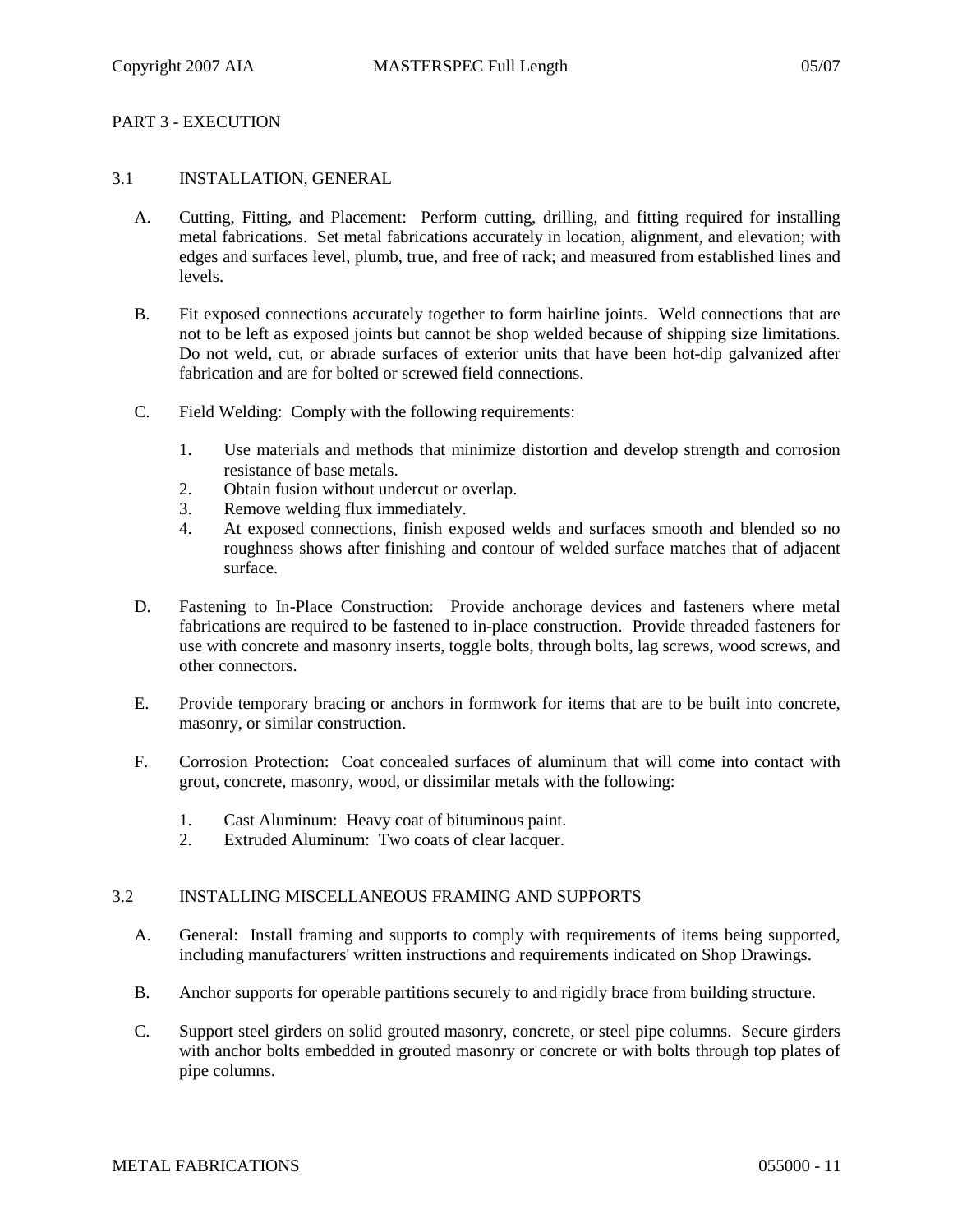## PART 3 - EXECUTION

## 3.1 INSTALLATION, GENERAL

- A. Cutting, Fitting, and Placement: Perform cutting, drilling, and fitting required for installing metal fabrications. Set metal fabrications accurately in location, alignment, and elevation; with edges and surfaces level, plumb, true, and free of rack; and measured from established lines and levels.
- B. Fit exposed connections accurately together to form hairline joints. Weld connections that are not to be left as exposed joints but cannot be shop welded because of shipping size limitations. Do not weld, cut, or abrade surfaces of exterior units that have been hot-dip galvanized after fabrication and are for bolted or screwed field connections.
- C. Field Welding: Comply with the following requirements:
	- 1. Use materials and methods that minimize distortion and develop strength and corrosion resistance of base metals.
	- 2. Obtain fusion without undercut or overlap.
	- 3. Remove welding flux immediately.
	- 4. At exposed connections, finish exposed welds and surfaces smooth and blended so no roughness shows after finishing and contour of welded surface matches that of adjacent surface.
- D. Fastening to In-Place Construction: Provide anchorage devices and fasteners where metal fabrications are required to be fastened to in-place construction. Provide threaded fasteners for use with concrete and masonry inserts, toggle bolts, through bolts, lag screws, wood screws, and other connectors.
- E. Provide temporary bracing or anchors in formwork for items that are to be built into concrete, masonry, or similar construction.
- F. Corrosion Protection: Coat concealed surfaces of aluminum that will come into contact with grout, concrete, masonry, wood, or dissimilar metals with the following:
	- 1. Cast Aluminum: Heavy coat of bituminous paint.
	- 2. Extruded Aluminum: Two coats of clear lacquer.

### 3.2 INSTALLING MISCELLANEOUS FRAMING AND SUPPORTS

- A. General: Install framing and supports to comply with requirements of items being supported, including manufacturers' written instructions and requirements indicated on Shop Drawings.
- B. Anchor supports for operable partitions securely to and rigidly brace from building structure.
- C. Support steel girders on solid grouted masonry, concrete, or steel pipe columns. Secure girders with anchor bolts embedded in grouted masonry or concrete or with bolts through top plates of pipe columns.